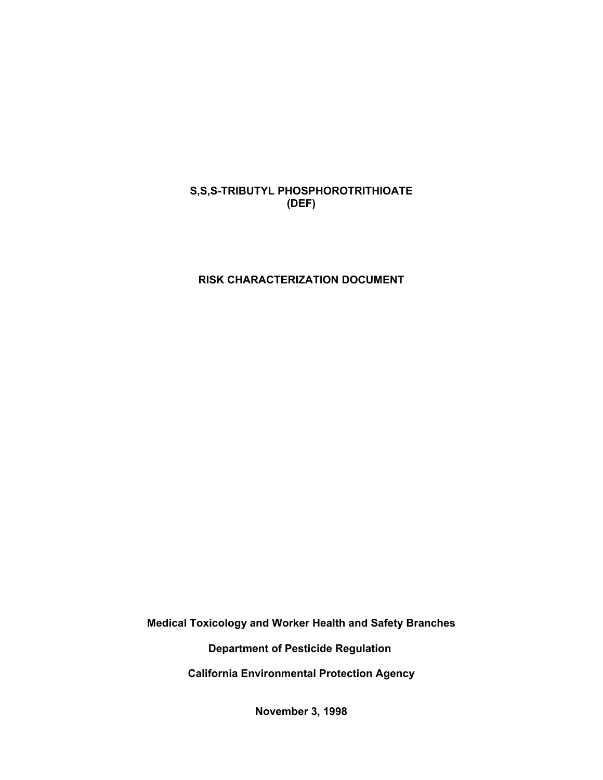# **S,S,S-TRIBUTYL PHOSPHOROTRITHIOATE (DEF)**

# **RISK CHARACTERIZATION DOCUMENT**

**Medical Toxicology and Worker Health and Safety Branches**

**Department of Pesticide Regulation** 

**California Environmental Protection Agency**

**November 3, 1998**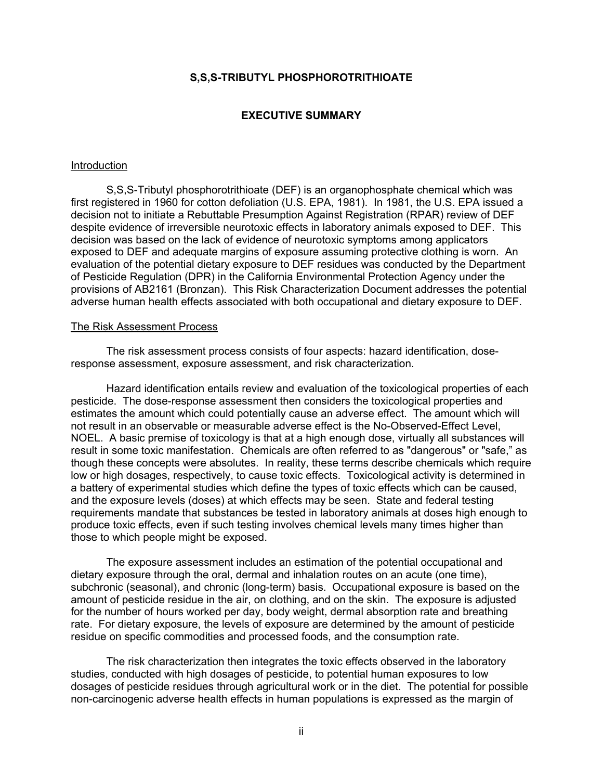#### **S,S,S-TRIBUTYL PHOSPHOROTRITHIOATE**

#### **EXECUTIVE SUMMARY**

#### <span id="page-1-0"></span>Introduction

S,S,S-Tributyl phosphorotrithioate (DEF) is an organophosphate chemical which was first registered in 1960 for cotton defoliation (U.S. EPA, 1981). In 1981, the U.S. EPA issued a decision not to initiate a Rebuttable Presumption Against Registration (RPAR) review of DEF despite evidence of irreversible neurotoxic effects in laboratory animals exposed to DEF. This decision was based on the lack of evidence of neurotoxic symptoms among applicators exposed to DEF and adequate margins of exposure assuming protective clothing is worn. An evaluation of the potential dietary exposure to DEF residues was conducted by the Department of Pesticide Regulation (DPR) in the California Environmental Protection Agency under the provisions of AB2161 (Bronzan). This Risk Characterization Document addresses the potential adverse human health effects associated with both occupational and dietary exposure to DEF.

#### The Risk Assessment Process

The risk assessment process consists of four aspects: hazard identification, doseresponse assessment, exposure assessment, and risk characterization.

Hazard identification entails review and evaluation of the toxicological properties of each pesticide. The dose-response assessment then considers the toxicological properties and estimates the amount which could potentially cause an adverse effect. The amount which will not result in an observable or measurable adverse effect is the No-Observed-Effect Level, NOEL. A basic premise of toxicology is that at a high enough dose, virtually all substances will result in some toxic manifestation. Chemicals are often referred to as "dangerous" or "safe," as though these concepts were absolutes. In reality, these terms describe chemicals which require low or high dosages, respectively, to cause toxic effects. Toxicological activity is determined in a battery of experimental studies which define the types of toxic effects which can be caused, and the exposure levels (doses) at which effects may be seen. State and federal testing requirements mandate that substances be tested in laboratory animals at doses high enough to produce toxic effects, even if such testing involves chemical levels many times higher than those to which people might be exposed.

The exposure assessment includes an estimation of the potential occupational and dietary exposure through the oral, dermal and inhalation routes on an acute (one time), subchronic (seasonal), and chronic (long-term) basis. Occupational exposure is based on the amount of pesticide residue in the air, on clothing, and on the skin. The exposure is adjusted for the number of hours worked per day, body weight, dermal absorption rate and breathing rate. For dietary exposure, the levels of exposure are determined by the amount of pesticide residue on specific commodities and processed foods, and the consumption rate.

The risk characterization then integrates the toxic effects observed in the laboratory studies, conducted with high dosages of pesticide, to potential human exposures to low dosages of pesticide residues through agricultural work or in the diet. The potential for possible non-carcinogenic adverse health effects in human populations is expressed as the margin of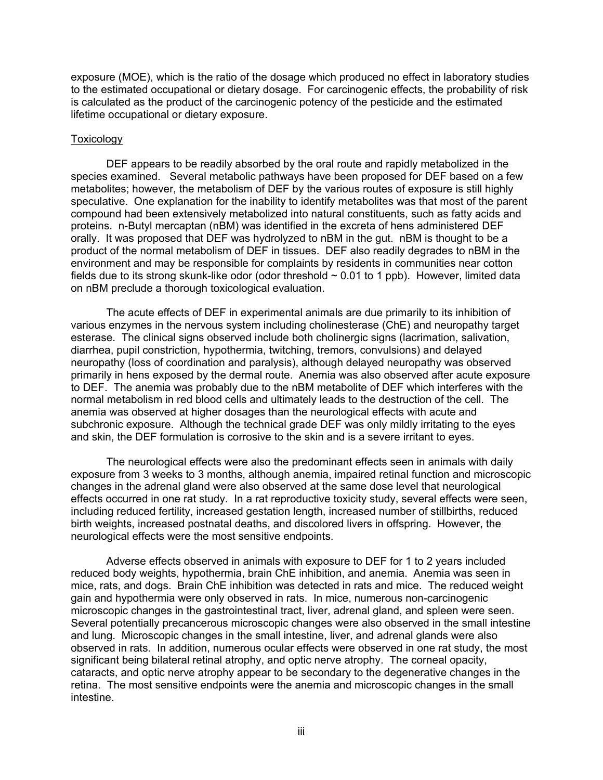exposure (MOE), which is the ratio of the dosage which produced no effect in laboratory studies to the estimated occupational or dietary dosage. For carcinogenic effects, the probability of risk is calculated as the product of the carcinogenic potency of the pesticide and the estimated lifetime occupational or dietary exposure.

#### Toxicology

DEF appears to be readily absorbed by the oral route and rapidly metabolized in the species examined. Several metabolic pathways have been proposed for DEF based on a few metabolites; however, the metabolism of DEF by the various routes of exposure is still highly speculative. One explanation for the inability to identify metabolites was that most of the parent compound had been extensively metabolized into natural constituents, such as fatty acids and proteins. n-Butyl mercaptan (nBM) was identified in the excreta of hens administered DEF orally. It was proposed that DEF was hydrolyzed to nBM in the gut. nBM is thought to be a product of the normal metabolism of DEF in tissues. DEF also readily degrades to nBM in the environment and may be responsible for complaints by residents in communities near cotton fields due to its strong skunk-like odor (odor threshold  $\sim$  0.01 to 1 ppb). However, limited data on nBM preclude a thorough toxicological evaluation.

The acute effects of DEF in experimental animals are due primarily to its inhibition of various enzymes in the nervous system including cholinesterase (ChE) and neuropathy target esterase. The clinical signs observed include both cholinergic signs (lacrimation, salivation, diarrhea, pupil constriction, hypothermia, twitching, tremors, convulsions) and delayed neuropathy (loss of coordination and paralysis), although delayed neuropathy was observed primarily in hens exposed by the dermal route. Anemia was also observed after acute exposure to DEF. The anemia was probably due to the nBM metabolite of DEF which interferes with the normal metabolism in red blood cells and ultimately leads to the destruction of the cell. The anemia was observed at higher dosages than the neurological effects with acute and subchronic exposure. Although the technical grade DEF was only mildly irritating to the eyes and skin, the DEF formulation is corrosive to the skin and is a severe irritant to eyes.

The neurological effects were also the predominant effects seen in animals with daily exposure from 3 weeks to 3 months, although anemia, impaired retinal function and microscopic changes in the adrenal gland were also observed at the same dose level that neurological effects occurred in one rat study. In a rat reproductive toxicity study, several effects were seen, including reduced fertility, increased gestation length, increased number of stillbirths, reduced birth weights, increased postnatal deaths, and discolored livers in offspring. However, the neurological effects were the most sensitive endpoints.

Adverse effects observed in animals with exposure to DEF for 1 to 2 years included reduced body weights, hypothermia, brain ChE inhibition, and anemia. Anemia was seen in mice, rats, and dogs. Brain ChE inhibition was detected in rats and mice. The reduced weight gain and hypothermia were only observed in rats. In mice, numerous non-carcinogenic microscopic changes in the gastrointestinal tract, liver, adrenal gland, and spleen were seen. Several potentially precancerous microscopic changes were also observed in the small intestine and lung. Microscopic changes in the small intestine, liver, and adrenal glands were also observed in rats. In addition, numerous ocular effects were observed in one rat study, the most significant being bilateral retinal atrophy, and optic nerve atrophy. The corneal opacity, cataracts, and optic nerve atrophy appear to be secondary to the degenerative changes in the retina. The most sensitive endpoints were the anemia and microscopic changes in the small intestine.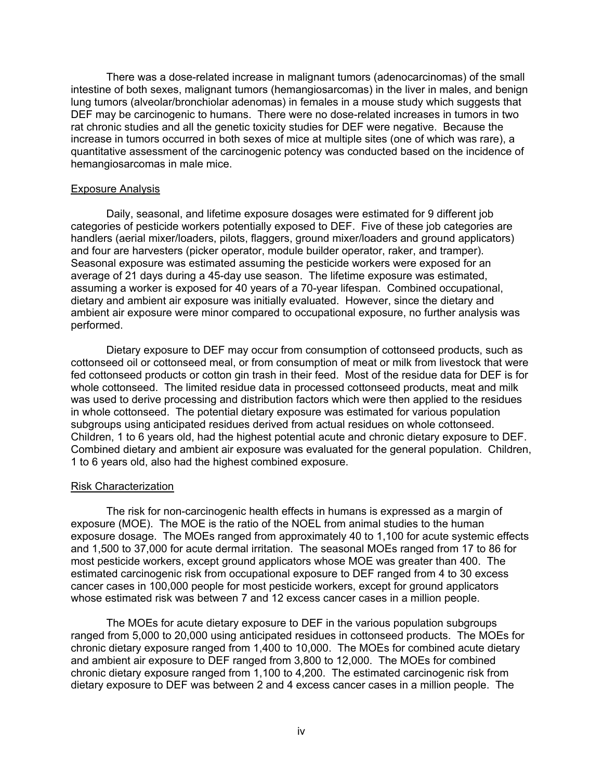There was a dose-related increase in malignant tumors (adenocarcinomas) of the small intestine of both sexes, malignant tumors (hemangiosarcomas) in the liver in males, and benign lung tumors (alveolar/bronchiolar adenomas) in females in a mouse study which suggests that DEF may be carcinogenic to humans. There were no dose-related increases in tumors in two rat chronic studies and all the genetic toxicity studies for DEF were negative. Because the increase in tumors occurred in both sexes of mice at multiple sites (one of which was rare), a quantitative assessment of the carcinogenic potency was conducted based on the incidence of hemangiosarcomas in male mice.

#### Exposure Analysis

Daily, seasonal, and lifetime exposure dosages were estimated for 9 different job categories of pesticide workers potentially exposed to DEF. Five of these job categories are handlers (aerial mixer/loaders, pilots, flaggers, ground mixer/loaders and ground applicators) and four are harvesters (picker operator, module builder operator, raker, and tramper). Seasonal exposure was estimated assuming the pesticide workers were exposed for an average of 21 days during a 45-day use season. The lifetime exposure was estimated, assuming a worker is exposed for 40 years of a 70-year lifespan. Combined occupational, dietary and ambient air exposure was initially evaluated. However, since the dietary and ambient air exposure were minor compared to occupational exposure, no further analysis was performed.

Dietary exposure to DEF may occur from consumption of cottonseed products, such as cottonseed oil or cottonseed meal, or from consumption of meat or milk from livestock that were fed cottonseed products or cotton gin trash in their feed. Most of the residue data for DEF is for whole cottonseed. The limited residue data in processed cottonseed products, meat and milk was used to derive processing and distribution factors which were then applied to the residues in whole cottonseed. The potential dietary exposure was estimated for various population subgroups using anticipated residues derived from actual residues on whole cottonseed. Children, 1 to 6 years old, had the highest potential acute and chronic dietary exposure to DEF. Combined dietary and ambient air exposure was evaluated for the general population. Children, 1 to 6 years old, also had the highest combined exposure.

#### Risk Characterization

The risk for non-carcinogenic health effects in humans is expressed as a margin of exposure (MOE). The MOE is the ratio of the NOEL from animal studies to the human exposure dosage. The MOEs ranged from approximately 40 to 1,100 for acute systemic effects and 1,500 to 37,000 for acute dermal irritation. The seasonal MOEs ranged from 17 to 86 for most pesticide workers, except ground applicators whose MOE was greater than 400. The estimated carcinogenic risk from occupational exposure to DEF ranged from 4 to 30 excess cancer cases in 100,000 people for most pesticide workers, except for ground applicators whose estimated risk was between 7 and 12 excess cancer cases in a million people.

The MOEs for acute dietary exposure to DEF in the various population subgroups ranged from 5,000 to 20,000 using anticipated residues in cottonseed products. The MOEs for chronic dietary exposure ranged from 1,400 to 10,000. The MOEs for combined acute dietary and ambient air exposure to DEF ranged from 3,800 to 12,000. The MOEs for combined chronic dietary exposure ranged from 1,100 to 4,200. The estimated carcinogenic risk from dietary exposure to DEF was between 2 and 4 excess cancer cases in a million people. The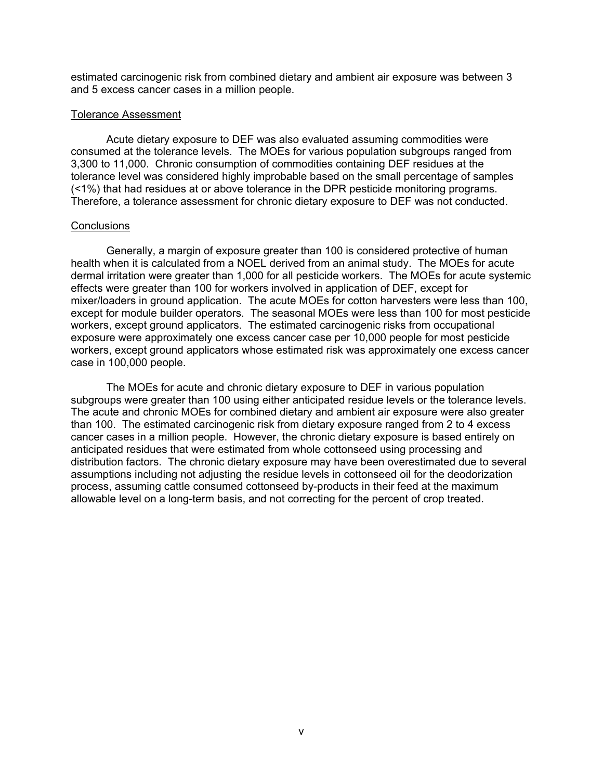estimated carcinogenic risk from combined dietary and ambient air exposure was between 3 and 5 excess cancer cases in a million people.

#### Tolerance Assessment

Acute dietary exposure to DEF was also evaluated assuming commodities were consumed at the tolerance levels. The MOEs for various population subgroups ranged from 3,300 to 11,000. Chronic consumption of commodities containing DEF residues at the tolerance level was considered highly improbable based on the small percentage of samples (<1%) that had residues at or above tolerance in the DPR pesticide monitoring programs. Therefore, a tolerance assessment for chronic dietary exposure to DEF was not conducted.

#### **Conclusions**

Generally, a margin of exposure greater than 100 is considered protective of human health when it is calculated from a NOEL derived from an animal study. The MOEs for acute dermal irritation were greater than 1,000 for all pesticide workers. The MOEs for acute systemic effects were greater than 100 for workers involved in application of DEF, except for mixer/loaders in ground application. The acute MOEs for cotton harvesters were less than 100, except for module builder operators. The seasonal MOEs were less than 100 for most pesticide workers, except ground applicators. The estimated carcinogenic risks from occupational exposure were approximately one excess cancer case per 10,000 people for most pesticide workers, except ground applicators whose estimated risk was approximately one excess cancer case in 100,000 people.

The MOEs for acute and chronic dietary exposure to DEF in various population subgroups were greater than 100 using either anticipated residue levels or the tolerance levels. The acute and chronic MOEs for combined dietary and ambient air exposure were also greater than 100. The estimated carcinogenic risk from dietary exposure ranged from 2 to 4 excess cancer cases in a million people. However, the chronic dietary exposure is based entirely on anticipated residues that were estimated from whole cottonseed using processing and distribution factors. The chronic dietary exposure may have been overestimated due to several assumptions including not adjusting the residue levels in cottonseed oil for the deodorization process, assuming cattle consumed cottonseed by-products in their feed at the maximum allowable level on a long-term basis, and not correcting for the percent of crop treated.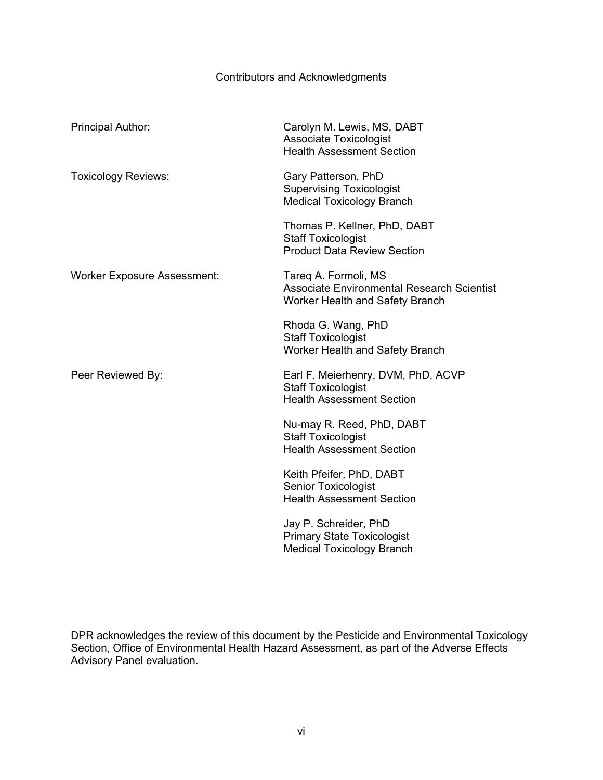# Contributors and Acknowledgments

<span id="page-5-0"></span>

| Principal Author:                  | Carolyn M. Lewis, MS, DABT<br><b>Associate Toxicologist</b><br><b>Health Assessment Section</b>              |
|------------------------------------|--------------------------------------------------------------------------------------------------------------|
| <b>Toxicology Reviews:</b>         | Gary Patterson, PhD<br><b>Supervising Toxicologist</b><br><b>Medical Toxicology Branch</b>                   |
|                                    | Thomas P. Kellner, PhD, DABT<br><b>Staff Toxicologist</b><br><b>Product Data Review Section</b>              |
| <b>Worker Exposure Assessment:</b> | Tareq A. Formoli, MS<br><b>Associate Environmental Research Scientist</b><br>Worker Health and Safety Branch |
|                                    | Rhoda G. Wang, PhD<br><b>Staff Toxicologist</b><br>Worker Health and Safety Branch                           |
| Peer Reviewed By:                  | Earl F. Meierhenry, DVM, PhD, ACVP<br><b>Staff Toxicologist</b><br><b>Health Assessment Section</b>          |
|                                    | Nu-may R. Reed, PhD, DABT<br><b>Staff Toxicologist</b><br><b>Health Assessment Section</b>                   |
|                                    | Keith Pfeifer, PhD, DABT<br><b>Senior Toxicologist</b><br><b>Health Assessment Section</b>                   |
|                                    | Jay P. Schreider, PhD<br><b>Primary State Toxicologist</b><br><b>Medical Toxicology Branch</b>               |

DPR acknowledges the review of this document by the Pesticide and Environmental Toxicology Section, Office of Environmental Health Hazard Assessment, as part of the Adverse Effects Advisory Panel evaluation.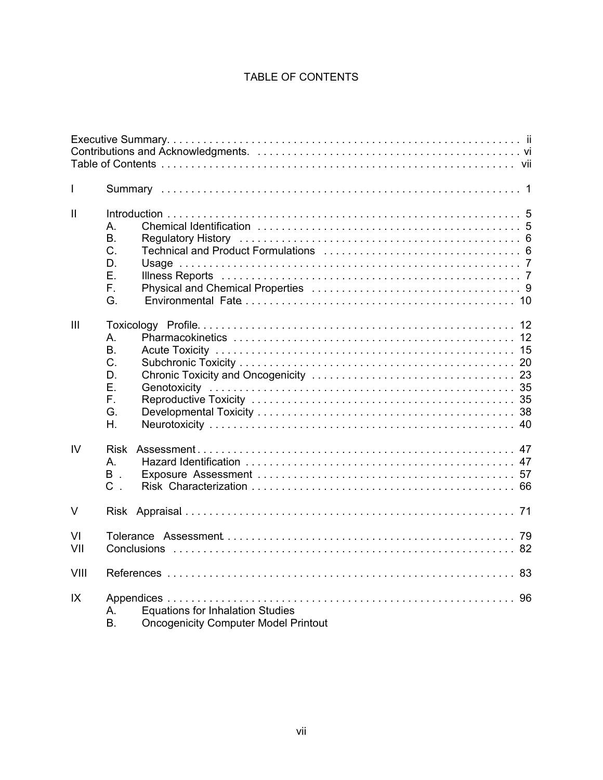# TABLE OF CONTENTS

| I            |                                                                                                               |  |
|--------------|---------------------------------------------------------------------------------------------------------------|--|
| $\mathbf{I}$ | A.<br><b>B.</b><br>C.<br>D.<br>Ε.<br>F.<br>G.                                                                 |  |
| III          | А.<br>B.<br>C.<br>D.<br>Ε.<br>F.<br>G.<br>Η.                                                                  |  |
| IV           | <b>Risk</b><br>А.<br>B.<br>$C$ .                                                                              |  |
| $\vee$       |                                                                                                               |  |
| VI<br>VII    |                                                                                                               |  |
| VIII         |                                                                                                               |  |
| IX           | <b>Equations for Inhalation Studies</b><br>A<br>B <sub>r</sub><br><b>Oncogenicity Computer Model Printout</b> |  |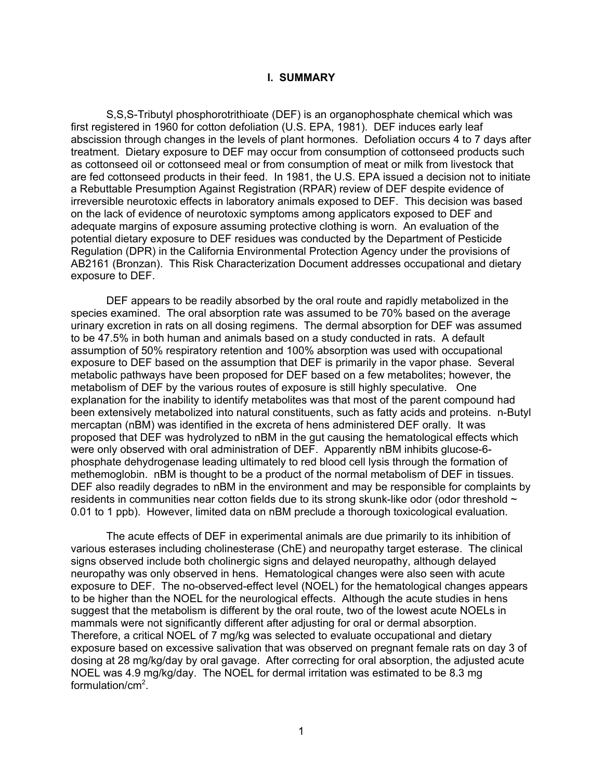#### **I. SUMMARY**

<span id="page-7-0"></span>S,S,S-Tributyl phosphorotrithioate (DEF) is an organophosphate chemical which was first registered in 1960 for cotton defoliation (U.S. EPA, 1981). DEF induces early leaf abscission through changes in the levels of plant hormones. Defoliation occurs 4 to 7 days after treatment. Dietary exposure to DEF may occur from consumption of cottonseed products such as cottonseed oil or cottonseed meal or from consumption of meat or milk from livestock that are fed cottonseed products in their feed. In 1981, the U.S. EPA issued a decision not to initiate a Rebuttable Presumption Against Registration (RPAR) review of DEF despite evidence of irreversible neurotoxic effects in laboratory animals exposed to DEF. This decision was based on the lack of evidence of neurotoxic symptoms among applicators exposed to DEF and adequate margins of exposure assuming protective clothing is worn. An evaluation of the potential dietary exposure to DEF residues was conducted by the Department of Pesticide Regulation (DPR) in the California Environmental Protection Agency under the provisions of AB2161 (Bronzan). This Risk Characterization Document addresses occupational and dietary exposure to DEF.

DEF appears to be readily absorbed by the oral route and rapidly metabolized in the species examined. The oral absorption rate was assumed to be 70% based on the average urinary excretion in rats on all dosing regimens. The dermal absorption for DEF was assumed to be 47.5% in both human and animals based on a study conducted in rats. A default assumption of 50% respiratory retention and 100% absorption was used with occupational exposure to DEF based on the assumption that DEF is primarily in the vapor phase. Several metabolic pathways have been proposed for DEF based on a few metabolites; however, the metabolism of DEF by the various routes of exposure is still highly speculative. One explanation for the inability to identify metabolites was that most of the parent compound had been extensively metabolized into natural constituents, such as fatty acids and proteins. n-Butyl mercaptan (nBM) was identified in the excreta of hens administered DEF orally. It was proposed that DEF was hydrolyzed to nBM in the gut causing the hematological effects which were only observed with oral administration of DEF. Apparently nBM inhibits glucose-6 phosphate dehydrogenase leading ultimately to red blood cell lysis through the formation of methemoglobin. nBM is thought to be a product of the normal metabolism of DEF in tissues. DEF also readily degrades to nBM in the environment and may be responsible for complaints by residents in communities near cotton fields due to its strong skunk-like odor (odor threshold  $\sim$ 0.01 to 1 ppb). However, limited data on nBM preclude a thorough toxicological evaluation.

The acute effects of DEF in experimental animals are due primarily to its inhibition of various esterases including cholinesterase (ChE) and neuropathy target esterase. The clinical signs observed include both cholinergic signs and delayed neuropathy, although delayed neuropathy was only observed in hens. Hematological changes were also seen with acute exposure to DEF. The no-observed-effect level (NOEL) for the hematological changes appears to be higher than the NOEL for the neurological effects. Although the acute studies in hens suggest that the metabolism is different by the oral route, two of the lowest acute NOELs in mammals were not significantly different after adjusting for oral or dermal absorption. Therefore, a critical NOEL of 7 mg/kg was selected to evaluate occupational and dietary exposure based on excessive salivation that was observed on pregnant female rats on day 3 of dosing at 28 mg/kg/day by oral gavage. After correcting for oral absorption, the adjusted acute NOEL was 4.9 mg/kg/day. The NOEL for dermal irritation was estimated to be 8.3 mg formulation/cm<sup>2</sup>.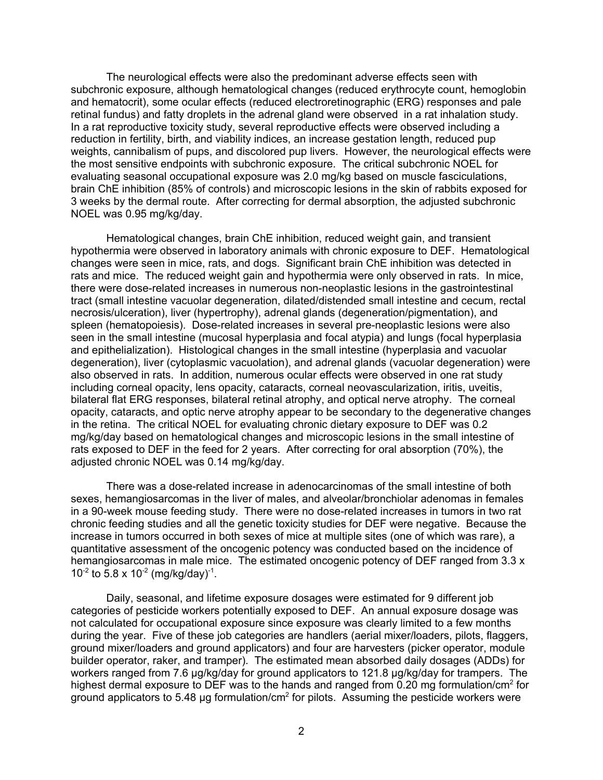The neurological effects were also the predominant adverse effects seen with subchronic exposure, although hematological changes (reduced erythrocyte count, hemoglobin and hematocrit), some ocular effects (reduced electroretinographic (ERG) responses and pale retinal fundus) and fatty droplets in the adrenal gland were observed in a rat inhalation study. In a rat reproductive toxicity study, several reproductive effects were observed including a reduction in fertility, birth, and viability indices, an increase gestation length, reduced pup weights, cannibalism of pups, and discolored pup livers. However, the neurological effects were the most sensitive endpoints with subchronic exposure. The critical subchronic NOEL for evaluating seasonal occupational exposure was 2.0 mg/kg based on muscle fasciculations, brain ChE inhibition (85% of controls) and microscopic lesions in the skin of rabbits exposed for 3 weeks by the dermal route. After correcting for dermal absorption, the adjusted subchronic NOEL was 0.95 mg/kg/day.

Hematological changes, brain ChE inhibition, reduced weight gain, and transient hypothermia were observed in laboratory animals with chronic exposure to DEF. Hematological changes were seen in mice, rats, and dogs. Significant brain ChE inhibition was detected in rats and mice. The reduced weight gain and hypothermia were only observed in rats. In mice, there were dose-related increases in numerous non-neoplastic lesions in the gastrointestinal tract (small intestine vacuolar degeneration, dilated/distended small intestine and cecum, rectal necrosis/ulceration), liver (hypertrophy), adrenal glands (degeneration/pigmentation), and spleen (hematopoiesis). Dose-related increases in several pre-neoplastic lesions were also seen in the small intestine (mucosal hyperplasia and focal atypia) and lungs (focal hyperplasia and epithelialization). Histological changes in the small intestine (hyperplasia and vacuolar degeneration), liver (cytoplasmic vacuolation), and adrenal glands (vacuolar degeneration) were also observed in rats. In addition, numerous ocular effects were observed in one rat study including corneal opacity, lens opacity, cataracts, corneal neovascularization, iritis, uveitis, bilateral flat ERG responses, bilateral retinal atrophy, and optical nerve atrophy. The corneal opacity, cataracts, and optic nerve atrophy appear to be secondary to the degenerative changes in the retina. The critical NOEL for evaluating chronic dietary exposure to DEF was 0.2 mg/kg/day based on hematological changes and microscopic lesions in the small intestine of rats exposed to DEF in the feed for 2 years. After correcting for oral absorption (70%), the adjusted chronic NOEL was 0.14 mg/kg/day.

There was a dose-related increase in adenocarcinomas of the small intestine of both sexes, hemangiosarcomas in the liver of males, and alveolar/bronchiolar adenomas in females in a 90-week mouse feeding study. There were no dose-related increases in tumors in two rat chronic feeding studies and all the genetic toxicity studies for DEF were negative. Because the increase in tumors occurred in both sexes of mice at multiple sites (one of which was rare), a quantitative assessment of the oncogenic potency was conducted based on the incidence of hemangiosarcomas in male mice. The estimated oncogenic potency of DEF ranged from 3.3 x 10<sup>-2</sup> to 5.8 x 10<sup>-2</sup> (mg/kg/day)<sup>-1</sup>.

Daily, seasonal, and lifetime exposure dosages were estimated for 9 different job categories of pesticide workers potentially exposed to DEF. An annual exposure dosage was not calculated for occupational exposure since exposure was clearly limited to a few months during the year. Five of these job categories are handlers (aerial mixer/loaders, pilots, flaggers, ground mixer/loaders and ground applicators) and four are harvesters (picker operator, module builder operator, raker, and tramper). The estimated mean absorbed daily dosages (ADDs) for workers ranged from 7.6 µg/kg/day for ground applicators to 121.8 µg/kg/day for trampers. The highest dermal exposure to DEF was to the hands and ranged from 0.20 mg formulation/cm $^2$  for ground applicators to 5.48 µg formulation/cm $^{\rm 2}$  for pilots.  $\,$  Assuming the pesticide workers were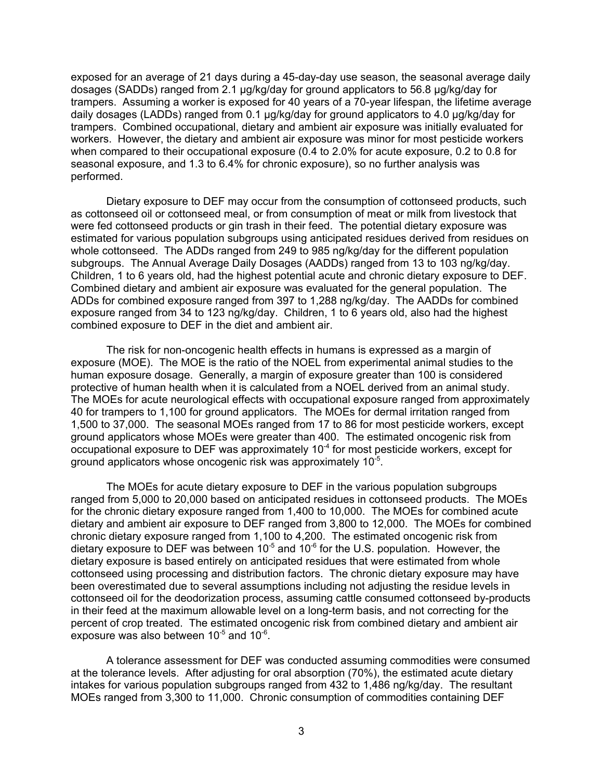exposed for an average of 21 days during a 45-day-day use season, the seasonal average daily dosages (SADDs) ranged from 2.1 µg/kg/day for ground applicators to 56.8 µg/kg/day for trampers. Assuming a worker is exposed for 40 years of a 70-year lifespan, the lifetime average daily dosages (LADDs) ranged from 0.1 µg/kg/day for ground applicators to 4.0 µg/kg/day for trampers. Combined occupational, dietary and ambient air exposure was initially evaluated for workers. However, the dietary and ambient air exposure was minor for most pesticide workers when compared to their occupational exposure (0.4 to 2.0% for acute exposure, 0.2 to 0.8 for seasonal exposure, and 1.3 to 6.4% for chronic exposure), so no further analysis was performed.

Dietary exposure to DEF may occur from the consumption of cottonseed products, such as cottonseed oil or cottonseed meal, or from consumption of meat or milk from livestock that were fed cottonseed products or gin trash in their feed. The potential dietary exposure was estimated for various population subgroups using anticipated residues derived from residues on whole cottonseed. The ADDs ranged from 249 to 985 ng/kg/day for the different population subgroups. The Annual Average Daily Dosages (AADDs) ranged from 13 to 103 ng/kg/day. Children, 1 to 6 years old, had the highest potential acute and chronic dietary exposure to DEF. Combined dietary and ambient air exposure was evaluated for the general population. The ADDs for combined exposure ranged from 397 to 1,288 ng/kg/day. The AADDs for combined exposure ranged from 34 to 123 ng/kg/day. Children, 1 to 6 years old, also had the highest combined exposure to DEF in the diet and ambient air.

The risk for non-oncogenic health effects in humans is expressed as a margin of exposure (MOE). The MOE is the ratio of the NOEL from experimental animal studies to the human exposure dosage. Generally, a margin of exposure greater than 100 is considered protective of human health when it is calculated from a NOEL derived from an animal study. The MOEs for acute neurological effects with occupational exposure ranged from approximately 40 for trampers to 1,100 for ground applicators. The MOEs for dermal irritation ranged from 1,500 to 37,000. The seasonal MOEs ranged from 17 to 86 for most pesticide workers, except ground applicators whose MOEs were greater than 400. The estimated oncogenic risk from occupational exposure to DEF was approximately 10<sup>-4</sup> for most pesticide workers, except for ground applicators whose oncogenic risk was approximately 10-5.

The MOEs for acute dietary exposure to DEF in the various population subgroups ranged from 5,000 to 20,000 based on anticipated residues in cottonseed products. The MOEs for the chronic dietary exposure ranged from 1,400 to 10,000. The MOEs for combined acute dietary and ambient air exposure to DEF ranged from 3,800 to 12,000. The MOEs for combined chronic dietary exposure ranged from 1,100 to 4,200. The estimated oncogenic risk from dietary exposure to DEF was between  $10^{-5}$  and  $10^{-6}$  for the U.S. population. However, the dietary exposure is based entirely on anticipated residues that were estimated from whole cottonseed using processing and distribution factors. The chronic dietary exposure may have been overestimated due to several assumptions including not adjusting the residue levels in cottonseed oil for the deodorization process, assuming cattle consumed cottonseed by-products in their feed at the maximum allowable level on a long-term basis, and not correcting for the percent of crop treated. The estimated oncogenic risk from combined dietary and ambient air exposure was also between 10-5 and 10-6.

A tolerance assessment for DEF was conducted assuming commodities were consumed at the tolerance levels. After adjusting for oral absorption (70%), the estimated acute dietary intakes for various population subgroups ranged from 432 to 1,486 ng/kg/day. The resultant MOEs ranged from 3,300 to 11,000. Chronic consumption of commodities containing DEF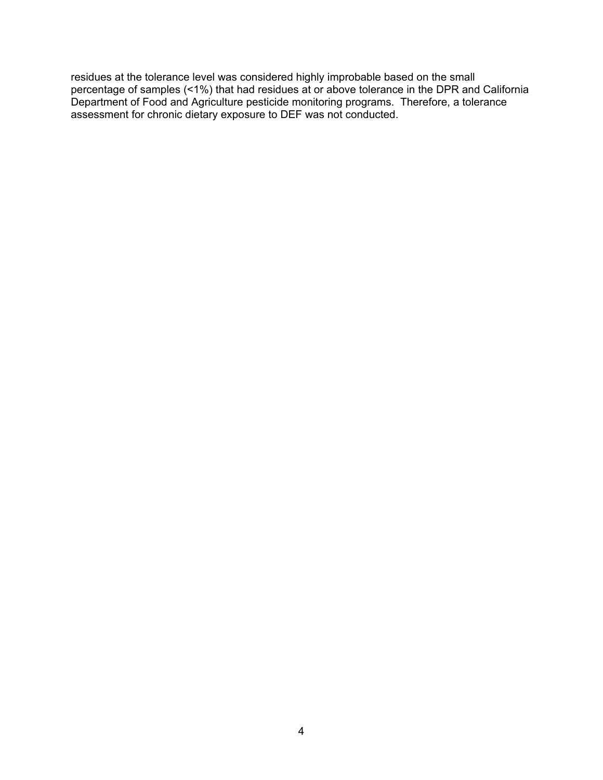residues at the tolerance level was considered highly improbable based on the small percentage of samples (<1%) that had residues at or above tolerance in the DPR and California Department of Food and Agriculture pesticide monitoring programs. Therefore, a tolerance assessment for chronic dietary exposure to DEF was not conducted.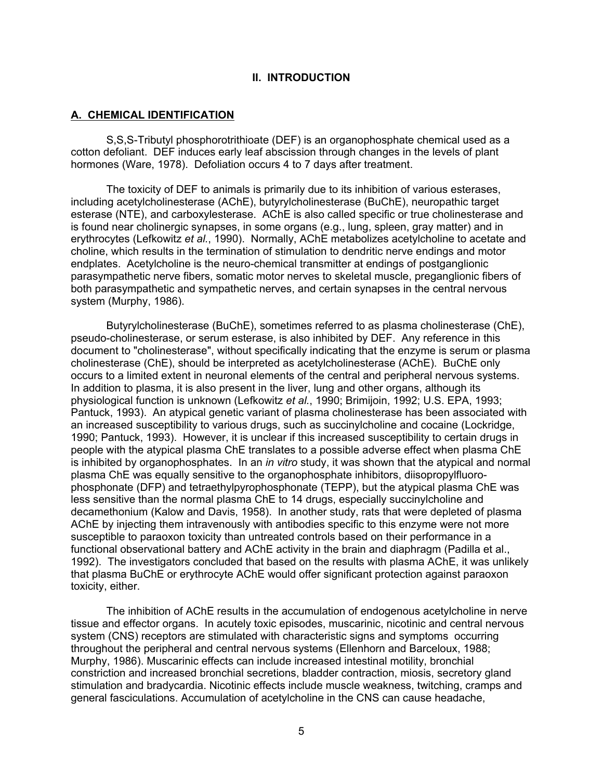#### **II. INTRODUCTION**

#### <span id="page-11-0"></span>**A. CHEMICAL IDENTIFICATION**

S,S,S-Tributyl phosphorotrithioate (DEF) is an organophosphate chemical used as a cotton defoliant. DEF induces early leaf abscission through changes in the levels of plant hormones (Ware, 1978). Defoliation occurs 4 to 7 days after treatment.

The toxicity of DEF to animals is primarily due to its inhibition of various esterases, including acetylcholinesterase (AChE), butyrylcholinesterase (BuChE), neuropathic target esterase (NTE), and carboxylesterase. AChE is also called specific or true cholinesterase and is found near cholinergic synapses, in some organs (e.g., lung, spleen, gray matter) and in erythrocytes (Lefkowitz *et al.*, 1990). Normally, AChE metabolizes acetylcholine to acetate and choline, which results in the termination of stimulation to dendritic nerve endings and motor endplates. Acetylcholine is the neuro-chemical transmitter at endings of postganglionic parasympathetic nerve fibers, somatic motor nerves to skeletal muscle, preganglionic fibers of both parasympathetic and sympathetic nerves, and certain synapses in the central nervous system (Murphy, 1986).

Butyrylcholinesterase (BuChE), sometimes referred to as plasma cholinesterase (ChE), pseudo-cholinesterase, or serum esterase, is also inhibited by DEF. Any reference in this document to "cholinesterase", without specifically indicating that the enzyme is serum or plasma cholinesterase (ChE), should be interpreted as acetylcholinesterase (AChE). BuChE only occurs to a limited extent in neuronal elements of the central and peripheral nervous systems. In addition to plasma, it is also present in the liver, lung and other organs, although its physiological function is unknown (Lefkowitz *et al.*, 1990; Brimijoin, 1992; U.S. EPA, 1993; Pantuck, 1993). An atypical genetic variant of plasma cholinesterase has been associated with an increased susceptibility to various drugs, such as succinylcholine and cocaine (Lockridge, 1990; Pantuck, 1993). However, it is unclear if this increased susceptibility to certain drugs in people with the atypical plasma ChE translates to a possible adverse effect when plasma ChE is inhibited by organophosphates. In an *in vitro* study, it was shown that the atypical and normal plasma ChE was equally sensitive to the organophosphate inhibitors, diisopropylfluorophosphonate (DFP) and tetraethylpyrophosphonate (TEPP), but the atypical plasma ChE was less sensitive than the normal plasma ChE to 14 drugs, especially succinylcholine and decamethonium (Kalow and Davis, 1958). In another study, rats that were depleted of plasma AChE by injecting them intravenously with antibodies specific to this enzyme were not more susceptible to paraoxon toxicity than untreated controls based on their performance in a functional observational battery and AChE activity in the brain and diaphragm (Padilla et al., 1992). The investigators concluded that based on the results with plasma AChE, it was unlikely that plasma BuChE or erythrocyte AChE would offer significant protection against paraoxon toxicity, either.

The inhibition of AChE results in the accumulation of endogenous acetylcholine in nerve tissue and effector organs. In acutely toxic episodes, muscarinic, nicotinic and central nervous system (CNS) receptors are stimulated with characteristic signs and symptoms occurring throughout the peripheral and central nervous systems (Ellenhorn and Barceloux, 1988; Murphy, 1986). Muscarinic effects can include increased intestinal motility, bronchial constriction and increased bronchial secretions, bladder contraction, miosis, secretory gland stimulation and bradycardia. Nicotinic effects include muscle weakness, twitching, cramps and general fasciculations. Accumulation of acetylcholine in the CNS can cause headache,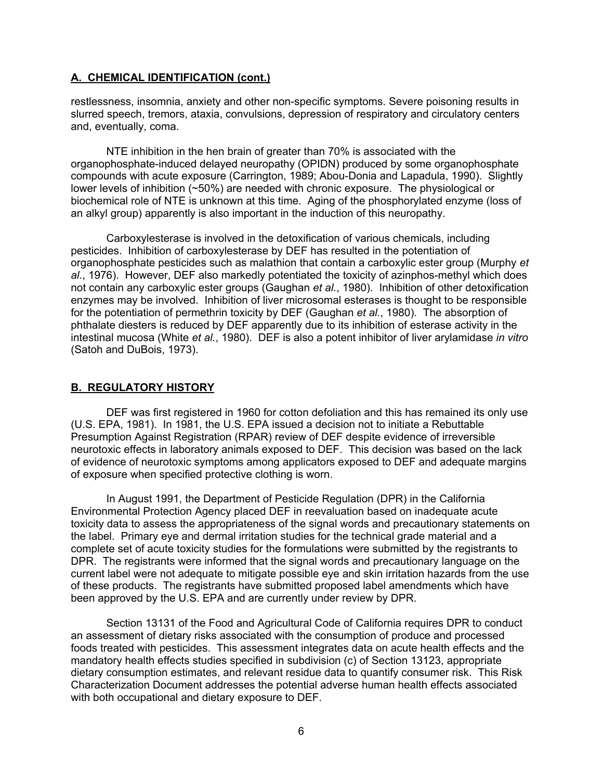## <span id="page-12-0"></span>**A. CHEMICAL IDENTIFICATION (cont.)**

restlessness, insomnia, anxiety and other non-specific symptoms. Severe poisoning results in slurred speech, tremors, ataxia, convulsions, depression of respiratory and circulatory centers and, eventually, coma.

NTE inhibition in the hen brain of greater than 70% is associated with the organophosphate-induced delayed neuropathy (OPIDN) produced by some organophosphate compounds with acute exposure (Carrington, 1989; Abou-Donia and Lapadula, 1990). Slightly lower levels of inhibition (~50%) are needed with chronic exposure. The physiological or biochemical role of NTE is unknown at this time. Aging of the phosphorylated enzyme (loss of an alkyl group) apparently is also important in the induction of this neuropathy.

Carboxylesterase is involved in the detoxification of various chemicals, including pesticides. Inhibition of carboxylesterase by DEF has resulted in the potentiation of organophosphate pesticides such as malathion that contain a carboxylic ester group (Murphy *et al.*, 1976). However, DEF also markedly potentiated the toxicity of azinphos-methyl which does not contain any carboxylic ester groups (Gaughan *et al.*, 1980). Inhibition of other detoxification enzymes may be involved. Inhibition of liver microsomal esterases is thought to be responsible for the potentiation of permethrin toxicity by DEF (Gaughan *et al.*, 1980). The absorption of phthalate diesters is reduced by DEF apparently due to its inhibition of esterase activity in the intestinal mucosa (White *et al.*, 1980). DEF is also a potent inhibitor of liver arylamidase *in vitro* (Satoh and DuBois, 1973).

# **B. REGULATORY HISTORY**

DEF was first registered in 1960 for cotton defoliation and this has remained its only use (U.S. EPA, 1981). In 1981, the U.S. EPA issued a decision not to initiate a Rebuttable Presumption Against Registration (RPAR) review of DEF despite evidence of irreversible neurotoxic effects in laboratory animals exposed to DEF. This decision was based on the lack of evidence of neurotoxic symptoms among applicators exposed to DEF and adequate margins of exposure when specified protective clothing is worn.

In August 1991, the Department of Pesticide Regulation (DPR) in the California Environmental Protection Agency placed DEF in reevaluation based on inadequate acute toxicity data to assess the appropriateness of the signal words and precautionary statements on the label. Primary eye and dermal irritation studies for the technical grade material and a complete set of acute toxicity studies for the formulations were submitted by the registrants to DPR. The registrants were informed that the signal words and precautionary language on the current label were not adequate to mitigate possible eye and skin irritation hazards from the use of these products. The registrants have submitted proposed label amendments which have been approved by the U.S. EPA and are currently under review by DPR.

Section 13131 of the Food and Agricultural Code of California requires DPR to conduct an assessment of dietary risks associated with the consumption of produce and processed foods treated with pesticides. This assessment integrates data on acute health effects and the mandatory health effects studies specified in subdivision (c) of Section 13123, appropriate dietary consumption estimates, and relevant residue data to quantify consumer risk. This Risk Characterization Document addresses the potential adverse human health effects associated with both occupational and dietary exposure to DEF.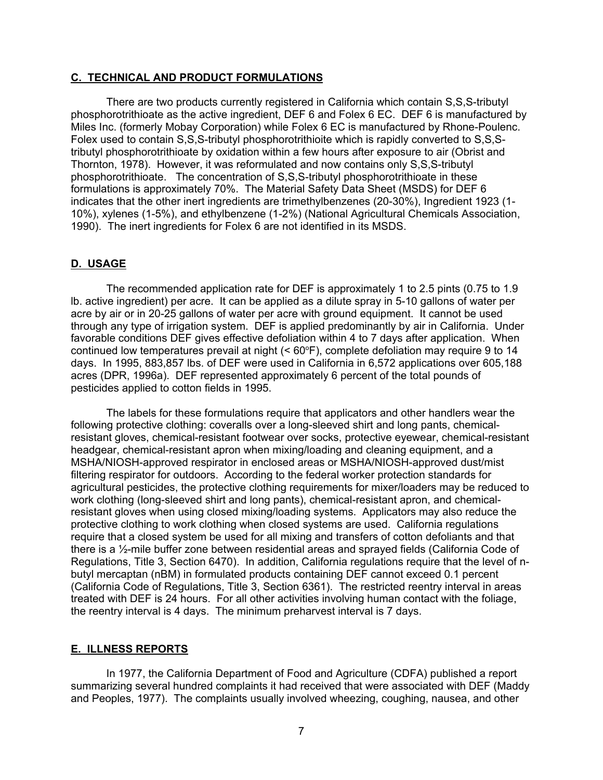#### <span id="page-13-0"></span>**C. TECHNICAL AND PRODUCT FORMULATIONS**

There are two products currently registered in California which contain S,S,S-tributyl phosphorotrithioate as the active ingredient, DEF 6 and Folex 6 EC. DEF 6 is manufactured by Miles Inc. (formerly Mobay Corporation) while Folex 6 EC is manufactured by Rhone-Poulenc. Folex used to contain S,S,S-tributyl phosphorotrithioite which is rapidly converted to S,S,Stributyl phosphorotrithioate by oxidation within a few hours after exposure to air (Obrist and Thornton, 1978). However, it was reformulated and now contains only S,S,S-tributyl phosphorotrithioate. The concentration of S,S,S-tributyl phosphorotrithioate in these formulations is approximately 70%. The Material Safety Data Sheet (MSDS) for DEF 6 indicates that the other inert ingredients are trimethylbenzenes (20-30%), Ingredient 1923 (1- 10%), xylenes (1-5%), and ethylbenzene (1-2%) (National Agricultural Chemicals Association, 1990). The inert ingredients for Folex 6 are not identified in its MSDS.

#### **D. USAGE**

The recommended application rate for DEF is approximately 1 to 2.5 pints (0.75 to 1.9 lb. active ingredient) per acre. It can be applied as a dilute spray in 5-10 gallons of water per acre by air or in 20-25 gallons of water per acre with ground equipment. It cannot be used through any type of irrigation system. DEF is applied predominantly by air in California. Under favorable conditions DEF gives effective defoliation within 4 to 7 days after application. When continued low temperatures prevail at night  $(< 60°F)$ , complete defoliation may require 9 to 14 days. In 1995, 883,857 lbs. of DEF were used in California in 6,572 applications over 605,188 acres (DPR, 1996a). DEF represented approximately 6 percent of the total pounds of pesticides applied to cotton fields in 1995.

The labels for these formulations require that applicators and other handlers wear the following protective clothing: coveralls over a long-sleeved shirt and long pants, chemicalresistant gloves, chemical-resistant footwear over socks, protective eyewear, chemical-resistant headgear, chemical-resistant apron when mixing/loading and cleaning equipment, and a MSHA/NIOSH-approved respirator in enclosed areas or MSHA/NIOSH-approved dust/mist filtering respirator for outdoors. According to the federal worker protection standards for agricultural pesticides, the protective clothing requirements for mixer/loaders may be reduced to work clothing (long-sleeved shirt and long pants), chemical-resistant apron, and chemicalresistant gloves when using closed mixing/loading systems. Applicators may also reduce the protective clothing to work clothing when closed systems are used. California regulations require that a closed system be used for all mixing and transfers of cotton defoliants and that there is a ½-mile buffer zone between residential areas and sprayed fields (California Code of Regulations, Title 3, Section 6470). In addition, California regulations require that the level of nbutyl mercaptan (nBM) in formulated products containing DEF cannot exceed 0.1 percent (California Code of Regulations, Title 3, Section 6361). The restricted reentry interval in areas treated with DEF is 24 hours. For all other activities involving human contact with the foliage, the reentry interval is 4 days. The minimum preharvest interval is 7 days.

#### **E. ILLNESS REPORTS**

In 1977, the California Department of Food and Agriculture (CDFA) published a report summarizing several hundred complaints it had received that were associated with DEF (Maddy and Peoples, 1977). The complaints usually involved wheezing, coughing, nausea, and other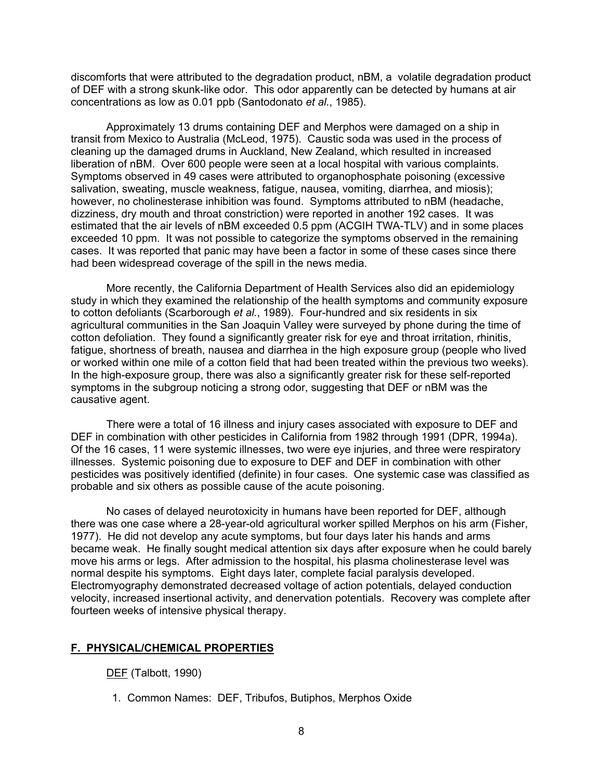discomforts that were attributed to the degradation product, nBM, a volatile degradation product of DEF with a strong skunk-like odor. This odor apparently can be detected by humans at air concentrations as low as 0.01 ppb (Santodonato *et al.*, 1985).

Approximately 13 drums containing DEF and Merphos were damaged on a ship in transit from Mexico to Australia (McLeod, 1975). Caustic soda was used in the process of cleaning up the damaged drums in Auckland, New Zealand, which resulted in increased liberation of nBM. Over 600 people were seen at a local hospital with various complaints. Symptoms observed in 49 cases were attributed to organophosphate poisoning (excessive salivation, sweating, muscle weakness, fatigue, nausea, vomiting, diarrhea, and miosis); however, no cholinesterase inhibition was found. Symptoms attributed to nBM (headache, dizziness, dry mouth and throat constriction) were reported in another 192 cases. It was estimated that the air levels of nBM exceeded 0.5 ppm (ACGIH TWA-TLV) and in some places exceeded 10 ppm. It was not possible to categorize the symptoms observed in the remaining cases. It was reported that panic may have been a factor in some of these cases since there had been widespread coverage of the spill in the news media.

More recently, the California Department of Health Services also did an epidemiology study in which they examined the relationship of the health symptoms and community exposure to cotton defoliants (Scarborough *et al.*, 1989). Four-hundred and six residents in six agricultural communities in the San Joaquin Valley were surveyed by phone during the time of cotton defoliation. They found a significantly greater risk for eye and throat irritation, rhinitis, fatigue, shortness of breath, nausea and diarrhea in the high exposure group (people who lived or worked within one mile of a cotton field that had been treated within the previous two weeks). In the high-exposure group, there was also a significantly greater risk for these self-reported symptoms in the subgroup noticing a strong odor, suggesting that DEF or nBM was the causative agent.

There were a total of 16 illness and injury cases associated with exposure to DEF and DEF in combination with other pesticides in California from 1982 through 1991 (DPR, 1994a). Of the 16 cases, 11 were systemic illnesses, two were eye injuries, and three were respiratory illnesses. Systemic poisoning due to exposure to DEF and DEF in combination with other pesticides was positively identified (definite) in four cases. One systemic case was classified as probable and six others as possible cause of the acute poisoning.

No cases of delayed neurotoxicity in humans have been reported for DEF, although there was one case where a 28-year-old agricultural worker spilled Merphos on his arm (Fisher, 1977). He did not develop any acute symptoms, but four days later his hands and arms became weak. He finally sought medical attention six days after exposure when he could barely move his arms or legs. After admission to the hospital, his plasma cholinesterase level was normal despite his symptoms. Eight days later, complete facial paralysis developed. Electromyography demonstrated decreased voltage of action potentials, delayed conduction velocity, increased insertional activity, and denervation potentials. Recovery was complete after fourteen weeks of intensive physical therapy.

#### **F. PHYSICAL/CHEMICAL PROPERTIES**

DEF (Talbott, 1990)

1. Common Names: DEF, Tribufos, Butiphos, Merphos Oxide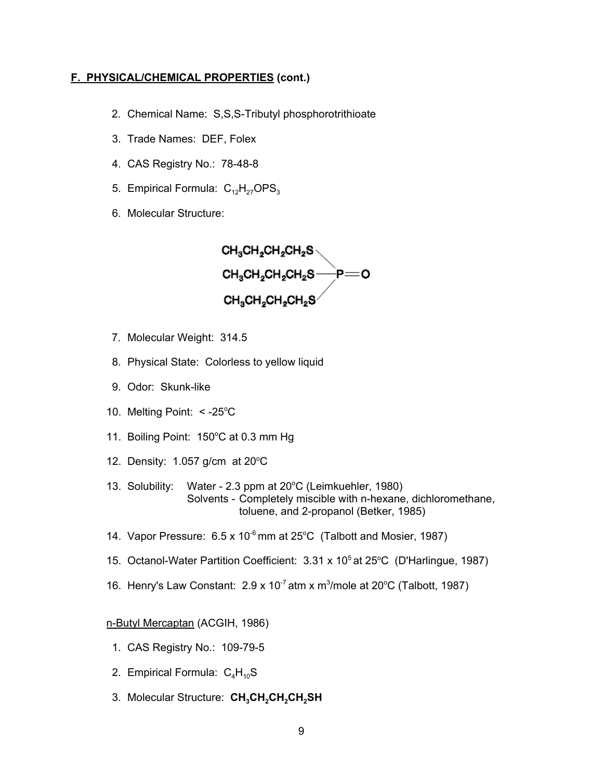#### <span id="page-15-0"></span>**F. PHYSICAL/CHEMICAL PROPERTIES (cont.)**

- 2. Chemical Name: S,S,S-Tributyl phosphorotrithioate
- 3. Trade Names: DEF, Folex
- 4. CAS Registry No.: 78-48-8
- 5. Empirical Formula:  $C_{12}H_{27}OPS_{3}$
- 6. Molecular Structure:

 $CH_3CH_2CH_2CH_2S\setminus$  $CH_3CH_2CH_2CH_2S \longrightarrow P \longrightarrow$  $CH_3CH_2CH_2CH_2S^\vee$ 

- 7. Molecular Weight: 314.5
- 8. Physical State: Colorless to yellow liquid
- 9. Odor: Skunk-like
- 10. Melting Point:  $< -25^{\circ}$ C
- 11. Boiling Point: 150°C at 0.3 mm Hg
- 12. Density:  $1.057$  g/cm at 20 $^{\circ}$ C
- 13. Solubility: Water 2.3 ppm at 20°C (Leimkuehler, 1980) Solvents - Completely miscible with n-hexane, dichloromethane, toluene, and 2-propanol (Betker, 1985)
- 14. Vapor Pressure:  $6.5 \times 10^{-6}$  mm at 25°C (Talbott and Mosier, 1987)
- 15. Octanol-Water Partition Coefficient: 3.31 x 10<sup>5</sup> at 25°C (D'Harlingue, 1987)
- 16. Henry's Law Constant: 2.9 x 10<sup>-7</sup> atm x m<sup>3</sup>/mole at 20°C (Talbott, 1987)

n-Butyl Mercaptan (ACGIH, 1986)

- 1. CAS Registry No.: 109-79-5
- 2. Empirical Formula:  $C_4H_{10}S$
- 3. Molecular Structure: CH<sub>3</sub>CH<sub>2</sub>CH<sub>2</sub>CH<sub>2</sub>SH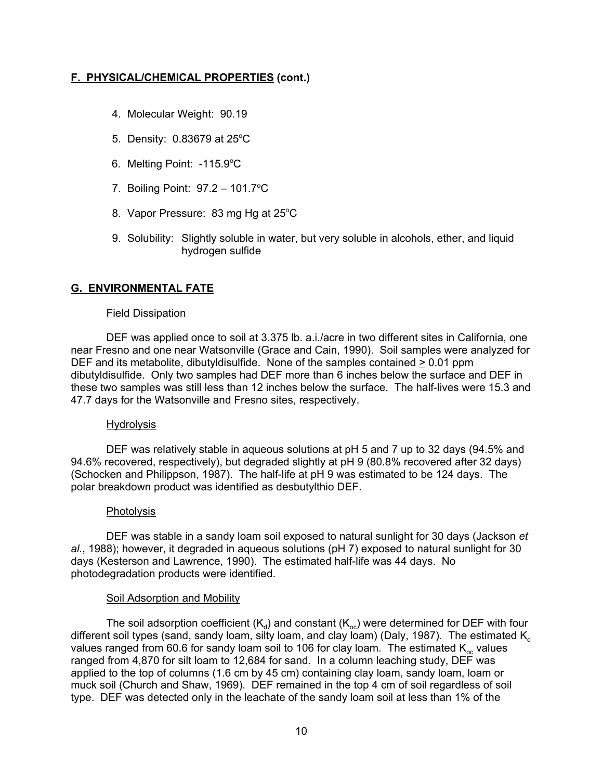# <span id="page-16-0"></span>**F. PHYSICAL/CHEMICAL PROPERTIES (cont.)**

- 4. Molecular Weight: 90.19
- 5. Density:  $0.83679$  at  $25^{\circ}$ C
- 6. Melting Point: -115.9°C
- 7. Boiling Point: 97.2 101.7°C
- 8. Vapor Pressure: 83 mg Hg at 25°C
- 9. Solubility: Slightly soluble in water, but very soluble in alcohols, ether, and liquid hydrogen sulfide

# **G. ENVIRONMENTAL FATE**

#### Field Dissipation

DEF was applied once to soil at 3.375 lb. a.i./acre in two different sites in California, one near Fresno and one near Watsonville (Grace and Cain, 1990). Soil samples were analyzed for DEF and its metabolite, dibutyldisulfide. None of the samples contained > 0.01 ppm dibutyldisulfide. Only two samples had DEF more than 6 inches below the surface and DEF in these two samples was still less than 12 inches below the surface. The half-lives were 15.3 and 47.7 days for the Watsonville and Fresno sites, respectively.

#### Hydrolysis

DEF was relatively stable in aqueous solutions at pH 5 and 7 up to 32 days (94.5% and 94.6% recovered, respectively), but degraded slightly at pH 9 (80.8% recovered after 32 days) (Schocken and Philippson, 1987). The half-life at pH 9 was estimated to be 124 days. The polar breakdown product was identified as desbutylthio DEF.

#### Photolysis

DEF was stable in a sandy loam soil exposed to natural sunlight for 30 days (Jackson *et al.*, 1988); however, it degraded in aqueous solutions (pH 7) exposed to natural sunlight for 30 days (Kesterson and Lawrence, 1990). The estimated half-life was 44 days. No photodegradation products were identified.

#### Soil Adsorption and Mobility

The soil adsorption coefficient  $(K_d)$  and constant  $(K_{ac})$  were determined for DEF with four different soil types (sand, sandy loam, silty loam, and clay loam) (Daly, 1987). The estimated  $K_d$ values ranged from 60.6 for sandy loam soil to 106 for clay loam. The estimated  $K_{oc}$  values ranged from 4,870 for silt loam to 12,684 for sand. In a column leaching study, DEF was applied to the top of columns (1.6 cm by 45 cm) containing clay loam, sandy loam, loam or muck soil (Church and Shaw, 1969). DEF remained in the top 4 cm of soil regardless of soil type. DEF was detected only in the leachate of the sandy loam soil at less than 1% of the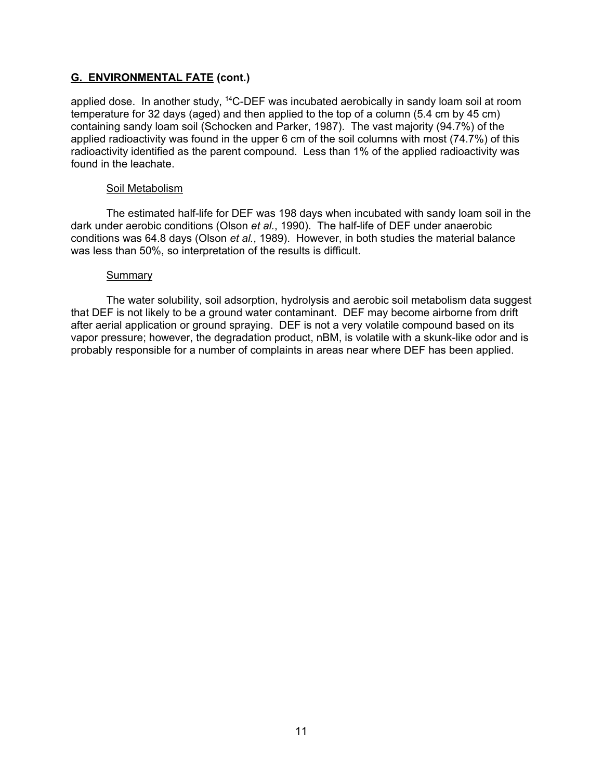## **G. ENVIRONMENTAL FATE (cont.)**

applied dose. In another study,  $^{14}$ C-DEF was incubated aerobically in sandy loam soil at room temperature for 32 days (aged) and then applied to the top of a column (5.4 cm by 45 cm) containing sandy loam soil (Schocken and Parker, 1987). The vast majority (94.7%) of the applied radioactivity was found in the upper 6 cm of the soil columns with most (74.7%) of this radioactivity identified as the parent compound. Less than 1% of the applied radioactivity was found in the leachate.

#### Soil Metabolism

The estimated half-life for DEF was 198 days when incubated with sandy loam soil in the dark under aerobic conditions (Olson *et al.*, 1990). The half-life of DEF under anaerobic conditions was 64.8 days (Olson *et al.*, 1989). However, in both studies the material balance was less than 50%, so interpretation of the results is difficult.

#### **Summary**

The water solubility, soil adsorption, hydrolysis and aerobic soil metabolism data suggest that DEF is not likely to be a ground water contaminant. DEF may become airborne from drift after aerial application or ground spraying. DEF is not a very volatile compound based on its vapor pressure; however, the degradation product, nBM, is volatile with a skunk-like odor and is probably responsible for a number of complaints in areas near where DEF has been applied.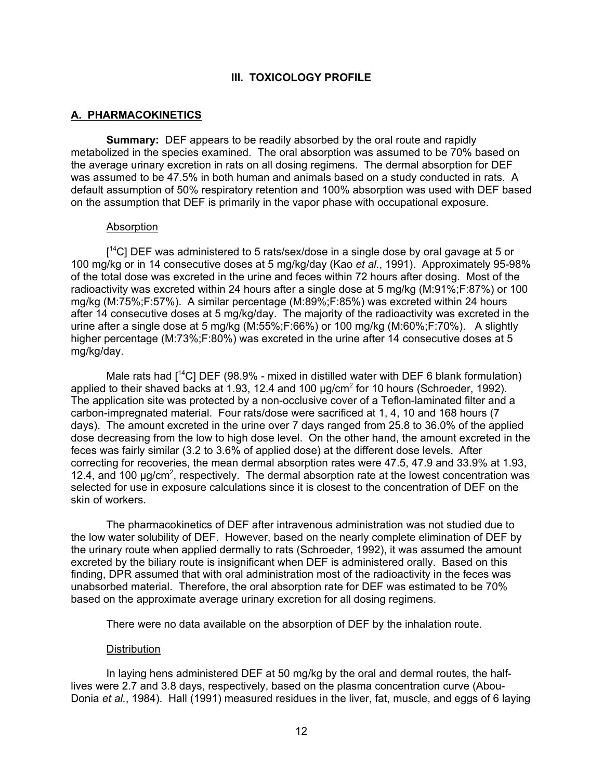#### **III. TOXICOLOGY PROFILE**

### <span id="page-18-0"></span>**A. PHARMACOKINETICS**

**Summary:** DEF appears to be readily absorbed by the oral route and rapidly metabolized in the species examined. The oral absorption was assumed to be 70% based on the average urinary excretion in rats on all dosing regimens. The dermal absorption for DEF was assumed to be 47.5% in both human and animals based on a study conducted in rats. A default assumption of 50% respiratory retention and 100% absorption was used with DEF based on the assumption that DEF is primarily in the vapor phase with occupational exposure.

#### Absorption

[<sup>14</sup>C] DEF was administered to 5 rats/sex/dose in a single dose by oral gavage at 5 or 100 mg/kg or in 14 consecutive doses at 5 mg/kg/day (Kao *et al.*, 1991). Approximately 95-98% of the total dose was excreted in the urine and feces within 72 hours after dosing. Most of the radioactivity was excreted within 24 hours after a single dose at 5 mg/kg (M:91%;F:87%) or 100 mg/kg (M:75%;F:57%). A similar percentage (M:89%;F:85%) was excreted within 24 hours after 14 consecutive doses at 5 mg/kg/day. The majority of the radioactivity was excreted in the urine after a single dose at 5 mg/kg (M:55%;F:66%) or 100 mg/kg (M:60%;F:70%). A slightly higher percentage (M:73%;F:80%) was excreted in the urine after 14 consecutive doses at 5 mg/kg/day.

Male rats had  $[14C]$  DEF (98.9% - mixed in distilled water with DEF 6 blank formulation) applied to their shaved backs at 1.93, 12.4 and 100  $\mu$ g/cm<sup>2</sup> for 10 hours (Schroeder, 1992). The application site was protected by a non-occlusive cover of a Teflon-laminated filter and a carbon-impregnated material. Four rats/dose were sacrificed at 1, 4, 10 and 168 hours (7 days). The amount excreted in the urine over 7 days ranged from 25.8 to 36.0% of the applied dose decreasing from the low to high dose level. On the other hand, the amount excreted in the feces was fairly similar (3.2 to 3.6% of applied dose) at the different dose levels. After correcting for recoveries, the mean dermal absorption rates were 47.5, 47.9 and 33.9% at 1.93, 12.4, and 100  $\mu$ g/cm<sup>2</sup>, respectively. The dermal absorption rate at the lowest concentration was selected for use in exposure calculations since it is closest to the concentration of DEF on the skin of workers.

The pharmacokinetics of DEF after intravenous administration was not studied due to the low water solubility of DEF. However, based on the nearly complete elimination of DEF by the urinary route when applied dermally to rats (Schroeder, 1992), it was assumed the amount excreted by the biliary route is insignificant when DEF is administered orally. Based on this finding, DPR assumed that with oral administration most of the radioactivity in the feces was unabsorbed material. Therefore, the oral absorption rate for DEF was estimated to be 70% based on the approximate average urinary excretion for all dosing regimens.

There were no data available on the absorption of DEF by the inhalation route.

#### Distribution

In laying hens administered DEF at 50 mg/kg by the oral and dermal routes, the halflives were 2.7 and 3.8 days, respectively, based on the plasma concentration curve (Abou-Donia *et al.*, 1984). Hall (1991) measured residues in the liver, fat, muscle, and eggs of 6 laying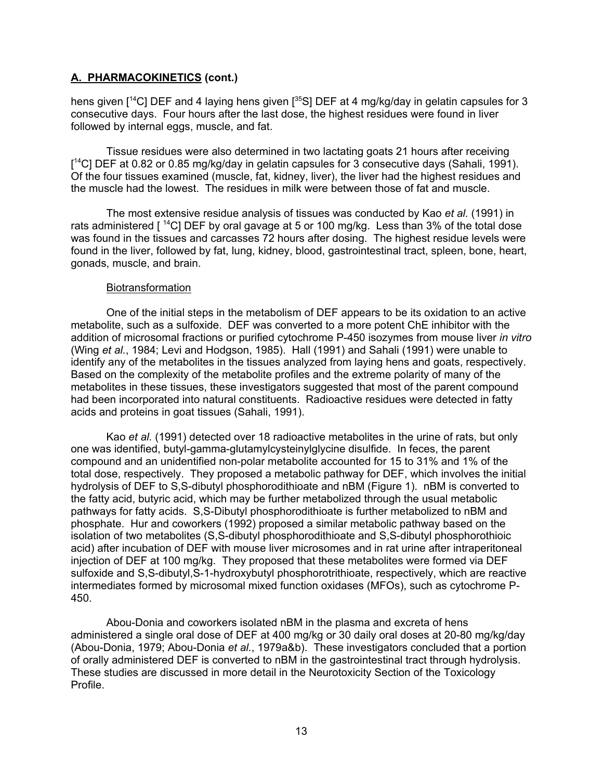# **A. PHARMACOKINETICS (cont.)**

hens given  $[14C]$  DEF and 4 laying hens given  $[35S]$  DEF at 4 mg/kg/day in gelatin capsules for 3 consecutive days. Four hours after the last dose, the highest residues were found in liver followed by internal eggs, muscle, and fat.

Tissue residues were also determined in two lactating goats 21 hours after receiving  $[$ <sup>14</sup>C] DEF at 0.82 or 0.85 mg/kg/day in gelatin capsules for 3 consecutive days (Sahali, 1991). Of the four tissues examined (muscle, fat, kidney, liver), the liver had the highest residues and the muscle had the lowest. The residues in milk were between those of fat and muscle.

The most extensive residue analysis of tissues was conducted by Kao *et al.* (1991) in rats administered  $\lceil$  <sup>14</sup>C] DEF by oral gavage at 5 or 100 mg/kg. Less than 3% of the total dose was found in the tissues and carcasses 72 hours after dosing. The highest residue levels were found in the liver, followed by fat, lung, kidney, blood, gastrointestinal tract, spleen, bone, heart, gonads, muscle, and brain.

#### **Biotransformation**

One of the initial steps in the metabolism of DEF appears to be its oxidation to an active metabolite, such as a sulfoxide. DEF was converted to a more potent ChE inhibitor with the addition of microsomal fractions or purified cytochrome P-450 isozymes from mouse liver *in vitro* (Wing *et al.*, 1984; Levi and Hodgson, 1985). Hall (1991) and Sahali (1991) were unable to identify any of the metabolites in the tissues analyzed from laying hens and goats, respectively. Based on the complexity of the metabolite profiles and the extreme polarity of many of the metabolites in these tissues, these investigators suggested that most of the parent compound had been incorporated into natural constituents. Radioactive residues were detected in fatty acids and proteins in goat tissues (Sahali, 1991).

Kao *et al.* (1991) detected over 18 radioactive metabolites in the urine of rats, but only one was identified, butyl-gamma-glutamylcysteinylglycine disulfide. In feces, the parent compound and an unidentified non-polar metabolite accounted for 15 to 31% and 1% of the total dose, respectively. They proposed a metabolic pathway for DEF, which involves the initial hydrolysis of DEF to S,S-dibutyl phosphorodithioate and nBM (Figure 1). nBM is converted to the fatty acid, butyric acid, which may be further metabolized through the usual metabolic pathways for fatty acids. S,S-Dibutyl phosphorodithioate is further metabolized to nBM and phosphate. Hur and coworkers (1992) proposed a similar metabolic pathway based on the isolation of two metabolites (S,S-dibutyl phosphorodithioate and S,S-dibutyl phosphorothioic acid) after incubation of DEF with mouse liver microsomes and in rat urine after intraperitoneal injection of DEF at 100 mg/kg. They proposed that these metabolites were formed via DEF sulfoxide and S,S-dibutyl,S-1-hydroxybutyl phosphorotrithioate, respectively, which are reactive intermediates formed by microsomal mixed function oxidases (MFOs), such as cytochrome P-450.

Abou-Donia and coworkers isolated nBM in the plasma and excreta of hens administered a single oral dose of DEF at 400 mg/kg or 30 daily oral doses at 20-80 mg/kg/day (Abou-Donia, 1979; Abou-Donia *et al.*, 1979a&b). These investigators concluded that a portion of orally administered DEF is converted to nBM in the gastrointestinal tract through hydrolysis. These studies are discussed in more detail in the Neurotoxicity Section of the Toxicology Profile.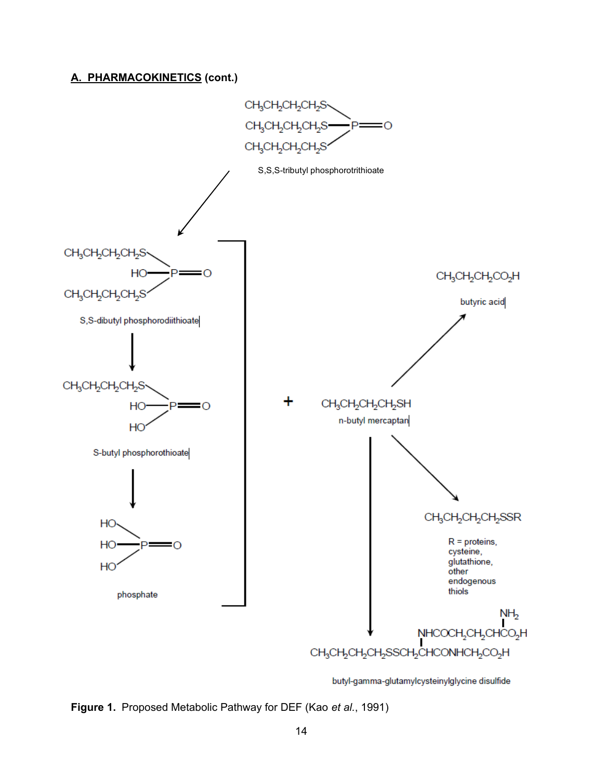# **A. PHARMACOKINETICS (cont.)**



butyl-gamma-glutamylcysteinylglycine disulfide

**Figure 1.** Proposed Metabolic Pathway for DEF (Kao *et al.*, 1991)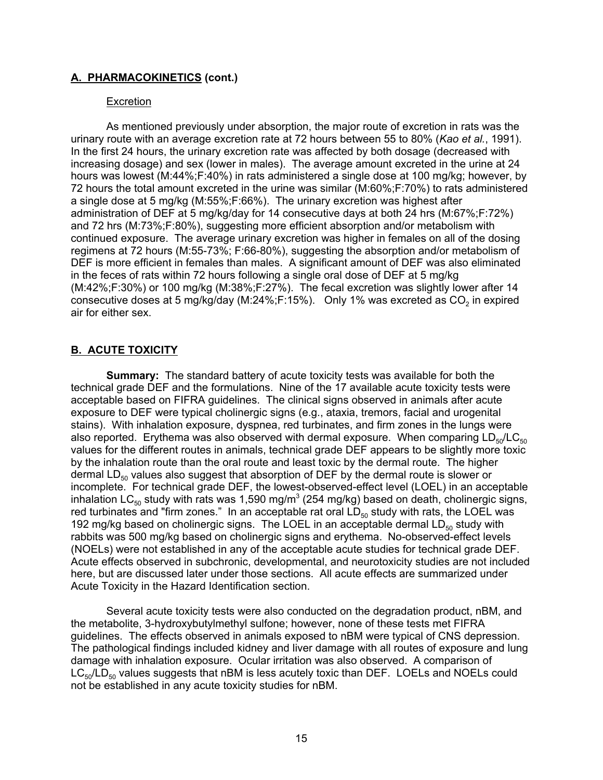## <span id="page-21-0"></span>**A. PHARMACOKINETICS (cont.)**

#### Excretion

As mentioned previously under absorption, the major route of excretion in rats was the urinary route with an average excretion rate at 72 hours between 55 to 80% (*Kao et al.*, 1991). In the first 24 hours, the urinary excretion rate was affected by both dosage (decreased with increasing dosage) and sex (lower in males). The average amount excreted in the urine at 24 hours was lowest (M:44%;F:40%) in rats administered a single dose at 100 mg/kg; however, by 72 hours the total amount excreted in the urine was similar (M:60%;F:70%) to rats administered a single dose at 5 mg/kg (M:55%;F:66%). The urinary excretion was highest after administration of DEF at 5 mg/kg/day for 14 consecutive days at both 24 hrs (M:67%;F:72%) and 72 hrs (M:73%;F:80%), suggesting more efficient absorption and/or metabolism with continued exposure. The average urinary excretion was higher in females on all of the dosing regimens at 72 hours (M:55-73%; F:66-80%), suggesting the absorption and/or metabolism of DEF is more efficient in females than males. A significant amount of DEF was also eliminated in the feces of rats within 72 hours following a single oral dose of DEF at 5 mg/kg (M:42%;F:30%) or 100 mg/kg (M:38%;F:27%). The fecal excretion was slightly lower after 14 consecutive doses at 5 mg/kg/day (M:24%;F:15%). Only 1% was excreted as  $CO<sub>2</sub>$  in expired air for either sex.

# **B. ACUTE TOXICITY**

**Summary:** The standard battery of acute toxicity tests was available for both the technical grade DEF and the formulations. Nine of the 17 available acute toxicity tests were acceptable based on FIFRA guidelines. The clinical signs observed in animals after acute exposure to DEF were typical cholinergic signs (e.g., ataxia, tremors, facial and urogenital stains). With inhalation exposure, dyspnea, red turbinates, and firm zones in the lungs were also reported. Erythema was also observed with dermal exposure. When comparing  $LD_{50}/LC_{50}$ values for the different routes in animals, technical grade DEF appears to be slightly more toxic by the inhalation route than the oral route and least toxic by the dermal route. The higher dermal  $LD_{50}$  values also suggest that absorption of DEF by the dermal route is slower or incomplete. For technical grade DEF, the lowest-observed-effect level (LOEL) in an acceptable inhalation LC $_{\rm 50}$  study with rats was 1,590 mg/m $^3$  (254 mg/kg) based on death, cholinergic signs, red turbinates and "firm zones." In an acceptable rat oral  $LD_{50}$  study with rats, the LOEL was 192 mg/kg based on cholinergic signs. The LOEL in an acceptable dermal  $LD_{50}$  study with rabbits was 500 mg/kg based on cholinergic signs and erythema. No-observed-effect levels (NOELs) were not established in any of the acceptable acute studies for technical grade DEF. Acute effects observed in subchronic, developmental, and neurotoxicity studies are not included here, but are discussed later under those sections. All acute effects are summarized under Acute Toxicity in the Hazard Identification section.

Several acute toxicity tests were also conducted on the degradation product, nBM, and the metabolite, 3-hydroxybutylmethyl sulfone; however, none of these tests met FIFRA guidelines. The effects observed in animals exposed to nBM were typical of CNS depression. The pathological findings included kidney and liver damage with all routes of exposure and lung damage with inhalation exposure. Ocular irritation was also observed. A comparison of  $LC_{50}/LD_{50}$  values suggests that nBM is less acutely toxic than DEF. LOELs and NOELs could not be established in any acute toxicity studies for nBM.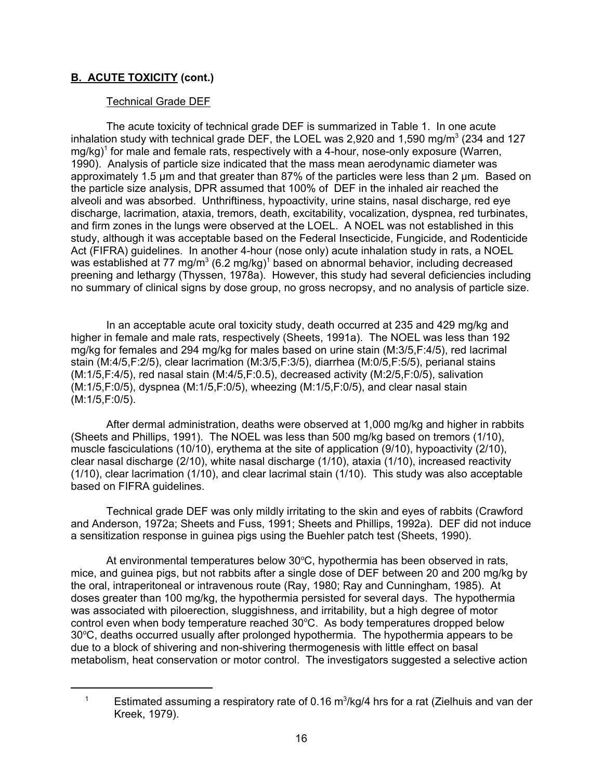## Technical Grade DEF

The acute toxicity of technical grade DEF is summarized in Table 1. In one acute inhalation study with technical grade DEF, the LOEL was 2,920 and 1,590 mg/m $^3$  (234 and 127  $\,$ mg/kg)<sup>1</sup> for male and female rats, respectively with a 4-hour, nose-only exposure (Warren, 1990). Analysis of particle size indicated that the mass mean aerodynamic diameter was approximately 1.5 µm and that greater than 87% of the particles were less than 2 µm. Based on the particle size analysis, DPR assumed that 100% of DEF in the inhaled air reached the alveoli and was absorbed. Unthriftiness, hypoactivity, urine stains, nasal discharge, red eye discharge, lacrimation, ataxia, tremors, death, excitability, vocalization, dyspnea, red turbinates, and firm zones in the lungs were observed at the LOEL. A NOEL was not established in this study, although it was acceptable based on the Federal Insecticide, Fungicide, and Rodenticide Act (FIFRA) guidelines. In another 4-hour (nose only) acute inhalation study in rats, a NOEL was established at 77 mg/m $^3$  (6.2 mg/kg) $^1$  based on abnormal behavior, including decreased preening and lethargy (Thyssen, 1978a). However, this study had several deficiencies including no summary of clinical signs by dose group, no gross necropsy, and no analysis of particle size.

In an acceptable acute oral toxicity study, death occurred at 235 and 429 mg/kg and higher in female and male rats, respectively (Sheets, 1991a). The NOEL was less than 192 mg/kg for females and 294 mg/kg for males based on urine stain (M:3/5,F:4/5), red lacrimal stain (M:4/5,F:2/5), clear lacrimation (M:3/5,F:3/5), diarrhea (M:0/5,F:5/5), perianal stains (M:1/5,F:4/5), red nasal stain (M:4/5,F:0.5), decreased activity (M:2/5,F:0/5), salivation (M:1/5,F:0/5), dyspnea (M:1/5,F:0/5), wheezing (M:1/5,F:0/5), and clear nasal stain (M:1/5,F:0/5).

After dermal administration, deaths were observed at 1,000 mg/kg and higher in rabbits (Sheets and Phillips, 1991). The NOEL was less than 500 mg/kg based on tremors (1/10), muscle fasciculations (10/10), erythema at the site of application (9/10), hypoactivity (2/10), clear nasal discharge (2/10), white nasal discharge (1/10), ataxia (1/10), increased reactivity (1/10), clear lacrimation (1/10), and clear lacrimal stain (1/10). This study was also acceptable based on FIFRA guidelines.

Technical grade DEF was only mildly irritating to the skin and eyes of rabbits (Crawford and Anderson, 1972a; Sheets and Fuss, 1991; Sheets and Phillips, 1992a). DEF did not induce a sensitization response in guinea pigs using the Buehler patch test (Sheets, 1990).

At environmental temperatures below 30°C, hypothermia has been observed in rats, mice, and guinea pigs, but not rabbits after a single dose of DEF between 20 and 200 mg/kg by the oral, intraperitoneal or intravenous route (Ray, 1980; Ray and Cunningham, 1985). At doses greater than 100 mg/kg, the hypothermia persisted for several days. The hypothermia was associated with piloerection, sluggishness, and irritability, but a high degree of motor control even when body temperature reached  $30^{\circ}$ C. As body temperatures dropped below 30°C, deaths occurred usually after prolonged hypothermia. The hypothermia appears to be due to a block of shivering and non-shivering thermogenesis with little effect on basal metabolism, heat conservation or motor control. The investigators suggested a selective action

 $^{\text{\tiny{1}}}$   $\phantom{1}$  Estimated assuming a respiratory rate of 0.16 m $^{\text{\tiny{3}}}$ /kg/4 hrs for a rat (Zielhuis and van der Kreek, 1979).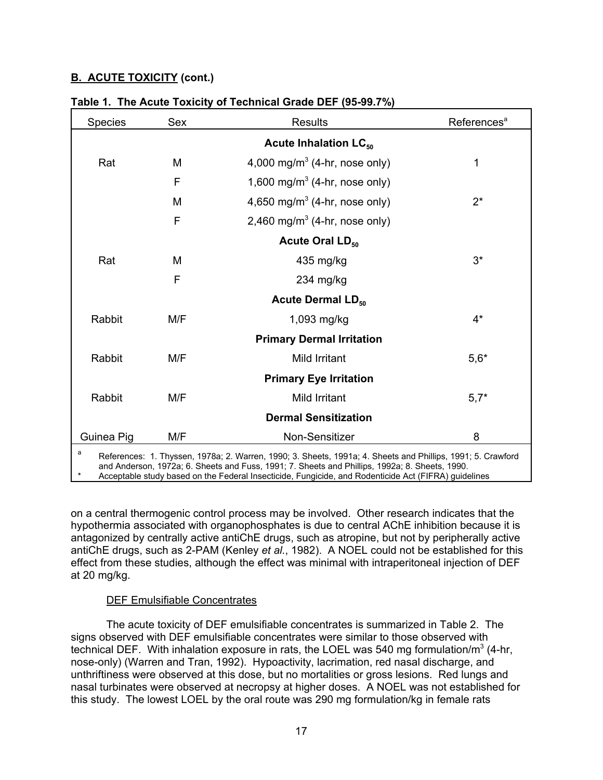| Species                                                                                                                                                                                                                                                                                                                    | Sex | <b>Results</b><br>References <sup>a</sup> |        |  |  |  |  |
|----------------------------------------------------------------------------------------------------------------------------------------------------------------------------------------------------------------------------------------------------------------------------------------------------------------------------|-----|-------------------------------------------|--------|--|--|--|--|
| Acute Inhalation LC <sub>50</sub>                                                                                                                                                                                                                                                                                          |     |                                           |        |  |  |  |  |
| Rat                                                                                                                                                                                                                                                                                                                        | М   | 4,000 mg/m <sup>3</sup> (4-hr, nose only) | 1      |  |  |  |  |
|                                                                                                                                                                                                                                                                                                                            | F   | 1,600 mg/m <sup>3</sup> (4-hr, nose only) |        |  |  |  |  |
|                                                                                                                                                                                                                                                                                                                            | M   | 4,650 mg/m <sup>3</sup> (4-hr, nose only) | $2^*$  |  |  |  |  |
|                                                                                                                                                                                                                                                                                                                            | F   | 2,460 mg/m <sup>3</sup> (4-hr, nose only) |        |  |  |  |  |
|                                                                                                                                                                                                                                                                                                                            |     | Acute Oral LD <sub>50</sub>               |        |  |  |  |  |
| Rat                                                                                                                                                                                                                                                                                                                        | М   | 435 mg/kg                                 | $3^*$  |  |  |  |  |
|                                                                                                                                                                                                                                                                                                                            | F   | 234 mg/kg                                 |        |  |  |  |  |
|                                                                                                                                                                                                                                                                                                                            |     | <b>Acute Dermal LD<sub>50</sub></b>       |        |  |  |  |  |
| Rabbit                                                                                                                                                                                                                                                                                                                     | M/F | 1,093 mg/kg                               | $4^*$  |  |  |  |  |
|                                                                                                                                                                                                                                                                                                                            |     | <b>Primary Dermal Irritation</b>          |        |  |  |  |  |
| Rabbit                                                                                                                                                                                                                                                                                                                     | M/F | Mild Irritant                             | $5,6*$ |  |  |  |  |
|                                                                                                                                                                                                                                                                                                                            |     | <b>Primary Eye Irritation</b>             |        |  |  |  |  |
| Rabbit                                                                                                                                                                                                                                                                                                                     | M/F | <b>Mild Irritant</b>                      | $5,7*$ |  |  |  |  |
|                                                                                                                                                                                                                                                                                                                            |     | <b>Dermal Sensitization</b>               |        |  |  |  |  |
| Guinea Pig                                                                                                                                                                                                                                                                                                                 | M/F | <b>Non-Sensitizer</b>                     | 8      |  |  |  |  |
| a<br>References: 1. Thyssen, 1978a; 2. Warren, 1990; 3. Sheets, 1991a; 4. Sheets and Phillips, 1991; 5. Crawford<br>and Anderson, 1972a; 6. Sheets and Fuss, 1991; 7. Sheets and Phillips, 1992a; 8. Sheets, 1990.<br>Accontable study bosed on the Eederal Insecticide. Eungicide, and Pedenticide Act (EIEDA) quidelines |     |                                           |        |  |  |  |  |

ai insecticide, Fungicide

on a central thermogenic control process may be involved. Other research indicates that the hypothermia associated with organophosphates is due to central AChE inhibition because it is antagonized by centrally active antiChE drugs, such as atropine, but not by peripherally active antiChE drugs, such as 2-PAM (Kenley *et al.*, 1982). A NOEL could not be established for this effect from these studies, although the effect was minimal with intraperitoneal injection of DEF at 20 mg/kg.

## DEF Emulsifiable Concentrates

The acute toxicity of DEF emulsifiable concentrates is summarized in Table 2. The signs observed with DEF emulsifiable concentrates were similar to those observed with technical DEF. With inhalation exposure in rats, the LOEL was 540 mg formulation/m $^3$  (4-hr, nose-only) (Warren and Tran, 1992). Hypoactivity, lacrimation, red nasal discharge, and unthriftiness were observed at this dose, but no mortalities or gross lesions. Red lungs and nasal turbinates were observed at necropsy at higher doses. A NOEL was not established for this study. The lowest LOEL by the oral route was 290 mg formulation/kg in female rats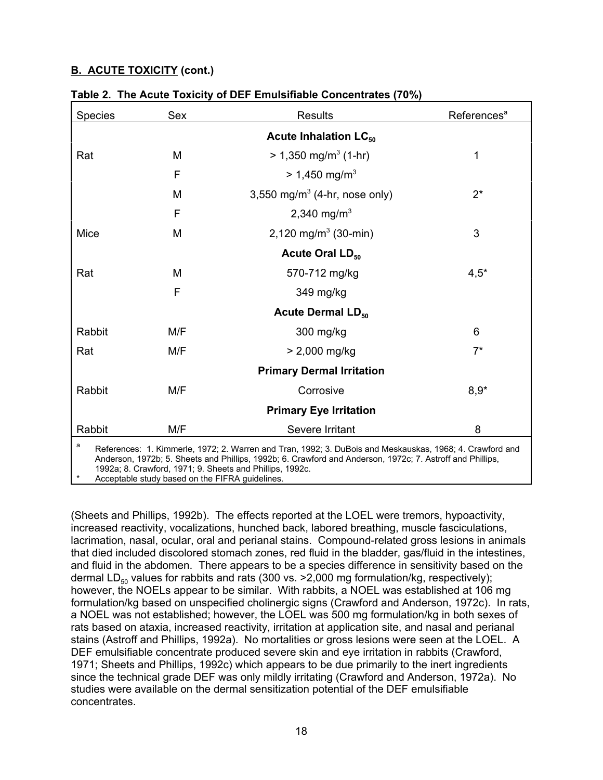| <b>Species</b>                                                                                                                                                                                                             | Sex | <b>Results</b>                            | References <sup>a</sup> |  |  |  |  |
|----------------------------------------------------------------------------------------------------------------------------------------------------------------------------------------------------------------------------|-----|-------------------------------------------|-------------------------|--|--|--|--|
| Acute Inhalation LC <sub>50</sub>                                                                                                                                                                                          |     |                                           |                         |  |  |  |  |
| Rat                                                                                                                                                                                                                        | M   | $> 1,350$ mg/m <sup>3</sup> (1-hr)        | $\mathbf 1$             |  |  |  |  |
|                                                                                                                                                                                                                            | F   | $> 1,450$ mg/m <sup>3</sup>               |                         |  |  |  |  |
|                                                                                                                                                                                                                            | M   | 3,550 mg/m <sup>3</sup> (4-hr, nose only) | $2^*$                   |  |  |  |  |
|                                                                                                                                                                                                                            | F   | 2,340 mg/m <sup>3</sup>                   |                         |  |  |  |  |
| Mice                                                                                                                                                                                                                       | M   | 2,120 mg/m <sup>3</sup> (30-min)          | 3                       |  |  |  |  |
|                                                                                                                                                                                                                            |     | Acute Oral LD <sub>50</sub>               |                         |  |  |  |  |
| Rat                                                                                                                                                                                                                        | M   | 570-712 mg/kg                             | $4,5*$                  |  |  |  |  |
|                                                                                                                                                                                                                            | F   | 349 mg/kg                                 |                         |  |  |  |  |
|                                                                                                                                                                                                                            |     | <b>Acute Dermal LD<sub>50</sub></b>       |                         |  |  |  |  |
| Rabbit                                                                                                                                                                                                                     | M/F | 300 mg/kg                                 | 6                       |  |  |  |  |
| Rat                                                                                                                                                                                                                        | M/F | $> 2,000$ mg/kg                           | $7^*$                   |  |  |  |  |
|                                                                                                                                                                                                                            |     | <b>Primary Dermal Irritation</b>          |                         |  |  |  |  |
| Rabbit                                                                                                                                                                                                                     | M/F | Corrosive                                 | $8,9*$                  |  |  |  |  |
|                                                                                                                                                                                                                            |     | <b>Primary Eye Irritation</b>             |                         |  |  |  |  |
| Rabbit                                                                                                                                                                                                                     | M/F | Severe Irritant                           | 8                       |  |  |  |  |
| a<br>References: 1. Kimmerle, 1972; 2. Warren and Tran, 1992; 3. DuBois and Meskauskas, 1968; 4. Crawford and<br>Anderson, 1972b; 5. Sheets and Phillips, 1992b; 6. Crawford and Anderson, 1972c; 7. Astroff and Phillips, |     |                                           |                         |  |  |  |  |

|  | Table 2. The Acute Toxicity of DEF Emulsifiable Concentrates (70%) |  |  |
|--|--------------------------------------------------------------------|--|--|
|--|--------------------------------------------------------------------|--|--|

 1992a; 8. Crawford, 1971; 9. Sheets and Phillips, 1992c. Acceptable study based on the FIFRA quidelines.

(Sheets and Phillips, 1992b). The effects reported at the LOEL were tremors, hypoactivity, increased reactivity, vocalizations, hunched back, labored breathing, muscle fasciculations, lacrimation, nasal, ocular, oral and perianal stains. Compound-related gross lesions in animals that died included discolored stomach zones, red fluid in the bladder, gas/fluid in the intestines, and fluid in the abdomen. There appears to be a species difference in sensitivity based on the dermal LD<sub>50</sub> values for rabbits and rats (300 vs. > 2,000 mg formulation/kg, respectively); however, the NOELs appear to be similar. With rabbits, a NOEL was established at 106 mg formulation/kg based on unspecified cholinergic signs (Crawford and Anderson, 1972c). In rats, a NOEL was not established; however, the LOEL was 500 mg formulation/kg in both sexes of rats based on ataxia, increased reactivity, irritation at application site, and nasal and perianal stains (Astroff and Phillips, 1992a). No mortalities or gross lesions were seen at the LOEL. A DEF emulsifiable concentrate produced severe skin and eye irritation in rabbits (Crawford, 1971; Sheets and Phillips, 1992c) which appears to be due primarily to the inert ingredients since the technical grade DEF was only mildly irritating (Crawford and Anderson, 1972a). No studies were available on the dermal sensitization potential of the DEF emulsifiable concentrates.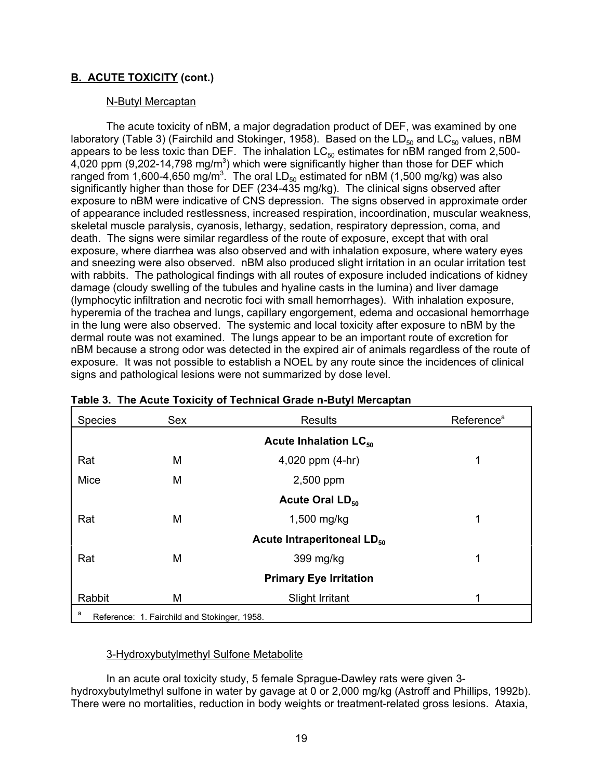## N-Butyl Mercaptan

The acute toxicity of nBM, a major degradation product of DEF, was examined by one laboratory (Table 3) (Fairchild and Stokinger, 1958). Based on the LD<sub>50</sub> and LC<sub>50</sub> values, nBM appears to be less toxic than DEF. The inhalation  $LC_{50}$  estimates for nBM ranged from 2,500-4,020 ppm (9,202-14,798 mg/m $^3$ ) which were significantly higher than those for DEF which ranged from 1,600-4,650 mg/m $^3$ . The oral LD $_{50}$  estimated for nBM (1,500 mg/kg) was also significantly higher than those for DEF (234-435 mg/kg). The clinical signs observed after exposure to nBM were indicative of CNS depression. The signs observed in approximate order of appearance included restlessness, increased respiration, incoordination, muscular weakness, skeletal muscle paralysis, cyanosis, lethargy, sedation, respiratory depression, coma, and death. The signs were similar regardless of the route of exposure, except that with oral exposure, where diarrhea was also observed and with inhalation exposure, where watery eyes and sneezing were also observed. nBM also produced slight irritation in an ocular irritation test with rabbits. The pathological findings with all routes of exposure included indications of kidney damage (cloudy swelling of the tubules and hyaline casts in the lumina) and liver damage (lymphocytic infiltration and necrotic foci with small hemorrhages). With inhalation exposure, hyperemia of the trachea and lungs, capillary engorgement, edema and occasional hemorrhage in the lung were also observed. The systemic and local toxicity after exposure to nBM by the dermal route was not examined. The lungs appear to be an important route of excretion for nBM because a strong odor was detected in the expired air of animals regardless of the route of exposure. It was not possible to establish a NOEL by any route since the incidences of clinical signs and pathological lesions were not summarized by dose level.

| <b>Species</b> | Sex                                          | <b>Results</b><br>Reference <sup>a</sup> |   |
|----------------|----------------------------------------------|------------------------------------------|---|
|                |                                              | Acute Inhalation LC <sub>50</sub>        |   |
| Rat            | M                                            | 4,020 ppm (4-hr)                         |   |
| Mice           | M                                            | 2,500 ppm                                |   |
|                |                                              | Acute Oral LD <sub>50</sub>              |   |
| Rat            | M                                            | $1,500$ mg/kg                            | 1 |
|                |                                              | Acute Intraperitoneal LD <sub>50</sub>   |   |
| Rat            | M                                            | 399 mg/kg                                | 1 |
|                |                                              | <b>Primary Eye Irritation</b>            |   |
| Rabbit         | М                                            | <b>Slight Irritant</b>                   | 4 |
| a              | Reference: 1. Fairchild and Stokinger, 1958. |                                          |   |

|  | Table 3. The Acute Toxicity of Technical Grade n-Butyl Mercaptan |  |
|--|------------------------------------------------------------------|--|
|  |                                                                  |  |

## 3-Hydroxybutylmethyl Sulfone Metabolite

In an acute oral toxicity study, 5 female Sprague-Dawley rats were given 3 hydroxybutylmethyl sulfone in water by gavage at 0 or 2,000 mg/kg (Astroff and Phillips, 1992b). There were no mortalities, reduction in body weights or treatment-related gross lesions. Ataxia,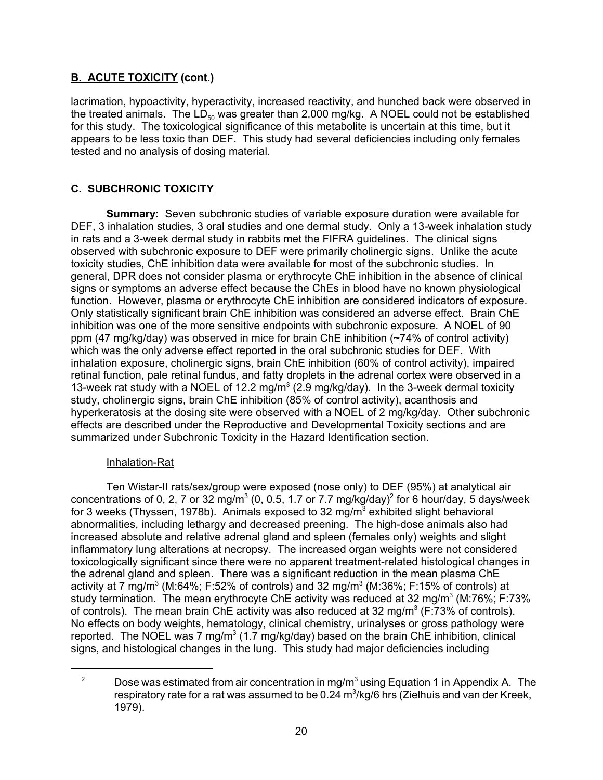<span id="page-26-0"></span>lacrimation, hypoactivity, hyperactivity, increased reactivity, and hunched back were observed in the treated animals. The  $LD_{50}$  was greater than 2,000 mg/kg. A NOEL could not be established for this study. The toxicological significance of this metabolite is uncertain at this time, but it appears to be less toxic than DEF. This study had several deficiencies including only females tested and no analysis of dosing material.

# **C. SUBCHRONIC TOXICITY**

**Summary:** Seven subchronic studies of variable exposure duration were available for DEF, 3 inhalation studies, 3 oral studies and one dermal study. Only a 13-week inhalation study in rats and a 3-week dermal study in rabbits met the FIFRA guidelines. The clinical signs observed with subchronic exposure to DEF were primarily cholinergic signs. Unlike the acute toxicity studies, ChE inhibition data were available for most of the subchronic studies. In general, DPR does not consider plasma or erythrocyte ChE inhibition in the absence of clinical signs or symptoms an adverse effect because the ChEs in blood have no known physiological function. However, plasma or erythrocyte ChE inhibition are considered indicators of exposure. Only statistically significant brain ChE inhibition was considered an adverse effect. Brain ChE inhibition was one of the more sensitive endpoints with subchronic exposure. A NOEL of 90 ppm (47 mg/kg/day) was observed in mice for brain ChE inhibition (~74% of control activity) which was the only adverse effect reported in the oral subchronic studies for DEF. With inhalation exposure, cholinergic signs, brain ChE inhibition (60% of control activity), impaired retinal function, pale retinal fundus, and fatty droplets in the adrenal cortex were observed in a 13-week rat study with a NOEL of 12.2 mg/ $m^3$  (2.9 mg/kg/day). In the 3-week dermal toxicity study, cholinergic signs, brain ChE inhibition (85% of control activity), acanthosis and hyperkeratosis at the dosing site were observed with a NOEL of 2 mg/kg/day. Other subchronic effects are described under the Reproductive and Developmental Toxicity sections and are summarized under Subchronic Toxicity in the Hazard Identification section.

## Inhalation-Rat

Ten Wistar-II rats/sex/group were exposed (nose only) to DEF (95%) at analytical air concentrations of 0, 2, 7 or 32 mg/m $^3$  (0, 0.5, 1.7 or 7.7 mg/kg/day) $^2$  for 6 hour/day, 5 days/week for 3 weeks (Thyssen, 1978b). Animals exposed to 32 mg/m $^3$  exhibited slight behavioral abnormalities, including lethargy and decreased preening. The high-dose animals also had increased absolute and relative adrenal gland and spleen (females only) weights and slight inflammatory lung alterations at necropsy. The increased organ weights were not considered toxicologically significant since there were no apparent treatment-related histological changes in the adrenal gland and spleen. There was a significant reduction in the mean plasma ChE activity at 7 mg/m $^3$  (M:64%; F:52% of controls) and 32 mg/m $^3$  (M:36%; F:15% of controls) at study termination. The mean erythrocyte ChE activity was reduced at 32 mg/m $^3$  (M:76%; F:73%  $\,$ of controls). The mean brain ChE activity was also reduced at 32 mg/m $^3$  (F:73% of controls). No effects on body weights, hematology, clinical chemistry, urinalyses or gross pathology were reported. The NOEL was 7 mg/m $^3$  (1.7 mg/kg/day) based on the brain ChE inhibition, clinical signs, and histological changes in the lung. This study had major deficiencies including

<sup>&</sup>lt;sup>2</sup> Dose was estimated from air concentration in mg/m<sup>3</sup> using Equation 1 in Appendix A. The respiratory rate for a rat was assumed to be 0.24 m $^3\!$ kg/6 hrs (Zielhuis and van der Kreek, 1979).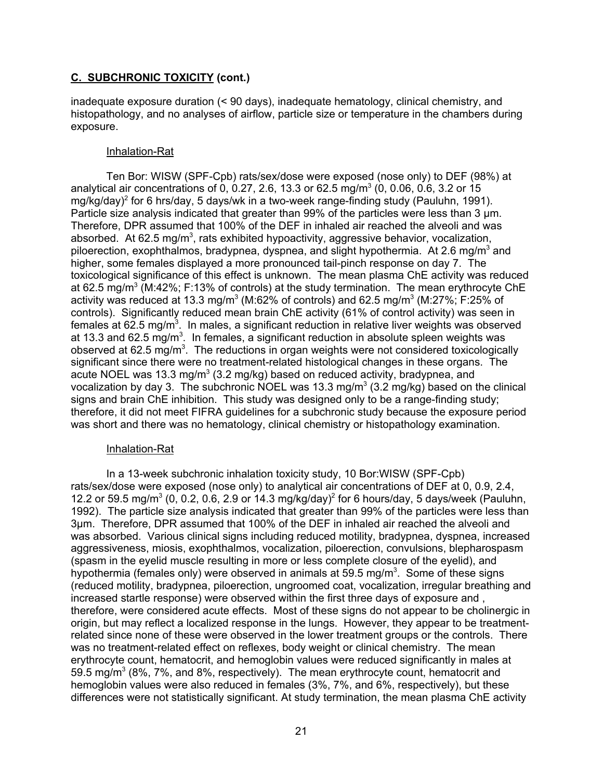inadequate exposure duration (< 90 days), inadequate hematology, clinical chemistry, and histopathology, and no analyses of airflow, particle size or temperature in the chambers during exposure.

### Inhalation-Rat

Ten Bor: WISW (SPF-Cpb) rats/sex/dose were exposed (nose only) to DEF (98%) at analytical air concentrations of 0, 0.27, 2.6, 13.3 or 62.5 mg/m $^3$  (0, 0.06, 0.6, 3.2 or 15 mg/kg/day)<sup>2</sup> for 6 hrs/day, 5 days/wk in a two-week range-finding study (Pauluhn, 1991). Particle size analysis indicated that greater than 99% of the particles were less than 3  $\mu$ m. Therefore, DPR assumed that 100% of the DEF in inhaled air reached the alveoli and was absorbed. At 62.5 mg/m<sup>3</sup>, rats exhibited hypoactivity, aggressive behavior, vocalization, piloerection, exophthalmos, bradypnea, dyspnea, and slight hypothermia. At 2.6 mg/m $^3$  and higher, some females displayed a more pronounced tail-pinch response on day 7. The toxicological significance of this effect is unknown. The mean plasma ChE activity was reduced at 62.5 mg/m $^3$  (M:42%; F:13% of controls) at the study termination. The mean erythrocyte ChE activity was reduced at 13.3 mg/m $^3$  (M:62% of controls) and 62.5 mg/m $^3$  (M:27%; F:25% of controls). Significantly reduced mean brain ChE activity (61% of control activity) was seen in females at 62.5 mg/m $^3$ . In males, a significant reduction in relative liver weights was observed at 13.3 and 62.5 mg/m $^3$ . In females, a significant reduction in absolute spleen weights was observed at 62.5 mg/m $^3$ . The reductions in organ weights were not considered toxicologically significant since there were no treatment-related histological changes in these organs. The acute NOEL was 13.3 mg/m $^3$  (3.2 mg/kg) based on reduced activity, bradypnea, and vocalization by day 3. The subchronic NOEL was 13.3 mg/m $^3$  (3.2 mg/kg) based on the clinical signs and brain ChE inhibition. This study was designed only to be a range-finding study; therefore, it did not meet FIFRA guidelines for a subchronic study because the exposure period was short and there was no hematology, clinical chemistry or histopathology examination.

#### Inhalation-Rat

In a 13-week subchronic inhalation toxicity study, 10 Bor:WISW (SPF-Cpb) rats/sex/dose were exposed (nose only) to analytical air concentrations of DEF at 0, 0.9, 2.4, 12.2 or 59.5 mg/m<sup>3</sup> (0, 0.2, 0.6, 2.9 or 14.3 mg/kg/day)<sup>2</sup> for 6 hours/day, 5 days/week (Pauluhn, 1992). The particle size analysis indicated that greater than 99% of the particles were less than 3µm. Therefore, DPR assumed that 100% of the DEF in inhaled air reached the alveoli and was absorbed. Various clinical signs including reduced motility, bradypnea, dyspnea, increased aggressiveness, miosis, exophthalmos, vocalization, piloerection, convulsions, blepharospasm (spasm in the eyelid muscle resulting in more or less complete closure of the eyelid), and hypothermia (females only) were observed in animals at 59.5 mg/m $^3\!$  . Some of these signs (reduced motility, bradypnea, piloerection, ungroomed coat, vocalization, irregular breathing and increased startle response) were observed within the first three days of exposure and , therefore, were considered acute effects. Most of these signs do not appear to be cholinergic in origin, but may reflect a localized response in the lungs. However, they appear to be treatmentrelated since none of these were observed in the lower treatment groups or the controls. There was no treatment-related effect on reflexes, body weight or clinical chemistry. The mean erythrocyte count, hematocrit, and hemoglobin values were reduced significantly in males at 59.5 mg/m $^3$  (8%, 7%, and 8%, respectively). The mean erythrocyte count, hematocrit and hemoglobin values were also reduced in females (3%, 7%, and 6%, respectively), but these differences were not statistically significant. At study termination, the mean plasma ChE activity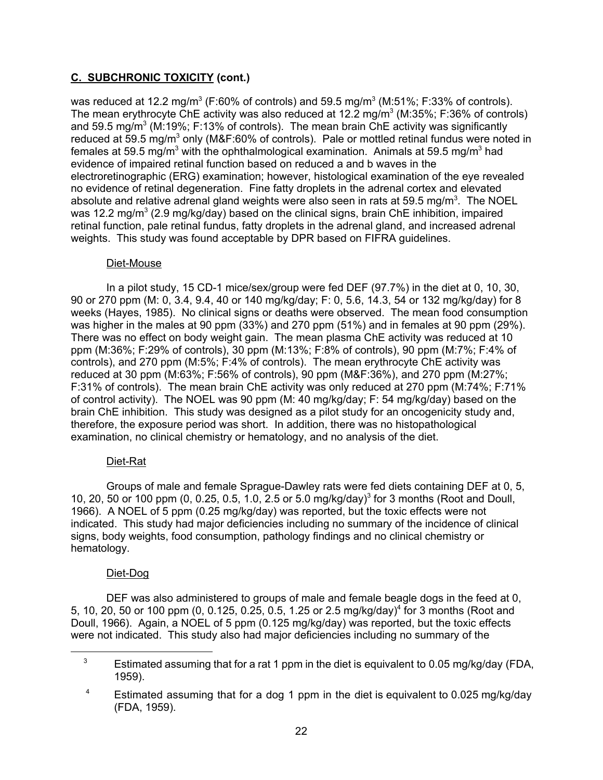was reduced at 12.2 mg/m $^3$  (F:60% of controls) and 59.5 mg/m $^3$  (M:51%; F:33% of controls). The mean erythrocyte ChE activity was also reduced at 12.2 mg/m $^3$  (M:35%; F:36% of controls) and 59.5 mg/m $^3$  (M:19%; F:13% of controls). The mean brain ChE activity was significantly reduced at 59.5 mg/m $^3$  only (M&F:60% of controls). Pale or mottled retinal fundus were noted in females at 59.5 mg/m $^3$  with the ophthalmological examination.  $\,$  Animals at 59.5 mg/m $^3$  had evidence of impaired retinal function based on reduced a and b waves in the electroretinographic (ERG) examination; however, histological examination of the eye revealed no evidence of retinal degeneration. Fine fatty droplets in the adrenal cortex and elevated absolute and relative adrenal gland weights were also seen in rats at 59.5 mg/m $^3$ . The NOEL was 12.2 mg/m $^3$  (2.9 mg/kg/day) based on the clinical signs, brain ChE inhibition, impaired retinal function, pale retinal fundus, fatty droplets in the adrenal gland, and increased adrenal weights. This study was found acceptable by DPR based on FIFRA guidelines.

### Diet-Mouse

In a pilot study, 15 CD-1 mice/sex/group were fed DEF (97.7%) in the diet at 0, 10, 30, 90 or 270 ppm (M: 0, 3.4, 9.4, 40 or 140 mg/kg/day; F: 0, 5.6, 14.3, 54 or 132 mg/kg/day) for 8 weeks (Hayes, 1985). No clinical signs or deaths were observed. The mean food consumption was higher in the males at 90 ppm (33%) and 270 ppm (51%) and in females at 90 ppm (29%). There was no effect on body weight gain. The mean plasma ChE activity was reduced at 10 ppm (M:36%; F:29% of controls), 30 ppm (M:13%; F:8% of controls), 90 ppm (M:7%; F:4% of controls), and 270 ppm (M:5%; F:4% of controls). The mean erythrocyte ChE activity was reduced at 30 ppm (M:63%; F:56% of controls), 90 ppm (M&F:36%), and 270 ppm (M:27%; F:31% of controls). The mean brain ChE activity was only reduced at 270 ppm (M:74%; F:71% of control activity). The NOEL was 90 ppm (M: 40 mg/kg/day; F: 54 mg/kg/day) based on the brain ChE inhibition. This study was designed as a pilot study for an oncogenicity study and, therefore, the exposure period was short. In addition, there was no histopathological examination, no clinical chemistry or hematology, and no analysis of the diet.

## Diet-Rat

Groups of male and female Sprague-Dawley rats were fed diets containing DEF at 0, 5, 10, 20, 50 or 100 ppm (0, 0.25, 0.5, 1.0, 2.5 or 5.0 mg/kg/day)<sup>3</sup> for 3 months (Root and Doull, 1966). A NOEL of 5 ppm (0.25 mg/kg/day) was reported, but the toxic effects were not indicated. This study had major deficiencies including no summary of the incidence of clinical signs, body weights, food consumption, pathology findings and no clinical chemistry or hematology.

## Diet-Dog

DEF was also administered to groups of male and female beagle dogs in the feed at 0, 5, 10, 20, 50 or 100 ppm (0, 0.125, 0.25, 0.5, 1.25 or 2.5 mg/kg/day)<sup>4</sup> for 3 months (Root and Doull, 1966). Again, a NOEL of 5 ppm (0.125 mg/kg/day) was reported, but the toxic effects were not indicated. This study also had major deficiencies including no summary of the

 $3 \qquad$  Estimated assuming that for a rat 1 ppm in the diet is equivalent to 0.05 mg/kg/day (FDA, 1959).

<sup>&</sup>lt;sup>4</sup> Estimated assuming that for a dog 1 ppm in the diet is equivalent to 0.025 mg/kg/day (FDA, 1959).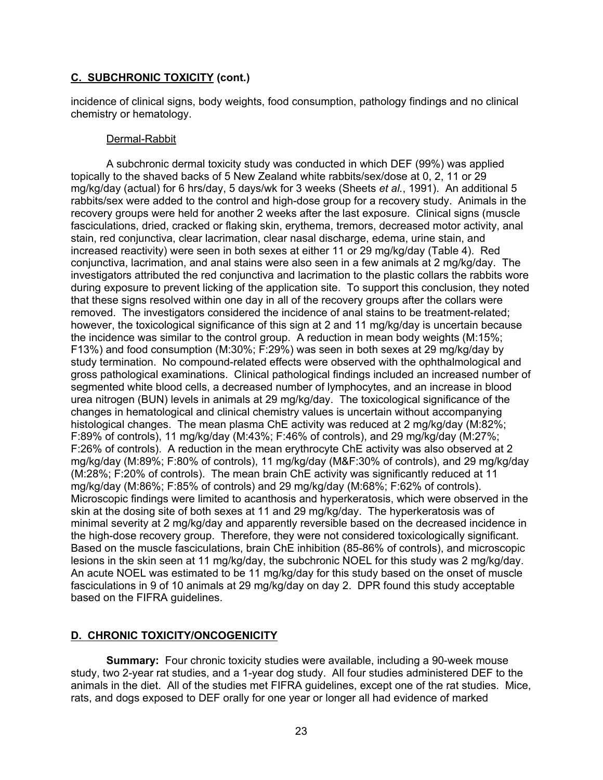<span id="page-29-0"></span>incidence of clinical signs, body weights, food consumption, pathology findings and no clinical chemistry or hematology.

### Dermal-Rabbit

A subchronic dermal toxicity study was conducted in which DEF (99%) was applied topically to the shaved backs of 5 New Zealand white rabbits/sex/dose at 0, 2, 11 or 29 mg/kg/day (actual) for 6 hrs/day, 5 days/wk for 3 weeks (Sheets *et al.*, 1991). An additional 5 rabbits/sex were added to the control and high-dose group for a recovery study. Animals in the recovery groups were held for another 2 weeks after the last exposure. Clinical signs (muscle fasciculations, dried, cracked or flaking skin, erythema, tremors, decreased motor activity, anal stain, red conjunctiva, clear lacrimation, clear nasal discharge, edema, urine stain, and increased reactivity) were seen in both sexes at either 11 or 29 mg/kg/day (Table 4). Red conjunctiva, lacrimation, and anal stains were also seen in a few animals at 2 mg/kg/day. The investigators attributed the red conjunctiva and lacrimation to the plastic collars the rabbits wore during exposure to prevent licking of the application site. To support this conclusion, they noted that these signs resolved within one day in all of the recovery groups after the collars were removed. The investigators considered the incidence of anal stains to be treatment-related; however, the toxicological significance of this sign at 2 and 11 mg/kg/day is uncertain because the incidence was similar to the control group. A reduction in mean body weights (M:15%; F13%) and food consumption (M:30%; F:29%) was seen in both sexes at 29 mg/kg/day by study termination. No compound-related effects were observed with the ophthalmological and gross pathological examinations. Clinical pathological findings included an increased number of segmented white blood cells, a decreased number of lymphocytes, and an increase in blood urea nitrogen (BUN) levels in animals at 29 mg/kg/day. The toxicological significance of the changes in hematological and clinical chemistry values is uncertain without accompanying histological changes. The mean plasma ChE activity was reduced at 2 mg/kg/day (M:82%; F:89% of controls), 11 mg/kg/day (M:43%; F:46% of controls), and 29 mg/kg/day (M:27%; F:26% of controls). A reduction in the mean erythrocyte ChE activity was also observed at 2 mg/kg/day (M:89%; F:80% of controls), 11 mg/kg/day (M&F:30% of controls), and 29 mg/kg/day (M:28%; F:20% of controls). The mean brain ChE activity was significantly reduced at 11 mg/kg/day (M:86%; F:85% of controls) and 29 mg/kg/day (M:68%; F:62% of controls). Microscopic findings were limited to acanthosis and hyperkeratosis, which were observed in the skin at the dosing site of both sexes at 11 and 29 mg/kg/day. The hyperkeratosis was of minimal severity at 2 mg/kg/day and apparently reversible based on the decreased incidence in the high-dose recovery group. Therefore, they were not considered toxicologically significant. Based on the muscle fasciculations, brain ChE inhibition (85-86% of controls), and microscopic lesions in the skin seen at 11 mg/kg/day, the subchronic NOEL for this study was 2 mg/kg/day. An acute NOEL was estimated to be 11 mg/kg/day for this study based on the onset of muscle fasciculations in 9 of 10 animals at 29 mg/kg/day on day 2. DPR found this study acceptable based on the FIFRA guidelines.

## **D. CHRONIC TOXICITY/ONCOGENICITY**

**Summary:** Four chronic toxicity studies were available, including a 90-week mouse study, two 2-year rat studies, and a 1-year dog study. All four studies administered DEF to the animals in the diet. All of the studies met FIFRA guidelines, except one of the rat studies. Mice, rats, and dogs exposed to DEF orally for one year or longer all had evidence of marked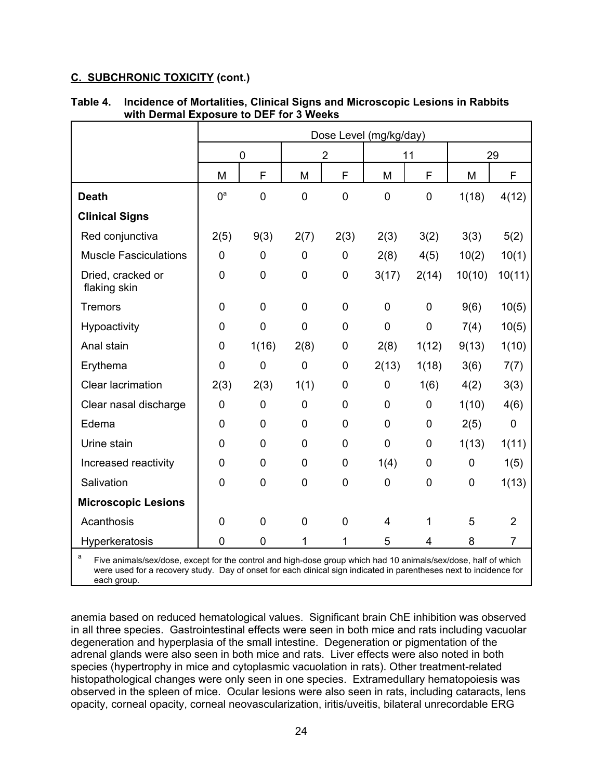|                                                                                                                     | Dose Level (mg/kg/day) |                  |                  |                |                |                |        |                |
|---------------------------------------------------------------------------------------------------------------------|------------------------|------------------|------------------|----------------|----------------|----------------|--------|----------------|
|                                                                                                                     | 0                      |                  | $\overline{2}$   |                | 11             |                | 29     |                |
|                                                                                                                     | M                      | F                | M                | F              | M              | F              | M      | F              |
| <b>Death</b>                                                                                                        | 0 <sup>a</sup>         | $\mathbf 0$      | $\mathbf 0$      | $\mathbf 0$    | $\mathbf 0$    | $\mathbf 0$    | 1(18)  | 4(12)          |
| <b>Clinical Signs</b>                                                                                               |                        |                  |                  |                |                |                |        |                |
| Red conjunctiva                                                                                                     | 2(5)                   | 9(3)             | 2(7)             | 2(3)           | 2(3)           | 3(2)           | 3(3)   | 5(2)           |
| <b>Muscle Fasciculations</b>                                                                                        | $\mathbf 0$            | $\mathbf 0$      | $\mathbf 0$      | $\mathbf 0$    | 2(8)           | 4(5)           | 10(2)  | 10(1)          |
| Dried, cracked or<br>flaking skin                                                                                   | $\mathbf 0$            | $\boldsymbol{0}$ | $\boldsymbol{0}$ | $\mathbf 0$    | 3(17)          | 2(14)          | 10(10) | 10(11)         |
| <b>Tremors</b>                                                                                                      | $\mathbf 0$            | $\overline{0}$   | $\overline{0}$   | $\mathbf 0$    | $\overline{0}$ | $\mathbf 0$    | 9(6)   | 10(5)          |
| Hypoactivity                                                                                                        | $\mathbf 0$            | $\mathbf 0$      | $\mathbf 0$      | $\mathbf 0$    | $\mathbf 0$    | $\mathbf 0$    | 7(4)   | 10(5)          |
| Anal stain                                                                                                          | $\mathbf 0$            | 1(16)            | 2(8)             | $\mathbf 0$    | 2(8)           | 1(12)          | 9(13)  | 1(10)          |
| Erythema                                                                                                            | $\mathbf 0$            | $\mathbf 0$      | $\mathbf 0$      | $\mathbf 0$    | 2(13)          | 1(18)          | 3(6)   | 7(7)           |
| <b>Clear lacrimation</b>                                                                                            | 2(3)                   | 2(3)             | 1(1)             | $\mathbf 0$    | $\mathbf 0$    | 1(6)           | 4(2)   | 3(3)           |
| Clear nasal discharge                                                                                               | $\mathbf 0$            | $\mathbf 0$      | $\mathbf 0$      | $\mathbf 0$    | $\mathbf 0$    | $\mathbf 0$    | 1(10)  | 4(6)           |
| Edema                                                                                                               | $\mathbf 0$            | $\overline{0}$   | $\overline{0}$   | $\mathbf 0$    | $\overline{0}$ | $\mathbf 0$    | 2(5)   | $\overline{0}$ |
| Urine stain                                                                                                         | $\overline{0}$         | $\overline{0}$   | $\overline{0}$   | $\mathbf 0$    | $\mathbf 0$    | $\mathbf 0$    | 1(13)  | 1(11)          |
| Increased reactivity                                                                                                | $\mathbf 0$            | $\mathbf 0$      | $\mathbf 0$      | $\mathbf 0$    | 1(4)           | $\mathbf 0$    | 0      | 1(5)           |
| Salivation                                                                                                          | $\mathbf 0$            | $\overline{0}$   | $\mathbf 0$      | $\mathbf 0$    | $\mathbf 0$    | $\mathbf 0$    | 0      | 1(13)          |
| <b>Microscopic Lesions</b>                                                                                          |                        |                  |                  |                |                |                |        |                |
| Acanthosis                                                                                                          | $\mathbf 0$            | $\overline{0}$   | $\mathbf 0$      | $\overline{0}$ | $\overline{4}$ | 1              | 5      | $\overline{2}$ |
| Hyperkeratosis                                                                                                      | $\overline{0}$         | $\overline{0}$   | 1                | 1              | 5              | $\overline{4}$ | 8      | $\overline{7}$ |
| a<br>Five animals/sex/dose, except for the control and high-dose group which had 10 animals/sex/dose, half of which |                        |                  |                  |                |                |                |        |                |

## **Table 4. Incidence of Mortalities, Clinical Signs and Microscopic Lesions in Rabbits with Dermal Exposure to DEF for 3 Weeks**

<sup>a</sup> Five animals/sex/dose, except for the control and high-dose group which had 10 animals/sex/dose, half of which were used for a recovery study. Day of onset for each clinical sign indicated in parentheses next to incidence for each group.

anemia based on reduced hematological values. Significant brain ChE inhibition was observed in all three species. Gastrointestinal effects were seen in both mice and rats including vacuolar degeneration and hyperplasia of the small intestine. Degeneration or pigmentation of the adrenal glands were also seen in both mice and rats. Liver effects were also noted in both species (hypertrophy in mice and cytoplasmic vacuolation in rats). Other treatment-related histopathological changes were only seen in one species. Extramedullary hematopoiesis was observed in the spleen of mice. Ocular lesions were also seen in rats, including cataracts, lens opacity, corneal opacity, corneal neovascularization, iritis/uveitis, bilateral unrecordable ERG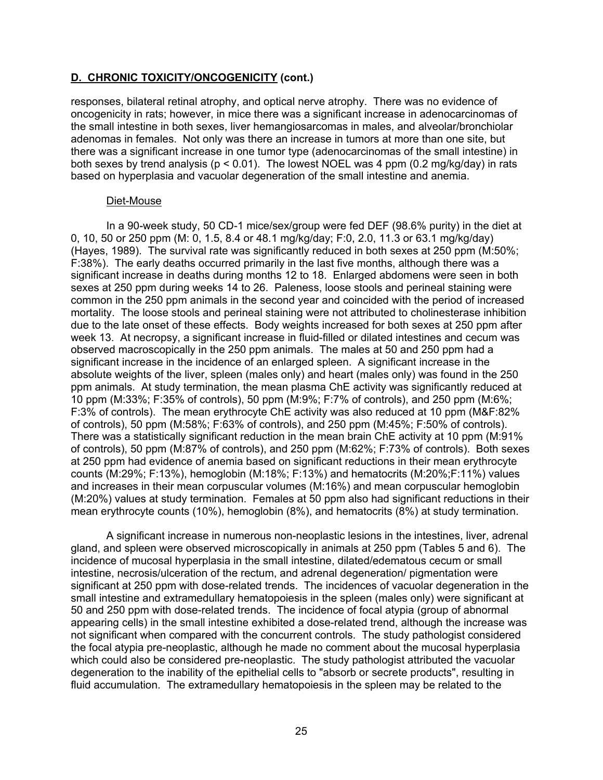responses, bilateral retinal atrophy, and optical nerve atrophy. There was no evidence of oncogenicity in rats; however, in mice there was a significant increase in adenocarcinomas of the small intestine in both sexes, liver hemangiosarcomas in males, and alveolar/bronchiolar adenomas in females. Not only was there an increase in tumors at more than one site, but there was a significant increase in one tumor type (adenocarcinomas of the small intestine) in both sexes by trend analysis (p < 0.01). The lowest NOEL was 4 ppm (0.2 mg/kg/day) in rats based on hyperplasia and vacuolar degeneration of the small intestine and anemia.

#### Diet-Mouse

In a 90-week study, 50 CD-1 mice/sex/group were fed DEF (98.6% purity) in the diet at 0, 10, 50 or 250 ppm (M: 0, 1.5, 8.4 or 48.1 mg/kg/day; F:0, 2.0, 11.3 or 63.1 mg/kg/day) (Hayes, 1989). The survival rate was significantly reduced in both sexes at 250 ppm (M:50%; F:38%). The early deaths occurred primarily in the last five months, although there was a significant increase in deaths during months 12 to 18. Enlarged abdomens were seen in both sexes at 250 ppm during weeks 14 to 26. Paleness, loose stools and perineal staining were common in the 250 ppm animals in the second year and coincided with the period of increased mortality. The loose stools and perineal staining were not attributed to cholinesterase inhibition due to the late onset of these effects. Body weights increased for both sexes at 250 ppm after week 13. At necropsy, a significant increase in fluid-filled or dilated intestines and cecum was observed macroscopically in the 250 ppm animals. The males at 50 and 250 ppm had a significant increase in the incidence of an enlarged spleen. A significant increase in the absolute weights of the liver, spleen (males only) and heart (males only) was found in the 250 ppm animals. At study termination, the mean plasma ChE activity was significantly reduced at 10 ppm (M:33%; F:35% of controls), 50 ppm (M:9%; F:7% of controls), and 250 ppm (M:6%; F:3% of controls). The mean erythrocyte ChE activity was also reduced at 10 ppm (M&F:82% of controls), 50 ppm (M:58%; F:63% of controls), and 250 ppm (M:45%; F:50% of controls). There was a statistically significant reduction in the mean brain ChE activity at 10 ppm (M:91% of controls), 50 ppm (M:87% of controls), and 250 ppm (M:62%; F:73% of controls). Both sexes at 250 ppm had evidence of anemia based on significant reductions in their mean erythrocyte counts (M:29%; F:13%), hemoglobin (M:18%; F:13%) and hematocrits (M:20%;F:11%) values and increases in their mean corpuscular volumes (M:16%) and mean corpuscular hemoglobin (M:20%) values at study termination. Females at 50 ppm also had significant reductions in their mean erythrocyte counts (10%), hemoglobin (8%), and hematocrits (8%) at study termination.

A significant increase in numerous non-neoplastic lesions in the intestines, liver, adrenal gland, and spleen were observed microscopically in animals at 250 ppm (Tables 5 and 6). The incidence of mucosal hyperplasia in the small intestine, dilated/edematous cecum or small intestine, necrosis/ulceration of the rectum, and adrenal degeneration/ pigmentation were significant at 250 ppm with dose-related trends. The incidences of vacuolar degeneration in the small intestine and extramedullary hematopoiesis in the spleen (males only) were significant at 50 and 250 ppm with dose-related trends. The incidence of focal atypia (group of abnormal appearing cells) in the small intestine exhibited a dose-related trend, although the increase was not significant when compared with the concurrent controls. The study pathologist considered the focal atypia pre-neoplastic, although he made no comment about the mucosal hyperplasia which could also be considered pre-neoplastic. The study pathologist attributed the vacuolar degeneration to the inability of the epithelial cells to "absorb or secrete products", resulting in fluid accumulation. The extramedullary hematopoiesis in the spleen may be related to the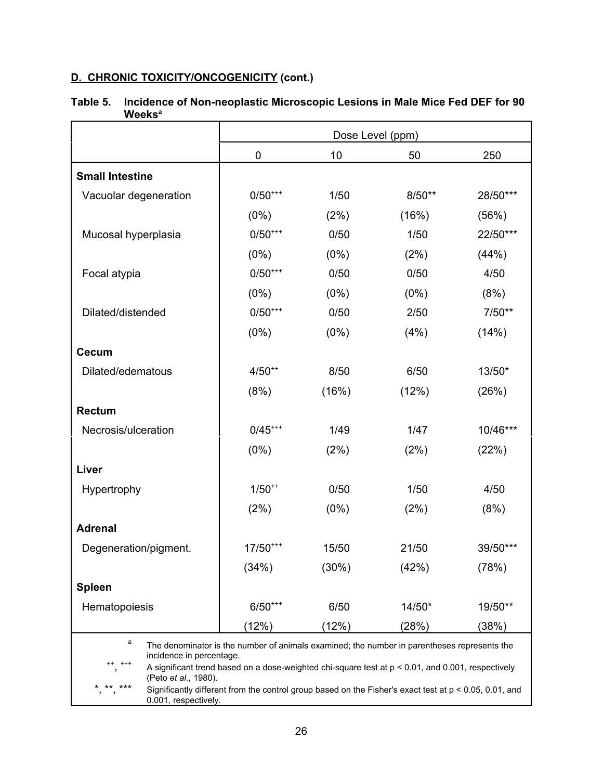|                                                                                                                                                                                                                                                                                                                                                                                           | Dose Level (ppm)      |         |          |          |  |
|-------------------------------------------------------------------------------------------------------------------------------------------------------------------------------------------------------------------------------------------------------------------------------------------------------------------------------------------------------------------------------------------|-----------------------|---------|----------|----------|--|
|                                                                                                                                                                                                                                                                                                                                                                                           | 0                     | 10      | 50       | 250      |  |
| <b>Small Intestine</b>                                                                                                                                                                                                                                                                                                                                                                    |                       |         |          |          |  |
| Vacuolar degeneration                                                                                                                                                                                                                                                                                                                                                                     | $0/50^{***}$          | 1/50    | $8/50**$ | 28/50*** |  |
|                                                                                                                                                                                                                                                                                                                                                                                           | (0%)                  | (2%)    | (16%)    | (56%)    |  |
| Mucosal hyperplasia                                                                                                                                                                                                                                                                                                                                                                       | $0/50^{***}$          | 0/50    | 1/50     | 22/50*** |  |
|                                                                                                                                                                                                                                                                                                                                                                                           | $(0\%)$               | $(0\%)$ | (2%)     | (44%)    |  |
| Focal atypia                                                                                                                                                                                                                                                                                                                                                                              | $0/50^{***}$          | 0/50    | 0/50     | 4/50     |  |
|                                                                                                                                                                                                                                                                                                                                                                                           | $(0\%)$               | $(0\%)$ | $(0\%)$  | (8%)     |  |
| Dilated/distended                                                                                                                                                                                                                                                                                                                                                                         | $0/50^{***}$          | 0/50    | 2/50     | $7/50**$ |  |
|                                                                                                                                                                                                                                                                                                                                                                                           | (0%)                  | $(0\%)$ | (4%)     | (14%)    |  |
| <b>Cecum</b>                                                                                                                                                                                                                                                                                                                                                                              |                       |         |          |          |  |
| Dilated/edematous                                                                                                                                                                                                                                                                                                                                                                         | $4/50^{++}$           | 8/50    | 6/50     | 13/50*   |  |
|                                                                                                                                                                                                                                                                                                                                                                                           | (8%)                  | (16%)   | (12%)    | (26%)    |  |
| <b>Rectum</b>                                                                                                                                                                                                                                                                                                                                                                             |                       |         |          |          |  |
| Necrosis/ulceration                                                                                                                                                                                                                                                                                                                                                                       | $0/45$ <sup>***</sup> | 1/49    | 1/47     | 10/46*** |  |
|                                                                                                                                                                                                                                                                                                                                                                                           | $(0\%)$               | (2%)    | (2%)     | (22%)    |  |
| Liver                                                                                                                                                                                                                                                                                                                                                                                     |                       |         |          |          |  |
| Hypertrophy                                                                                                                                                                                                                                                                                                                                                                               | $1/50^{++}$           | 0/50    | 1/50     | 4/50     |  |
|                                                                                                                                                                                                                                                                                                                                                                                           | (2%)                  | $(0\%)$ | (2%)     | (8%)     |  |
| <b>Adrenal</b>                                                                                                                                                                                                                                                                                                                                                                            |                       |         |          |          |  |
| Degeneration/pigment.                                                                                                                                                                                                                                                                                                                                                                     | $17/50^{***}$         | 15/50   | 21/50    | 39/50*** |  |
|                                                                                                                                                                                                                                                                                                                                                                                           | (34%)                 | (30%)   | (42%)    | (78%)    |  |
| <b>Spleen</b>                                                                                                                                                                                                                                                                                                                                                                             |                       |         |          |          |  |
| Hematopoiesis                                                                                                                                                                                                                                                                                                                                                                             | $6/50^{***}$          | 6/50    | 14/50*   | 19/50**  |  |
|                                                                                                                                                                                                                                                                                                                                                                                           | (12%)                 | (12%)   | (28%)    | (38%)    |  |
| a<br>The denominator is the number of animals examined; the number in parentheses represents the<br>incidence in percentage.<br>$^{+++}$<br>A significant trend based on a dose-weighted chi-square test at p < 0.01, and 0.001, respectively<br>(Peto et al., 1980).<br>** ***<br>Significantly different from the control group based on the Fisher's exact test at p < 0.05, 0.01, and |                       |         |          |          |  |
| 0.001, respectively.                                                                                                                                                                                                                                                                                                                                                                      |                       |         |          |          |  |

# **Table 5. Incidence of Non-neoplastic Microscopic Lesions in Male Mice Fed DEF for 90 Weeks<sup>a</sup>**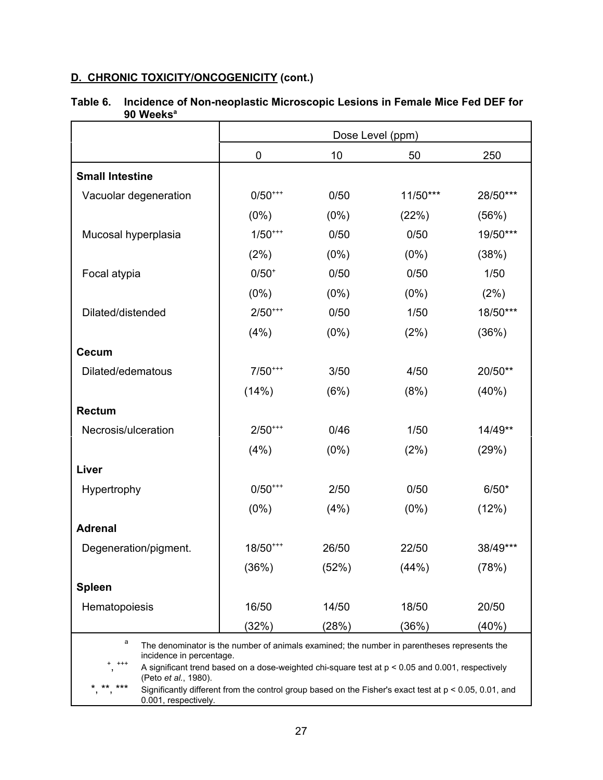|                                                                                                                                                                                                                                                                                                                                                                                            | Dose Level (ppm) |         |          |          |  |
|--------------------------------------------------------------------------------------------------------------------------------------------------------------------------------------------------------------------------------------------------------------------------------------------------------------------------------------------------------------------------------------------|------------------|---------|----------|----------|--|
|                                                                                                                                                                                                                                                                                                                                                                                            | 0                | 10      | 50       | 250      |  |
| <b>Small Intestine</b>                                                                                                                                                                                                                                                                                                                                                                     |                  |         |          |          |  |
| Vacuolar degeneration                                                                                                                                                                                                                                                                                                                                                                      | $0/50^{***}$     | 0/50    | 11/50*** | 28/50*** |  |
|                                                                                                                                                                                                                                                                                                                                                                                            | $(0\%)$          | $(0\%)$ | (22%)    | (56%)    |  |
| Mucosal hyperplasia                                                                                                                                                                                                                                                                                                                                                                        | $1/50^{***}$     | 0/50    | 0/50     | 19/50*** |  |
|                                                                                                                                                                                                                                                                                                                                                                                            | (2%)             | $(0\%)$ | $(0\%)$  | (38%)    |  |
| Focal atypia                                                                                                                                                                                                                                                                                                                                                                               | $0/50^{+}$       | 0/50    | 0/50     | 1/50     |  |
|                                                                                                                                                                                                                                                                                                                                                                                            | $(0\%)$          | $(0\%)$ | $(0\%)$  | (2%)     |  |
| Dilated/distended                                                                                                                                                                                                                                                                                                                                                                          | $2/50^{***}$     | 0/50    | 1/50     | 18/50*** |  |
|                                                                                                                                                                                                                                                                                                                                                                                            | (4%)             | $(0\%)$ | (2%)     | (36%)    |  |
| <b>Cecum</b>                                                                                                                                                                                                                                                                                                                                                                               |                  |         |          |          |  |
| Dilated/edematous                                                                                                                                                                                                                                                                                                                                                                          | $7/50***$        | 3/50    | 4/50     | 20/50**  |  |
|                                                                                                                                                                                                                                                                                                                                                                                            | (14%)            | (6%)    | (8%)     | (40%)    |  |
| <b>Rectum</b>                                                                                                                                                                                                                                                                                                                                                                              |                  |         |          |          |  |
| Necrosis/ulceration                                                                                                                                                                                                                                                                                                                                                                        | $2/50^{***}$     | 0/46    | 1/50     | 14/49**  |  |
|                                                                                                                                                                                                                                                                                                                                                                                            | (4%)             | $(0\%)$ | (2%)     | (29%)    |  |
| Liver                                                                                                                                                                                                                                                                                                                                                                                      |                  |         |          |          |  |
| Hypertrophy                                                                                                                                                                                                                                                                                                                                                                                | $0/50^{***}$     | 2/50    | 0/50     | $6/50*$  |  |
|                                                                                                                                                                                                                                                                                                                                                                                            | $(0\%)$          | (4%)    | $(0\%)$  | (12%)    |  |
| <b>Adrenal</b>                                                                                                                                                                                                                                                                                                                                                                             |                  |         |          |          |  |
| Degeneration/pigment.                                                                                                                                                                                                                                                                                                                                                                      | $18/50^{***}$    | 26/50   | 22/50    | 38/49*** |  |
|                                                                                                                                                                                                                                                                                                                                                                                            | (36%)            | (52%)   | (44%)    | (78%)    |  |
| <b>Spleen</b>                                                                                                                                                                                                                                                                                                                                                                              |                  |         |          |          |  |
| Hematopoiesis                                                                                                                                                                                                                                                                                                                                                                              | 16/50            | 14/50   | 18/50    | 20/50    |  |
|                                                                                                                                                                                                                                                                                                                                                                                            | (32%)            | (28%)   | (36%)    | (40%)    |  |
| а<br>The denominator is the number of animals examined; the number in parentheses represents the<br>incidence in percentage.<br>$^{+++}$<br>A significant trend based on a dose-weighted chi-square test at $p < 0.05$ and 0.001, respectively<br>(Peto et al., 1980).<br>** ***<br>Significantly different from the control group based on the Fisher's exact test at p < 0.05, 0.01, and |                  |         |          |          |  |

# **Table 6. Incidence of Non-neoplastic Microscopic Lesions in Female Mice Fed DEF for 90 Weeks<sup>a</sup>**

0.001, respectively.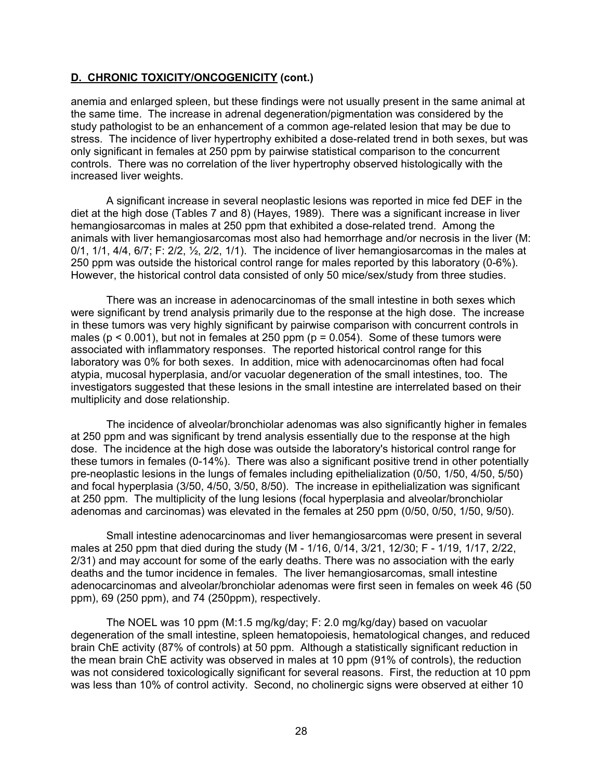anemia and enlarged spleen, but these findings were not usually present in the same animal at the same time. The increase in adrenal degeneration/pigmentation was considered by the study pathologist to be an enhancement of a common age-related lesion that may be due to stress. The incidence of liver hypertrophy exhibited a dose-related trend in both sexes, but was only significant in females at 250 ppm by pairwise statistical comparison to the concurrent controls. There was no correlation of the liver hypertrophy observed histologically with the increased liver weights.

A significant increase in several neoplastic lesions was reported in mice fed DEF in the diet at the high dose (Tables 7 and 8) (Hayes, 1989). There was a significant increase in liver hemangiosarcomas in males at 250 ppm that exhibited a dose-related trend. Among the animals with liver hemangiosarcomas most also had hemorrhage and/or necrosis in the liver (M:  $0/1$ ,  $1/1$ ,  $4/4$ ,  $6/7$ ; F:  $2/2$ ,  $\frac{1}{2}$ ,  $2/2$ ,  $1/1$ ). The incidence of liver hemangiosarcomas in the males at 250 ppm was outside the historical control range for males reported by this laboratory (0-6%). However, the historical control data consisted of only 50 mice/sex/study from three studies.

There was an increase in adenocarcinomas of the small intestine in both sexes which were significant by trend analysis primarily due to the response at the high dose. The increase in these tumors was very highly significant by pairwise comparison with concurrent controls in males ( $p < 0.001$ ), but not in females at 250 ppm ( $p = 0.054$ ). Some of these tumors were associated with inflammatory responses. The reported historical control range for this laboratory was 0% for both sexes. In addition, mice with adenocarcinomas often had focal atypia, mucosal hyperplasia, and/or vacuolar degeneration of the small intestines, too. The investigators suggested that these lesions in the small intestine are interrelated based on their multiplicity and dose relationship.

The incidence of alveolar/bronchiolar adenomas was also significantly higher in females at 250 ppm and was significant by trend analysis essentially due to the response at the high dose. The incidence at the high dose was outside the laboratory's historical control range for these tumors in females (0-14%). There was also a significant positive trend in other potentially pre-neoplastic lesions in the lungs of females including epithelialization (0/50, 1/50, 4/50, 5/50) and focal hyperplasia (3/50, 4/50, 3/50, 8/50). The increase in epithelialization was significant at 250 ppm. The multiplicity of the lung lesions (focal hyperplasia and alveolar/bronchiolar adenomas and carcinomas) was elevated in the females at 250 ppm (0/50, 0/50, 1/50, 9/50).

Small intestine adenocarcinomas and liver hemangiosarcomas were present in several males at 250 ppm that died during the study (M - 1/16, 0/14, 3/21, 12/30; F - 1/19, 1/17, 2/22, 2/31) and may account for some of the early deaths. There was no association with the early deaths and the tumor incidence in females. The liver hemangiosarcomas, small intestine adenocarcinomas and alveolar/bronchiolar adenomas were first seen in females on week 46 (50 ppm), 69 (250 ppm), and 74 (250ppm), respectively.

The NOEL was 10 ppm (M:1.5 mg/kg/day; F: 2.0 mg/kg/day) based on vacuolar degeneration of the small intestine, spleen hematopoiesis, hematological changes, and reduced brain ChE activity (87% of controls) at 50 ppm. Although a statistically significant reduction in the mean brain ChE activity was observed in males at 10 ppm (91% of controls), the reduction was not considered toxicologically significant for several reasons. First, the reduction at 10 ppm was less than 10% of control activity. Second, no cholinergic signs were observed at either 10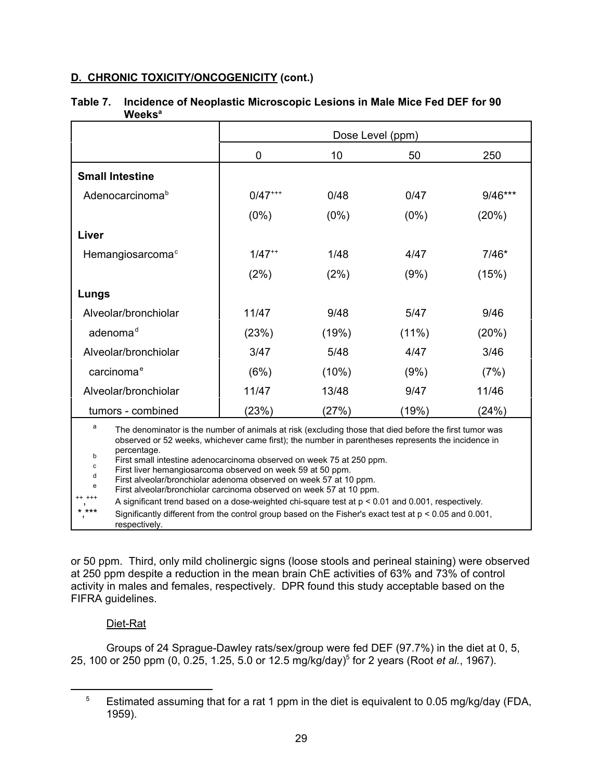|                                                                                                                                                                                                                                                                                                                                                                                                                                                                                                                                                                                                                                                                                                                                                                                               | Dose Level (ppm)                 |         |         |         |  |  |
|-----------------------------------------------------------------------------------------------------------------------------------------------------------------------------------------------------------------------------------------------------------------------------------------------------------------------------------------------------------------------------------------------------------------------------------------------------------------------------------------------------------------------------------------------------------------------------------------------------------------------------------------------------------------------------------------------------------------------------------------------------------------------------------------------|----------------------------------|---------|---------|---------|--|--|
|                                                                                                                                                                                                                                                                                                                                                                                                                                                                                                                                                                                                                                                                                                                                                                                               | 0                                | 10      | 50      | 250     |  |  |
| <b>Small Intestine</b>                                                                                                                                                                                                                                                                                                                                                                                                                                                                                                                                                                                                                                                                                                                                                                        |                                  |         |         |         |  |  |
| Adenocarcinoma <sup>b</sup>                                                                                                                                                                                                                                                                                                                                                                                                                                                                                                                                                                                                                                                                                                                                                                   | $0/47***$                        | 0/48    | 0/47    | 9/46*** |  |  |
|                                                                                                                                                                                                                                                                                                                                                                                                                                                                                                                                                                                                                                                                                                                                                                                               | $(0\%)$                          | $(0\%)$ | $(0\%)$ | (20%)   |  |  |
| Liver                                                                                                                                                                                                                                                                                                                                                                                                                                                                                                                                                                                                                                                                                                                                                                                         |                                  |         |         |         |  |  |
| Hemangiosarcoma <sup>c</sup>                                                                                                                                                                                                                                                                                                                                                                                                                                                                                                                                                                                                                                                                                                                                                                  | $1/47$ <sup>**</sup>             | 1/48    | 4/47    | $7/46*$ |  |  |
|                                                                                                                                                                                                                                                                                                                                                                                                                                                                                                                                                                                                                                                                                                                                                                                               | (2%)                             | (2%)    | (9%)    | (15%)   |  |  |
| Lungs                                                                                                                                                                                                                                                                                                                                                                                                                                                                                                                                                                                                                                                                                                                                                                                         |                                  |         |         |         |  |  |
| Alveolar/bronchiolar                                                                                                                                                                                                                                                                                                                                                                                                                                                                                                                                                                                                                                                                                                                                                                          | 11/47                            | 9/48    | 5/47    | 9/46    |  |  |
| adenoma <sup>d</sup>                                                                                                                                                                                                                                                                                                                                                                                                                                                                                                                                                                                                                                                                                                                                                                          | (23%)<br>(19%)<br>$(11\%)$       |         |         |         |  |  |
| Alveolar/bronchiolar                                                                                                                                                                                                                                                                                                                                                                                                                                                                                                                                                                                                                                                                                                                                                                          | 5/48<br>3/46<br>3/47<br>4/47     |         |         |         |  |  |
| carcinoma <sup>e</sup>                                                                                                                                                                                                                                                                                                                                                                                                                                                                                                                                                                                                                                                                                                                                                                        | (6%)<br>$(10\%)$<br>(9%)<br>(7%) |         |         |         |  |  |
| Alveolar/bronchiolar                                                                                                                                                                                                                                                                                                                                                                                                                                                                                                                                                                                                                                                                                                                                                                          | 11/47<br>11/46<br>13/48<br>9/47  |         |         |         |  |  |
| tumors - combined                                                                                                                                                                                                                                                                                                                                                                                                                                                                                                                                                                                                                                                                                                                                                                             | (23%)                            | (27%)   | (19%)   | (24%)   |  |  |
| a<br>The denominator is the number of animals at risk (excluding those that died before the first tumor was<br>observed or 52 weeks, whichever came first); the number in parentheses represents the incidence in<br>percentage.<br>b<br>First small intestine adenocarcinoma observed on week 75 at 250 ppm.<br>$\mathbf c$<br>First liver hemangiosarcoma observed on week 59 at 50 ppm.<br>d<br>First alveolar/bronchiolar adenoma observed on week 57 at 10 ppm.<br>e<br>First alveolar/bronchiolar carcinoma observed on week 57 at 10 ppm.<br>A significant trend based on a dose-weighted chi-square test at $p < 0.01$ and 0.001, respectively.<br>* ***<br>Significantly different from the control group based on the Fisher's exact test at $p < 0.05$ and 0.001,<br>respectively. |                                  |         |         |         |  |  |

## **Table 7. Incidence of Neoplastic Microscopic Lesions in Male Mice Fed DEF for 90 Weeks<sup>a</sup>**

or 50 ppm. Third, only mild cholinergic signs (loose stools and perineal staining) were observed at 250 ppm despite a reduction in the mean brain ChE activities of 63% and 73% of control activity in males and females, respectively. DPR found this study acceptable based on the FIFRA guidelines.

# Diet-Rat

Groups of 24 Sprague-Dawley rats/sex/group were fed DEF (97.7%) in the diet at 0, 5, 25, 100 or 250 ppm (0, 0.25, 1.25, 5.0 or 12.5 mg/kg/day)<sup>5</sup> for 2 years (Root *et al.*, 1967).

Estimated assuming that for a rat 1 ppm in the diet is equivalent to 0.05 mg/kg/day (FDA, 1959). 5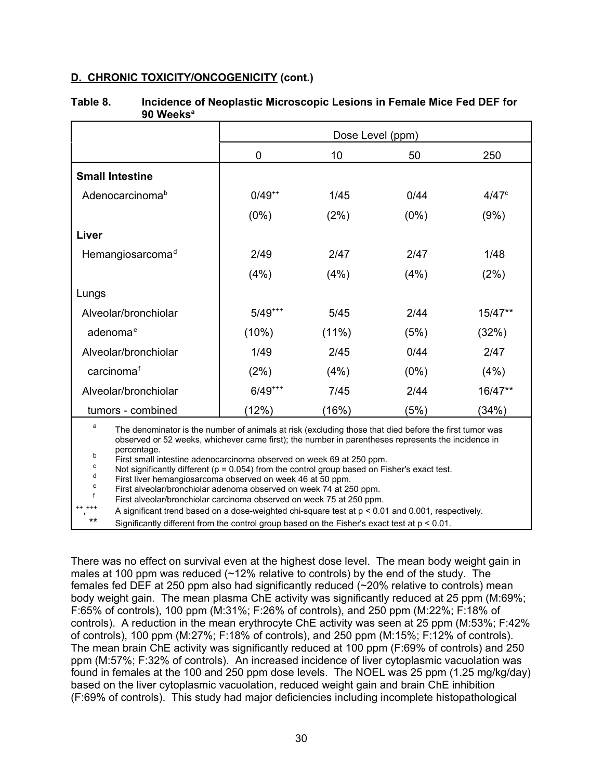| TTGGNJ                                                                                                                                                                                                                                                                                                                                                                                                                                                                                                                                                                                                                                                      |             |                  |         |                |  |
|-------------------------------------------------------------------------------------------------------------------------------------------------------------------------------------------------------------------------------------------------------------------------------------------------------------------------------------------------------------------------------------------------------------------------------------------------------------------------------------------------------------------------------------------------------------------------------------------------------------------------------------------------------------|-------------|------------------|---------|----------------|--|
|                                                                                                                                                                                                                                                                                                                                                                                                                                                                                                                                                                                                                                                             |             | Dose Level (ppm) |         |                |  |
|                                                                                                                                                                                                                                                                                                                                                                                                                                                                                                                                                                                                                                                             | 0           | 10               | 50      | 250            |  |
| <b>Small Intestine</b>                                                                                                                                                                                                                                                                                                                                                                                                                                                                                                                                                                                                                                      |             |                  |         |                |  |
| Adenocarcinomab                                                                                                                                                                                                                                                                                                                                                                                                                                                                                                                                                                                                                                             | $0/49^{++}$ | 1/45             | 0/44    | $4/47^{\circ}$ |  |
|                                                                                                                                                                                                                                                                                                                                                                                                                                                                                                                                                                                                                                                             | $(0\%)$     | (2%)             | (0%)    | (9%)           |  |
| Liver                                                                                                                                                                                                                                                                                                                                                                                                                                                                                                                                                                                                                                                       |             |                  |         |                |  |
| Hemangiosarcomad                                                                                                                                                                                                                                                                                                                                                                                                                                                                                                                                                                                                                                            | 2/49        | 2/47             | 2/47    | 1/48           |  |
|                                                                                                                                                                                                                                                                                                                                                                                                                                                                                                                                                                                                                                                             | (4%)        | (4% )            | (4%)    | (2%)           |  |
| Lungs                                                                                                                                                                                                                                                                                                                                                                                                                                                                                                                                                                                                                                                       |             |                  |         |                |  |
| Alveolar/bronchiolar                                                                                                                                                                                                                                                                                                                                                                                                                                                                                                                                                                                                                                        | $5/49$ ***  | 5/45             | 2/44    | 15/47**        |  |
| adenoma <sup>e</sup>                                                                                                                                                                                                                                                                                                                                                                                                                                                                                                                                                                                                                                        | (10%)       | $(11\%)$         | (5%)    | (32%)          |  |
| Alveolar/bronchiolar                                                                                                                                                                                                                                                                                                                                                                                                                                                                                                                                                                                                                                        | 1/49        | 2/45             | 0/44    | 2/47           |  |
| carcinoma <sup>f</sup>                                                                                                                                                                                                                                                                                                                                                                                                                                                                                                                                                                                                                                      | (2%)        | (4%)             | $(0\%)$ | (4%)           |  |
| Alveolar/bronchiolar                                                                                                                                                                                                                                                                                                                                                                                                                                                                                                                                                                                                                                        | $6/49***$   | 7/45             | 2/44    | 16/47**        |  |
| tumors - combined                                                                                                                                                                                                                                                                                                                                                                                                                                                                                                                                                                                                                                           | (12%)       | (16%)            | (5%)    | (34%)          |  |
| a<br>The denominator is the number of animals at risk (excluding those that died before the first tumor was<br>observed or 52 weeks, whichever came first); the number in parentheses represents the incidence in<br>percentage.<br>b<br>First small intestine adenocarcinoma observed on week 69 at 250 ppm.<br>$\mathbf c$<br>Not significantly different ( $p = 0.054$ ) from the control group based on Fisher's exact test.<br>d<br>First liver hemangiosarcoma observed on week 46 at 50 ppm.<br>e<br>First alveolar/bronchiolar adenoma observed on week 74 at 250 ppm.<br>f<br>First alveolar/bronchiolar carcinoma observed on week 75 at 250 ppm. |             |                  |         |                |  |

# **Table 8. Incidence of Neoplastic Microscopic Lesions in Female Mice Fed DEF for 90 Weeks<sup>a</sup>**

++ +++ A significant trend based on a dose-weighted chi-square test at  $p < 0.01$  and 0.001, respectively.

Significantly different from the control group based on the Fisher's exact test at  $p < 0.01$ .

There was no effect on survival even at the highest dose level. The mean body weight gain in males at 100 ppm was reduced  $\sim$  12% relative to controls) by the end of the study. The females fed DEF at 250 ppm also had significantly reduced (~20% relative to controls) mean body weight gain. The mean plasma ChE activity was significantly reduced at 25 ppm (M:69%; F:65% of controls), 100 ppm (M:31%; F:26% of controls), and 250 ppm (M:22%; F:18% of controls). A reduction in the mean erythrocyte ChE activity was seen at 25 ppm (M:53%; F:42% of controls), 100 ppm (M:27%; F:18% of controls), and 250 ppm (M:15%; F:12% of controls). The mean brain ChE activity was significantly reduced at 100 ppm (F:69% of controls) and 250 ppm (M:57%; F:32% of controls). An increased incidence of liver cytoplasmic vacuolation was found in females at the 100 and 250 ppm dose levels. The NOEL was 25 ppm (1.25 mg/kg/day) based on the liver cytoplasmic vacuolation, reduced weight gain and brain ChE inhibition (F:69% of controls). This study had major deficiencies including incomplete histopathological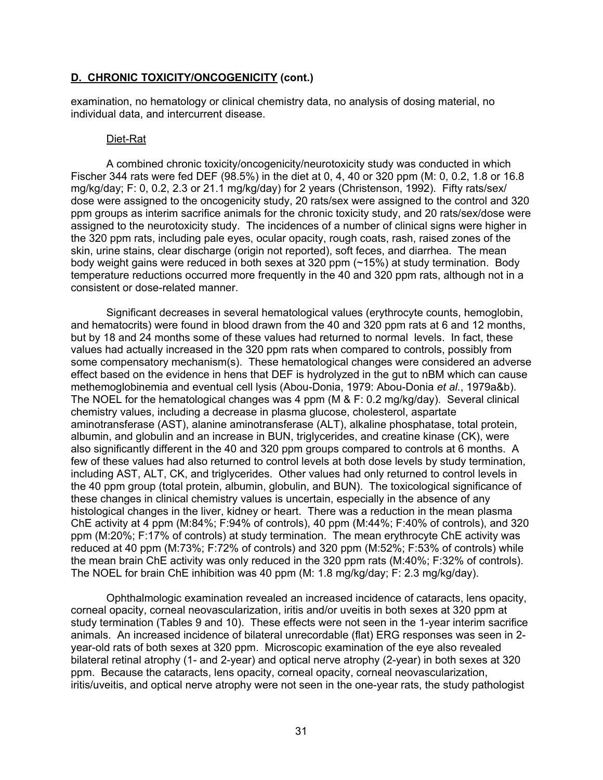examination, no hematology or clinical chemistry data, no analysis of dosing material, no individual data, and intercurrent disease.

#### Diet-Rat

A combined chronic toxicity/oncogenicity/neurotoxicity study was conducted in which Fischer 344 rats were fed DEF (98.5%) in the diet at 0, 4, 40 or 320 ppm (M: 0, 0.2, 1.8 or 16.8 mg/kg/day; F: 0, 0.2, 2.3 or 21.1 mg/kg/day) for 2 years (Christenson, 1992). Fifty rats/sex/ dose were assigned to the oncogenicity study, 20 rats/sex were assigned to the control and 320 ppm groups as interim sacrifice animals for the chronic toxicity study, and 20 rats/sex/dose were assigned to the neurotoxicity study. The incidences of a number of clinical signs were higher in the 320 ppm rats, including pale eyes, ocular opacity, rough coats, rash, raised zones of the skin, urine stains, clear discharge (origin not reported), soft feces, and diarrhea. The mean body weight gains were reduced in both sexes at 320 ppm (~15%) at study termination. Body temperature reductions occurred more frequently in the 40 and 320 ppm rats, although not in a consistent or dose-related manner.

Significant decreases in several hematological values (erythrocyte counts, hemoglobin, and hematocrits) were found in blood drawn from the 40 and 320 ppm rats at 6 and 12 months, but by 18 and 24 months some of these values had returned to normal levels. In fact, these values had actually increased in the 320 ppm rats when compared to controls, possibly from some compensatory mechanism(s). These hematological changes were considered an adverse effect based on the evidence in hens that DEF is hydrolyzed in the gut to nBM which can cause methemoglobinemia and eventual cell lysis (Abou-Donia, 1979: Abou-Donia *et al.*, 1979a&b). The NOEL for the hematological changes was 4 ppm (M & F: 0.2 mg/kg/day). Several clinical chemistry values, including a decrease in plasma glucose, cholesterol, aspartate aminotransferase (AST), alanine aminotransferase (ALT), alkaline phosphatase, total protein, albumin, and globulin and an increase in BUN, triglycerides, and creatine kinase (CK), were also significantly different in the 40 and 320 ppm groups compared to controls at 6 months. A few of these values had also returned to control levels at both dose levels by study termination, including AST, ALT, CK, and triglycerides. Other values had only returned to control levels in the 40 ppm group (total protein, albumin, globulin, and BUN). The toxicological significance of these changes in clinical chemistry values is uncertain, especially in the absence of any histological changes in the liver, kidney or heart. There was a reduction in the mean plasma ChE activity at 4 ppm (M:84%; F:94% of controls), 40 ppm (M:44%; F:40% of controls), and 320 ppm (M:20%; F:17% of controls) at study termination. The mean erythrocyte ChE activity was reduced at 40 ppm (M:73%; F:72% of controls) and 320 ppm (M:52%; F:53% of controls) while the mean brain ChE activity was only reduced in the 320 ppm rats (M:40%; F:32% of controls). The NOEL for brain ChE inhibition was 40 ppm (M: 1.8 mg/kg/day; F: 2.3 mg/kg/day).

Ophthalmologic examination revealed an increased incidence of cataracts, lens opacity, corneal opacity, corneal neovascularization, iritis and/or uveitis in both sexes at 320 ppm at study termination (Tables 9 and 10). These effects were not seen in the 1-year interim sacrifice animals. An increased incidence of bilateral unrecordable (flat) ERG responses was seen in 2 year-old rats of both sexes at 320 ppm. Microscopic examination of the eye also revealed bilateral retinal atrophy (1- and 2-year) and optical nerve atrophy (2-year) in both sexes at 320 ppm. Because the cataracts, lens opacity, corneal opacity, corneal neovascularization, iritis/uveitis, and optical nerve atrophy were not seen in the one-year rats, the study pathologist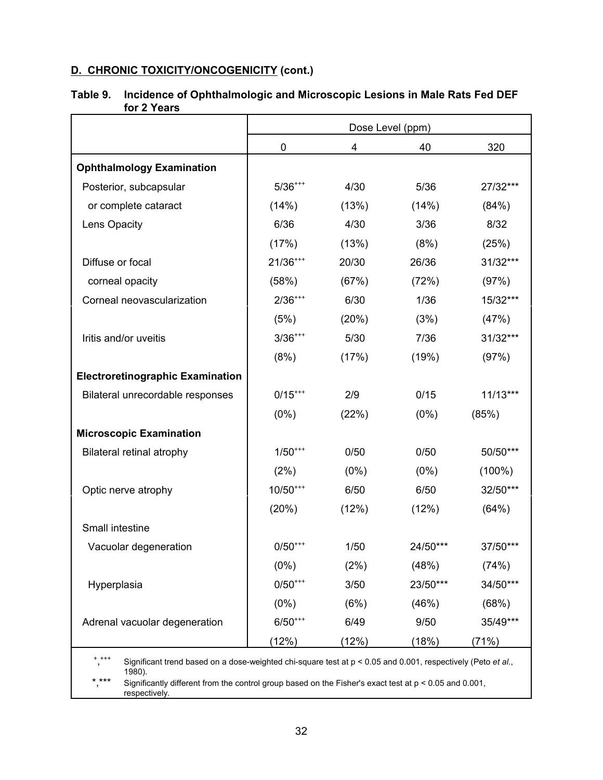|                                                                                                                             | Dose Level (ppm) |         |          |            |
|-----------------------------------------------------------------------------------------------------------------------------|------------------|---------|----------|------------|
|                                                                                                                             | $\mathbf 0$      | 4       | 40       | 320        |
| <b>Ophthalmology Examination</b>                                                                                            |                  |         |          |            |
| Posterior, subcapsular                                                                                                      | $5/36^{***}$     | 4/30    | 5/36     | 27/32***   |
| or complete cataract                                                                                                        | (14%)            | (13%)   | (14%)    | (84%)      |
| Lens Opacity                                                                                                                | 6/36             | 4/30    | 3/36     | 8/32       |
|                                                                                                                             | (17%)            | (13%)   | (8%)     | (25%)      |
| Diffuse or focal                                                                                                            | $21/36^{***}$    | 20/30   | 26/36    | 31/32***   |
| corneal opacity                                                                                                             | (58%)            | (67%)   | (72%)    | (97%)      |
| Corneal neovascularization                                                                                                  | $2/36^{***}$     | 6/30    | 1/36     | 15/32***   |
|                                                                                                                             | (5%)             | (20%)   | (3%)     | (47%)      |
| Iritis and/or uveitis                                                                                                       | $3/36^{***}$     | 5/30    | 7/36     | 31/32***   |
|                                                                                                                             | (8%)             | (17%)   | (19%)    | (97%)      |
| <b>Electroretinographic Examination</b>                                                                                     |                  |         |          |            |
| Bilateral unrecordable responses                                                                                            | $0/15^{***}$     | 2/9     | 0/15     | $11/13***$ |
|                                                                                                                             | $(0\%)$          | (22%)   | $(0\%)$  | (85%)      |
| <b>Microscopic Examination</b>                                                                                              |                  |         |          |            |
| <b>Bilateral retinal atrophy</b>                                                                                            | $1/50^{***}$     | 0/50    | 0/50     | 50/50***   |
|                                                                                                                             | (2%)             | $(0\%)$ | $(0\%)$  | $(100\%)$  |
| Optic nerve atrophy                                                                                                         | $10/50^{***}$    | 6/50    | 6/50     | 32/50***   |
|                                                                                                                             | (20%)            | (12%)   | (12%)    | (64%)      |
| Small intestine                                                                                                             |                  |         |          |            |
| Vacuolar degeneration                                                                                                       | $0/50^{***}$     | 1/50    | 24/50*** | 37/50***   |
|                                                                                                                             | $(0\%)$          | (2%)    | (48%)    | (74%)      |
| Hyperplasia                                                                                                                 | $0/50^{***}$     | 3/50    | 23/50*** | 34/50***   |
|                                                                                                                             | $(0\%)$          | (6%)    | (46%)    | (68%)      |
| Adrenal vacuolar degeneration                                                                                               | $6/50^{***}$     | 6/49    | 9/50     | 35/49***   |
|                                                                                                                             | (12%)            | (12%)   | (18%)    | (71%)      |
| $+ + + +$<br>Significant trend based on a dose-weighted chi-square test at $p < 0.05$ and 0.001, respectively (Peto et al., |                  |         |          |            |

# **Table 9. Incidence of Ophthalmologic and Microscopic Lesions in Male Rats Fed DEF for 2 Years**

1980).

\*,\*\*\* Significantly different from the control group based on the Fisher's exact test at p < 0.05 and 0.001, respectively.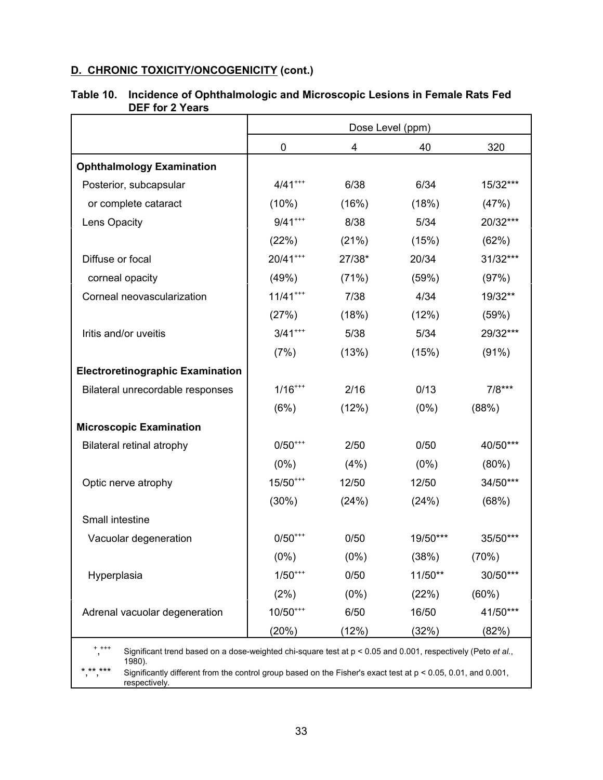|                                                                                                                                                                                                                                                                         | Dose Level (ppm) |         |          |          |  |
|-------------------------------------------------------------------------------------------------------------------------------------------------------------------------------------------------------------------------------------------------------------------------|------------------|---------|----------|----------|--|
|                                                                                                                                                                                                                                                                         | 0                | 4       | 40       | 320      |  |
| <b>Ophthalmology Examination</b>                                                                                                                                                                                                                                        |                  |         |          |          |  |
| Posterior, subcapsular                                                                                                                                                                                                                                                  | $4/41***$        | 6/38    | 6/34     | 15/32*** |  |
| or complete cataract                                                                                                                                                                                                                                                    | (10%)            | (16%)   | (18%)    | (47%)    |  |
| Lens Opacity                                                                                                                                                                                                                                                            | $9/41***$        | 8/38    | 5/34     | 20/32*** |  |
|                                                                                                                                                                                                                                                                         | (22%)            | (21%)   | (15%)    | (62%)    |  |
| Diffuse or focal                                                                                                                                                                                                                                                        | $20/41***$       | 27/38*  | 20/34    | 31/32*** |  |
| corneal opacity                                                                                                                                                                                                                                                         | (49%)            | (71%)   | (59%)    | (97%)    |  |
| Corneal neovascularization                                                                                                                                                                                                                                              | $11/41***$       | 7/38    | 4/34     | 19/32**  |  |
|                                                                                                                                                                                                                                                                         | (27%)            | (18%)   | (12%)    | (59%)    |  |
| Iritis and/or uveitis                                                                                                                                                                                                                                                   | $3/41***$        | 5/38    | 5/34     | 29/32*** |  |
|                                                                                                                                                                                                                                                                         | (7%)             | (13%)   | (15%)    | (91%)    |  |
| <b>Electroretinographic Examination</b>                                                                                                                                                                                                                                 |                  |         |          |          |  |
| Bilateral unrecordable responses                                                                                                                                                                                                                                        | $1/16^{***}$     | 2/16    | 0/13     | $7/8***$ |  |
|                                                                                                                                                                                                                                                                         | (6%)             | (12%)   | $(0\%)$  | (88%)    |  |
| <b>Microscopic Examination</b>                                                                                                                                                                                                                                          |                  |         |          |          |  |
| <b>Bilateral retinal atrophy</b>                                                                                                                                                                                                                                        | $0/50^{***}$     | 2/50    | 0/50     | 40/50*** |  |
|                                                                                                                                                                                                                                                                         | $(0\%)$          | (4%)    | (0%)     | (80%)    |  |
| Optic nerve atrophy                                                                                                                                                                                                                                                     | $15/50***$       | 12/50   | 12/50    | 34/50*** |  |
|                                                                                                                                                                                                                                                                         | (30%)            | (24%)   | (24%)    | (68%)    |  |
| Small intestine                                                                                                                                                                                                                                                         |                  |         |          |          |  |
| Vacuolar degeneration                                                                                                                                                                                                                                                   | $0/50^{***}$     | 0/50    | 19/50*** | 35/50*** |  |
|                                                                                                                                                                                                                                                                         | $(0\%)$          | $(0\%)$ | (38%)    | (70%)    |  |
| Hyperplasia                                                                                                                                                                                                                                                             | $1/50^{***}$     | 0/50    | 11/50**  | 30/50*** |  |
|                                                                                                                                                                                                                                                                         | (2%)             | $(0\%)$ | (22%)    | $(60\%)$ |  |
| Adrenal vacuolar degeneration                                                                                                                                                                                                                                           | $10/50***$       | 6/50    | 16/50    | 41/50*** |  |
|                                                                                                                                                                                                                                                                         | (20%)            | (12%)   | (32%)    | (82%)    |  |
| $+ + + +$                                                                                                                                                                                                                                                               |                  |         |          |          |  |
| Significant trend based on a dose-weighted chi-square test at $p < 0.05$ and 0.001, respectively (Peto et al.,<br>1980).<br>** ***<br>Significantly different from the control group based on the Fisher's exact test at $p < 0.05$ , 0.01, and 0.001,<br>respectively. |                  |         |          |          |  |

# **Table 10. Incidence of Ophthalmologic and Microscopic Lesions in Female Rats Fed DEF for 2 Years**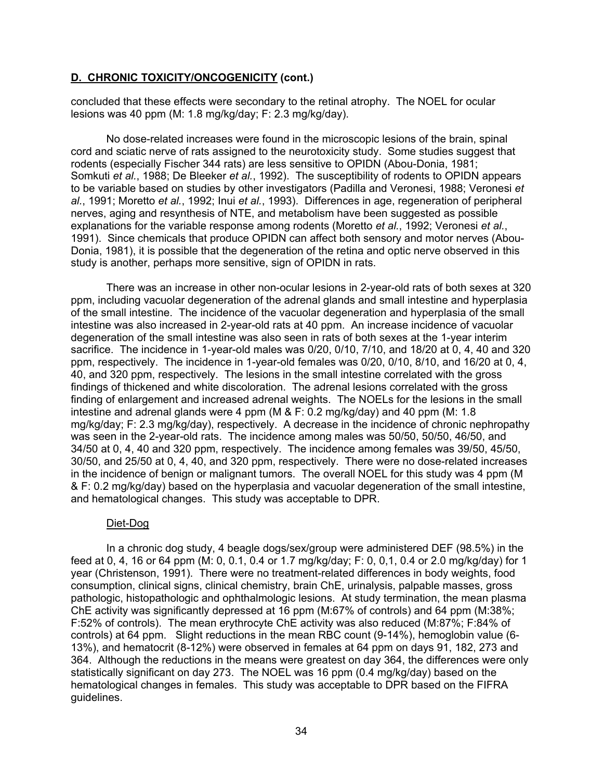concluded that these effects were secondary to the retinal atrophy. The NOEL for ocular lesions was 40 ppm (M: 1.8 mg/kg/day; F: 2.3 mg/kg/day).

No dose-related increases were found in the microscopic lesions of the brain, spinal cord and sciatic nerve of rats assigned to the neurotoxicity study. Some studies suggest that rodents (especially Fischer 344 rats) are less sensitive to OPIDN (Abou-Donia, 1981; Somkuti *et al.*, 1988; De Bleeker *et al.*, 1992). The susceptibility of rodents to OPIDN appears to be variable based on studies by other investigators (Padilla and Veronesi, 1988; Veronesi *et al.*, 1991; Moretto *et al.*, 1992; Inui *et al.*, 1993). Differences in age, regeneration of peripheral nerves, aging and resynthesis of NTE, and metabolism have been suggested as possible explanations for the variable response among rodents (Moretto *et al.*, 1992; Veronesi *et al.*, 1991). Since chemicals that produce OPIDN can affect both sensory and motor nerves (Abou-Donia, 1981), it is possible that the degeneration of the retina and optic nerve observed in this study is another, perhaps more sensitive, sign of OPIDN in rats.

There was an increase in other non-ocular lesions in 2-year-old rats of both sexes at 320 ppm, including vacuolar degeneration of the adrenal glands and small intestine and hyperplasia of the small intestine. The incidence of the vacuolar degeneration and hyperplasia of the small intestine was also increased in 2-year-old rats at 40 ppm. An increase incidence of vacuolar degeneration of the small intestine was also seen in rats of both sexes at the 1-year interim sacrifice. The incidence in 1-year-old males was 0/20, 0/10, 7/10, and 18/20 at 0, 4, 40 and 320 ppm, respectively. The incidence in 1-year-old females was 0/20, 0/10, 8/10, and 16/20 at 0, 4, 40, and 320 ppm, respectively. The lesions in the small intestine correlated with the gross findings of thickened and white discoloration. The adrenal lesions correlated with the gross finding of enlargement and increased adrenal weights. The NOELs for the lesions in the small intestine and adrenal glands were 4 ppm (M & F: 0.2 mg/kg/day) and 40 ppm (M: 1.8 mg/kg/day; F: 2.3 mg/kg/day), respectively. A decrease in the incidence of chronic nephropathy was seen in the 2-year-old rats. The incidence among males was 50/50, 50/50, 46/50, and 34/50 at 0, 4, 40 and 320 ppm, respectively. The incidence among females was 39/50, 45/50, 30/50, and 25/50 at 0, 4, 40, and 320 ppm, respectively. There were no dose-related increases in the incidence of benign or malignant tumors. The overall NOEL for this study was 4 ppm (M & F: 0.2 mg/kg/day) based on the hyperplasia and vacuolar degeneration of the small intestine, and hematological changes. This study was acceptable to DPR.

#### Diet-Dog

In a chronic dog study, 4 beagle dogs/sex/group were administered DEF (98.5%) in the feed at 0, 4, 16 or 64 ppm (M: 0, 0.1, 0.4 or 1.7 mg/kg/day; F: 0, 0,1, 0.4 or 2.0 mg/kg/day) for 1 year (Christenson, 1991). There were no treatment-related differences in body weights, food consumption, clinical signs, clinical chemistry, brain ChE, urinalysis, palpable masses, gross pathologic, histopathologic and ophthalmologic lesions. At study termination, the mean plasma ChE activity was significantly depressed at 16 ppm (M:67% of controls) and 64 ppm (M:38%; F:52% of controls). The mean erythrocyte ChE activity was also reduced (M:87%; F:84% of controls) at 64 ppm. Slight reductions in the mean RBC count (9-14%), hemoglobin value (6- 13%), and hematocrit (8-12%) were observed in females at 64 ppm on days 91, 182, 273 and 364. Although the reductions in the means were greatest on day 364, the differences were only statistically significant on day 273. The NOEL was 16 ppm (0.4 mg/kg/day) based on the hematological changes in females. This study was acceptable to DPR based on the FIFRA guidelines.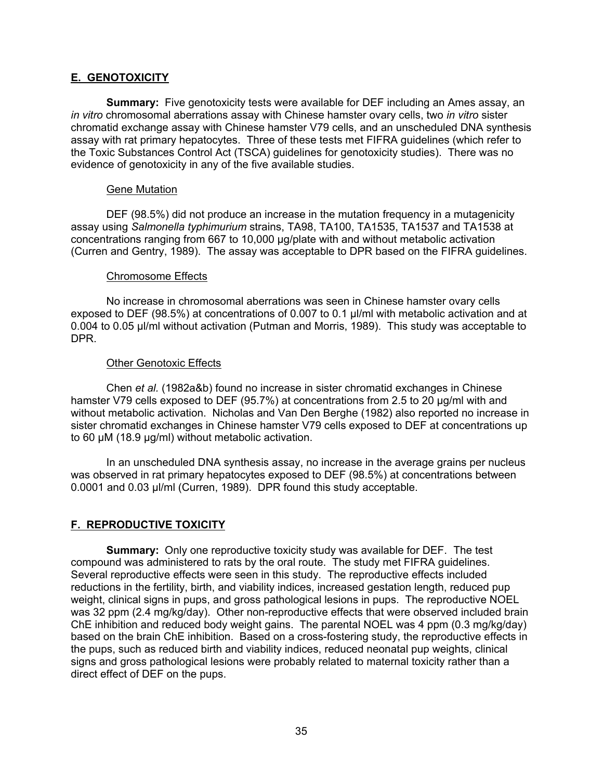# **E. GENOTOXICITY**

**Summary:** Five genotoxicity tests were available for DEF including an Ames assay, an *in vitro* chromosomal aberrations assay with Chinese hamster ovary cells, two *in vitro* sister chromatid exchange assay with Chinese hamster V79 cells, and an unscheduled DNA synthesis assay with rat primary hepatocytes. Three of these tests met FIFRA guidelines (which refer to the Toxic Substances Control Act (TSCA) guidelines for genotoxicity studies). There was no evidence of genotoxicity in any of the five available studies.

#### Gene Mutation

DEF (98.5%) did not produce an increase in the mutation frequency in a mutagenicity assay using *Salmonella typhimurium* strains, TA98, TA100, TA1535, TA1537 and TA1538 at concentrations ranging from 667 to 10,000 µg/plate with and without metabolic activation (Curren and Gentry, 1989). The assay was acceptable to DPR based on the FIFRA guidelines.

#### Chromosome Effects

No increase in chromosomal aberrations was seen in Chinese hamster ovary cells exposed to DEF (98.5%) at concentrations of 0.007 to 0.1 µl/ml with metabolic activation and at 0.004 to 0.05 µl/ml without activation (Putman and Morris, 1989). This study was acceptable to DPR.

#### Other Genotoxic Effects

Chen *et al.* (1982a&b) found no increase in sister chromatid exchanges in Chinese hamster V79 cells exposed to DEF (95.7%) at concentrations from 2.5 to 20 µg/ml with and without metabolic activation. Nicholas and Van Den Berghe (1982) also reported no increase in sister chromatid exchanges in Chinese hamster V79 cells exposed to DEF at concentrations up to 60 µM (18.9 µg/ml) without metabolic activation.

In an unscheduled DNA synthesis assay, no increase in the average grains per nucleus was observed in rat primary hepatocytes exposed to DEF (98.5%) at concentrations between 0.0001 and 0.03 µl/ml (Curren, 1989). DPR found this study acceptable.

# **F. REPRODUCTIVE TOXICITY**

**Summary:** Only one reproductive toxicity study was available for DEF. The test compound was administered to rats by the oral route. The study met FIFRA guidelines. Several reproductive effects were seen in this study. The reproductive effects included reductions in the fertility, birth, and viability indices, increased gestation length, reduced pup weight, clinical signs in pups, and gross pathological lesions in pups. The reproductive NOEL was 32 ppm (2.4 mg/kg/day). Other non-reproductive effects that were observed included brain ChE inhibition and reduced body weight gains. The parental NOEL was 4 ppm (0.3 mg/kg/day) based on the brain ChE inhibition. Based on a cross-fostering study, the reproductive effects in the pups, such as reduced birth and viability indices, reduced neonatal pup weights, clinical signs and gross pathological lesions were probably related to maternal toxicity rather than a direct effect of DEF on the pups.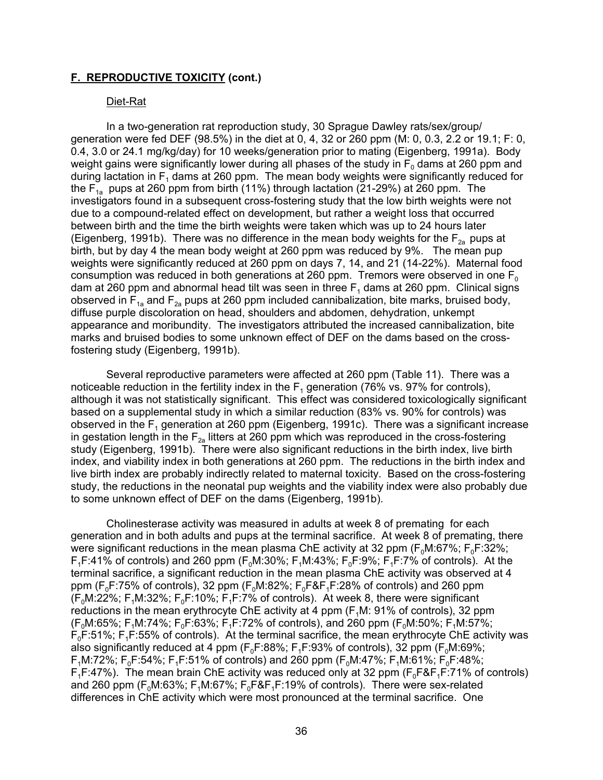## **F. REPRODUCTIVE TOXICITY (cont.)**

#### Diet-Rat

In a two-generation rat reproduction study, 30 Sprague Dawley rats/sex/group/ generation were fed DEF (98.5%) in the diet at 0, 4, 32 or 260 ppm (M: 0, 0.3, 2.2 or 19.1; F: 0, 0.4, 3.0 or 24.1 mg/kg/day) for 10 weeks/generation prior to mating (Eigenberg, 1991a). Body weight gains were significantly lower during all phases of the study in  $F_0$  dams at 260 ppm and during lactation in  $F_1$  dams at 260 ppm. The mean body weights were significantly reduced for the  $F_{1a}$  pups at 260 ppm from birth (11%) through lactation (21-29%) at 260 ppm. The investigators found in a subsequent cross-fostering study that the low birth weights were not due to a compound-related effect on development, but rather a weight loss that occurred between birth and the time the birth weights were taken which was up to 24 hours later (Eigenberg, 1991b). There was no difference in the mean body weights for the  $F_{2a}$  pups at birth, but by day 4 the mean body weight at 260 ppm was reduced by 9%. The mean pup weights were significantly reduced at 260 ppm on days 7, 14, and 21 (14-22%). Maternal food consumption was reduced in both generations at 260 ppm. Tremors were observed in one  $F_0$ dam at 260 ppm and abnormal head tilt was seen in three  $F_1$  dams at 260 ppm. Clinical signs observed in  $F_{1a}$  and  $F_{2a}$  pups at 260 ppm included cannibalization, bite marks, bruised body, diffuse purple discoloration on head, shoulders and abdomen, dehydration, unkempt appearance and moribundity. The investigators attributed the increased cannibalization, bite marks and bruised bodies to some unknown effect of DEF on the dams based on the crossfostering study (Eigenberg, 1991b).

Several reproductive parameters were affected at 260 ppm (Table 11). There was a noticeable reduction in the fertility index in the  $F_1$  generation (76% vs. 97% for controls), although it was not statistically significant. This effect was considered toxicologically significant based on a supplemental study in which a similar reduction (83% vs. 90% for controls) was observed in the  $F_1$  generation at 260 ppm (Eigenberg, 1991c). There was a significant increase in gestation length in the  $F_{2a}$  litters at 260 ppm which was reproduced in the cross-fostering study (Eigenberg, 1991b). There were also significant reductions in the birth index, live birth index, and viability index in both generations at 260 ppm. The reductions in the birth index and live birth index are probably indirectly related to maternal toxicity. Based on the cross-fostering study, the reductions in the neonatal pup weights and the viability index were also probably due to some unknown effect of DEF on the dams (Eigenberg, 1991b).

Cholinesterase activity was measured in adults at week 8 of premating for each generation and in both adults and pups at the terminal sacrifice. At week 8 of premating, there were significant reductions in the mean plasma ChE activity at 32 ppm ( $F_0M:67\%$ ;  $F_0F:32\%$ ;  $F_1F:41\%$  of controls) and 260 ppm ( $F_0M:30\%$ ;  $F_1M:43\%$ ;  $F_0F:9\%$ ;  $F_1F:7\%$  of controls). At the terminal sacrifice, a significant reduction in the mean plasma ChE activity was observed at 4 ppm ( $F_0F:75\%$  of controls), 32 ppm ( $F_0M:82\%$ ;  $F_0F\&F_1F:28\%$  of controls) and 260 ppm (F<sub>0</sub>M:22%; F<sub>1</sub>M:32%; F<sub>0</sub>F:10%; F<sub>1</sub>F:7% of controls). At week 8, there were significant reductions in the mean erythrocyte ChE activity at 4 ppm  $(F<sub>1</sub>M: 91%$  of controls), 32 ppm  $(F_0M:65\%; F_1M:74\%; F_0F:63\%; F_1F:72\% \text{ of controls}), \text{ and } 260 \text{ ppm } (F_0M:50\%; F_1M:57\%;$  $F<sub>0</sub>F:51\%$ ;  $F<sub>1</sub>F:55\%$  of controls). At the terminal sacrifice, the mean erythrocyte ChE activity was also significantly reduced at 4 ppm ( $F_0F:88\%$ ;  $F_1F:93\%$  of controls), 32 ppm ( $F_0M:69\%$ ;  $F_1M:72\%$ ;  $F_0F:54\%$ ;  $F_1F:51\%$  of controls) and 260 ppm ( $F_0M:47\%$ ;  $F_1M:61\%$ ;  $F_0F:48\%$ ;  $F_1F:47\%$ ). The mean brain ChE activity was reduced only at 32 ppm ( $F_0F_2F_1F:71\%$  of controls) and 260 ppm ( $F_0M:63\%$ ;  $F_1M:67\%$ ;  $F_0F\&F_1F:19\%$  of controls). There were sex-related differences in ChE activity which were most pronounced at the terminal sacrifice. One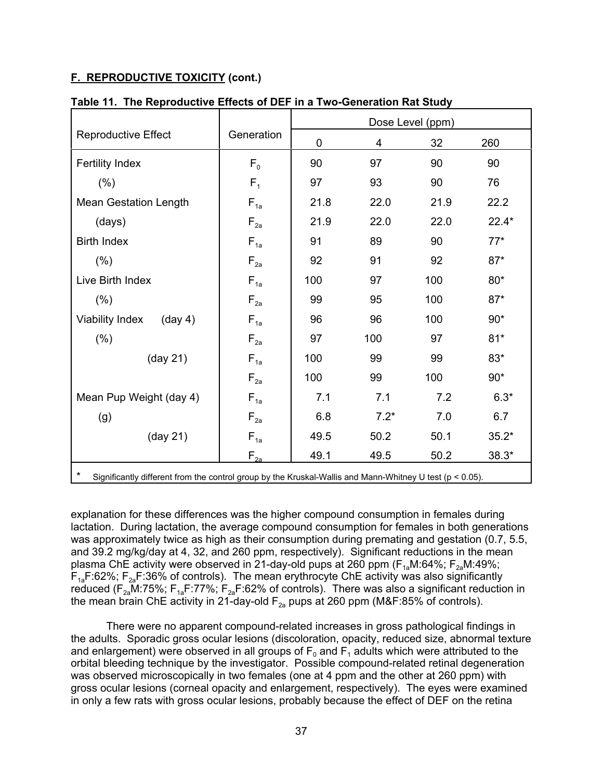# **F. REPRODUCTIVE TOXICITY (cont.)**

|                                                                                                                         | Dose Level (ppm)         |             |        |      |         |
|-------------------------------------------------------------------------------------------------------------------------|--------------------------|-------------|--------|------|---------|
| <b>Reproductive Effect</b>                                                                                              | Generation               | $\mathbf 0$ | 4      | 32   | 260     |
| <b>Fertility Index</b>                                                                                                  | F <sub>0</sub>           | 90          | 97     | 90   | 90      |
| (%)                                                                                                                     | $F_{1}$                  | 97          | 93     | 90   | 76      |
| <b>Mean Gestation Length</b>                                                                                            | $F_{1a}$                 | 21.8        | 22.0   | 21.9 | 22.2    |
| (days)                                                                                                                  | $F_{2a}$                 | 21.9        | 22.0   | 22.0 | $22.4*$ |
| <b>Birth Index</b>                                                                                                      | $F_{1a}$                 | 91          | 89     | 90   | $77*$   |
| (% )                                                                                                                    | $F_{2a}$                 | 92          | 91     | 92   | $87*$   |
| Live Birth Index                                                                                                        | $F_{1a}$                 | 100         | 97     | 100  | $80*$   |
| (% )                                                                                                                    | $F_{2a}$                 | 99          | 95     | 100  | $87*$   |
| <b>Viability Index</b><br>$(\text{day } 4)$                                                                             | $F_{1a}$                 | 96          | 96     | 100  | $90*$   |
| (%)                                                                                                                     | $F_{2a}$                 | 97          | 100    | 97   | $81*$   |
| (day 21)                                                                                                                | $F_{1a}$                 | 100         | 99     | 99   | $83*$   |
|                                                                                                                         | $F_{2a}$                 | 100         | 99     | 100  | $90*$   |
| Mean Pup Weight (day 4)                                                                                                 | $F_{1a}$                 | 7.1         | 7.1    | 7.2  | $6.3*$  |
| (g)                                                                                                                     | $F_{2a}$                 | 6.8         | $7.2*$ | 7.0  | 6.7     |
| $(\text{day } 21)$                                                                                                      | $\mathsf{F}_{\text{1a}}$ | 49.5        | 50.2   | 50.1 | $35.2*$ |
|                                                                                                                         | $F_{2a}$                 | 49.1        | 49.5   | 50.2 | $38.3*$ |
| $\star$<br>Significantly different from the control group by the Kruskal-Wallis and Mann-Whitney U test ( $p < 0.05$ ). |                          |             |        |      |         |

# **Table 11. The Reproductive Effects of DEF in a Two-Generation Rat Study**

explanation for these differences was the higher compound consumption in females during lactation. During lactation, the average compound consumption for females in both generations was approximately twice as high as their consumption during premating and gestation (0.7, 5.5, and 39.2 mg/kg/day at 4, 32, and 260 ppm, respectively). Significant reductions in the mean plasma ChE activity were observed in 21-day-old pups at 260 ppm ( $F_{1a}M:64\%$ ;  $F_{2a}M:49\%$ ;  $F_{1a}F:62\%$ ;  $F_{2a}F:36\%$  of controls). The mean erythrocyte ChE activity was also significantly reduced ( $F_{2a}$ M:75%;  $F_{1a}F:77\%$ ;  $F_{2a}F:62\%$  of controls). There was also a significant reduction in the mean brain ChE activity in 21-day-old  $F_{2a}$  pups at 260 ppm (M&F:85% of controls).

There were no apparent compound-related increases in gross pathological findings in the adults. Sporadic gross ocular lesions (discoloration, opacity, reduced size, abnormal texture and enlargement) were observed in all groups of  $F_0$  and  $F_1$  adults which were attributed to the orbital bleeding technique by the investigator. Possible compound-related retinal degeneration was observed microscopically in two females (one at 4 ppm and the other at 260 ppm) with gross ocular lesions (corneal opacity and enlargement, respectively). The eyes were examined in only a few rats with gross ocular lesions, probably because the effect of DEF on the retina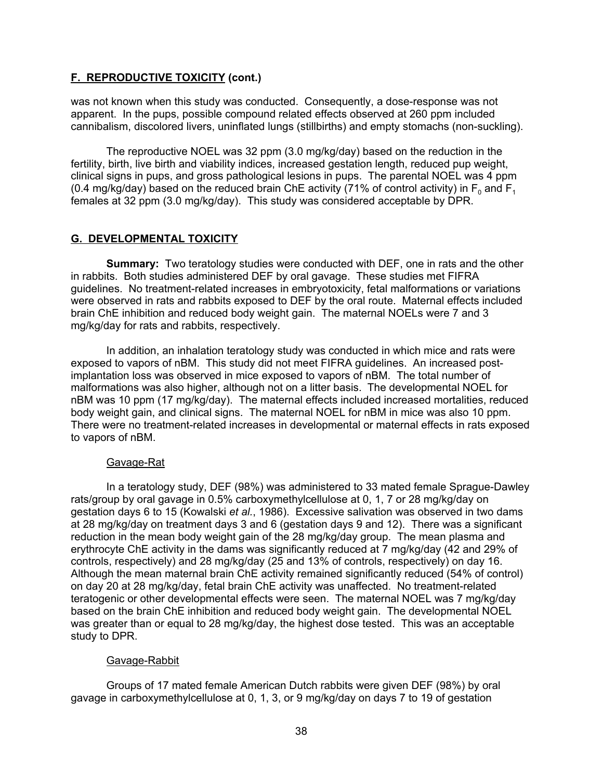# **F. REPRODUCTIVE TOXICITY (cont.)**

was not known when this study was conducted. Consequently, a dose-response was not apparent. In the pups, possible compound related effects observed at 260 ppm included cannibalism, discolored livers, uninflated lungs (stillbirths) and empty stomachs (non-suckling).

The reproductive NOEL was 32 ppm (3.0 mg/kg/day) based on the reduction in the fertility, birth, live birth and viability indices, increased gestation length, reduced pup weight, clinical signs in pups, and gross pathological lesions in pups. The parental NOEL was 4 ppm (0.4 mg/kg/day) based on the reduced brain ChE activity (71% of control activity) in  $F_0$  and  $F_1$ females at 32 ppm (3.0 mg/kg/day). This study was considered acceptable by DPR.

# **G. DEVELOPMENTAL TOXICITY**

**Summary:** Two teratology studies were conducted with DEF, one in rats and the other in rabbits. Both studies administered DEF by oral gavage. These studies met FIFRA guidelines. No treatment-related increases in embryotoxicity, fetal malformations or variations were observed in rats and rabbits exposed to DEF by the oral route. Maternal effects included brain ChE inhibition and reduced body weight gain. The maternal NOELs were 7 and 3 mg/kg/day for rats and rabbits, respectively.

In addition, an inhalation teratology study was conducted in which mice and rats were exposed to vapors of nBM. This study did not meet FIFRA guidelines. An increased postimplantation loss was observed in mice exposed to vapors of nBM. The total number of malformations was also higher, although not on a litter basis. The developmental NOEL for nBM was 10 ppm (17 mg/kg/day). The maternal effects included increased mortalities, reduced body weight gain, and clinical signs. The maternal NOEL for nBM in mice was also 10 ppm. There were no treatment-related increases in developmental or maternal effects in rats exposed to vapors of nBM.

# Gavage-Rat

In a teratology study, DEF (98%) was administered to 33 mated female Sprague-Dawley rats/group by oral gavage in 0.5% carboxymethylcellulose at 0, 1, 7 or 28 mg/kg/day on gestation days 6 to 15 (Kowalski *et al.*, 1986). Excessive salivation was observed in two dams at 28 mg/kg/day on treatment days 3 and 6 (gestation days 9 and 12). There was a significant reduction in the mean body weight gain of the 28 mg/kg/day group. The mean plasma and erythrocyte ChE activity in the dams was significantly reduced at 7 mg/kg/day (42 and 29% of controls, respectively) and 28 mg/kg/day (25 and 13% of controls, respectively) on day 16. Although the mean maternal brain ChE activity remained significantly reduced (54% of control) on day 20 at 28 mg/kg/day, fetal brain ChE activity was unaffected. No treatment-related teratogenic or other developmental effects were seen. The maternal NOEL was 7 mg/kg/day based on the brain ChE inhibition and reduced body weight gain. The developmental NOEL was greater than or equal to 28 mg/kg/day, the highest dose tested. This was an acceptable study to DPR.

# Gavage-Rabbit

Groups of 17 mated female American Dutch rabbits were given DEF (98%) by oral gavage in carboxymethylcellulose at 0, 1, 3, or 9 mg/kg/day on days 7 to 19 of gestation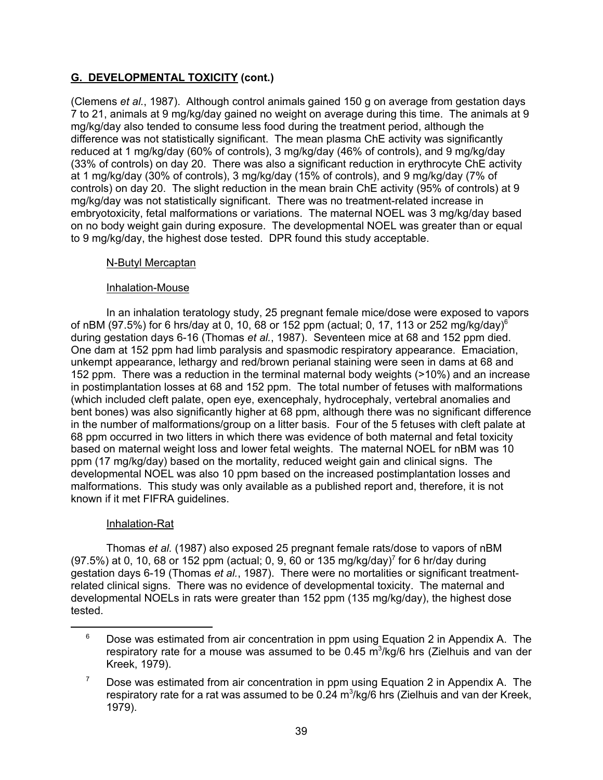# **G. DEVELOPMENTAL TOXICITY (cont.)**

(Clemens *et al.*, 1987). Although control animals gained 150 g on average from gestation days 7 to 21, animals at 9 mg/kg/day gained no weight on average during this time. The animals at 9 mg/kg/day also tended to consume less food during the treatment period, although the difference was not statistically significant. The mean plasma ChE activity was significantly reduced at 1 mg/kg/day (60% of controls), 3 mg/kg/day (46% of controls), and 9 mg/kg/day (33% of controls) on day 20. There was also a significant reduction in erythrocyte ChE activity at 1 mg/kg/day (30% of controls), 3 mg/kg/day (15% of controls), and 9 mg/kg/day (7% of controls) on day 20. The slight reduction in the mean brain ChE activity (95% of controls) at 9 mg/kg/day was not statistically significant. There was no treatment-related increase in embryotoxicity, fetal malformations or variations. The maternal NOEL was 3 mg/kg/day based on no body weight gain during exposure. The developmental NOEL was greater than or equal to 9 mg/kg/day, the highest dose tested. DPR found this study acceptable.

# N-Butyl Mercaptan

# Inhalation-Mouse

In an inhalation teratology study, 25 pregnant female mice/dose were exposed to vapors of nBM (97.5%) for 6 hrs/day at 0, 10, 68 or 152 ppm (actual; 0, 17, 113 or 252 mg/kg/day)<sup>6</sup> during gestation days 6-16 (Thomas *et al.*, 1987). Seventeen mice at 68 and 152 ppm died. One dam at 152 ppm had limb paralysis and spasmodic respiratory appearance. Emaciation, unkempt appearance, lethargy and red/brown perianal staining were seen in dams at 68 and 152 ppm. There was a reduction in the terminal maternal body weights (>10%) and an increase in postimplantation losses at 68 and 152 ppm. The total number of fetuses with malformations (which included cleft palate, open eye, exencephaly, hydrocephaly, vertebral anomalies and bent bones) was also significantly higher at 68 ppm, although there was no significant difference in the number of malformations/group on a litter basis. Four of the 5 fetuses with cleft palate at 68 ppm occurred in two litters in which there was evidence of both maternal and fetal toxicity based on maternal weight loss and lower fetal weights. The maternal NOEL for nBM was 10 ppm (17 mg/kg/day) based on the mortality, reduced weight gain and clinical signs. The developmental NOEL was also 10 ppm based on the increased postimplantation losses and malformations. This study was only available as a published report and, therefore, it is not known if it met FIFRA guidelines.

# Inhalation-Rat

Thomas *et al.* (1987) also exposed 25 pregnant female rats/dose to vapors of nBM (97.5%) at 0, 10, 68 or 152 ppm (actual; 0, 9, 60 or 135 mg/kg/day)<sup>7</sup> for 6 hr/day during gestation days 6-19 (Thomas *et al.*, 1987). There were no mortalities or significant treatmentrelated clinical signs. There was no evidence of developmental toxicity. The maternal and developmental NOELs in rats were greater than 152 ppm (135 mg/kg/day), the highest dose tested.

 $6$  Dose was estimated from air concentration in ppm using Equation 2 in Appendix A. The respiratory rate for a mouse was assumed to be 0.45 m $^3$ /kg/6 hrs (Zielhuis and van der Kreek, 1979).

 $7$  Dose was estimated from air concentration in ppm using Equation 2 in Appendix A. The respiratory rate for a rat was assumed to be 0.24 m $^3\!$ kg/6 hrs (Zielhuis and van der Kreek, 1979).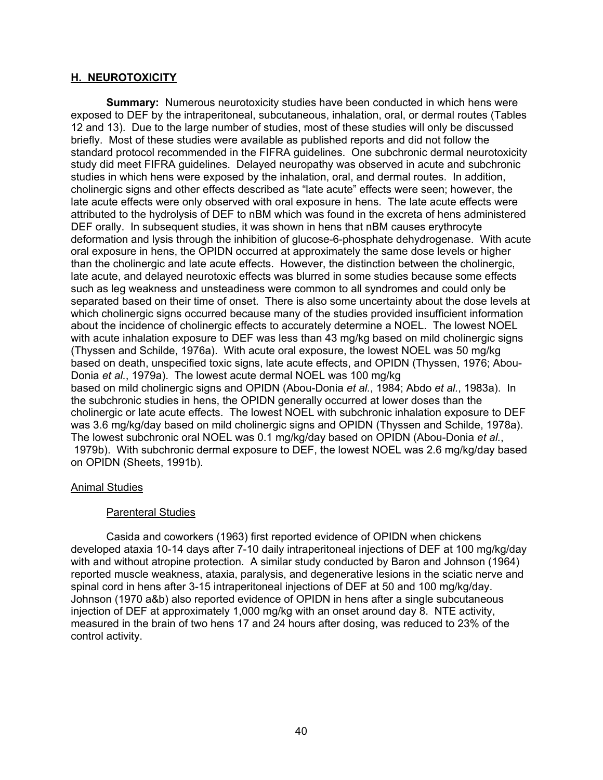#### **H. NEUROTOXICITY**

**Summary:** Numerous neurotoxicity studies have been conducted in which hens were exposed to DEF by the intraperitoneal, subcutaneous, inhalation, oral, or dermal routes (Tables 12 and 13). Due to the large number of studies, most of these studies will only be discussed briefly. Most of these studies were available as published reports and did not follow the standard protocol recommended in the FIFRA guidelines. One subchronic dermal neurotoxicity study did meet FIFRA guidelines. Delayed neuropathy was observed in acute and subchronic studies in which hens were exposed by the inhalation, oral, and dermal routes. In addition, cholinergic signs and other effects described as "late acute" effects were seen; however, the late acute effects were only observed with oral exposure in hens. The late acute effects were attributed to the hydrolysis of DEF to nBM which was found in the excreta of hens administered DEF orally. In subsequent studies, it was shown in hens that nBM causes erythrocyte deformation and lysis through the inhibition of glucose-6-phosphate dehydrogenase. With acute oral exposure in hens, the OPIDN occurred at approximately the same dose levels or higher than the cholinergic and late acute effects. However, the distinction between the cholinergic, late acute, and delayed neurotoxic effects was blurred in some studies because some effects such as leg weakness and unsteadiness were common to all syndromes and could only be separated based on their time of onset. There is also some uncertainty about the dose levels at which cholinergic signs occurred because many of the studies provided insufficient information about the incidence of cholinergic effects to accurately determine a NOEL. The lowest NOEL with acute inhalation exposure to DEF was less than 43 mg/kg based on mild cholinergic signs (Thyssen and Schilde, 1976a). With acute oral exposure, the lowest NOEL was 50 mg/kg based on death, unspecified toxic signs, late acute effects, and OPIDN (Thyssen, 1976; Abou-Donia *et al.*, 1979a). The lowest acute dermal NOEL was 100 mg/kg based on mild cholinergic signs and OPIDN (Abou-Donia *et al.*, 1984; Abdo *et al.*, 1983a). In the subchronic studies in hens, the OPIDN generally occurred at lower doses than the cholinergic or late acute effects. The lowest NOEL with subchronic inhalation exposure to DEF was 3.6 mg/kg/day based on mild cholinergic signs and OPIDN (Thyssen and Schilde, 1978a). The lowest subchronic oral NOEL was 0.1 mg/kg/day based on OPIDN (Abou-Donia *et al.*, 1979b). With subchronic dermal exposure to DEF, the lowest NOEL was 2.6 mg/kg/day based on OPIDN (Sheets, 1991b).

#### Animal Studies

#### Parenteral Studies

Casida and coworkers (1963) first reported evidence of OPIDN when chickens developed ataxia 10-14 days after 7-10 daily intraperitoneal injections of DEF at 100 mg/kg/day with and without atropine protection. A similar study conducted by Baron and Johnson (1964) reported muscle weakness, ataxia, paralysis, and degenerative lesions in the sciatic nerve and spinal cord in hens after 3-15 intraperitoneal injections of DEF at 50 and 100 mg/kg/day. Johnson (1970 a&b) also reported evidence of OPIDN in hens after a single subcutaneous injection of DEF at approximately 1,000 mg/kg with an onset around day 8. NTE activity, measured in the brain of two hens 17 and 24 hours after dosing, was reduced to 23% of the control activity.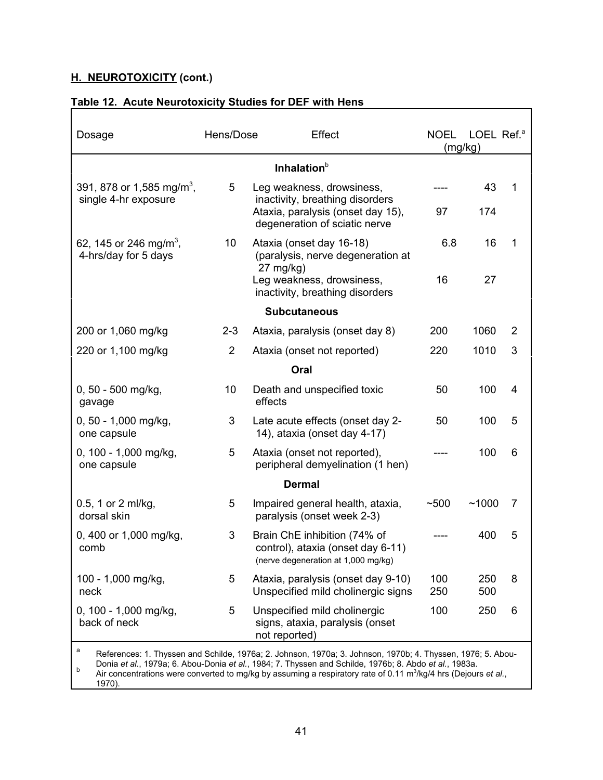| Dosage                                                     | Hens/Dose      | Effect                                                                                                                                                                                                                                                                                                                                               | <b>NOEL</b><br>(mg/kg) | LOEL Ref. <sup>a</sup> |                |
|------------------------------------------------------------|----------------|------------------------------------------------------------------------------------------------------------------------------------------------------------------------------------------------------------------------------------------------------------------------------------------------------------------------------------------------------|------------------------|------------------------|----------------|
|                                                            |                | Inhalation <sup>b</sup>                                                                                                                                                                                                                                                                                                                              |                        |                        |                |
| 391, 878 or 1,585 mg/m <sup>3</sup> ,                      | 5              | Leg weakness, drowsiness,                                                                                                                                                                                                                                                                                                                            |                        | 43                     | 1              |
| single 4-hr exposure                                       |                | inactivity, breathing disorders<br>Ataxia, paralysis (onset day 15),<br>degeneration of sciatic nerve                                                                                                                                                                                                                                                | 97                     | 174                    |                |
| 62, 145 or 246 mg/m <sup>3</sup> ,<br>4-hrs/day for 5 days | 10             | Ataxia (onset day 16-18)<br>(paralysis, nerve degeneration at<br>$27 \text{ mg/kg}$                                                                                                                                                                                                                                                                  | 6.8                    | 16                     | 1              |
|                                                            |                | Leg weakness, drowsiness,<br>inactivity, breathing disorders                                                                                                                                                                                                                                                                                         | 16                     | 27                     |                |
|                                                            |                | <b>Subcutaneous</b>                                                                                                                                                                                                                                                                                                                                  |                        |                        |                |
| 200 or 1,060 mg/kg                                         | $2 - 3$        | Ataxia, paralysis (onset day 8)                                                                                                                                                                                                                                                                                                                      | 200                    | 1060                   | $\overline{2}$ |
| 220 or 1,100 mg/kg                                         | $\overline{2}$ | Ataxia (onset not reported)                                                                                                                                                                                                                                                                                                                          | 220                    | 1010                   | 3              |
|                                                            |                | Oral                                                                                                                                                                                                                                                                                                                                                 |                        |                        |                |
| 0, 50 - 500 mg/kg,<br>gavage                               | 10             | Death and unspecified toxic<br>effects                                                                                                                                                                                                                                                                                                               | 50                     | 100                    | 4              |
| 0, 50 - 1,000 mg/kg,<br>one capsule                        | 3              | Late acute effects (onset day 2-<br>14), ataxia (onset day 4-17)                                                                                                                                                                                                                                                                                     | 50                     | 100                    | 5              |
| 0, 100 - 1,000 mg/kg,<br>one capsule                       | 5              | Ataxia (onset not reported),<br>peripheral demyelination (1 hen)                                                                                                                                                                                                                                                                                     |                        | 100                    | 6              |
|                                                            |                | <b>Dermal</b>                                                                                                                                                                                                                                                                                                                                        |                        |                        |                |
| 0.5, 1 or 2 ml/kg,<br>dorsal skin                          | 5              | Impaired general health, ataxia,<br>paralysis (onset week 2-3)                                                                                                                                                                                                                                                                                       | ~100                   | ~1000                  | 7              |
| 0, 400 or 1,000 mg/kg,<br>comb                             | 3              | Brain ChE inhibition (74% of<br>control), ataxia (onset day 6-11)<br>(nerve degeneration at 1,000 mg/kg)                                                                                                                                                                                                                                             |                        | 400                    | 5              |
| 100 - 1,000 mg/kg,<br>neck                                 | 5              | Ataxia, paralysis (onset day 9-10)<br>Unspecified mild cholinergic signs                                                                                                                                                                                                                                                                             | 100<br>250             | 250<br>500             | 8              |
| 0, 100 - 1,000 mg/kg,<br>back of neck                      | 5              | Unspecified mild cholinergic<br>signs, ataxia, paralysis (onset<br>not reported)                                                                                                                                                                                                                                                                     | 100                    | 250                    | 6              |
| a<br>b                                                     |                | References: 1. Thyssen and Schilde, 1976a; 2. Johnson, 1970a; 3. Johnson, 1970b; 4. Thyssen, 1976; 5. Abou-<br>Donia et al., 1979a; 6. Abou-Donia et al., 1984; 7. Thyssen and Schilde, 1976b; 8. Abdo et al., 1983a.<br>Air concentrations were converted to mg/kg by assuming a respiratory rate of 0.11 m <sup>3</sup> /kg/4 hrs (Dejours et al., |                        |                        |                |

٦

1970).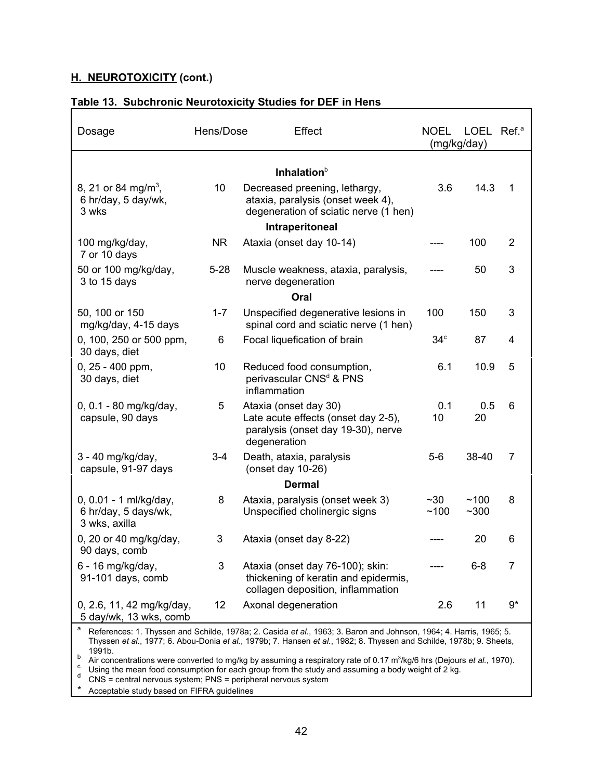| Dosage                                                          | Hens/Dose | Effect                                                                                                                                    | <b>NOEL</b><br>(mg/kg/day) | LOEL Ref. <sup>a</sup> |                |
|-----------------------------------------------------------------|-----------|-------------------------------------------------------------------------------------------------------------------------------------------|----------------------------|------------------------|----------------|
|                                                                 |           | Inhalation $b$                                                                                                                            |                            |                        |                |
| 8, 21 or 84 mg/m <sup>3</sup> ,<br>6 hr/day, 5 day/wk,<br>3 wks | 10        | Decreased preening, lethargy,<br>ataxia, paralysis (onset week 4),<br>degeneration of sciatic nerve (1 hen)                               | 3.6                        | 14.3                   | 1              |
|                                                                 |           | Intraperitoneal                                                                                                                           |                            |                        |                |
| 100 mg/kg/day,<br>7 or 10 days                                  | <b>NR</b> | Ataxia (onset day 10-14)                                                                                                                  |                            | 100                    | $\overline{2}$ |
| 50 or 100 mg/kg/day,<br>3 to 15 days                            | $5 - 28$  | Muscle weakness, ataxia, paralysis,<br>nerve degeneration                                                                                 |                            | 50                     | 3              |
|                                                                 |           | Oral                                                                                                                                      |                            |                        |                |
| 50, 100 or 150<br>mg/kg/day, 4-15 days                          | $1 - 7$   | Unspecified degenerative lesions in<br>spinal cord and sciatic nerve (1 hen)                                                              | 100                        | 150                    | 3              |
| 0, 100, 250 or 500 ppm,<br>30 days, diet                        | 6         | Focal liquefication of brain                                                                                                              | $34^\circ$                 | 87                     | 4              |
| $0, 25 - 400$ ppm,<br>30 days, diet                             | 10        | Reduced food consumption,<br>perivascular CNS <sup>d</sup> & PNS<br>inflammation                                                          | 6.1                        | 10.9                   | 5              |
| 0, 0.1 - 80 mg/kg/day,<br>capsule, 90 days                      | 5         | Ataxia (onset day 30)<br>Late acute effects (onset day 2-5),<br>paralysis (onset day 19-30), nerve<br>degeneration                        | 0.1<br>10                  | 0.5<br>20              | 6              |
| 3 - 40 mg/kg/day,<br>capsule, 91-97 days                        | $3 - 4$   | Death, ataxia, paralysis<br>(onset day 10-26)                                                                                             | $5-6$                      | 38-40                  | 7              |
|                                                                 |           | <b>Dermal</b>                                                                                                                             |                            |                        |                |
| 0, 0.01 - 1 ml/kg/day,<br>6 hr/day, 5 days/wk,<br>3 wks, axilla | 8         | Ataxia, paralysis (onset week 3)<br>Unspecified cholinergic signs                                                                         | $~1$ – 30<br>~100          | ~100<br>$~1$ - 300     | 8              |
| 0, 20 or 40 mg/kg/day,<br>90 days, comb                         | 3         | Ataxia (onset day 8-22)                                                                                                                   |                            | 20                     | 6              |
| 6 - 16 mg/kg/day,<br>91-101 days, comb                          | 3         | Ataxia (onset day 76-100); skin:<br>thickening of keratin and epidermis,<br>collagen deposition, inflammation                             |                            | $6 - 8$                | 7              |
| 0, 2.6, 11, 42 mg/kg/day,<br>5 day/wk, 13 wks, comb<br>a        | 12        | Axonal degeneration<br>References: 1. Thyssen and Schilde, 1978a; 2. Casida et al., 1963; 3. Baron and Johnson, 1964; 4. Harris, 1965; 5. | 2.6                        | 11                     | $9*$           |

# **Table 13. Subchronic Neurotoxicity Studies for DEF in Hens**

Thyssen *et al.*, 1977; 6. Abou-Donia *et al.*, 1979b; 7. Hansen *et al.*, 1982; 8. Thyssen and Schilde, 1978b; 9. Sheets, 1991b.

b Air concentrations were converted to mg/kg by assuming a respiratory rate of 0.17 m<sup>3</sup>/kg/6 hrs (Dejours *et al.*, 1970).

Hr concernrations were converted to may by assuming a respiratory rate of our management of 2 kg.<br>Using the mean food consumption for each group from the study and assuming a body weight of 2 kg.<br>CNS = central nervous syst

Acceptable study based on FIFRA guidelines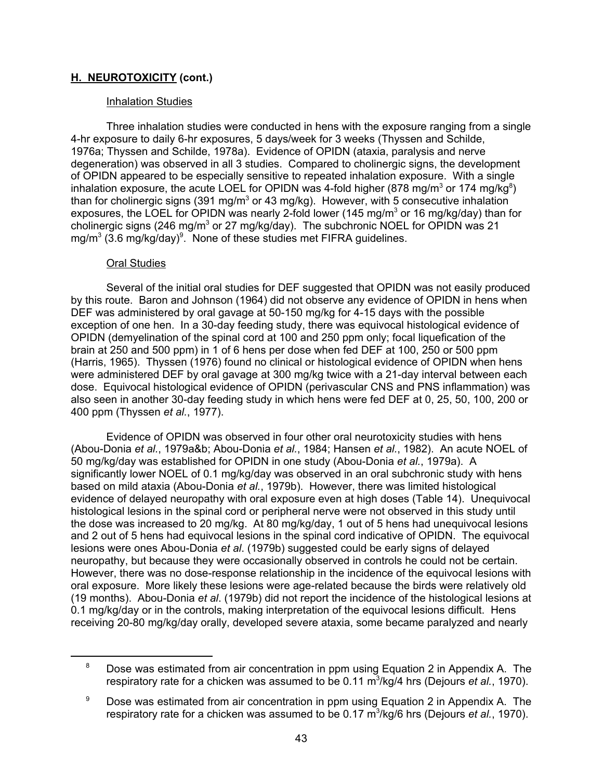## **Inhalation Studies**

Three inhalation studies were conducted in hens with the exposure ranging from a single 4-hr exposure to daily 6-hr exposures, 5 days/week for 3 weeks (Thyssen and Schilde, 1976a; Thyssen and Schilde, 1978a). Evidence of OPIDN (ataxia, paralysis and nerve degeneration) was observed in all 3 studies. Compared to cholinergic signs, the development of OPIDN appeared to be especially sensitive to repeated inhalation exposure. With a single inhalation exposure, the acute LOEL for OPIDN was 4-fold higher (878 mg/m $^3$  or 174 mg/kg $^8)$ than for cholinergic signs (391 mg/m $^3$  or 43 mg/kg). However, with 5 consecutive inhalation exposures, the LOEL for OPIDN was nearly 2-fold lower (145 mg/m $^3$  or 16 mg/kg/day) than for cholinergic signs (246 mg/m $^3$  or 27 mg/kg/day). The subchronic NOEL for OPIDN was 21  $\,$ mg/m $^3$  (3.6 mg/kg/day) $^9$ . None of these studies met FIFRA guidelines.

### Oral Studies

Several of the initial oral studies for DEF suggested that OPIDN was not easily produced by this route. Baron and Johnson (1964) did not observe any evidence of OPIDN in hens when DEF was administered by oral gavage at 50-150 mg/kg for 4-15 days with the possible exception of one hen. In a 30-day feeding study, there was equivocal histological evidence of OPIDN (demyelination of the spinal cord at 100 and 250 ppm only; focal liquefication of the brain at 250 and 500 ppm) in 1 of 6 hens per dose when fed DEF at 100, 250 or 500 ppm (Harris, 1965). Thyssen (1976) found no clinical or histological evidence of OPIDN when hens were administered DEF by oral gavage at 300 mg/kg twice with a 21-day interval between each dose. Equivocal histological evidence of OPIDN (perivascular CNS and PNS inflammation) was also seen in another 30-day feeding study in which hens were fed DEF at 0, 25, 50, 100, 200 or 400 ppm (Thyssen *et al.*, 1977).

Evidence of OPIDN was observed in four other oral neurotoxicity studies with hens (Abou-Donia *et al.*, 1979a&b; Abou-Donia *et al.*, 1984; Hansen *et al.*, 1982). An acute NOEL of 50 mg/kg/day was established for OPIDN in one study (Abou-Donia *et al.*, 1979a). A significantly lower NOEL of 0.1 mg/kg/day was observed in an oral subchronic study with hens based on mild ataxia (Abou-Donia *et al.*, 1979b). However, there was limited histological evidence of delayed neuropathy with oral exposure even at high doses (Table 14). Unequivocal histological lesions in the spinal cord or peripheral nerve were not observed in this study until the dose was increased to 20 mg/kg. At 80 mg/kg/day, 1 out of 5 hens had unequivocal lesions and 2 out of 5 hens had equivocal lesions in the spinal cord indicative of OPIDN. The equivocal lesions were ones Abou-Donia *et al*. (1979b) suggested could be early signs of delayed neuropathy, but because they were occasionally observed in controls he could not be certain. However, there was no dose-response relationship in the incidence of the equivocal lesions with oral exposure. More likely these lesions were age-related because the birds were relatively old (19 months). Abou-Donia *et al*. (1979b) did not report the incidence of the histological lesions at 0.1 mg/kg/day or in the controls, making interpretation of the equivocal lesions difficult. Hens receiving 20-80 mg/kg/day orally, developed severe ataxia, some became paralyzed and nearly

<sup>&</sup>lt;sup>8</sup> Dose was estimated from air concentration in ppm using Equation 2 in Appendix A. The respiratory rate for a chicken was assumed to be 0.11 m<sup>3</sup>/kg/4 hrs (Dejours *et al.*, 1970).

 $9$  Dose was estimated from air concentration in ppm using Equation 2 in Appendix A. The respiratory rate for a chicken was assumed to be 0.17 m<sup>3</sup>/kg/6 hrs (Dejours *et al.*, 1970).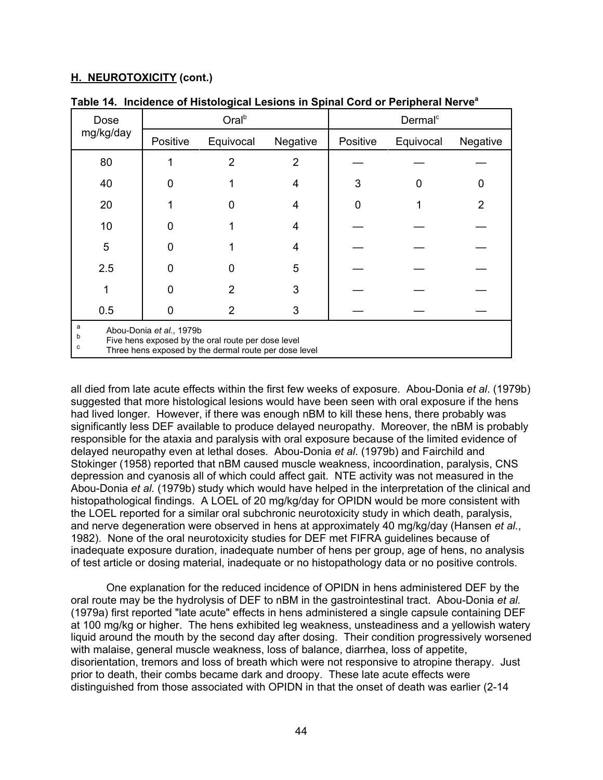| Dose                                                                                                                                                   |          | Oral <sup>b</sup> |          |          | Dermal <sup>c</sup> |                |
|--------------------------------------------------------------------------------------------------------------------------------------------------------|----------|-------------------|----------|----------|---------------------|----------------|
| mg/kg/day                                                                                                                                              | Positive | Equivocal         | Negative | Positive | Equivocal           | Negative       |
| 80                                                                                                                                                     |          | 2                 | 2        |          |                     |                |
| 40                                                                                                                                                     |          |                   | 4        | 3        |                     | O              |
| 20                                                                                                                                                     |          | n                 | 4        | 0        |                     | $\overline{2}$ |
| 10                                                                                                                                                     | ი        |                   | 4        |          |                     |                |
| 5                                                                                                                                                      | ი        |                   | 4        |          |                     |                |
| 2.5                                                                                                                                                    | O        |                   | 5        |          |                     |                |
|                                                                                                                                                        | O        | 2                 | 3        |          |                     |                |
| 0.5                                                                                                                                                    | O        | 2                 | 3        |          |                     |                |
| a<br>Abou-Donia et al., 1979b<br>b<br>Five hens exposed by the oral route per dose level<br>с<br>Three hens exposed by the dermal route per dose level |          |                   |          |          |                     |                |

**Table 14. Incidence of Histological Lesions in Spinal Cord or Peripheral Nervea**

all died from late acute effects within the first few weeks of exposure. Abou-Donia *et al*. (1979b) suggested that more histological lesions would have been seen with oral exposure if the hens had lived longer. However, if there was enough nBM to kill these hens, there probably was significantly less DEF available to produce delayed neuropathy. Moreover, the nBM is probably responsible for the ataxia and paralysis with oral exposure because of the limited evidence of delayed neuropathy even at lethal doses. Abou-Donia *et al*. (1979b) and Fairchild and Stokinger (1958) reported that nBM caused muscle weakness, incoordination, paralysis, CNS depression and cyanosis all of which could affect gait. NTE activity was not measured in the Abou-Donia *et al.* (1979b) study which would have helped in the interpretation of the clinical and histopathological findings. A LOEL of 20 mg/kg/day for OPIDN would be more consistent with the LOEL reported for a similar oral subchronic neurotoxicity study in which death, paralysis, and nerve degeneration were observed in hens at approximately 40 mg/kg/day (Hansen *et al.*, 1982). None of the oral neurotoxicity studies for DEF met FIFRA guidelines because of inadequate exposure duration, inadequate number of hens per group, age of hens, no analysis of test article or dosing material, inadequate or no histopathology data or no positive controls.

One explanation for the reduced incidence of OPIDN in hens administered DEF by the oral route may be the hydrolysis of DEF to nBM in the gastrointestinal tract. Abou-Donia *et al.* (1979a) first reported "late acute" effects in hens administered a single capsule containing DEF at 100 mg/kg or higher. The hens exhibited leg weakness, unsteadiness and a yellowish watery liquid around the mouth by the second day after dosing. Their condition progressively worsened with malaise, general muscle weakness, loss of balance, diarrhea, loss of appetite, disorientation, tremors and loss of breath which were not responsive to atropine therapy. Just prior to death, their combs became dark and droopy. These late acute effects were distinguished from those associated with OPIDN in that the onset of death was earlier (2-14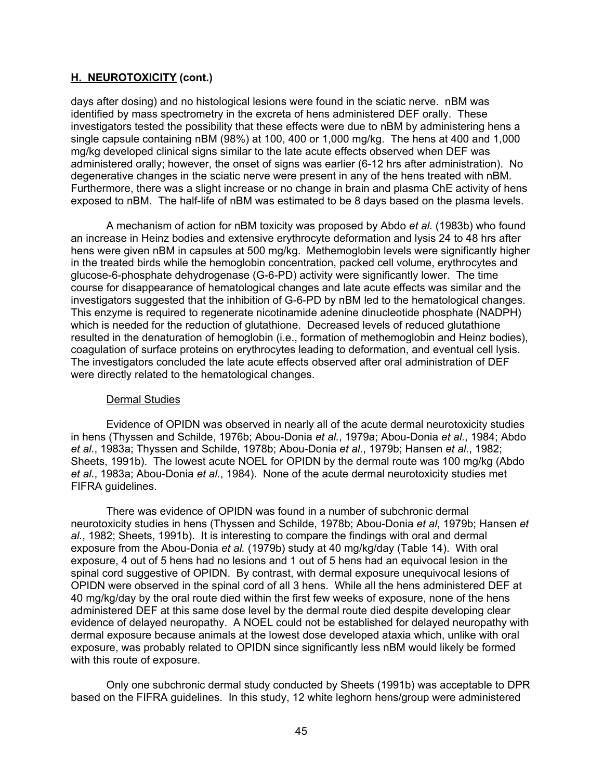days after dosing) and no histological lesions were found in the sciatic nerve. nBM was identified by mass spectrometry in the excreta of hens administered DEF orally. These investigators tested the possibility that these effects were due to nBM by administering hens a single capsule containing nBM (98%) at 100, 400 or 1,000 mg/kg. The hens at 400 and 1,000 mg/kg developed clinical signs similar to the late acute effects observed when DEF was administered orally; however, the onset of signs was earlier (6-12 hrs after administration). No degenerative changes in the sciatic nerve were present in any of the hens treated with nBM. Furthermore, there was a slight increase or no change in brain and plasma ChE activity of hens exposed to nBM. The half-life of nBM was estimated to be 8 days based on the plasma levels.

A mechanism of action for nBM toxicity was proposed by Abdo *et al.* (1983b) who found an increase in Heinz bodies and extensive erythrocyte deformation and lysis 24 to 48 hrs after hens were given nBM in capsules at 500 mg/kg. Methemoglobin levels were significantly higher in the treated birds while the hemoglobin concentration, packed cell volume, erythrocytes and glucose-6-phosphate dehydrogenase (G-6-PD) activity were significantly lower. The time course for disappearance of hematological changes and late acute effects was similar and the investigators suggested that the inhibition of G-6-PD by nBM led to the hematological changes. This enzyme is required to regenerate nicotinamide adenine dinucleotide phosphate (NADPH) which is needed for the reduction of glutathione. Decreased levels of reduced glutathione resulted in the denaturation of hemoglobin (i.e., formation of methemoglobin and Heinz bodies), coagulation of surface proteins on erythrocytes leading to deformation, and eventual cell lysis. The investigators concluded the late acute effects observed after oral administration of DEF were directly related to the hematological changes.

#### Dermal Studies

Evidence of OPIDN was observed in nearly all of the acute dermal neurotoxicity studies in hens (Thyssen and Schilde, 1976b; Abou-Donia *et al.*, 1979a; Abou-Donia *et al.*, 1984; Abdo *et al.*, 1983a; Thyssen and Schilde, 1978b; Abou-Donia *et al.*, 1979b; Hansen *et al.*, 1982; Sheets, 1991b). The lowest acute NOEL for OPIDN by the dermal route was 100 mg/kg (Abdo *et al.*, 1983a; Abou-Donia *et al.*, 1984). None of the acute dermal neurotoxicity studies met FIFRA guidelines.

There was evidence of OPIDN was found in a number of subchronic dermal neurotoxicity studies in hens (Thyssen and Schilde, 1978b; Abou-Donia *et al*, 1979b; Hansen *et al.*, 1982; Sheets, 1991b). It is interesting to compare the findings with oral and dermal exposure from the Abou-Donia *et al.* (1979b) study at 40 mg/kg/day (Table 14). With oral exposure, 4 out of 5 hens had no lesions and 1 out of 5 hens had an equivocal lesion in the spinal cord suggestive of OPIDN. By contrast, with dermal exposure unequivocal lesions of OPIDN were observed in the spinal cord of all 3 hens. While all the hens administered DEF at 40 mg/kg/day by the oral route died within the first few weeks of exposure, none of the hens administered DEF at this same dose level by the dermal route died despite developing clear evidence of delayed neuropathy. A NOEL could not be established for delayed neuropathy with dermal exposure because animals at the lowest dose developed ataxia which, unlike with oral exposure, was probably related to OPIDN since significantly less nBM would likely be formed with this route of exposure.

Only one subchronic dermal study conducted by Sheets (1991b) was acceptable to DPR based on the FIFRA guidelines. In this study, 12 white leghorn hens/group were administered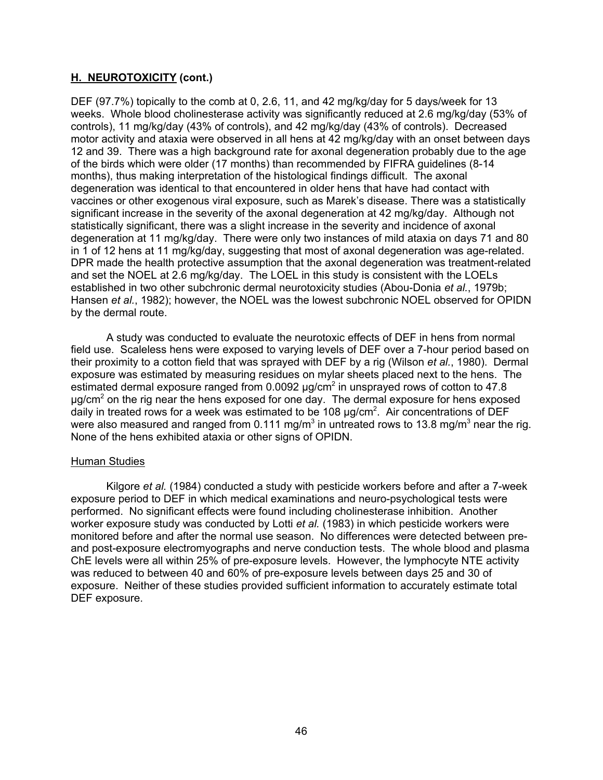DEF (97.7%) topically to the comb at 0, 2.6, 11, and 42 mg/kg/day for 5 days/week for 13 weeks. Whole blood cholinesterase activity was significantly reduced at 2.6 mg/kg/day (53% of controls), 11 mg/kg/day (43% of controls), and 42 mg/kg/day (43% of controls). Decreased motor activity and ataxia were observed in all hens at 42 mg/kg/day with an onset between days 12 and 39. There was a high background rate for axonal degeneration probably due to the age of the birds which were older (17 months) than recommended by FIFRA guidelines (8-14 months), thus making interpretation of the histological findings difficult. The axonal degeneration was identical to that encountered in older hens that have had contact with vaccines or other exogenous viral exposure, such as Marek's disease. There was a statistically significant increase in the severity of the axonal degeneration at 42 mg/kg/day. Although not statistically significant, there was a slight increase in the severity and incidence of axonal degeneration at 11 mg/kg/day. There were only two instances of mild ataxia on days 71 and 80 in 1 of 12 hens at 11 mg/kg/day, suggesting that most of axonal degeneration was age-related. DPR made the health protective assumption that the axonal degeneration was treatment-related and set the NOEL at 2.6 mg/kg/day. The LOEL in this study is consistent with the LOELs established in two other subchronic dermal neurotoxicity studies (Abou-Donia *et al.*, 1979b; Hansen *et al.*, 1982); however, the NOEL was the lowest subchronic NOEL observed for OPIDN by the dermal route.

A study was conducted to evaluate the neurotoxic effects of DEF in hens from normal field use. Scaleless hens were exposed to varying levels of DEF over a 7-hour period based on their proximity to a cotton field that was sprayed with DEF by a rig (Wilson *et al.*, 1980). Dermal exposure was estimated by measuring residues on mylar sheets placed next to the hens. The estimated dermal exposure ranged from 0.0092  $\mu$ g/cm $^2$  in unsprayed rows of cotton to 47.8  $\mu$ g/cm $^2$  on the rig near the hens exposed for one day. The dermal exposure for hens exposed daily in treated rows for a week was estimated to be 108  $\mu$ g/cm $^2$ . Air concentrations of DEF were also measured and ranged from 0.111 mg/m $^3$  in untreated rows to 13.8 mg/m $^3$  near the rig. None of the hens exhibited ataxia or other signs of OPIDN.

#### Human Studies

Kilgore *et al.* (1984) conducted a study with pesticide workers before and after a 7-week exposure period to DEF in which medical examinations and neuro-psychological tests were performed. No significant effects were found including cholinesterase inhibition. Another worker exposure study was conducted by Lotti *et al.* (1983) in which pesticide workers were monitored before and after the normal use season. No differences were detected between preand post-exposure electromyographs and nerve conduction tests. The whole blood and plasma ChE levels were all within 25% of pre-exposure levels. However, the lymphocyte NTE activity was reduced to between 40 and 60% of pre-exposure levels between days 25 and 30 of exposure. Neither of these studies provided sufficient information to accurately estimate total DEF exposure.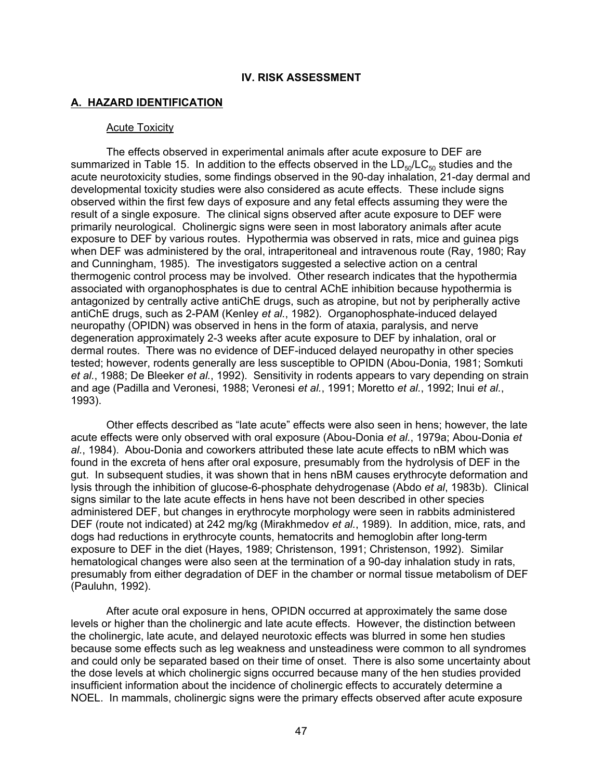### **IV. RISK ASSESSMENT**

### **A. HAZARD IDENTIFICATION**

#### Acute Toxicity

The effects observed in experimental animals after acute exposure to DEF are summarized in Table 15. In addition to the effects observed in the  $LD_{50}/LC_{50}$  studies and the acute neurotoxicity studies, some findings observed in the 90-day inhalation, 21-day dermal and developmental toxicity studies were also considered as acute effects. These include signs observed within the first few days of exposure and any fetal effects assuming they were the result of a single exposure. The clinical signs observed after acute exposure to DEF were primarily neurological. Cholinergic signs were seen in most laboratory animals after acute exposure to DEF by various routes. Hypothermia was observed in rats, mice and guinea pigs when DEF was administered by the oral, intraperitoneal and intravenous route (Ray, 1980; Ray and Cunningham, 1985). The investigators suggested a selective action on a central thermogenic control process may be involved. Other research indicates that the hypothermia associated with organophosphates is due to central AChE inhibition because hypothermia is antagonized by centrally active antiChE drugs, such as atropine, but not by peripherally active antiChE drugs, such as 2-PAM (Kenley *et al.*, 1982). Organophosphate-induced delayed neuropathy (OPIDN) was observed in hens in the form of ataxia, paralysis, and nerve degeneration approximately 2-3 weeks after acute exposure to DEF by inhalation, oral or dermal routes. There was no evidence of DEF-induced delayed neuropathy in other species tested; however, rodents generally are less susceptible to OPIDN (Abou-Donia, 1981; Somkuti *et al.*, 1988; De Bleeker *et al.*, 1992). Sensitivity in rodents appears to vary depending on strain and age (Padilla and Veronesi, 1988; Veronesi *et al.*, 1991; Moretto *et al.*, 1992; Inui *et al.*, 1993).

Other effects described as "late acute" effects were also seen in hens; however, the late acute effects were only observed with oral exposure (Abou-Donia *et al.*, 1979a; Abou-Donia *et al.*, 1984). Abou-Donia and coworkers attributed these late acute effects to nBM which was found in the excreta of hens after oral exposure, presumably from the hydrolysis of DEF in the gut. In subsequent studies, it was shown that in hens nBM causes erythrocyte deformation and lysis through the inhibition of glucose-6-phosphate dehydrogenase (Abdo *et al*, 1983b). Clinical signs similar to the late acute effects in hens have not been described in other species administered DEF, but changes in erythrocyte morphology were seen in rabbits administered DEF (route not indicated) at 242 mg/kg (Mirakhmedov *et al.*, 1989). In addition, mice, rats, and dogs had reductions in erythrocyte counts, hematocrits and hemoglobin after long-term exposure to DEF in the diet (Hayes, 1989; Christenson, 1991; Christenson, 1992). Similar hematological changes were also seen at the termination of a 90-day inhalation study in rats, presumably from either degradation of DEF in the chamber or normal tissue metabolism of DEF (Pauluhn, 1992).

After acute oral exposure in hens, OPIDN occurred at approximately the same dose levels or higher than the cholinergic and late acute effects. However, the distinction between the cholinergic, late acute, and delayed neurotoxic effects was blurred in some hen studies because some effects such as leg weakness and unsteadiness were common to all syndromes and could only be separated based on their time of onset. There is also some uncertainty about the dose levels at which cholinergic signs occurred because many of the hen studies provided insufficient information about the incidence of cholinergic effects to accurately determine a NOEL. In mammals, cholinergic signs were the primary effects observed after acute exposure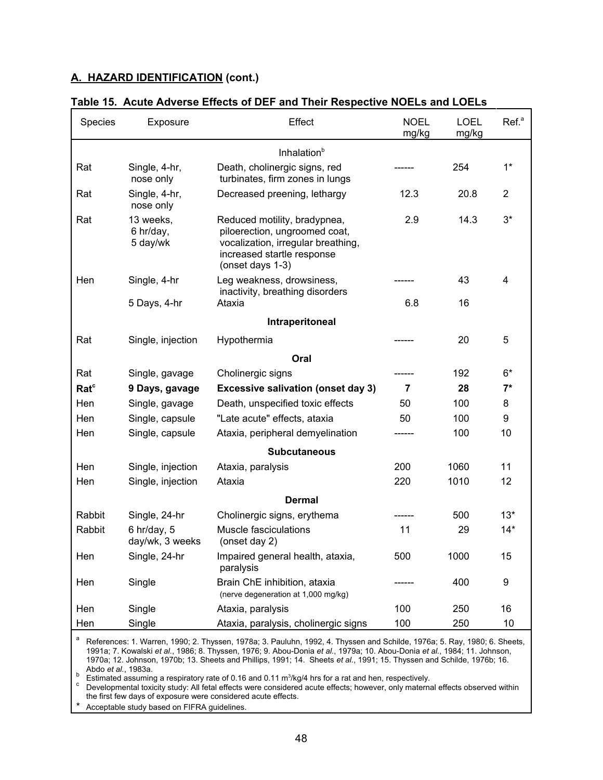| Species          | Exposure                           | Effect                                                                                                                                                | <b>NOEL</b><br>mg/kg | <b>LOEL</b><br>mg/kg | Ref. <sup>a</sup> |  |  |  |
|------------------|------------------------------------|-------------------------------------------------------------------------------------------------------------------------------------------------------|----------------------|----------------------|-------------------|--|--|--|
|                  |                                    | Inhalation <sup>b</sup>                                                                                                                               |                      |                      |                   |  |  |  |
| Rat              | Single, 4-hr,<br>nose only         | Death, cholinergic signs, red<br>turbinates, firm zones in lungs                                                                                      |                      | 254                  | $1*$              |  |  |  |
| Rat              | Single, 4-hr,<br>nose only         | Decreased preening, lethargy                                                                                                                          | 12.3                 | 20.8                 | $\overline{2}$    |  |  |  |
| Rat              | 13 weeks,<br>6 hr/day,<br>5 day/wk | Reduced motility, bradypnea,<br>piloerection, ungroomed coat,<br>vocalization, irregular breathing,<br>increased startle response<br>(onset days 1-3) | 2.9                  | 14.3                 | $3*$              |  |  |  |
| Hen              | Single, 4-hr                       | Leg weakness, drowsiness,<br>inactivity, breathing disorders                                                                                          |                      | 43                   | 4                 |  |  |  |
|                  | 5 Days, 4-hr                       | Ataxia                                                                                                                                                | 6.8                  | 16                   |                   |  |  |  |
|                  |                                    | Intraperitoneal                                                                                                                                       |                      |                      |                   |  |  |  |
| Rat              | Single, injection                  | Hypothermia                                                                                                                                           |                      | 20                   | 5                 |  |  |  |
|                  |                                    | Oral                                                                                                                                                  |                      |                      |                   |  |  |  |
| Rat              | Single, gavage                     | Cholinergic signs                                                                                                                                     |                      | 192                  | $6*$              |  |  |  |
| Rat <sup>c</sup> | 9 Days, gavage                     | <b>Excessive salivation (onset day 3)</b>                                                                                                             | $\overline{7}$       | 28                   | $7^*$             |  |  |  |
| Hen              | Single, gavage                     | Death, unspecified toxic effects                                                                                                                      | 50                   | 100                  | 8                 |  |  |  |
| Hen              | Single, capsule                    | "Late acute" effects, ataxia                                                                                                                          | 50                   | 100                  | 9                 |  |  |  |
| Hen              | Single, capsule                    | Ataxia, peripheral demyelination                                                                                                                      |                      | 100                  | 10                |  |  |  |
|                  |                                    | <b>Subcutaneous</b>                                                                                                                                   |                      |                      |                   |  |  |  |
| Hen              | Single, injection                  | Ataxia, paralysis                                                                                                                                     | 200                  | 1060                 | 11                |  |  |  |
| Hen              | Single, injection                  | Ataxia                                                                                                                                                | 220                  | 1010                 | 12                |  |  |  |
| <b>Dermal</b>    |                                    |                                                                                                                                                       |                      |                      |                   |  |  |  |
| Rabbit           | Single, 24-hr                      | Cholinergic signs, erythema                                                                                                                           |                      | 500                  | $13*$             |  |  |  |
| Rabbit           | $6$ hr/day, $5$<br>day/wk, 3 weeks | Muscle fasciculations<br>(onset day 2)                                                                                                                | 11                   | 29                   | $14*$             |  |  |  |
| Hen              | Single, 24-hr                      | Impaired general health, ataxia,<br>paralysis                                                                                                         | 500                  | 1000                 | 15                |  |  |  |
| Hen              | Single                             | Brain ChE inhibition, ataxia<br>(nerve degeneration at 1,000 mg/kg)                                                                                   |                      | 400                  | 9                 |  |  |  |
| Hen              | Single                             | Ataxia, paralysis                                                                                                                                     | 100                  | 250                  | 16                |  |  |  |
| Hen              | Single                             | Ataxia, paralysis, cholinergic signs                                                                                                                  | 100                  | 250                  | 10                |  |  |  |

#### **Table 15. Acute Adverse Effects of DEF and Their Respective NOELs and LOELs**

<sup>a</sup> References: 1. Warren, 1990; 2. Thyssen, 1978a; 3. Pauluhn, 1992, 4. Thyssen and Schilde, 1976a; 5. Ray, 1980; 6. Sheets, 1991a; 7. Kowalski *et al.*, 1986; 8. Thyssen, 1976; 9. Abou-Donia *et al.*, 1979a; 10. Abou-Donia *et al.*, 1984; 11. Johnson, 1970a; 12. Johnson, 1970b; 13. Sheets and Phillips, 1991; 14. Sheets *et al.*, 1991; 15. Thyssen and Schilde, 1976b; 16.

Abdo *et al.*, 1983a.<br><sup>b</sup> Estimated assuming a respiratory rate of 0.16 and 0.11 m<sup>3</sup>

 $^\nu$  Estimated assuming a respiratory rate of 0.16 and 0.11 m<sup>3</sup>/kg/4 hrs for a rat and hen, respectively.<br><sup>c</sup> Developmental toxicity study: All fetal effects were considered acute effects; however, only maternal effects o the first few days of exposure were considered acute effects.

Acceptable study based on FIFRA guidelines.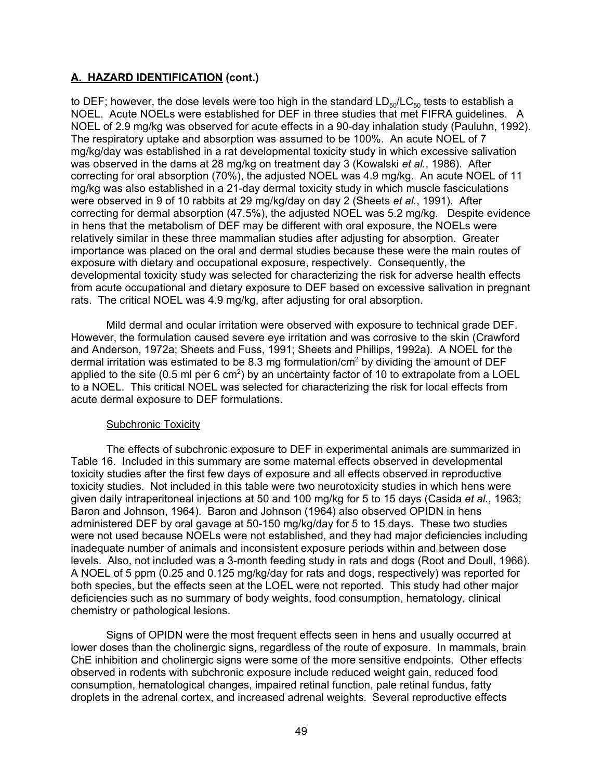to DEF; however, the dose levels were too high in the standard  $LD_{50}/LC_{50}$  tests to establish a NOEL. Acute NOELs were established for DEF in three studies that met FIFRA guidelines. A NOEL of 2.9 mg/kg was observed for acute effects in a 90-day inhalation study (Pauluhn, 1992). The respiratory uptake and absorption was assumed to be 100%. An acute NOEL of 7 mg/kg/day was established in a rat developmental toxicity study in which excessive salivation was observed in the dams at 28 mg/kg on treatment day 3 (Kowalski *et al.*, 1986). After correcting for oral absorption (70%), the adjusted NOEL was 4.9 mg/kg. An acute NOEL of 11 mg/kg was also established in a 21-day dermal toxicity study in which muscle fasciculations were observed in 9 of 10 rabbits at 29 mg/kg/day on day 2 (Sheets *et al.*, 1991). After correcting for dermal absorption (47.5%), the adjusted NOEL was 5.2 mg/kg. Despite evidence in hens that the metabolism of DEF may be different with oral exposure, the NOELs were relatively similar in these three mammalian studies after adjusting for absorption. Greater importance was placed on the oral and dermal studies because these were the main routes of exposure with dietary and occupational exposure, respectively. Consequently, the developmental toxicity study was selected for characterizing the risk for adverse health effects from acute occupational and dietary exposure to DEF based on excessive salivation in pregnant rats. The critical NOEL was 4.9 mg/kg, after adjusting for oral absorption.

Mild dermal and ocular irritation were observed with exposure to technical grade DEF. However, the formulation caused severe eye irritation and was corrosive to the skin (Crawford and Anderson, 1972a; Sheets and Fuss, 1991; Sheets and Phillips, 1992a). A NOEL for the dermal irritation was estimated to be 8.3 mg formulation/cm $^{\rm 2}$  by dividing the amount of DEF applied to the site (0.5 ml per 6 cm $^2$ ) by an uncertainty factor of 10 to extrapolate from a LOEL to a NOEL. This critical NOEL was selected for characterizing the risk for local effects from acute dermal exposure to DEF formulations.

# Subchronic Toxicity

The effects of subchronic exposure to DEF in experimental animals are summarized in Table 16. Included in this summary are some maternal effects observed in developmental toxicity studies after the first few days of exposure and all effects observed in reproductive toxicity studies. Not included in this table were two neurotoxicity studies in which hens were given daily intraperitoneal injections at 50 and 100 mg/kg for 5 to 15 days (Casida *et al.*, 1963; Baron and Johnson, 1964). Baron and Johnson (1964) also observed OPIDN in hens administered DEF by oral gavage at 50-150 mg/kg/day for 5 to 15 days. These two studies were not used because NOELs were not established, and they had major deficiencies including inadequate number of animals and inconsistent exposure periods within and between dose levels. Also, not included was a 3-month feeding study in rats and dogs (Root and Doull, 1966). A NOEL of 5 ppm (0.25 and 0.125 mg/kg/day for rats and dogs, respectively) was reported for both species, but the effects seen at the LOEL were not reported. This study had other major deficiencies such as no summary of body weights, food consumption, hematology, clinical chemistry or pathological lesions.

Signs of OPIDN were the most frequent effects seen in hens and usually occurred at lower doses than the cholinergic signs, regardless of the route of exposure. In mammals, brain ChE inhibition and cholinergic signs were some of the more sensitive endpoints. Other effects observed in rodents with subchronic exposure include reduced weight gain, reduced food consumption, hematological changes, impaired retinal function, pale retinal fundus, fatty droplets in the adrenal cortex, and increased adrenal weights. Several reproductive effects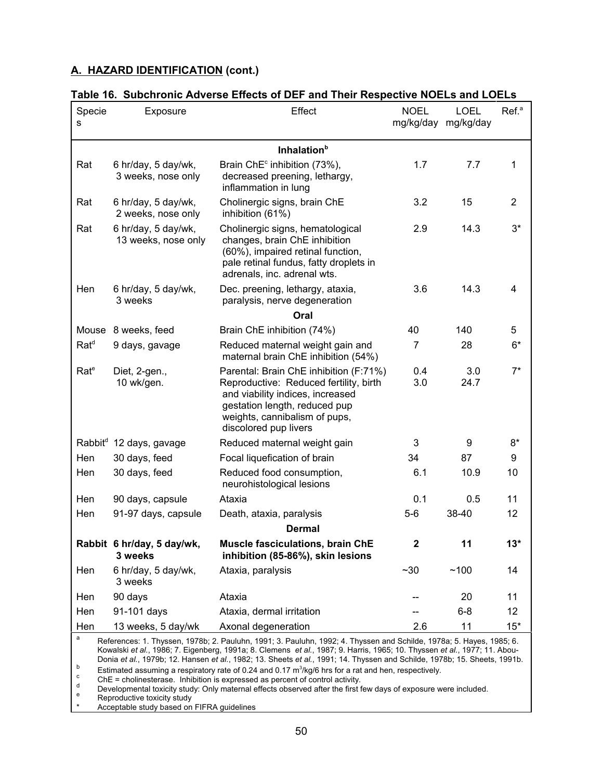| Specie<br>s       | Exposure                                   | Effect                                                                                                                                                                                                          | <b>NOEL</b>    | <b>LOEL</b><br>mg/kg/day mg/kg/day | Ref. <sup>a</sup> |  |  |
|-------------------|--------------------------------------------|-----------------------------------------------------------------------------------------------------------------------------------------------------------------------------------------------------------------|----------------|------------------------------------|-------------------|--|--|
|                   |                                            | Inhalation <sup>b</sup>                                                                                                                                                                                         |                |                                    |                   |  |  |
| Rat               | 6 hr/day, 5 day/wk,<br>3 weeks, nose only  | Brain ChE <sup>c</sup> inhibition (73%),<br>decreased preening, lethargy,<br>inflammation in lung                                                                                                               | 1.7            | 7.7                                | 1                 |  |  |
| Rat               | 6 hr/day, 5 day/wk,<br>2 weeks, nose only  | Cholinergic signs, brain ChE<br>inhibition (61%)                                                                                                                                                                | 3.2            | 15                                 | $\overline{2}$    |  |  |
| Rat               | 6 hr/day, 5 day/wk,<br>13 weeks, nose only | Cholinergic signs, hematological<br>changes, brain ChE inhibition<br>(60%), impaired retinal function,<br>pale retinal fundus, fatty droplets in<br>adrenals, inc. adrenal wts.                                 | 2.9            | 14.3                               | $3^*$             |  |  |
| Hen               | 6 hr/day, 5 day/wk,<br>3 weeks             | Dec. preening, lethargy, ataxia,<br>paralysis, nerve degeneration                                                                                                                                               | 3.6            | 14.3                               | 4                 |  |  |
|                   |                                            | Oral                                                                                                                                                                                                            |                |                                    |                   |  |  |
|                   | Mouse 8 weeks, feed                        | Brain ChE inhibition (74%)                                                                                                                                                                                      | 40             | 140                                | 5                 |  |  |
| $Rat^d$           | 9 days, gavage                             | Reduced maternal weight gain and<br>maternal brain ChE inhibition (54%)                                                                                                                                         | $\overline{7}$ | 28                                 | $6*$              |  |  |
| Rate <sup>e</sup> | Diet, 2-gen.,<br>10 wk/gen.                | Parental: Brain ChE inhibition (F:71%)<br>Reproductive: Reduced fertility, birth<br>and viability indices, increased<br>gestation length, reduced pup<br>weights, cannibalism of pups,<br>discolored pup livers | 0.4<br>3.0     | 3.0<br>24.7                        | $7^*$             |  |  |
|                   | Rabbit <sup>d</sup> 12 days, gavage        | Reduced maternal weight gain                                                                                                                                                                                    | 3              | 9                                  | $8*$              |  |  |
| Hen               | 30 days, feed                              | Focal liquefication of brain                                                                                                                                                                                    | 34             | 87                                 | 9                 |  |  |
| Hen               | 30 days, feed                              | Reduced food consumption,<br>neurohistological lesions                                                                                                                                                          | 6.1            | 10.9                               | 10                |  |  |
| Hen               | 90 days, capsule                           | Ataxia                                                                                                                                                                                                          | 0.1            | 0.5                                | 11                |  |  |
| Hen               | 91-97 days, capsule                        | Death, ataxia, paralysis                                                                                                                                                                                        | $5-6$          | 38-40                              | 12                |  |  |
| <b>Dermal</b>     |                                            |                                                                                                                                                                                                                 |                |                                    |                   |  |  |
|                   | Rabbit 6 hr/day, 5 day/wk,<br>3 weeks      | Muscle fasciculations, brain ChE<br>inhibition (85-86%), skin lesions                                                                                                                                           | $\mathbf{2}$   | 11                                 | $13*$             |  |  |
| Hen               | 6 hr/day, 5 day/wk,<br>3 weeks             | Ataxia, paralysis                                                                                                                                                                                               | ~10            | ~100                               | 14                |  |  |
| Hen               | 90 days                                    | Ataxia                                                                                                                                                                                                          |                | 20                                 | 11                |  |  |
| Hen               | 91-101 days                                | Ataxia, dermal irritation                                                                                                                                                                                       |                | $6 - 8$                            | 12                |  |  |
| Hen               | 13 weeks, 5 day/wk                         | Axonal degeneration                                                                                                                                                                                             | 2.6            | 11                                 | $15*$             |  |  |

|--|

 $^{\text{\tiny{\text{b}}} \,$  Estimated assuming a respiratory rate of 0.24 and 0.17  $\text{m}^3$ Kowalski *et al.*, 1986; 7. Eigenberg, 1991a; 8. Clemens *et al.*, 1987; 9. Harris, 1965; 10. Thyssen *et al.*, 1977; 11. Abou-Donia *et al.*, 1979b; 12. Hansen *et al.*, 1982; 13. Sheets *et al.*, 1991; 14. Thyssen and Schilde, 1978b; 15. Sheets, 1991b.

Estimated assuming a respiratory rate of 0.24 and 0.17 m<sup>3</sup>/kg/6 hrs for a rat and hen, respectively.<br><sup>c</sup>held Chellinesterase. Inhibition is expressed as percent of control activity.<br>Developmental toxicity study: Only mate

Exercispinental colony dealy: Only material of<br>Reproductive toxicity study<br>Acceptable study based on FIFRA guidelines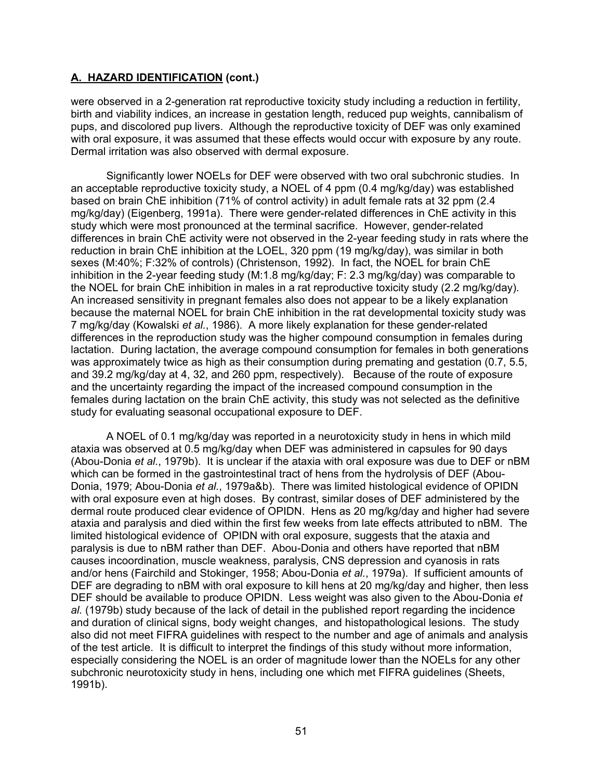were observed in a 2-generation rat reproductive toxicity study including a reduction in fertility, birth and viability indices, an increase in gestation length, reduced pup weights, cannibalism of pups, and discolored pup livers. Although the reproductive toxicity of DEF was only examined with oral exposure, it was assumed that these effects would occur with exposure by any route. Dermal irritation was also observed with dermal exposure.

Significantly lower NOELs for DEF were observed with two oral subchronic studies. In an acceptable reproductive toxicity study, a NOEL of 4 ppm (0.4 mg/kg/day) was established based on brain ChE inhibition (71% of control activity) in adult female rats at 32 ppm (2.4 mg/kg/day) (Eigenberg, 1991a). There were gender-related differences in ChE activity in this study which were most pronounced at the terminal sacrifice. However, gender-related differences in brain ChE activity were not observed in the 2-year feeding study in rats where the reduction in brain ChE inhibition at the LOEL, 320 ppm (19 mg/kg/day), was similar in both sexes (M:40%; F:32% of controls) (Christenson, 1992). In fact, the NOEL for brain ChE inhibition in the 2-year feeding study (M:1.8 mg/kg/day; F: 2.3 mg/kg/day) was comparable to the NOEL for brain ChE inhibition in males in a rat reproductive toxicity study (2.2 mg/kg/day). An increased sensitivity in pregnant females also does not appear to be a likely explanation because the maternal NOEL for brain ChE inhibition in the rat developmental toxicity study was 7 mg/kg/day (Kowalski *et al.*, 1986). A more likely explanation for these gender-related differences in the reproduction study was the higher compound consumption in females during lactation. During lactation, the average compound consumption for females in both generations was approximately twice as high as their consumption during premating and gestation (0.7, 5.5, and 39.2 mg/kg/day at 4, 32, and 260 ppm, respectively). Because of the route of exposure and the uncertainty regarding the impact of the increased compound consumption in the females during lactation on the brain ChE activity, this study was not selected as the definitive study for evaluating seasonal occupational exposure to DEF.

A NOEL of 0.1 mg/kg/day was reported in a neurotoxicity study in hens in which mild ataxia was observed at 0.5 mg/kg/day when DEF was administered in capsules for 90 days (Abou-Donia *et al.*, 1979b). It is unclear if the ataxia with oral exposure was due to DEF or nBM which can be formed in the gastrointestinal tract of hens from the hydrolysis of DEF (Abou-Donia, 1979; Abou-Donia *et al.*, 1979a&b). There was limited histological evidence of OPIDN with oral exposure even at high doses. By contrast, similar doses of DEF administered by the dermal route produced clear evidence of OPIDN. Hens as 20 mg/kg/day and higher had severe ataxia and paralysis and died within the first few weeks from late effects attributed to nBM. The limited histological evidence of OPIDN with oral exposure, suggests that the ataxia and paralysis is due to nBM rather than DEF. Abou-Donia and others have reported that nBM causes incoordination, muscle weakness, paralysis, CNS depression and cyanosis in rats and/or hens (Fairchild and Stokinger, 1958; Abou-Donia *et al.*, 1979a). If sufficient amounts of DEF are degrading to nBM with oral exposure to kill hens at 20 mg/kg/day and higher, then less DEF should be available to produce OPIDN. Less weight was also given to the Abou-Donia *et al.* (1979b) study because of the lack of detail in the published report regarding the incidence and duration of clinical signs, body weight changes, and histopathological lesions. The study also did not meet FIFRA guidelines with respect to the number and age of animals and analysis of the test article. It is difficult to interpret the findings of this study without more information, especially considering the NOEL is an order of magnitude lower than the NOELs for any other subchronic neurotoxicity study in hens, including one which met FIFRA guidelines (Sheets, 1991b).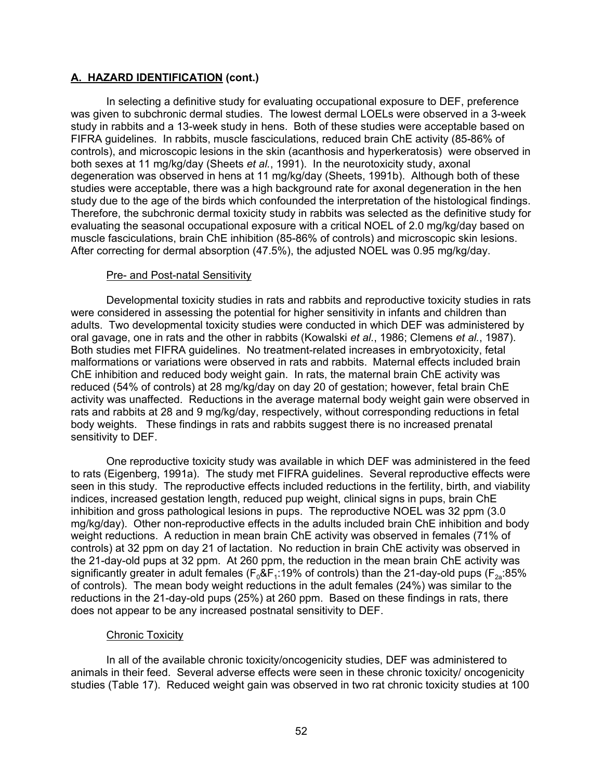In selecting a definitive study for evaluating occupational exposure to DEF, preference was given to subchronic dermal studies. The lowest dermal LOELs were observed in a 3-week study in rabbits and a 13-week study in hens. Both of these studies were acceptable based on FIFRA guidelines. In rabbits, muscle fasciculations, reduced brain ChE activity (85-86% of controls), and microscopic lesions in the skin (acanthosis and hyperkeratosis) were observed in both sexes at 11 mg/kg/day (Sheets *et al.*, 1991). In the neurotoxicity study, axonal degeneration was observed in hens at 11 mg/kg/day (Sheets, 1991b). Although both of these studies were acceptable, there was a high background rate for axonal degeneration in the hen study due to the age of the birds which confounded the interpretation of the histological findings. Therefore, the subchronic dermal toxicity study in rabbits was selected as the definitive study for evaluating the seasonal occupational exposure with a critical NOEL of 2.0 mg/kg/day based on muscle fasciculations, brain ChE inhibition (85-86% of controls) and microscopic skin lesions. After correcting for dermal absorption (47.5%), the adjusted NOEL was 0.95 mg/kg/day.

#### Pre- and Post-natal Sensitivity

Developmental toxicity studies in rats and rabbits and reproductive toxicity studies in rats were considered in assessing the potential for higher sensitivity in infants and children than adults. Two developmental toxicity studies were conducted in which DEF was administered by oral gavage, one in rats and the other in rabbits (Kowalski *et al.*, 1986; Clemens *et al.*, 1987). Both studies met FIFRA guidelines. No treatment-related increases in embryotoxicity, fetal malformations or variations were observed in rats and rabbits. Maternal effects included brain ChE inhibition and reduced body weight gain. In rats, the maternal brain ChE activity was reduced (54% of controls) at 28 mg/kg/day on day 20 of gestation; however, fetal brain ChE activity was unaffected. Reductions in the average maternal body weight gain were observed in rats and rabbits at 28 and 9 mg/kg/day, respectively, without corresponding reductions in fetal body weights. These findings in rats and rabbits suggest there is no increased prenatal sensitivity to DEF.

One reproductive toxicity study was available in which DEF was administered in the feed to rats (Eigenberg, 1991a). The study met FIFRA guidelines. Several reproductive effects were seen in this study. The reproductive effects included reductions in the fertility, birth, and viability indices, increased gestation length, reduced pup weight, clinical signs in pups, brain ChE inhibition and gross pathological lesions in pups. The reproductive NOEL was 32 ppm (3.0 mg/kg/day). Other non-reproductive effects in the adults included brain ChE inhibition and body weight reductions. A reduction in mean brain ChE activity was observed in females (71% of controls) at 32 ppm on day 21 of lactation. No reduction in brain ChE activity was observed in the 21-day-old pups at 32 ppm. At 260 ppm, the reduction in the mean brain ChE activity was significantly greater in adult females ( $F_0$ &F<sub>1</sub>:19% of controls) than the 21-day-old pups ( $F_{2a}$ :85% of controls). The mean body weight reductions in the adult females (24%) was similar to the reductions in the 21-day-old pups (25%) at 260 ppm. Based on these findings in rats, there does not appear to be any increased postnatal sensitivity to DEF.

# Chronic Toxicity

In all of the available chronic toxicity/oncogenicity studies, DEF was administered to animals in their feed. Several adverse effects were seen in these chronic toxicity/ oncogenicity studies (Table 17). Reduced weight gain was observed in two rat chronic toxicity studies at 100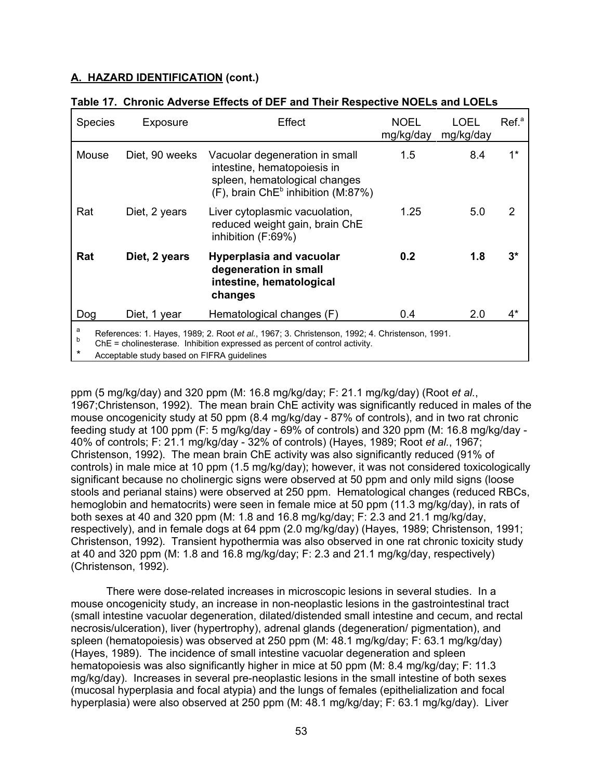| <b>Species</b>                                                                                                                                                                                                                                 | Exposure       | Effect                                                                                                                                           | <b>NOEL</b><br>mg/kg/day | LOEL.<br>mg/kg/day | Ref. <sup>a</sup> |
|------------------------------------------------------------------------------------------------------------------------------------------------------------------------------------------------------------------------------------------------|----------------|--------------------------------------------------------------------------------------------------------------------------------------------------|--------------------------|--------------------|-------------------|
| Mouse                                                                                                                                                                                                                                          | Diet, 90 weeks | Vacuolar degeneration in small<br>intestine, hematopoiesis in<br>spleen, hematological changes<br>(F), brain ChE <sup>b</sup> inhibition (M:87%) | $1.5^{\circ}$            | 8.4                | $1^*$             |
| Rat                                                                                                                                                                                                                                            | Diet, 2 years  | Liver cytoplasmic vacuolation,<br>reduced weight gain, brain ChE<br>inhibition (F:69%)                                                           | 1.25                     | 5.0                | 2                 |
| Rat                                                                                                                                                                                                                                            | Diet, 2 years  | <b>Hyperplasia and vacuolar</b><br>degeneration in small<br>intestine, hematological<br>changes                                                  | 0.2                      | 1.8                | $3^{\star}$       |
| Dog                                                                                                                                                                                                                                            | Diet, 1 year   | Hematological changes (F)                                                                                                                        | 0.4                      | 2.0                | $4^*$             |
| a<br>References: 1. Hayes, 1989; 2. Root et al., 1967; 3. Christenson, 1992; 4. Christenson, 1991.<br>b<br>ChE = cholinesterase. Inhibition expressed as percent of control activity.<br>$\star$<br>Acceptable study based on FIFRA guidelines |                |                                                                                                                                                  |                          |                    |                   |

# **Table 17. Chronic Adverse Effects of DEF and Their Respective NOELs and LOELs**

ppm (5 mg/kg/day) and 320 ppm (M: 16.8 mg/kg/day; F: 21.1 mg/kg/day) (Root *et al.*, 1967;Christenson, 1992). The mean brain ChE activity was significantly reduced in males of the mouse oncogenicity study at 50 ppm (8.4 mg/kg/day - 87% of controls), and in two rat chronic feeding study at 100 ppm (F: 5 mg/kg/day - 69% of controls) and 320 ppm (M: 16.8 mg/kg/day - 40% of controls; F: 21.1 mg/kg/day - 32% of controls) (Hayes, 1989; Root *et al.*, 1967; Christenson, 1992). The mean brain ChE activity was also significantly reduced (91% of controls) in male mice at 10 ppm (1.5 mg/kg/day); however, it was not considered toxicologically significant because no cholinergic signs were observed at 50 ppm and only mild signs (loose stools and perianal stains) were observed at 250 ppm. Hematological changes (reduced RBCs, hemoglobin and hematocrits) were seen in female mice at 50 ppm (11.3 mg/kg/day), in rats of both sexes at 40 and 320 ppm (M: 1.8 and 16.8 mg/kg/day; F: 2.3 and 21.1 mg/kg/day, respectively), and in female dogs at 64 ppm (2.0 mg/kg/day) (Hayes, 1989; Christenson, 1991; Christenson, 1992). Transient hypothermia was also observed in one rat chronic toxicity study at 40 and 320 ppm (M: 1.8 and 16.8 mg/kg/day; F: 2.3 and 21.1 mg/kg/day, respectively) (Christenson, 1992).

There were dose-related increases in microscopic lesions in several studies. In a mouse oncogenicity study, an increase in non-neoplastic lesions in the gastrointestinal tract (small intestine vacuolar degeneration, dilated/distended small intestine and cecum, and rectal necrosis/ulceration), liver (hypertrophy), adrenal glands (degeneration/ pigmentation), and spleen (hematopoiesis) was observed at 250 ppm (M: 48.1 mg/kg/day; F: 63.1 mg/kg/day) (Hayes, 1989). The incidence of small intestine vacuolar degeneration and spleen hematopoiesis was also significantly higher in mice at 50 ppm (M: 8.4 mg/kg/day; F: 11.3 mg/kg/day). Increases in several pre-neoplastic lesions in the small intestine of both sexes (mucosal hyperplasia and focal atypia) and the lungs of females (epithelialization and focal hyperplasia) were also observed at 250 ppm (M: 48.1 mg/kg/day; F: 63.1 mg/kg/day). Liver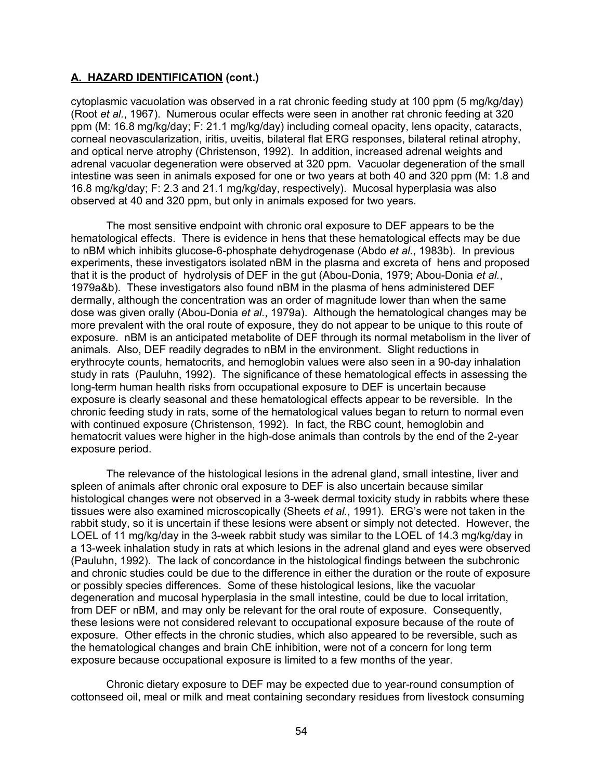cytoplasmic vacuolation was observed in a rat chronic feeding study at 100 ppm (5 mg/kg/day) (Root *et al.*, 1967). Numerous ocular effects were seen in another rat chronic feeding at 320 ppm (M: 16.8 mg/kg/day; F: 21.1 mg/kg/day) including corneal opacity, lens opacity, cataracts, corneal neovascularization, iritis, uveitis, bilateral flat ERG responses, bilateral retinal atrophy, and optical nerve atrophy (Christenson, 1992). In addition, increased adrenal weights and adrenal vacuolar degeneration were observed at 320 ppm. Vacuolar degeneration of the small intestine was seen in animals exposed for one or two years at both 40 and 320 ppm (M: 1.8 and 16.8 mg/kg/day; F: 2.3 and 21.1 mg/kg/day, respectively). Mucosal hyperplasia was also observed at 40 and 320 ppm, but only in animals exposed for two years.

The most sensitive endpoint with chronic oral exposure to DEF appears to be the hematological effects. There is evidence in hens that these hematological effects may be due to nBM which inhibits glucose-6-phosphate dehydrogenase (Abdo *et al.*, 1983b). In previous experiments, these investigators isolated nBM in the plasma and excreta of hens and proposed that it is the product of hydrolysis of DEF in the gut (Abou-Donia, 1979; Abou-Donia *et al.*, 1979a&b). These investigators also found nBM in the plasma of hens administered DEF dermally, although the concentration was an order of magnitude lower than when the same dose was given orally (Abou-Donia *et al.*, 1979a). Although the hematological changes may be more prevalent with the oral route of exposure, they do not appear to be unique to this route of exposure. nBM is an anticipated metabolite of DEF through its normal metabolism in the liver of animals. Also, DEF readily degrades to nBM in the environment. Slight reductions in erythrocyte counts, hematocrits, and hemoglobin values were also seen in a 90-day inhalation study in rats (Pauluhn, 1992). The significance of these hematological effects in assessing the long-term human health risks from occupational exposure to DEF is uncertain because exposure is clearly seasonal and these hematological effects appear to be reversible. In the chronic feeding study in rats, some of the hematological values began to return to normal even with continued exposure (Christenson, 1992). In fact, the RBC count, hemoglobin and hematocrit values were higher in the high-dose animals than controls by the end of the 2-year exposure period.

The relevance of the histological lesions in the adrenal gland, small intestine, liver and spleen of animals after chronic oral exposure to DEF is also uncertain because similar histological changes were not observed in a 3-week dermal toxicity study in rabbits where these tissues were also examined microscopically (Sheets *et al.*, 1991). ERG's were not taken in the rabbit study, so it is uncertain if these lesions were absent or simply not detected. However, the LOEL of 11 mg/kg/day in the 3-week rabbit study was similar to the LOEL of 14.3 mg/kg/day in a 13-week inhalation study in rats at which lesions in the adrenal gland and eyes were observed (Pauluhn, 1992). The lack of concordance in the histological findings between the subchronic and chronic studies could be due to the difference in either the duration or the route of exposure or possibly species differences. Some of these histological lesions, like the vacuolar degeneration and mucosal hyperplasia in the small intestine, could be due to local irritation, from DEF or nBM, and may only be relevant for the oral route of exposure. Consequently, these lesions were not considered relevant to occupational exposure because of the route of exposure. Other effects in the chronic studies, which also appeared to be reversible, such as the hematological changes and brain ChE inhibition, were not of a concern for long term exposure because occupational exposure is limited to a few months of the year.

Chronic dietary exposure to DEF may be expected due to year-round consumption of cottonseed oil, meal or milk and meat containing secondary residues from livestock consuming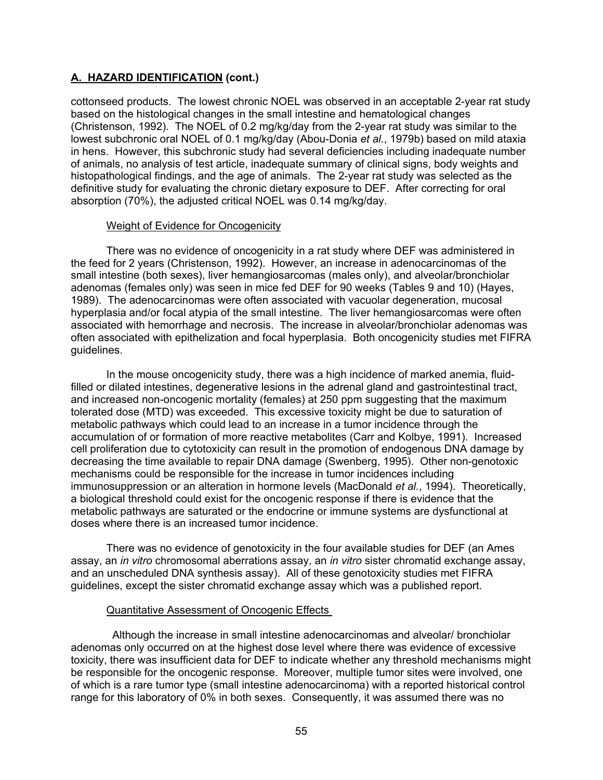cottonseed products. The lowest chronic NOEL was observed in an acceptable 2-year rat study based on the histological changes in the small intestine and hematological changes (Christenson, 1992). The NOEL of 0.2 mg/kg/day from the 2-year rat study was similar to the lowest subchronic oral NOEL of 0.1 mg/kg/day (Abou-Donia *et al.*, 1979b) based on mild ataxia in hens. However, this subchronic study had several deficiencies including inadequate number of animals, no analysis of test article, inadequate summary of clinical signs, body weights and histopathological findings, and the age of animals. The 2-year rat study was selected as the definitive study for evaluating the chronic dietary exposure to DEF. After correcting for oral absorption (70%), the adjusted critical NOEL was 0.14 mg/kg/day.

### Weight of Evidence for Oncogenicity

There was no evidence of oncogenicity in a rat study where DEF was administered in the feed for 2 years (Christenson, 1992). However, an increase in adenocarcinomas of the small intestine (both sexes), liver hemangiosarcomas (males only), and alveolar/bronchiolar adenomas (females only) was seen in mice fed DEF for 90 weeks (Tables 9 and 10) (Hayes, 1989). The adenocarcinomas were often associated with vacuolar degeneration, mucosal hyperplasia and/or focal atypia of the small intestine. The liver hemangiosarcomas were often associated with hemorrhage and necrosis. The increase in alveolar/bronchiolar adenomas was often associated with epithelization and focal hyperplasia. Both oncogenicity studies met FIFRA guidelines.

In the mouse oncogenicity study, there was a high incidence of marked anemia, fluidfilled or dilated intestines, degenerative lesions in the adrenal gland and gastrointestinal tract, and increased non-oncogenic mortality (females) at 250 ppm suggesting that the maximum tolerated dose (MTD) was exceeded. This excessive toxicity might be due to saturation of metabolic pathways which could lead to an increase in a tumor incidence through the accumulation of or formation of more reactive metabolites (Carr and Kolbye, 1991). Increased cell proliferation due to cytotoxicity can result in the promotion of endogenous DNA damage by decreasing the time available to repair DNA damage (Swenberg, 1995). Other non-genotoxic mechanisms could be responsible for the increase in tumor incidences including immunosuppression or an alteration in hormone levels (MacDonald *et al.*, 1994). Theoretically, a biological threshold could exist for the oncogenic response if there is evidence that the metabolic pathways are saturated or the endocrine or immune systems are dysfunctional at doses where there is an increased tumor incidence.

There was no evidence of genotoxicity in the four available studies for DEF (an Ames assay, an *in vitro* chromosomal aberrations assay, an *in vitro* sister chromatid exchange assay, and an unscheduled DNA synthesis assay). All of these genotoxicity studies met FIFRA guidelines, except the sister chromatid exchange assay which was a published report.

# Quantitative Assessment of Oncogenic Effects

 Although the increase in small intestine adenocarcinomas and alveolar/ bronchiolar adenomas only occurred on at the highest dose level where there was evidence of excessive toxicity, there was insufficient data for DEF to indicate whether any threshold mechanisms might be responsible for the oncogenic response. Moreover, multiple tumor sites were involved, one of which is a rare tumor type (small intestine adenocarcinoma) with a reported historical control range for this laboratory of 0% in both sexes. Consequently, it was assumed there was no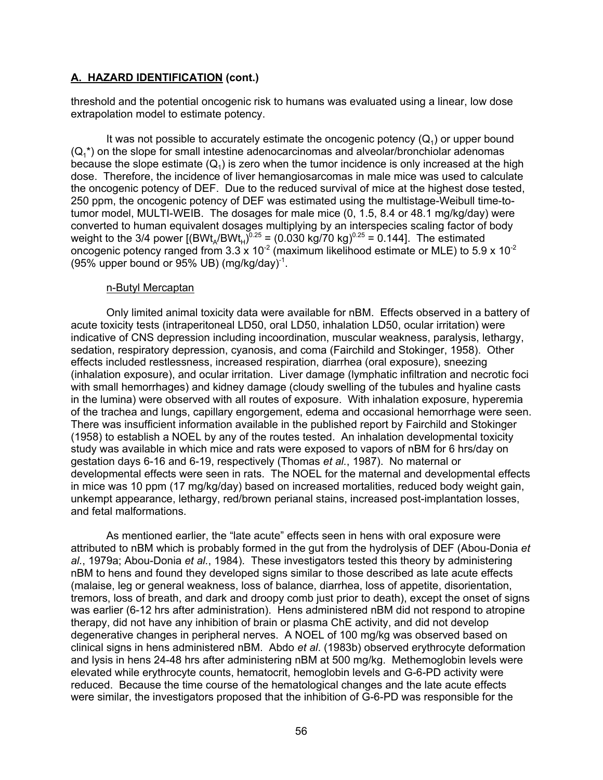threshold and the potential oncogenic risk to humans was evaluated using a linear, low dose extrapolation model to estimate potency.

It was not possible to accurately estimate the oncogenic potency  $(Q_1)$  or upper bound  $(Q_1^*)$  on the slope for small intestine adenocarcinomas and alveolar/bronchiolar adenomas because the slope estimate  $(Q_1)$  is zero when the tumor incidence is only increased at the high dose. Therefore, the incidence of liver hemangiosarcomas in male mice was used to calculate the oncogenic potency of DEF. Due to the reduced survival of mice at the highest dose tested, 250 ppm, the oncogenic potency of DEF was estimated using the multistage-Weibull time-totumor model, MULTI-WEIB. The dosages for male mice (0, 1.5, 8.4 or 48.1 mg/kg/day) were converted to human equivalent dosages multiplying by an interspecies scaling factor of body weight to the 3/4 power [(BWt<sub>A</sub>/BWt<sub>H</sub>)<sup>0.25</sup> = (0.030 kg/70 kg)<sup>0.25</sup> = 0.144]. The estimated oncogenic potency ranged from 3.3 x 10 $^{\text{2}}$  (maximum likelihood estimate or MLE) to 5.9 x 10 $^{\text{2}}$ (95% upper bound or 95% UB)  $(mq/kg/day)^{-1}$ .

#### n-Butyl Mercaptan

Only limited animal toxicity data were available for nBM. Effects observed in a battery of acute toxicity tests (intraperitoneal LD50, oral LD50, inhalation LD50, ocular irritation) were indicative of CNS depression including incoordination, muscular weakness, paralysis, lethargy, sedation, respiratory depression, cyanosis, and coma (Fairchild and Stokinger, 1958). Other effects included restlessness, increased respiration, diarrhea (oral exposure), sneezing (inhalation exposure), and ocular irritation. Liver damage (lymphatic infiltration and necrotic foci with small hemorrhages) and kidney damage (cloudy swelling of the tubules and hyaline casts in the lumina) were observed with all routes of exposure. With inhalation exposure, hyperemia of the trachea and lungs, capillary engorgement, edema and occasional hemorrhage were seen. There was insufficient information available in the published report by Fairchild and Stokinger (1958) to establish a NOEL by any of the routes tested. An inhalation developmental toxicity study was available in which mice and rats were exposed to vapors of nBM for 6 hrs/day on gestation days 6-16 and 6-19, respectively (Thomas *et al.*, 1987). No maternal or developmental effects were seen in rats. The NOEL for the maternal and developmental effects in mice was 10 ppm (17 mg/kg/day) based on increased mortalities, reduced body weight gain, unkempt appearance, lethargy, red/brown perianal stains, increased post-implantation losses, and fetal malformations.

As mentioned earlier, the "late acute" effects seen in hens with oral exposure were attributed to nBM which is probably formed in the gut from the hydrolysis of DEF (Abou-Donia *et al.*, 1979a; Abou-Donia *et al.*, 1984). These investigators tested this theory by administering nBM to hens and found they developed signs similar to those described as late acute effects (malaise, leg or general weakness, loss of balance, diarrhea, loss of appetite, disorientation, tremors, loss of breath, and dark and droopy comb just prior to death), except the onset of signs was earlier (6-12 hrs after administration). Hens administered nBM did not respond to atropine therapy, did not have any inhibition of brain or plasma ChE activity, and did not develop degenerative changes in peripheral nerves. A NOEL of 100 mg/kg was observed based on clinical signs in hens administered nBM. Abdo *et al*. (1983b) observed erythrocyte deformation and lysis in hens 24-48 hrs after administering nBM at 500 mg/kg. Methemoglobin levels were elevated while erythrocyte counts, hematocrit, hemoglobin levels and G-6-PD activity were reduced. Because the time course of the hematological changes and the late acute effects were similar, the investigators proposed that the inhibition of G-6-PD was responsible for the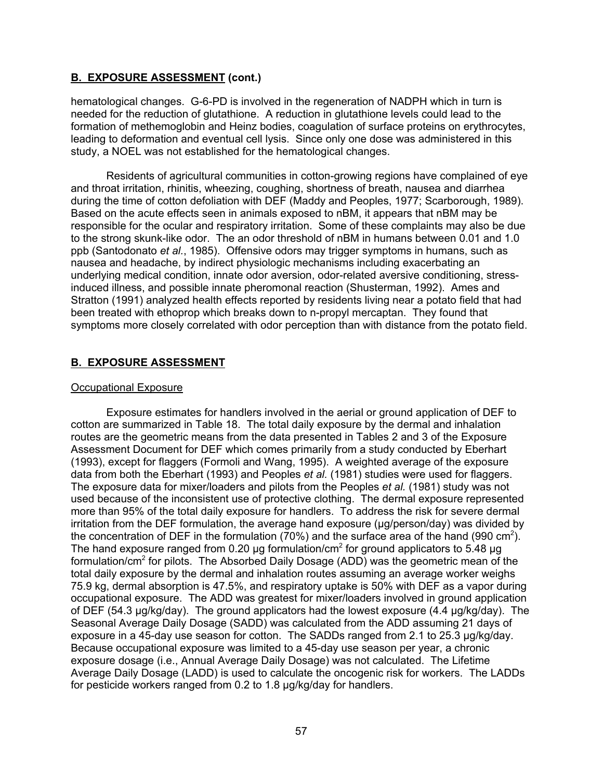hematological changes. G-6-PD is involved in the regeneration of NADPH which in turn is needed for the reduction of glutathione. A reduction in glutathione levels could lead to the formation of methemoglobin and Heinz bodies, coagulation of surface proteins on erythrocytes, leading to deformation and eventual cell lysis. Since only one dose was administered in this study, a NOEL was not established for the hematological changes.

Residents of agricultural communities in cotton-growing regions have complained of eye and throat irritation, rhinitis, wheezing, coughing, shortness of breath, nausea and diarrhea during the time of cotton defoliation with DEF (Maddy and Peoples, 1977; Scarborough, 1989). Based on the acute effects seen in animals exposed to nBM, it appears that nBM may be responsible for the ocular and respiratory irritation. Some of these complaints may also be due to the strong skunk-like odor. The an odor threshold of nBM in humans between 0.01 and 1.0 ppb (Santodonato *et al.*, 1985). Offensive odors may trigger symptoms in humans, such as nausea and headache, by indirect physiologic mechanisms including exacerbating an underlying medical condition, innate odor aversion, odor-related aversive conditioning, stressinduced illness, and possible innate pheromonal reaction (Shusterman, 1992). Ames and Stratton (1991) analyzed health effects reported by residents living near a potato field that had been treated with ethoprop which breaks down to n-propyl mercaptan. They found that symptoms more closely correlated with odor perception than with distance from the potato field.

# **B. EXPOSURE ASSESSMENT**

#### Occupational Exposure

Exposure estimates for handlers involved in the aerial or ground application of DEF to cotton are summarized in Table 18. The total daily exposure by the dermal and inhalation routes are the geometric means from the data presented in Tables 2 and 3 of the Exposure Assessment Document for DEF which comes primarily from a study conducted by Eberhart (1993), except for flaggers (Formoli and Wang, 1995). A weighted average of the exposure data from both the Eberhart (1993) and Peoples *et al.* (1981) studies were used for flaggers. The exposure data for mixer/loaders and pilots from the Peoples *et al.* (1981) study was not used because of the inconsistent use of protective clothing. The dermal exposure represented more than 95% of the total daily exposure for handlers. To address the risk for severe dermal irritation from the DEF formulation, the average hand exposure (µg/person/day) was divided by the concentration of DEF in the formulation (70%) and the surface area of the hand (990 cm<sup>2</sup>). The hand exposure ranged from 0.20 µg formulation/cm<sup>2</sup> for ground applicators to 5.48 µg formulation/cm $^2$  for pilots. The Absorbed Daily Dosage (ADD) was the geometric mean of the total daily exposure by the dermal and inhalation routes assuming an average worker weighs 75.9 kg, dermal absorption is 47.5%, and respiratory uptake is 50% with DEF as a vapor during occupational exposure. The ADD was greatest for mixer/loaders involved in ground application of DEF (54.3 µg/kg/day). The ground applicators had the lowest exposure (4.4 µg/kg/day). The Seasonal Average Daily Dosage (SADD) was calculated from the ADD assuming 21 days of exposure in a 45-day use season for cotton. The SADDs ranged from 2.1 to 25.3 µg/kg/day. Because occupational exposure was limited to a 45-day use season per year, a chronic exposure dosage (i.e., Annual Average Daily Dosage) was not calculated. The Lifetime Average Daily Dosage (LADD) is used to calculate the oncogenic risk for workers. The LADDs for pesticide workers ranged from 0.2 to 1.8 µg/kg/day for handlers.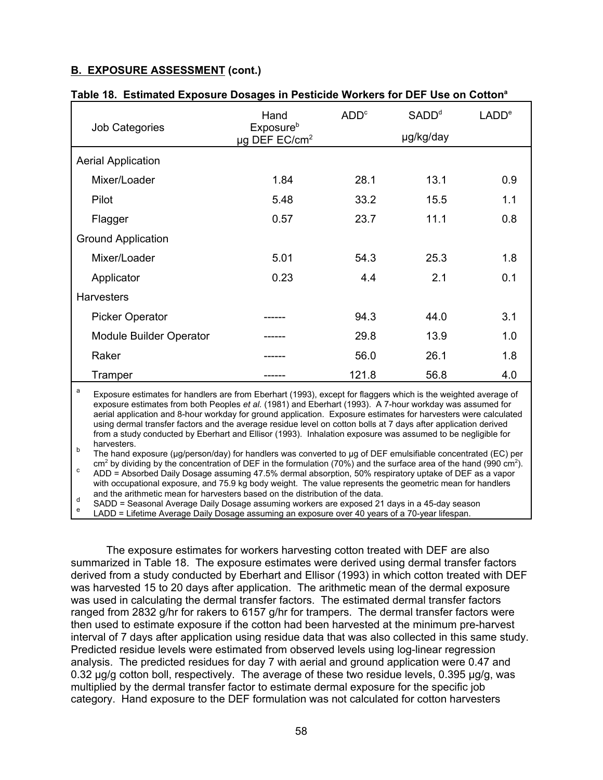|                                                                                                                                                                                                                                                                                                                                                                                                                                                                                                                                                                                                     | Hand                                                           | ADD <sup>c</sup> | SADD <sup>d</sup> | LADD <sup>e</sup> |
|-----------------------------------------------------------------------------------------------------------------------------------------------------------------------------------------------------------------------------------------------------------------------------------------------------------------------------------------------------------------------------------------------------------------------------------------------------------------------------------------------------------------------------------------------------------------------------------------------------|----------------------------------------------------------------|------------------|-------------------|-------------------|
| <b>Job Categories</b>                                                                                                                                                                                                                                                                                                                                                                                                                                                                                                                                                                               | <b>Exposure</b> <sup>b</sup><br>$\mu$ g DEF EC/cm <sup>2</sup> |                  | µg/kg/day         |                   |
| <b>Aerial Application</b>                                                                                                                                                                                                                                                                                                                                                                                                                                                                                                                                                                           |                                                                |                  |                   |                   |
| Mixer/Loader                                                                                                                                                                                                                                                                                                                                                                                                                                                                                                                                                                                        | 1.84                                                           | 28.1             | 13.1              | 0.9               |
| Pilot                                                                                                                                                                                                                                                                                                                                                                                                                                                                                                                                                                                               | 5.48                                                           | 33.2             | 15.5              | 1.1               |
| Flagger                                                                                                                                                                                                                                                                                                                                                                                                                                                                                                                                                                                             | 0.57                                                           | 23.7             | 11.1              | 0.8               |
| <b>Ground Application</b>                                                                                                                                                                                                                                                                                                                                                                                                                                                                                                                                                                           |                                                                |                  |                   |                   |
| Mixer/Loader                                                                                                                                                                                                                                                                                                                                                                                                                                                                                                                                                                                        | 5.01                                                           | 54.3             | 25.3              | 1.8               |
| Applicator                                                                                                                                                                                                                                                                                                                                                                                                                                                                                                                                                                                          | 0.23                                                           | 4.4              | 2.1               | 0.1               |
| <b>Harvesters</b>                                                                                                                                                                                                                                                                                                                                                                                                                                                                                                                                                                                   |                                                                |                  |                   |                   |
| <b>Picker Operator</b>                                                                                                                                                                                                                                                                                                                                                                                                                                                                                                                                                                              |                                                                | 94.3             | 44.0              | 3.1               |
| <b>Module Builder Operator</b>                                                                                                                                                                                                                                                                                                                                                                                                                                                                                                                                                                      |                                                                | 29.8             | 13.9              | 1.0               |
| Raker                                                                                                                                                                                                                                                                                                                                                                                                                                                                                                                                                                                               |                                                                | 56.0             | 26.1              | 1.8               |
| Tramper                                                                                                                                                                                                                                                                                                                                                                                                                                                                                                                                                                                             |                                                                | 121.8            | 56.8              | 4.0               |
| a<br>Exposure estimates for handlers are from Eberhart (1993), except for flaggers which is the weighted average of<br>exposure estimates from both Peoples et al. (1981) and Eberhart (1993). A 7-hour workday was assumed for<br>aerial application and 8-hour workday for ground application. Exposure estimates for harvesters were calculated<br>using dermal transfer factors and the average residue level on cotton bolls at 7 days after application derived<br>from a study conducted by Eberhart and Ellisor (1993). Inhalation exposure was assumed to be negligible for<br>harvesters. |                                                                |                  |                   |                   |

#### **Table 18. Estimated Exposure Dosages in Pesticide Workers for DEF Use on Cottona**

cm<sup>2</sup> by dividing by the concentration of DEF in the formulation (70%) and the surface area of the hand (990 cm $^2$ The hand exposure (µg/person/day) for handlers was converted to µg of DEF emulsifiable concentrated (EC) per cm by alviaing by the concentration of DEF in the formulation (70%) and the surface area of the hand (990 cm<br>ADD = Absorbed Daily Dosage assuming 47.5% dermal absorption, 50% respiratory uptake of DEF as a vapor

with occupational exposure, and 75.9 kg body weight. The value represents the geometric mean for handlers and the arithmetic mean for harvesters based on the distribution of the data.

d SADD = Seasonal Average Daily Dosage assuming workers are exposed 21 days in a 45-day season<br>
E LADD = Lifetime Average Daily Dosage assuming an exposure over 40 years of a 70-year lifespan.

The exposure estimates for workers harvesting cotton treated with DEF are also summarized in Table 18. The exposure estimates were derived using dermal transfer factors derived from a study conducted by Eberhart and Ellisor (1993) in which cotton treated with DEF was harvested 15 to 20 days after application. The arithmetic mean of the dermal exposure was used in calculating the dermal transfer factors. The estimated dermal transfer factors ranged from 2832 g/hr for rakers to 6157 g/hr for trampers. The dermal transfer factors were then used to estimate exposure if the cotton had been harvested at the minimum pre-harvest interval of 7 days after application using residue data that was also collected in this same study. Predicted residue levels were estimated from observed levels using log-linear regression analysis. The predicted residues for day 7 with aerial and ground application were 0.47 and 0.32 µg/g cotton boll, respectively. The average of these two residue levels, 0.395 µg/g, was multiplied by the dermal transfer factor to estimate dermal exposure for the specific job category. Hand exposure to the DEF formulation was not calculated for cotton harvesters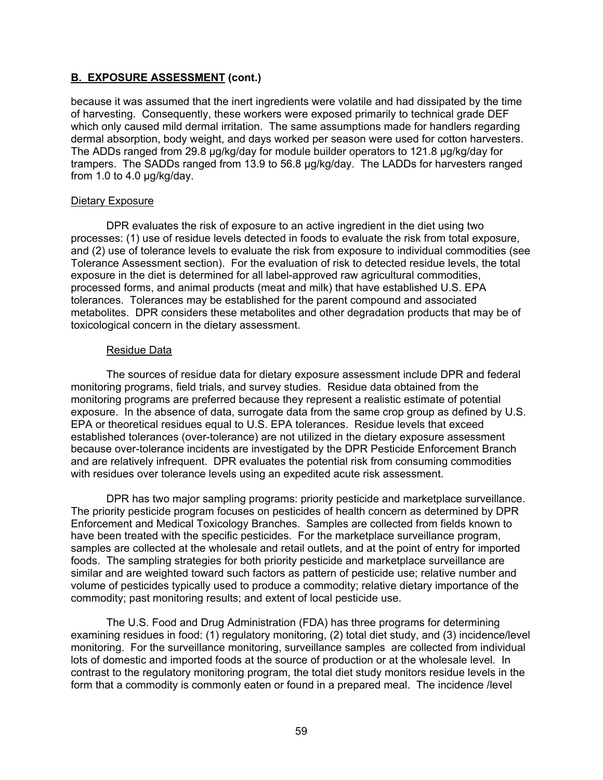because it was assumed that the inert ingredients were volatile and had dissipated by the time of harvesting. Consequently, these workers were exposed primarily to technical grade DEF which only caused mild dermal irritation. The same assumptions made for handlers regarding dermal absorption, body weight, and days worked per season were used for cotton harvesters. The ADDs ranged from 29.8 µg/kg/day for module builder operators to 121.8 µg/kg/day for trampers. The SADDs ranged from 13.9 to 56.8 µg/kg/day. The LADDs for harvesters ranged from 1.0 to 4.0 µg/kg/day.

#### Dietary Exposure

DPR evaluates the risk of exposure to an active ingredient in the diet using two processes: (1) use of residue levels detected in foods to evaluate the risk from total exposure, and (2) use of tolerance levels to evaluate the risk from exposure to individual commodities (see Tolerance Assessment section). For the evaluation of risk to detected residue levels, the total exposure in the diet is determined for all label-approved raw agricultural commodities, processed forms, and animal products (meat and milk) that have established U.S. EPA tolerances. Tolerances may be established for the parent compound and associated metabolites. DPR considers these metabolites and other degradation products that may be of toxicological concern in the dietary assessment.

#### Residue Data

The sources of residue data for dietary exposure assessment include DPR and federal monitoring programs, field trials, and survey studies. Residue data obtained from the monitoring programs are preferred because they represent a realistic estimate of potential exposure. In the absence of data, surrogate data from the same crop group as defined by U.S. EPA or theoretical residues equal to U.S. EPA tolerances. Residue levels that exceed established tolerances (over-tolerance) are not utilized in the dietary exposure assessment because over-tolerance incidents are investigated by the DPR Pesticide Enforcement Branch and are relatively infrequent. DPR evaluates the potential risk from consuming commodities with residues over tolerance levels using an expedited acute risk assessment.

DPR has two major sampling programs: priority pesticide and marketplace surveillance. The priority pesticide program focuses on pesticides of health concern as determined by DPR Enforcement and Medical Toxicology Branches. Samples are collected from fields known to have been treated with the specific pesticides. For the marketplace surveillance program, samples are collected at the wholesale and retail outlets, and at the point of entry for imported foods. The sampling strategies for both priority pesticide and marketplace surveillance are similar and are weighted toward such factors as pattern of pesticide use; relative number and volume of pesticides typically used to produce a commodity; relative dietary importance of the commodity; past monitoring results; and extent of local pesticide use.

The U.S. Food and Drug Administration (FDA) has three programs for determining examining residues in food: (1) regulatory monitoring, (2) total diet study, and (3) incidence/level monitoring. For the surveillance monitoring, surveillance samples are collected from individual lots of domestic and imported foods at the source of production or at the wholesale level. In contrast to the regulatory monitoring program, the total diet study monitors residue levels in the form that a commodity is commonly eaten or found in a prepared meal. The incidence /level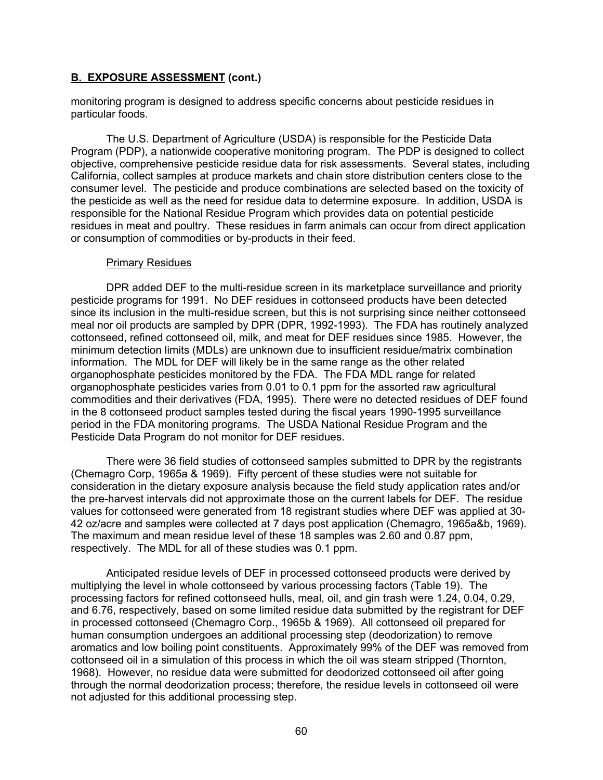monitoring program is designed to address specific concerns about pesticide residues in particular foods.

The U.S. Department of Agriculture (USDA) is responsible for the Pesticide Data Program (PDP), a nationwide cooperative monitoring program. The PDP is designed to collect objective, comprehensive pesticide residue data for risk assessments. Several states, including California, collect samples at produce markets and chain store distribution centers close to the consumer level. The pesticide and produce combinations are selected based on the toxicity of the pesticide as well as the need for residue data to determine exposure. In addition, USDA is responsible for the National Residue Program which provides data on potential pesticide residues in meat and poultry. These residues in farm animals can occur from direct application or consumption of commodities or by-products in their feed.

#### Primary Residues

DPR added DEF to the multi-residue screen in its marketplace surveillance and priority pesticide programs for 1991. No DEF residues in cottonseed products have been detected since its inclusion in the multi-residue screen, but this is not surprising since neither cottonseed meal nor oil products are sampled by DPR (DPR, 1992-1993). The FDA has routinely analyzed cottonseed, refined cottonseed oil, milk, and meat for DEF residues since 1985. However, the minimum detection limits (MDLs) are unknown due to insufficient residue/matrix combination information. The MDL for DEF will likely be in the same range as the other related organophosphate pesticides monitored by the FDA. The FDA MDL range for related organophosphate pesticides varies from 0.01 to 0.1 ppm for the assorted raw agricultural commodities and their derivatives (FDA, 1995). There were no detected residues of DEF found in the 8 cottonseed product samples tested during the fiscal years 1990-1995 surveillance period in the FDA monitoring programs. The USDA National Residue Program and the Pesticide Data Program do not monitor for DEF residues.

There were 36 field studies of cottonseed samples submitted to DPR by the registrants (Chemagro Corp, 1965a & 1969). Fifty percent of these studies were not suitable for consideration in the dietary exposure analysis because the field study application rates and/or the pre-harvest intervals did not approximate those on the current labels for DEF. The residue values for cottonseed were generated from 18 registrant studies where DEF was applied at 30- 42 oz/acre and samples were collected at 7 days post application (Chemagro, 1965a&b, 1969). The maximum and mean residue level of these 18 samples was 2.60 and 0.87 ppm, respectively. The MDL for all of these studies was 0.1 ppm.

Anticipated residue levels of DEF in processed cottonseed products were derived by multiplying the level in whole cottonseed by various processing factors (Table 19). The processing factors for refined cottonseed hulls, meal, oil, and gin trash were 1.24, 0.04, 0.29, and 6.76, respectively, based on some limited residue data submitted by the registrant for DEF in processed cottonseed (Chemagro Corp., 1965b & 1969). All cottonseed oil prepared for human consumption undergoes an additional processing step (deodorization) to remove aromatics and low boiling point constituents. Approximately 99% of the DEF was removed from cottonseed oil in a simulation of this process in which the oil was steam stripped (Thornton, 1968). However, no residue data were submitted for deodorized cottonseed oil after going through the normal deodorization process; therefore, the residue levels in cottonseed oil were not adjusted for this additional processing step.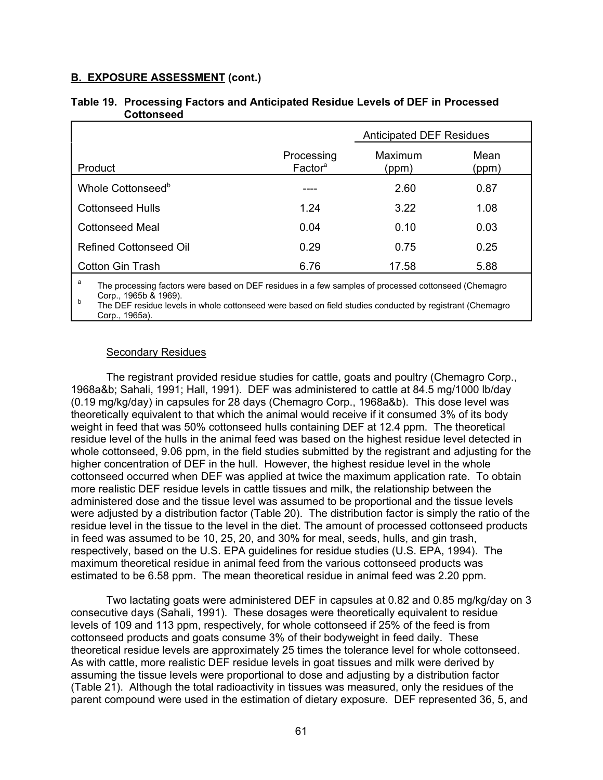|                                   | <b>Anticipated DEF Residues</b> |               |  |
|-----------------------------------|---------------------------------|---------------|--|
| Processing<br>Factor <sup>a</sup> | Maximum<br>(ppm)                | Mean<br>(ppm) |  |
|                                   | 2.60                            | 0.87          |  |
| 1.24                              | 3.22                            | 1.08          |  |
| 0.04                              | 0.10                            | 0.03          |  |
| 0.29                              | 0.75                            | 0.25          |  |
| 6.76                              | 17.58                           | 5.88          |  |
|                                   |                                 |               |  |

### **Table 19. Processing Factors and Anticipated Residue Levels of DEF in Processed Cottonseed**

The processing factors were based on DEF residues in a few samples of processed cottonseed (Chemagro Corp., 1965b & 1969). <sup>b</sup> The DEF residue levels in whole cottonseed were based on field studies conducted by registrant (Chemagro

Corp., 1965a).

# Secondary Residues

The registrant provided residue studies for cattle, goats and poultry (Chemagro Corp., 1968a&b; Sahali, 1991; Hall, 1991). DEF was administered to cattle at 84.5 mg/1000 lb/day (0.19 mg/kg/day) in capsules for 28 days (Chemagro Corp., 1968a&b). This dose level was theoretically equivalent to that which the animal would receive if it consumed 3% of its body weight in feed that was 50% cottonseed hulls containing DEF at 12.4 ppm. The theoretical residue level of the hulls in the animal feed was based on the highest residue level detected in whole cottonseed, 9.06 ppm, in the field studies submitted by the registrant and adjusting for the higher concentration of DEF in the hull. However, the highest residue level in the whole cottonseed occurred when DEF was applied at twice the maximum application rate. To obtain more realistic DEF residue levels in cattle tissues and milk, the relationship between the administered dose and the tissue level was assumed to be proportional and the tissue levels were adjusted by a distribution factor (Table 20). The distribution factor is simply the ratio of the residue level in the tissue to the level in the diet. The amount of processed cottonseed products in feed was assumed to be 10, 25, 20, and 30% for meal, seeds, hulls, and gin trash, respectively, based on the U.S. EPA guidelines for residue studies (U.S. EPA, 1994). The maximum theoretical residue in animal feed from the various cottonseed products was estimated to be 6.58 ppm. The mean theoretical residue in animal feed was 2.20 ppm.

Two lactating goats were administered DEF in capsules at 0.82 and 0.85 mg/kg/day on 3 consecutive days (Sahali, 1991). These dosages were theoretically equivalent to residue levels of 109 and 113 ppm, respectively, for whole cottonseed if 25% of the feed is from cottonseed products and goats consume 3% of their bodyweight in feed daily. These theoretical residue levels are approximately 25 times the tolerance level for whole cottonseed. As with cattle, more realistic DEF residue levels in goat tissues and milk were derived by assuming the tissue levels were proportional to dose and adjusting by a distribution factor (Table 21). Although the total radioactivity in tissues was measured, only the residues of the parent compound were used in the estimation of dietary exposure. DEF represented 36, 5, and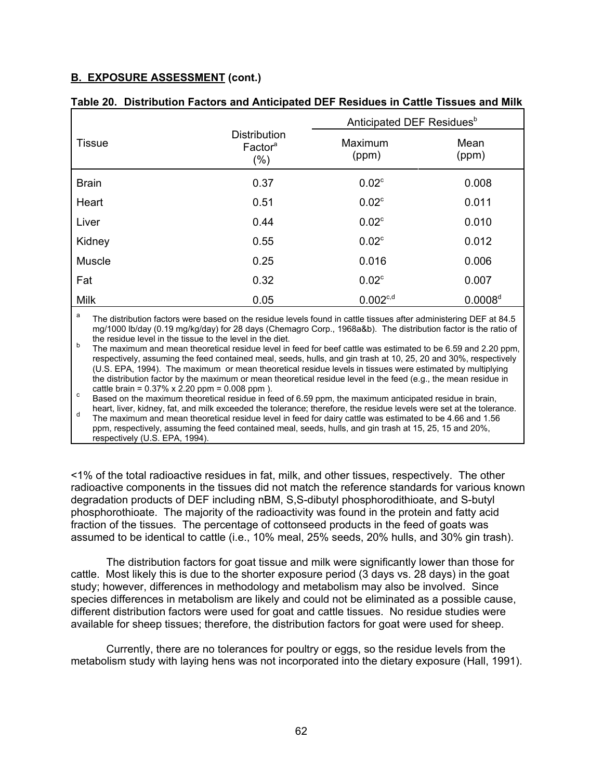|               |                                                       | Anticipated DEF Residues <sup>b</sup> |                     |  |
|---------------|-------------------------------------------------------|---------------------------------------|---------------------|--|
| <b>Tissue</b> | <b>Distribution</b><br>Factor <sup>a</sup><br>$(\% )$ | Maximum<br>(ppm)                      | Mean<br>(ppm)       |  |
| <b>Brain</b>  | 0.37                                                  | 0.02 <sup>c</sup>                     | 0.008               |  |
| Heart         | 0.51                                                  | 0.02 <sup>c</sup>                     | 0.011               |  |
| Liver         | 0.44                                                  | 0.02 <sup>c</sup>                     | 0.010               |  |
| Kidney        | 0.55                                                  | 0.02 <sup>c</sup>                     | 0.012               |  |
| <b>Muscle</b> | 0.25                                                  | 0.016                                 | 0.006               |  |
| Fat           | 0.32                                                  | 0.02 <sup>c</sup>                     | 0.007               |  |
| <b>Milk</b>   | 0.05                                                  | $0.002^{c,d}$                         | 0.0008 <sup>d</sup> |  |

### **Table 20. Distribution Factors and Anticipated DEF Residues in Cattle Tissues and Milk**

The distribution factors were based on the residue levels found in cattle tissues after administering DEF at 84.5 mg/1000 lb/day (0.19 mg/kg/day) for 28 days (Chemagro Corp., 1968a&b). The distribution factor is the ratio of the residue level in the tissue to the level in the diet.

b The maximum and mean theoretical residue level in feed for beef cattle was estimated to be 6.59 and 2.20 ppm, respectively, assuming the feed contained meal, seeds, hulls, and gin trash at 10, 25, 20 and 30%, respectively (U.S. EPA, 1994). The maximum or mean theoretical residue levels in tissues were estimated by multiplying the distribution factor by the maximum or mean theoretical residue level in the feed (e.g., the mean residue in cattle brain =  $0.37\%$  x 2.20 ppm =  $0.008$  ppm).

 $\epsilon$  Based on the maximum theoretical residue in feed of 6.59 ppm, the maximum anticipated residue in brain, heart, liver, kidney, fat, and milk exceeded the tolerance; therefore, the residue levels were set at the tolerance.

d The maximum and mean theoretical residue level in feed for dairy cattle was estimated to be 4.66 and 1.56 ppm, respectively, assuming the feed contained meal, seeds, hulls, and gin trash at 15, 25, 15 and 20%, respectively (U.S. EPA, 1994).

<1% of the total radioactive residues in fat, milk, and other tissues, respectively. The other radioactive components in the tissues did not match the reference standards for various known degradation products of DEF including nBM, S,S-dibutyl phosphorodithioate, and S-butyl phosphorothioate. The majority of the radioactivity was found in the protein and fatty acid fraction of the tissues. The percentage of cottonseed products in the feed of goats was assumed to be identical to cattle (i.e., 10% meal, 25% seeds, 20% hulls, and 30% gin trash).

The distribution factors for goat tissue and milk were significantly lower than those for cattle. Most likely this is due to the shorter exposure period (3 days vs. 28 days) in the goat study; however, differences in methodology and metabolism may also be involved. Since species differences in metabolism are likely and could not be eliminated as a possible cause, different distribution factors were used for goat and cattle tissues. No residue studies were available for sheep tissues; therefore, the distribution factors for goat were used for sheep.

Currently, there are no tolerances for poultry or eggs, so the residue levels from the metabolism study with laying hens was not incorporated into the dietary exposure (Hall, 1991).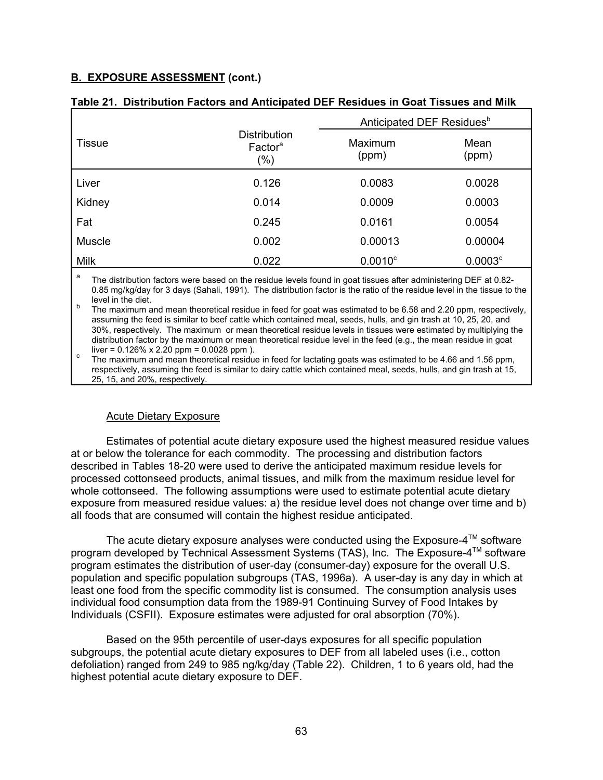|               |                                                   | Anticipated DEF Residues <sup>b</sup> |                       |  |
|---------------|---------------------------------------------------|---------------------------------------|-----------------------|--|
| <b>Tissue</b> | <b>Distribution</b><br>Factor <sup>a</sup><br>(%) | Maximum<br>(ppm)                      | Mean<br>(ppm)         |  |
| Liver         | 0.126                                             | 0.0083                                | 0.0028                |  |
| Kidney        | 0.014                                             | 0.0009                                | 0.0003                |  |
| Fat           | 0.245                                             | 0.0161                                | 0.0054                |  |
| <b>Muscle</b> | 0.002                                             | 0.00013                               | 0.00004               |  |
| <b>Milk</b>   | 0.022                                             | $0.0010^{\circ}$                      | $0.0003$ <sup>c</sup> |  |

|  | Table 21. Distribution Factors and Anticipated DEF Residues in Goat Tissues and Milk |  |  |  |
|--|--------------------------------------------------------------------------------------|--|--|--|
|--|--------------------------------------------------------------------------------------|--|--|--|

The distribution factors were based on the residue levels found in goat tissues after administering DEF at 0.82-0.85 mg/kg/day for 3 days (Sahali, 1991). The distribution factor is the ratio of the residue level in the tissue to the level in the diet.

b The maximum and mean theoretical residue in feed for goat was estimated to be 6.58 and 2.20 ppm, respectively, assuming the feed is similar to beef cattle which contained meal, seeds, hulls, and gin trash at 10, 25, 20, and 30%, respectively. The maximum or mean theoretical residue levels in tissues were estimated by multiplying the distribution factor by the maximum or mean theoretical residue level in the feed (e.g., the mean residue in goat liver = 0.126% x 2.20 ppm = 0.0028 ppm).

The maximum and mean theoretical residue in feed for lactating goats was estimated to be 4.66 and 1.56 ppm, respectively, assuming the feed is similar to dairy cattle which contained meal, seeds, hulls, and gin trash at 15, 25, 15, and 20%, respectively.

# Acute Dietary Exposure

Estimates of potential acute dietary exposure used the highest measured residue values at or below the tolerance for each commodity. The processing and distribution factors described in Tables 18-20 were used to derive the anticipated maximum residue levels for processed cottonseed products, animal tissues, and milk from the maximum residue level for whole cottonseed. The following assumptions were used to estimate potential acute dietary exposure from measured residue values: a) the residue level does not change over time and b) all foods that are consumed will contain the highest residue anticipated.

The acute dietary exposure analyses were conducted using the Exposure- $4^{\text{TM}}$  software program developed by Technical Assessment Systems (TAS), Inc. The Exposure-4™ software program estimates the distribution of user-day (consumer-day) exposure for the overall U.S. population and specific population subgroups (TAS, 1996a). A user-day is any day in which at least one food from the specific commodity list is consumed. The consumption analysis uses individual food consumption data from the 1989-91 Continuing Survey of Food Intakes by Individuals (CSFII). Exposure estimates were adjusted for oral absorption (70%).

Based on the 95th percentile of user-days exposures for all specific population subgroups, the potential acute dietary exposures to DEF from all labeled uses (i.e., cotton defoliation) ranged from 249 to 985 ng/kg/day (Table 22). Children, 1 to 6 years old, had the highest potential acute dietary exposure to DEF.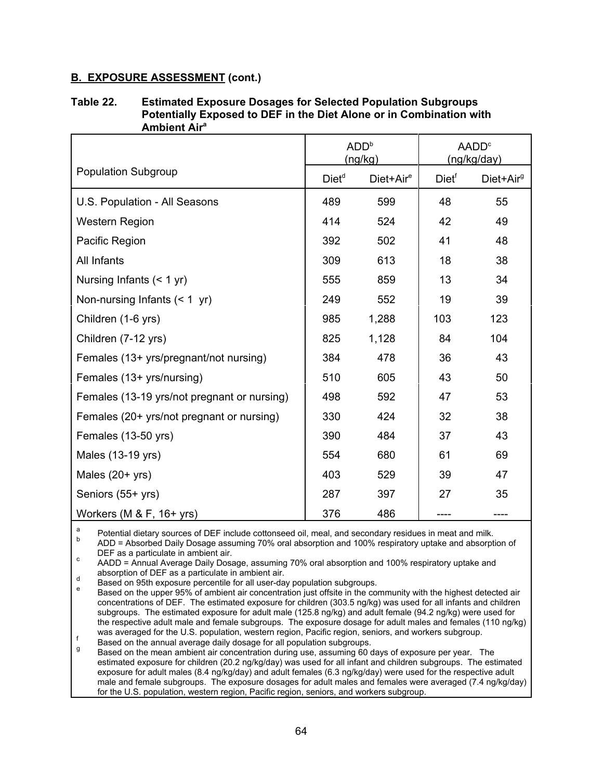#### **Table 22. Estimated Exposure Dosages for Selected Population Subgroups Potentially Exposed to DEF in the Diet Alone or in Combination with Ambient Aira**

|                                             | ADD <sup>b</sup><br>(ng/kg) |                       | AADD <sup>c</sup><br>(ng/kg/day) |                       |
|---------------------------------------------|-----------------------------|-----------------------|----------------------------------|-----------------------|
| <b>Population Subgroup</b>                  | Diet <sup>d</sup>           | Diet+Air <sup>e</sup> | Diet <sup>f</sup>                | Diet+Air <sup>g</sup> |
| U.S. Population - All Seasons               | 489                         | 599                   | 48                               | 55                    |
| <b>Western Region</b>                       | 414                         | 524                   | 42                               | 49                    |
| Pacific Region                              | 392                         | 502                   | 41                               | 48                    |
| All Infants                                 | 309                         | 613                   | 18                               | 38                    |
| Nursing Infants $(< 1 yr)$                  | 555                         | 859                   | 13                               | 34                    |
| Non-nursing Infants $(< 1$ yr)              | 249                         | 552                   | 19                               | 39                    |
| Children (1-6 yrs)                          | 985                         | 1,288                 | 103                              | 123                   |
| Children (7-12 yrs)                         | 825                         | 1,128                 | 84                               | 104                   |
| Females (13+ yrs/pregnant/not nursing)      | 384                         | 478                   | 36                               | 43                    |
| Females (13+ yrs/nursing)                   | 510                         | 605                   | 43                               | 50                    |
| Females (13-19 yrs/not pregnant or nursing) | 498                         | 592                   | 47                               | 53                    |
| Females (20+ yrs/not pregnant or nursing)   | 330                         | 424                   | 32                               | 38                    |
| Females (13-50 yrs)                         | 390                         | 484                   | 37                               | 43                    |
| Males (13-19 yrs)                           | 554                         | 680                   | 61                               | 69                    |
| Males $(20+yrs)$                            | 403                         | 529                   | 39                               | 47                    |
| Seniors (55+ yrs)                           | 287                         | 397                   | 27                               | 35                    |
| Workers (M $&$ F, 16+ yrs)                  | 376                         | 486                   |                                  |                       |

a Potential dietary sources of DEF include cottonseed oil, meal, and secondary residues in meat and milk.

ADD = Absorbed Daily Dosage assuming 70% oral absorption and 100% respiratory uptake and absorption of DEF as a particulate in ambient air.

c BEF as a particulate in ambient air.<br>AADD = Annual Average Daily Dosage, assuming 70% oral absorption and 100% respiratory uptake and<br>absorption of DEF as a particulate in ambient air.

absorption of DEP as a particulate in ambient an:<br>Based on 95th exposure percentile for all user-day population subgroups.<br>Based on the upper 95% of ambient air concentration just offsite in the community with the highest concentrations of DEF. The estimated exposure for children (303.5 ng/kg) was used for all infants and children subgroups. The estimated exposure for adult male (125.8 ng/kg) and adult female (94.2 ng/kg) were used for the respective adult male and female subgroups. The exposure dosage for adult males and females (110 ng/kg) was averaged for the U.S. population, western region, Pacific region, seniors, and workers subgroup.<br>
Based on the annual average daily dosage for all population subgroups.<br>
Based on the moon embiont air concentration duri

 $^{\circ}$  Based on the mean ambient air concentration during use, assuming 60 days of exposure per year. The estimated exposure for children (20.2 ng/kg/day) was used for all infant and children subgroups. The estimated exposure for adult males (8.4 ng/kg/day) and adult females (6.3 ng/kg/day) were used for the respective adult male and female subgroups. The exposure dosages for adult males and females were averaged (7.4 ng/kg/day) for the U.S. population, western region, Pacific region, seniors, and workers subgroup.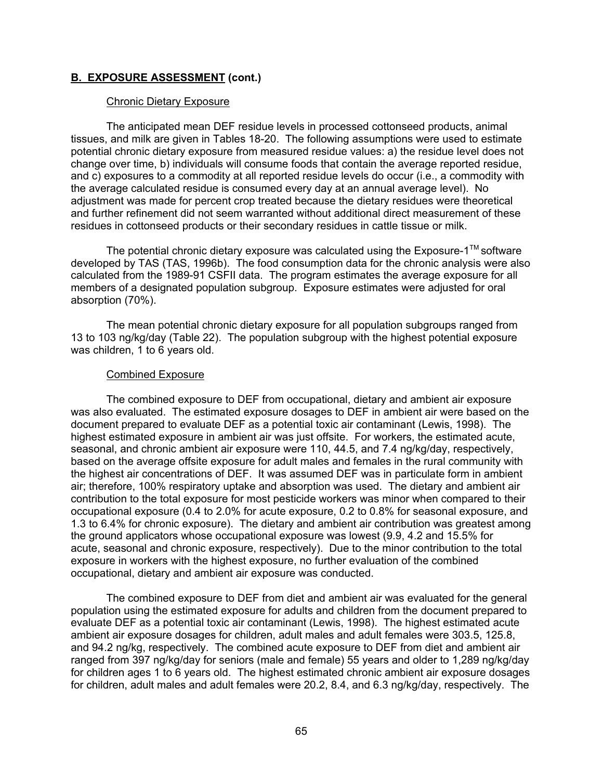#### Chronic Dietary Exposure

The anticipated mean DEF residue levels in processed cottonseed products, animal tissues, and milk are given in Tables 18-20. The following assumptions were used to estimate potential chronic dietary exposure from measured residue values: a) the residue level does not change over time, b) individuals will consume foods that contain the average reported residue, and c) exposures to a commodity at all reported residue levels do occur (i.e., a commodity with the average calculated residue is consumed every day at an annual average level). No adjustment was made for percent crop treated because the dietary residues were theoretical and further refinement did not seem warranted without additional direct measurement of these residues in cottonseed products or their secondary residues in cattle tissue or milk.

The potential chronic dietary exposure was calculated using the Exposure-1<sup>TM</sup> software developed by TAS (TAS, 1996b). The food consumption data for the chronic analysis were also calculated from the 1989-91 CSFII data. The program estimates the average exposure for all members of a designated population subgroup. Exposure estimates were adjusted for oral absorption (70%).

The mean potential chronic dietary exposure for all population subgroups ranged from 13 to 103 ng/kg/day (Table 22). The population subgroup with the highest potential exposure was children, 1 to 6 years old.

#### Combined Exposure

The combined exposure to DEF from occupational, dietary and ambient air exposure was also evaluated. The estimated exposure dosages to DEF in ambient air were based on the document prepared to evaluate DEF as a potential toxic air contaminant (Lewis, 1998). The highest estimated exposure in ambient air was just offsite. For workers, the estimated acute, seasonal, and chronic ambient air exposure were 110, 44.5, and 7.4 ng/kg/day, respectively, based on the average offsite exposure for adult males and females in the rural community with the highest air concentrations of DEF. It was assumed DEF was in particulate form in ambient air; therefore, 100% respiratory uptake and absorption was used. The dietary and ambient air contribution to the total exposure for most pesticide workers was minor when compared to their occupational exposure (0.4 to 2.0% for acute exposure, 0.2 to 0.8% for seasonal exposure, and 1.3 to 6.4% for chronic exposure). The dietary and ambient air contribution was greatest among the ground applicators whose occupational exposure was lowest (9.9, 4.2 and 15.5% for acute, seasonal and chronic exposure, respectively). Due to the minor contribution to the total exposure in workers with the highest exposure, no further evaluation of the combined occupational, dietary and ambient air exposure was conducted.

The combined exposure to DEF from diet and ambient air was evaluated for the general population using the estimated exposure for adults and children from the document prepared to evaluate DEF as a potential toxic air contaminant (Lewis, 1998). The highest estimated acute ambient air exposure dosages for children, adult males and adult females were 303.5, 125.8, and 94.2 ng/kg, respectively. The combined acute exposure to DEF from diet and ambient air ranged from 397 ng/kg/day for seniors (male and female) 55 years and older to 1,289 ng/kg/day for children ages 1 to 6 years old. The highest estimated chronic ambient air exposure dosages for children, adult males and adult females were 20.2, 8.4, and 6.3 ng/kg/day, respectively. The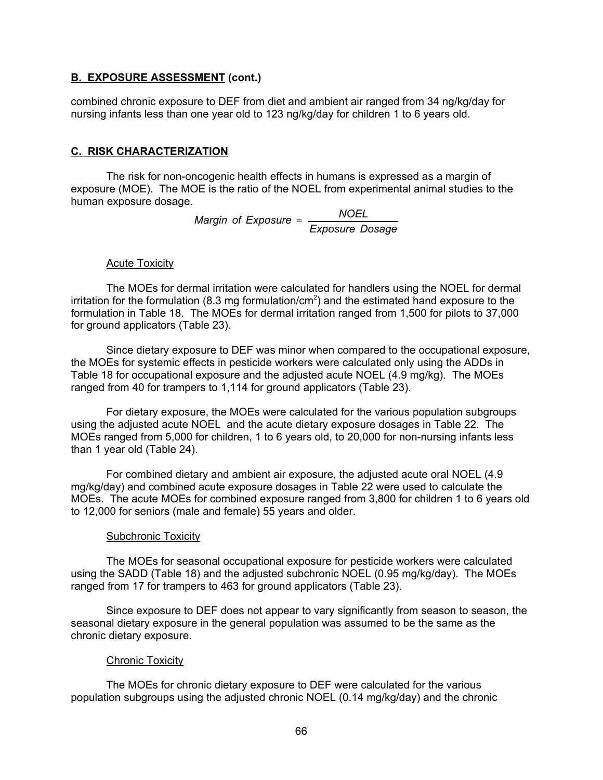## **B. EXPOSURE ASSESSMENT (cont.)**

combined chronic exposure to DEF from diet and ambient air ranged from 34 ng/kg/day for nursing infants less than one year old to 123 ng/kg/day for children 1 to 6 years old.

## **C. RISK CHARACTERIZATION**

The risk for non-oncogenic health effects in humans is expressed as a margin of exposure (MOE). The MOE is the ratio of the NOEL from experimental animal studies to the human exposure dosage.

> *Margin of Exposure* = *NOEL Exposure Dosage*

### **Acute Toxicity**

The MOEs for dermal irritation were calculated for handlers using the NOEL for dermal irritation for the formulation (8.3 mg formulation/cm $^2$ ) and the estimated hand exposure to the formulation in Table 18. The MOEs for dermal irritation ranged from 1,500 for pilots to 37,000 for ground applicators (Table 23).

Since dietary exposure to DEF was minor when compared to the occupational exposure, the MOEs for systemic effects in pesticide workers were calculated only using the ADDs in Table 18 for occupational exposure and the adjusted acute NOEL (4.9 mg/kg). The MOEs ranged from 40 for trampers to 1,114 for ground applicators (Table 23).

For dietary exposure, the MOEs were calculated for the various population subgroups using the adjusted acute NOEL and the acute dietary exposure dosages in Table 22. The MOEs ranged from 5,000 for children, 1 to 6 years old, to 20,000 for non-nursing infants less than 1 year old (Table 24).

For combined dietary and ambient air exposure, the adjusted acute oral NOEL (4.9 mg/kg/day) and combined acute exposure dosages in Table 22 were used to calculate the MOEs. The acute MOEs for combined exposure ranged from 3,800 for children 1 to 6 years old to 12,000 for seniors (male and female) 55 years and older.

## **Subchronic Toxicity**

The MOEs for seasonal occupational exposure for pesticide workers were calculated using the SADD (Table 18) and the adjusted subchronic NOEL (0.95 mg/kg/day). The MOEs ranged from 17 for trampers to 463 for ground applicators (Table 23).

Since exposure to DEF does not appear to vary significantly from season to season, the seasonal dietary exposure in the general population was assumed to be the same as the chronic dietary exposure.

## **Chronic Toxicity**

The MOEs for chronic dietary exposure to DEF were calculated for the various population subgroups using the adjusted chronic NOEL (0.14 mg/kg/day) and the chronic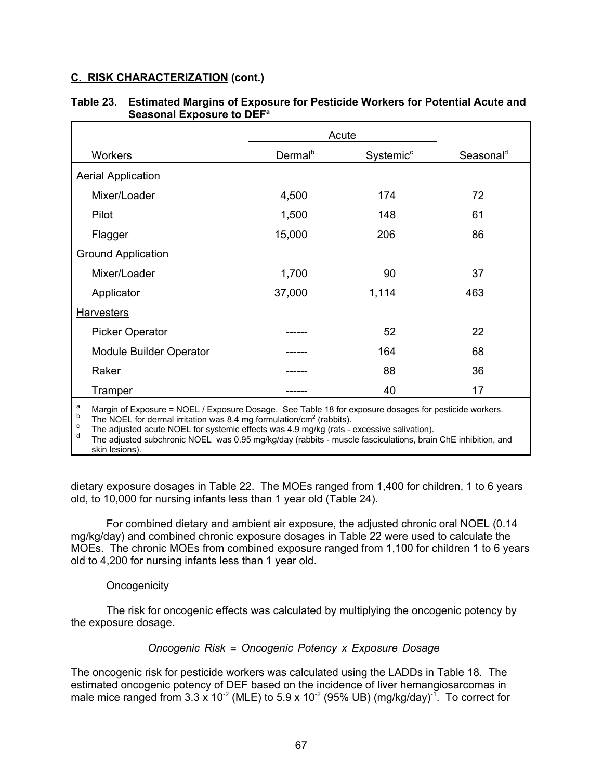## **C. RISK CHARACTERIZATION (cont.)**

|                                | Acute               |                       |                       |  |
|--------------------------------|---------------------|-----------------------|-----------------------|--|
| Workers                        | Dermal <sup>b</sup> | Systemic <sup>c</sup> | Seasonal <sup>d</sup> |  |
| <b>Aerial Application</b>      |                     |                       |                       |  |
| Mixer/Loader                   | 4,500               | 174                   | 72                    |  |
| Pilot                          | 1,500               | 148                   | 61                    |  |
| Flagger                        | 15,000              | 206                   | 86                    |  |
| <b>Ground Application</b>      |                     |                       |                       |  |
| Mixer/Loader                   | 1,700               | 90                    | 37                    |  |
| Applicator                     | 37,000              | 1,114                 | 463                   |  |
| <b>Harvesters</b>              |                     |                       |                       |  |
| <b>Picker Operator</b>         |                     | 52                    | 22                    |  |
| <b>Module Builder Operator</b> |                     | 164                   | 68                    |  |
| Raker                          |                     | 88                    | 36                    |  |
| Tramper                        |                     | 40                    | 17                    |  |

#### **Table 23. Estimated Margins of Exposure for Pesticide Workers for Potential Acute and Seasonal Exposure to DEF<sup>a</sup>**

<sup>a</sup> Margin of Exposure = NOEL / Exposure Dosage. See Table 18 for exposure dosages for pesticide workers.<br><sup>b</sup> The NOEL for dermal irritation was 8.4 mg formulation/cm<sup>2</sup> (rabbits).<br><sup>c</sup> The adjusted acute NOEL for systemic skin lesions).

dietary exposure dosages in Table 22. The MOEs ranged from 1,400 for children, 1 to 6 years old, to 10,000 for nursing infants less than 1 year old (Table 24).

For combined dietary and ambient air exposure, the adjusted chronic oral NOEL (0.14 mg/kg/day) and combined chronic exposure dosages in Table 22 were used to calculate the MOEs. The chronic MOEs from combined exposure ranged from 1,100 for children 1 to 6 years old to 4,200 for nursing infants less than 1 year old.

#### **Oncogenicity**

The risk for oncogenic effects was calculated by multiplying the oncogenic potency by the exposure dosage.

## *Oncogenic Risk* = *Oncogenic Potency x Exposure Dosage*

The oncogenic risk for pesticide workers was calculated using the LADDs in Table 18. The estimated oncogenic potency of DEF based on the incidence of liver hemangiosarcomas in male mice ranged from 3.3 x 10 $^2$  (MLE) to 5.9 x 10 $^2$  (95% UB) (mg/kg/day) $^{\text{-1}}$ . To correct for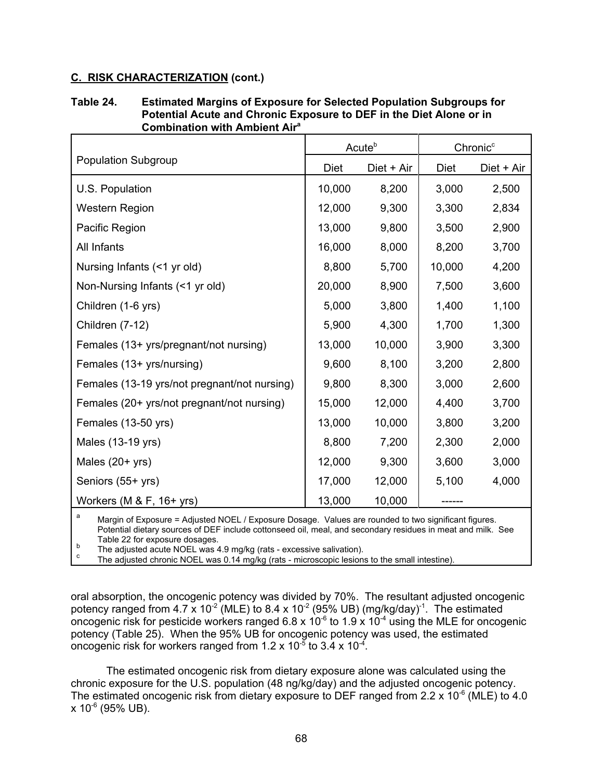## **C. RISK CHARACTERIZATION (cont.)**

| Table 24. | <b>Estimated Margins of Exposure for Selected Population Subgroups for</b> |
|-----------|----------------------------------------------------------------------------|
|           | Potential Acute and Chronic Exposure to DEF in the Diet Alone or in        |
|           | <b>Combination with Ambient Air<sup>a</sup></b>                            |

|                                              | Acute <sup>b</sup> |            | Chronic <sup>c</sup> |            |
|----------------------------------------------|--------------------|------------|----------------------|------------|
| <b>Population Subgroup</b>                   | <b>Diet</b>        | Diet + Air | Diet                 | Diet + Air |
| U.S. Population                              | 10,000             | 8,200      | 3,000                | 2,500      |
| <b>Western Region</b>                        | 12,000             | 9,300      | 3,300                | 2,834      |
| Pacific Region                               | 13,000             | 9,800      | 3,500                | 2,900      |
| All Infants                                  | 16,000             | 8,000      | 8,200                | 3,700      |
| Nursing Infants (<1 yr old)                  | 8,800              | 5,700      | 10,000               | 4,200      |
| Non-Nursing Infants (<1 yr old)              | 20,000             | 8,900      | 7,500                | 3,600      |
| Children (1-6 yrs)                           | 5,000              | 3,800      | 1,400                | 1,100      |
| Children (7-12)                              | 5,900              | 4,300      | 1,700                | 1,300      |
| Females (13+ yrs/pregnant/not nursing)       | 13,000             | 10,000     | 3,900                | 3,300      |
| Females (13+ yrs/nursing)                    | 9,600              | 8,100      | 3,200                | 2,800      |
| Females (13-19 yrs/not pregnant/not nursing) | 9,800              | 8,300      | 3,000                | 2,600      |
| Females (20+ yrs/not pregnant/not nursing)   | 15,000             | 12,000     | 4,400                | 3,700      |
| Females (13-50 yrs)                          | 13,000             | 10,000     | 3,800                | 3,200      |
| Males (13-19 yrs)                            | 8,800              | 7,200      | 2,300                | 2,000      |
| Males $(20+ yrs)$                            | 12,000             | 9,300      | 3,600                | 3,000      |
| Seniors (55+ yrs)                            | 17,000             | 12,000     | 5,100                | 4,000      |
| Workers (M $&$ F, 16+ yrs)                   | 13,000             | 10,000     |                      |            |

<sup>a</sup> Margin of Exposure = Adjusted NOEL / Exposure Dosage. Values are rounded to two significant figures. Potential dietary sources of DEF include cottonseed oil, meal, and secondary residues in meat and milk. See<br>Table 22 for exposure dosages.

Table 22 for exposure dosages.<br>
The adjusted acute NOEL was 4.9 mg/kg (rats - excessive salivation).<br>
The adjusted chronic NOEL was 0.14 mg/kg (rats - microscopic lesions to the small intestine).

oral absorption, the oncogenic potency was divided by 70%. The resultant adjusted oncogenic potency ranged from 4.7  $\times$  10<sup>-2</sup> (MLE) to 8.4 x 10<sup>-2</sup> (95% UB) (mg/kg/day)<sup>-1</sup>. The estimated oncogenic risk for pesticide workers ranged 6.8 x  $10^{-6}$  to 1.9 x 10<sup>-4</sup> using the MLE for oncogenic potency (Table 25). When the 95% UB for oncogenic potency was used, the estimated oncogenic risk for workers ranged from 1.2 x 10 $\frac{5}{6}$  to 3.4 x 10<sup>-4</sup>.

The estimated oncogenic risk from dietary exposure alone was calculated using the chronic exposure for the U.S. population (48 ng/kg/day) and the adjusted oncogenic potency. The estimated oncogenic risk from dietary exposure to DEF ranged from 2.2 x  $10^{-6}$  (MLE) to 4.0  $x 10^{-6}$  (95% UB).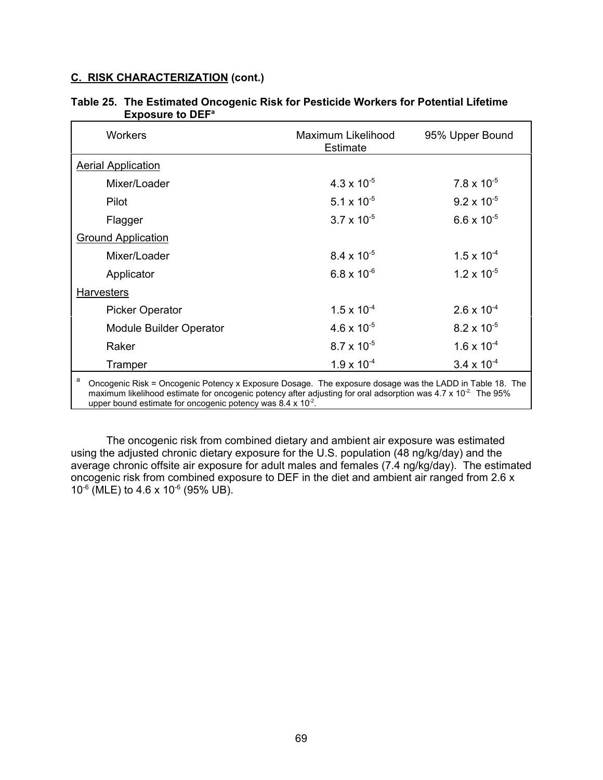# **C. RISK CHARACTERIZATION (cont.)**

| <b>Workers</b>                                                                                                                                                                                                                                                                                                             | Maximum Likelihood<br><b>Estimate</b> | 95% Upper Bound      |  |  |
|----------------------------------------------------------------------------------------------------------------------------------------------------------------------------------------------------------------------------------------------------------------------------------------------------------------------------|---------------------------------------|----------------------|--|--|
| <b>Aerial Application</b>                                                                                                                                                                                                                                                                                                  |                                       |                      |  |  |
| Mixer/Loader                                                                                                                                                                                                                                                                                                               | $4.3 \times 10^{-5}$                  | $7.8 \times 10^{-5}$ |  |  |
| Pilot                                                                                                                                                                                                                                                                                                                      | 5.1 x $10^{-5}$                       | $9.2 \times 10^{-5}$ |  |  |
| Flagger                                                                                                                                                                                                                                                                                                                    | $3.7 \times 10^{-5}$                  | $6.6 \times 10^{-5}$ |  |  |
| <b>Ground Application</b>                                                                                                                                                                                                                                                                                                  |                                       |                      |  |  |
| Mixer/Loader                                                                                                                                                                                                                                                                                                               | $8.4 \times 10^{-5}$                  | $1.5 \times 10^{-4}$ |  |  |
| Applicator                                                                                                                                                                                                                                                                                                                 | $6.8 \times 10^{-6}$                  | $1.2 \times 10^{-5}$ |  |  |
| <b>Harvesters</b>                                                                                                                                                                                                                                                                                                          |                                       |                      |  |  |
| <b>Picker Operator</b>                                                                                                                                                                                                                                                                                                     | $1.5 \times 10^{-4}$                  | $2.6 \times 10^{-4}$ |  |  |
| <b>Module Builder Operator</b>                                                                                                                                                                                                                                                                                             | 4.6 x $10^{-5}$                       | $8.2 \times 10^{-5}$ |  |  |
| Raker                                                                                                                                                                                                                                                                                                                      | $8.7 \times 10^{-5}$                  | $1.6 \times 10^{-4}$ |  |  |
| Tramper                                                                                                                                                                                                                                                                                                                    | $1.9 \times 10^{-4}$                  | $3.4 \times 10^{-4}$ |  |  |
| a<br>Oncogenic Risk = Oncogenic Potency x Exposure Dosage. The exposure dosage was the LADD in Table 18. The<br>maximum likelihood estimate for oncogenic potency after adjusting for oral adsorption was 4.7 x 10 <sup>-2</sup> The 95%<br>upper bound estimate for oncogenic potency was 8.4 $\times$ 10 <sup>-2</sup> . |                                       |                      |  |  |

### **Table 25. The Estimated Oncogenic Risk for Pesticide Workers for Potential Lifetime Exposure to DEF<sup>a</sup>**

The oncogenic risk from combined dietary and ambient air exposure was estimated using the adjusted chronic dietary exposure for the U.S. population (48 ng/kg/day) and the average chronic offsite air exposure for adult males and females (7.4 ng/kg/day). The estimated oncogenic risk from combined exposure to DEF in the diet and ambient air ranged from 2.6 x  $10^{-6}$  (MLE) to 4.6 x 10<sup>-6</sup> (95% UB).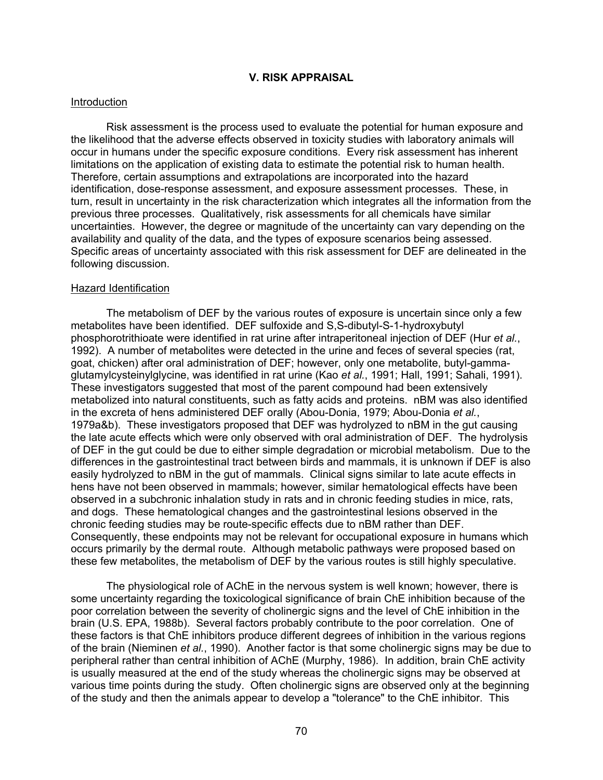### **V. RISK APPRAISAL**

#### Introduction

Risk assessment is the process used to evaluate the potential for human exposure and the likelihood that the adverse effects observed in toxicity studies with laboratory animals will occur in humans under the specific exposure conditions. Every risk assessment has inherent limitations on the application of existing data to estimate the potential risk to human health. Therefore, certain assumptions and extrapolations are incorporated into the hazard identification, dose-response assessment, and exposure assessment processes. These, in turn, result in uncertainty in the risk characterization which integrates all the information from the previous three processes. Qualitatively, risk assessments for all chemicals have similar uncertainties. However, the degree or magnitude of the uncertainty can vary depending on the availability and quality of the data, and the types of exposure scenarios being assessed. Specific areas of uncertainty associated with this risk assessment for DEF are delineated in the following discussion.

#### Hazard Identification

The metabolism of DEF by the various routes of exposure is uncertain since only a few metabolites have been identified. DEF sulfoxide and S,S-dibutyl-S-1-hydroxybutyl phosphorotrithioate were identified in rat urine after intraperitoneal injection of DEF (Hur *et al.*, 1992). A number of metabolites were detected in the urine and feces of several species (rat, goat, chicken) after oral administration of DEF; however, only one metabolite, butyl-gammaglutamylcysteinylglycine, was identified in rat urine (Kao *et al.*, 1991; Hall, 1991; Sahali, 1991). These investigators suggested that most of the parent compound had been extensively metabolized into natural constituents, such as fatty acids and proteins. nBM was also identified in the excreta of hens administered DEF orally (Abou-Donia, 1979; Abou-Donia *et al.*, 1979a&b). These investigators proposed that DEF was hydrolyzed to nBM in the gut causing the late acute effects which were only observed with oral administration of DEF. The hydrolysis of DEF in the gut could be due to either simple degradation or microbial metabolism. Due to the differences in the gastrointestinal tract between birds and mammals, it is unknown if DEF is also easily hydrolyzed to nBM in the gut of mammals. Clinical signs similar to late acute effects in hens have not been observed in mammals; however, similar hematological effects have been observed in a subchronic inhalation study in rats and in chronic feeding studies in mice, rats, and dogs. These hematological changes and the gastrointestinal lesions observed in the chronic feeding studies may be route-specific effects due to nBM rather than DEF. Consequently, these endpoints may not be relevant for occupational exposure in humans which occurs primarily by the dermal route. Although metabolic pathways were proposed based on these few metabolites, the metabolism of DEF by the various routes is still highly speculative.

The physiological role of AChE in the nervous system is well known; however, there is some uncertainty regarding the toxicological significance of brain ChE inhibition because of the poor correlation between the severity of cholinergic signs and the level of ChE inhibition in the brain (U.S. EPA, 1988b). Several factors probably contribute to the poor correlation. One of these factors is that ChE inhibitors produce different degrees of inhibition in the various regions of the brain (Nieminen *et al.*, 1990). Another factor is that some cholinergic signs may be due to peripheral rather than central inhibition of AChE (Murphy, 1986). In addition, brain ChE activity is usually measured at the end of the study whereas the cholinergic signs may be observed at various time points during the study. Often cholinergic signs are observed only at the beginning of the study and then the animals appear to develop a "tolerance" to the ChE inhibitor. This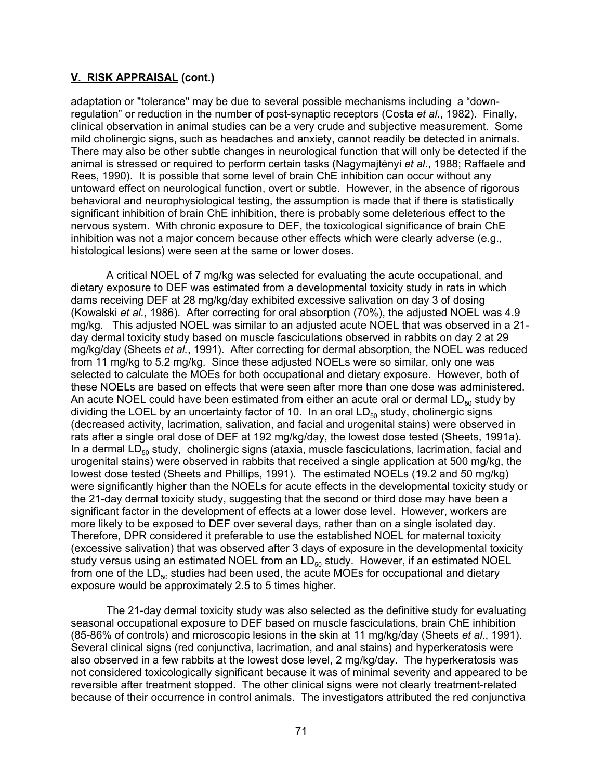adaptation or "tolerance" may be due to several possible mechanisms including a "downregulation" or reduction in the number of post-synaptic receptors (Costa *et al.*, 1982). Finally, clinical observation in animal studies can be a very crude and subjective measurement. Some mild cholinergic signs, such as headaches and anxiety, cannot readily be detected in animals. There may also be other subtle changes in neurological function that will only be detected if the animal is stressed or required to perform certain tasks (Nagymajtényi *et al.*, 1988; Raffaele and Rees, 1990). It is possible that some level of brain ChE inhibition can occur without any untoward effect on neurological function, overt or subtle. However, in the absence of rigorous behavioral and neurophysiological testing, the assumption is made that if there is statistically significant inhibition of brain ChE inhibition, there is probably some deleterious effect to the nervous system. With chronic exposure to DEF, the toxicological significance of brain ChE inhibition was not a major concern because other effects which were clearly adverse (e.g., histological lesions) were seen at the same or lower doses.

A critical NOEL of 7 mg/kg was selected for evaluating the acute occupational, and dietary exposure to DEF was estimated from a developmental toxicity study in rats in which dams receiving DEF at 28 mg/kg/day exhibited excessive salivation on day 3 of dosing (Kowalski *et al.*, 1986). After correcting for oral absorption (70%), the adjusted NOEL was 4.9 mg/kg. This adjusted NOEL was similar to an adjusted acute NOEL that was observed in a 21 day dermal toxicity study based on muscle fasciculations observed in rabbits on day 2 at 29 mg/kg/day (Sheets *et al.*, 1991). After correcting for dermal absorption, the NOEL was reduced from 11 mg/kg to 5.2 mg/kg. Since these adjusted NOELs were so similar, only one was selected to calculate the MOEs for both occupational and dietary exposure. However, both of these NOELs are based on effects that were seen after more than one dose was administered. An acute NOEL could have been estimated from either an acute oral or dermal  $LD_{50}$  study by dividing the LOEL by an uncertainty factor of 10. In an oral  $LD_{50}$  study, cholinergic signs (decreased activity, lacrimation, salivation, and facial and urogenital stains) were observed in rats after a single oral dose of DEF at 192 mg/kg/day, the lowest dose tested (Sheets, 1991a). In a dermal  $LD_{50}$  study, cholinergic signs (ataxia, muscle fasciculations, lacrimation, facial and urogenital stains) were observed in rabbits that received a single application at 500 mg/kg, the lowest dose tested (Sheets and Phillips, 1991). The estimated NOELs (19.2 and 50 mg/kg) were significantly higher than the NOELs for acute effects in the developmental toxicity study or the 21-day dermal toxicity study, suggesting that the second or third dose may have been a significant factor in the development of effects at a lower dose level. However, workers are more likely to be exposed to DEF over several days, rather than on a single isolated day. Therefore, DPR considered it preferable to use the established NOEL for maternal toxicity (excessive salivation) that was observed after 3 days of exposure in the developmental toxicity study versus using an estimated NOEL from an  $LD_{50}$  study. However, if an estimated NOEL from one of the  $LD_{50}$  studies had been used, the acute MOEs for occupational and dietary exposure would be approximately 2.5 to 5 times higher.

The 21-day dermal toxicity study was also selected as the definitive study for evaluating seasonal occupational exposure to DEF based on muscle fasciculations, brain ChE inhibition (85-86% of controls) and microscopic lesions in the skin at 11 mg/kg/day (Sheets *et al.*, 1991). Several clinical signs (red conjunctiva, lacrimation, and anal stains) and hyperkeratosis were also observed in a few rabbits at the lowest dose level, 2 mg/kg/day. The hyperkeratosis was not considered toxicologically significant because it was of minimal severity and appeared to be reversible after treatment stopped. The other clinical signs were not clearly treatment-related because of their occurrence in control animals. The investigators attributed the red conjunctiva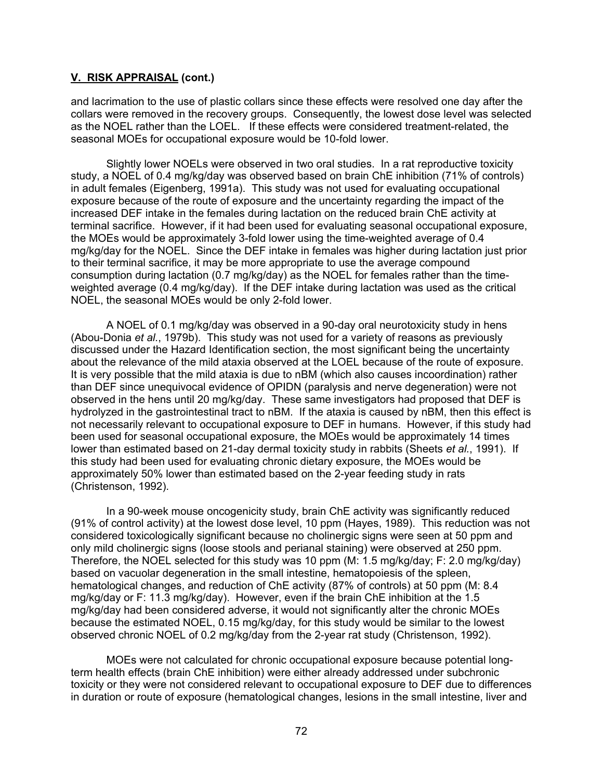and lacrimation to the use of plastic collars since these effects were resolved one day after the collars were removed in the recovery groups. Consequently, the lowest dose level was selected as the NOEL rather than the LOEL. If these effects were considered treatment-related, the seasonal MOEs for occupational exposure would be 10-fold lower.

Slightly lower NOELs were observed in two oral studies. In a rat reproductive toxicity study, a NOEL of 0.4 mg/kg/day was observed based on brain ChE inhibition (71% of controls) in adult females (Eigenberg, 1991a). This study was not used for evaluating occupational exposure because of the route of exposure and the uncertainty regarding the impact of the increased DEF intake in the females during lactation on the reduced brain ChE activity at terminal sacrifice. However, if it had been used for evaluating seasonal occupational exposure, the MOEs would be approximately 3-fold lower using the time-weighted average of 0.4 mg/kg/day for the NOEL. Since the DEF intake in females was higher during lactation just prior to their terminal sacrifice, it may be more appropriate to use the average compound consumption during lactation (0.7 mg/kg/day) as the NOEL for females rather than the timeweighted average (0.4 mg/kg/day). If the DEF intake during lactation was used as the critical NOEL, the seasonal MOEs would be only 2-fold lower.

A NOEL of 0.1 mg/kg/day was observed in a 90-day oral neurotoxicity study in hens (Abou-Donia *et al.*, 1979b). This study was not used for a variety of reasons as previously discussed under the Hazard Identification section, the most significant being the uncertainty about the relevance of the mild ataxia observed at the LOEL because of the route of exposure. It is very possible that the mild ataxia is due to nBM (which also causes incoordination) rather than DEF since unequivocal evidence of OPIDN (paralysis and nerve degeneration) were not observed in the hens until 20 mg/kg/day. These same investigators had proposed that DEF is hydrolyzed in the gastrointestinal tract to nBM. If the ataxia is caused by nBM, then this effect is not necessarily relevant to occupational exposure to DEF in humans. However, if this study had been used for seasonal occupational exposure, the MOEs would be approximately 14 times lower than estimated based on 21-day dermal toxicity study in rabbits (Sheets *et al.*, 1991). If this study had been used for evaluating chronic dietary exposure, the MOEs would be approximately 50% lower than estimated based on the 2-year feeding study in rats (Christenson, 1992).

In a 90-week mouse oncogenicity study, brain ChE activity was significantly reduced (91% of control activity) at the lowest dose level, 10 ppm (Hayes, 1989). This reduction was not considered toxicologically significant because no cholinergic signs were seen at 50 ppm and only mild cholinergic signs (loose stools and perianal staining) were observed at 250 ppm. Therefore, the NOEL selected for this study was 10 ppm (M: 1.5 mg/kg/day; F: 2.0 mg/kg/day) based on vacuolar degeneration in the small intestine, hematopoiesis of the spleen, hematological changes, and reduction of ChE activity (87% of controls) at 50 ppm (M: 8.4 mg/kg/day or F: 11.3 mg/kg/day). However, even if the brain ChE inhibition at the 1.5 mg/kg/day had been considered adverse, it would not significantly alter the chronic MOEs because the estimated NOEL, 0.15 mg/kg/day, for this study would be similar to the lowest observed chronic NOEL of 0.2 mg/kg/day from the 2-year rat study (Christenson, 1992).

MOEs were not calculated for chronic occupational exposure because potential longterm health effects (brain ChE inhibition) were either already addressed under subchronic toxicity or they were not considered relevant to occupational exposure to DEF due to differences in duration or route of exposure (hematological changes, lesions in the small intestine, liver and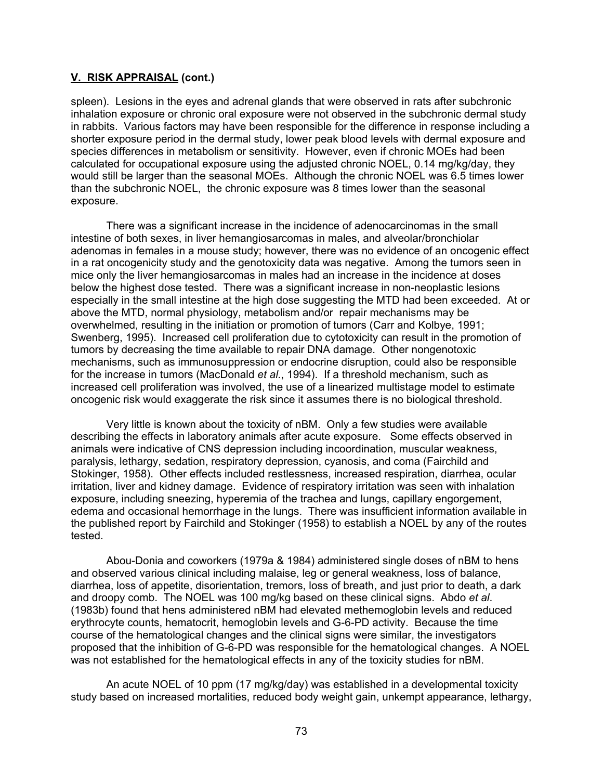spleen). Lesions in the eyes and adrenal glands that were observed in rats after subchronic inhalation exposure or chronic oral exposure were not observed in the subchronic dermal study in rabbits. Various factors may have been responsible for the difference in response including a shorter exposure period in the dermal study, lower peak blood levels with dermal exposure and species differences in metabolism or sensitivity. However, even if chronic MOEs had been calculated for occupational exposure using the adjusted chronic NOEL, 0.14 mg/kg/day, they would still be larger than the seasonal MOEs. Although the chronic NOEL was 6.5 times lower than the subchronic NOEL, the chronic exposure was 8 times lower than the seasonal exposure.

There was a significant increase in the incidence of adenocarcinomas in the small intestine of both sexes, in liver hemangiosarcomas in males, and alveolar/bronchiolar adenomas in females in a mouse study; however, there was no evidence of an oncogenic effect in a rat oncogenicity study and the genotoxicity data was negative. Among the tumors seen in mice only the liver hemangiosarcomas in males had an increase in the incidence at doses below the highest dose tested. There was a significant increase in non-neoplastic lesions especially in the small intestine at the high dose suggesting the MTD had been exceeded. At or above the MTD, normal physiology, metabolism and/or repair mechanisms may be overwhelmed, resulting in the initiation or promotion of tumors (Carr and Kolbye, 1991; Swenberg, 1995). Increased cell proliferation due to cytotoxicity can result in the promotion of tumors by decreasing the time available to repair DNA damage. Other nongenotoxic mechanisms, such as immunosuppression or endocrine disruption, could also be responsible for the increase in tumors (MacDonald *et al.*, 1994). If a threshold mechanism, such as increased cell proliferation was involved, the use of a linearized multistage model to estimate oncogenic risk would exaggerate the risk since it assumes there is no biological threshold.

Very little is known about the toxicity of nBM. Only a few studies were available describing the effects in laboratory animals after acute exposure. Some effects observed in animals were indicative of CNS depression including incoordination, muscular weakness, paralysis, lethargy, sedation, respiratory depression, cyanosis, and coma (Fairchild and Stokinger, 1958). Other effects included restlessness, increased respiration, diarrhea, ocular irritation, liver and kidney damage. Evidence of respiratory irritation was seen with inhalation exposure, including sneezing, hyperemia of the trachea and lungs, capillary engorgement, edema and occasional hemorrhage in the lungs. There was insufficient information available in the published report by Fairchild and Stokinger (1958) to establish a NOEL by any of the routes tested.

Abou-Donia and coworkers (1979a & 1984) administered single doses of nBM to hens and observed various clinical including malaise, leg or general weakness, loss of balance, diarrhea, loss of appetite, disorientation, tremors, loss of breath, and just prior to death, a dark and droopy comb. The NOEL was 100 mg/kg based on these clinical signs. Abdo *et al*. (1983b) found that hens administered nBM had elevated methemoglobin levels and reduced erythrocyte counts, hematocrit, hemoglobin levels and G-6-PD activity. Because the time course of the hematological changes and the clinical signs were similar, the investigators proposed that the inhibition of G-6-PD was responsible for the hematological changes. A NOEL was not established for the hematological effects in any of the toxicity studies for nBM.

An acute NOEL of 10 ppm (17 mg/kg/day) was established in a developmental toxicity study based on increased mortalities, reduced body weight gain, unkempt appearance, lethargy,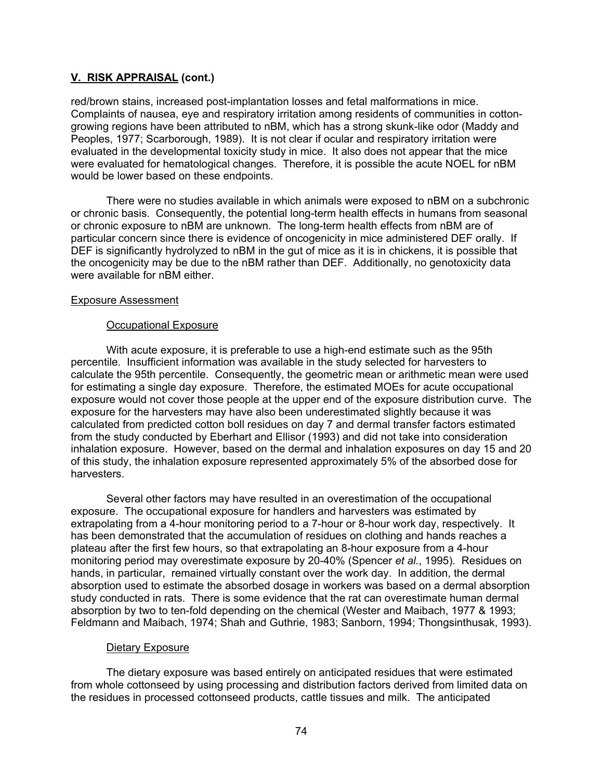red/brown stains, increased post-implantation losses and fetal malformations in mice. Complaints of nausea, eye and respiratory irritation among residents of communities in cottongrowing regions have been attributed to nBM, which has a strong skunk-like odor (Maddy and Peoples, 1977; Scarborough, 1989). It is not clear if ocular and respiratory irritation were evaluated in the developmental toxicity study in mice. It also does not appear that the mice were evaluated for hematological changes. Therefore, it is possible the acute NOEL for nBM would be lower based on these endpoints.

There were no studies available in which animals were exposed to nBM on a subchronic or chronic basis. Consequently, the potential long-term health effects in humans from seasonal or chronic exposure to nBM are unknown. The long-term health effects from nBM are of particular concern since there is evidence of oncogenicity in mice administered DEF orally. If DEF is significantly hydrolyzed to nBM in the gut of mice as it is in chickens, it is possible that the oncogenicity may be due to the nBM rather than DEF. Additionally, no genotoxicity data were available for nBM either.

#### Exposure Assessment

### Occupational Exposure

With acute exposure, it is preferable to use a high-end estimate such as the 95th percentile. Insufficient information was available in the study selected for harvesters to calculate the 95th percentile. Consequently, the geometric mean or arithmetic mean were used for estimating a single day exposure. Therefore, the estimated MOEs for acute occupational exposure would not cover those people at the upper end of the exposure distribution curve. The exposure for the harvesters may have also been underestimated slightly because it was calculated from predicted cotton boll residues on day 7 and dermal transfer factors estimated from the study conducted by Eberhart and Ellisor (1993) and did not take into consideration inhalation exposure. However, based on the dermal and inhalation exposures on day 15 and 20 of this study, the inhalation exposure represented approximately 5% of the absorbed dose for harvesters.

Several other factors may have resulted in an overestimation of the occupational exposure. The occupational exposure for handlers and harvesters was estimated by extrapolating from a 4-hour monitoring period to a 7-hour or 8-hour work day, respectively. It has been demonstrated that the accumulation of residues on clothing and hands reaches a plateau after the first few hours, so that extrapolating an 8-hour exposure from a 4-hour monitoring period may overestimate exposure by 20-40% (Spencer *et al.*, 1995). Residues on hands, in particular, remained virtually constant over the work day. In addition, the dermal absorption used to estimate the absorbed dosage in workers was based on a dermal absorption study conducted in rats. There is some evidence that the rat can overestimate human dermal absorption by two to ten-fold depending on the chemical (Wester and Maibach, 1977 & 1993; Feldmann and Maibach, 1974; Shah and Guthrie, 1983; Sanborn, 1994; Thongsinthusak, 1993).

#### Dietary Exposure

The dietary exposure was based entirely on anticipated residues that were estimated from whole cottonseed by using processing and distribution factors derived from limited data on the residues in processed cottonseed products, cattle tissues and milk. The anticipated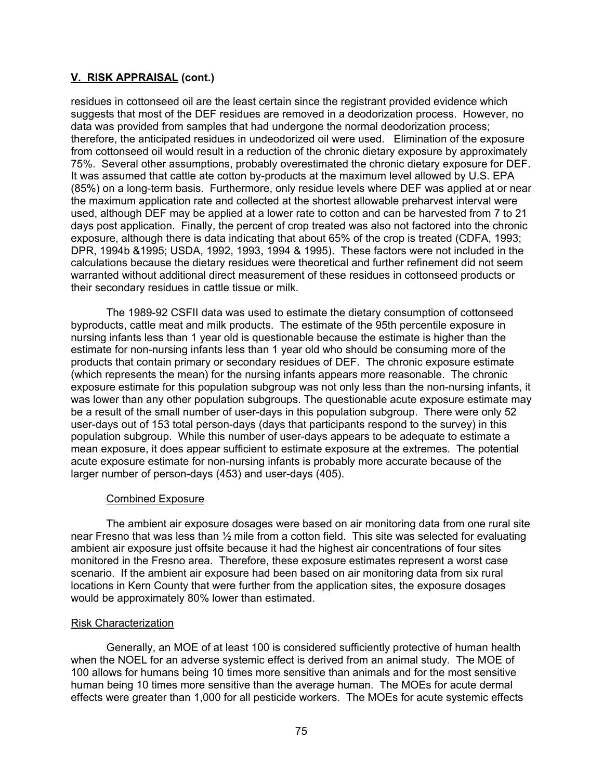residues in cottonseed oil are the least certain since the registrant provided evidence which suggests that most of the DEF residues are removed in a deodorization process. However, no data was provided from samples that had undergone the normal deodorization process; therefore, the anticipated residues in undeodorized oil were used. Elimination of the exposure from cottonseed oil would result in a reduction of the chronic dietary exposure by approximately 75%. Several other assumptions, probably overestimated the chronic dietary exposure for DEF. It was assumed that cattle ate cotton by-products at the maximum level allowed by U.S. EPA (85%) on a long-term basis. Furthermore, only residue levels where DEF was applied at or near the maximum application rate and collected at the shortest allowable preharvest interval were used, although DEF may be applied at a lower rate to cotton and can be harvested from 7 to 21 days post application. Finally, the percent of crop treated was also not factored into the chronic exposure, although there is data indicating that about 65% of the crop is treated (CDFA, 1993; DPR, 1994b &1995; USDA, 1992, 1993, 1994 & 1995). These factors were not included in the calculations because the dietary residues were theoretical and further refinement did not seem warranted without additional direct measurement of these residues in cottonseed products or their secondary residues in cattle tissue or milk.

The 1989-92 CSFII data was used to estimate the dietary consumption of cottonseed byproducts, cattle meat and milk products. The estimate of the 95th percentile exposure in nursing infants less than 1 year old is questionable because the estimate is higher than the estimate for non-nursing infants less than 1 year old who should be consuming more of the products that contain primary or secondary residues of DEF. The chronic exposure estimate (which represents the mean) for the nursing infants appears more reasonable. The chronic exposure estimate for this population subgroup was not only less than the non-nursing infants, it was lower than any other population subgroups. The questionable acute exposure estimate may be a result of the small number of user-days in this population subgroup. There were only 52 user-days out of 153 total person-days (days that participants respond to the survey) in this population subgroup. While this number of user-days appears to be adequate to estimate a mean exposure, it does appear sufficient to estimate exposure at the extremes. The potential acute exposure estimate for non-nursing infants is probably more accurate because of the larger number of person-days (453) and user-days (405).

## Combined Exposure

The ambient air exposure dosages were based on air monitoring data from one rural site near Fresno that was less than ½ mile from a cotton field. This site was selected for evaluating ambient air exposure just offsite because it had the highest air concentrations of four sites monitored in the Fresno area. Therefore, these exposure estimates represent a worst case scenario. If the ambient air exposure had been based on air monitoring data from six rural locations in Kern County that were further from the application sites, the exposure dosages would be approximately 80% lower than estimated.

#### Risk Characterization

Generally, an MOE of at least 100 is considered sufficiently protective of human health when the NOEL for an adverse systemic effect is derived from an animal study. The MOE of 100 allows for humans being 10 times more sensitive than animals and for the most sensitive human being 10 times more sensitive than the average human. The MOEs for acute dermal effects were greater than 1,000 for all pesticide workers. The MOEs for acute systemic effects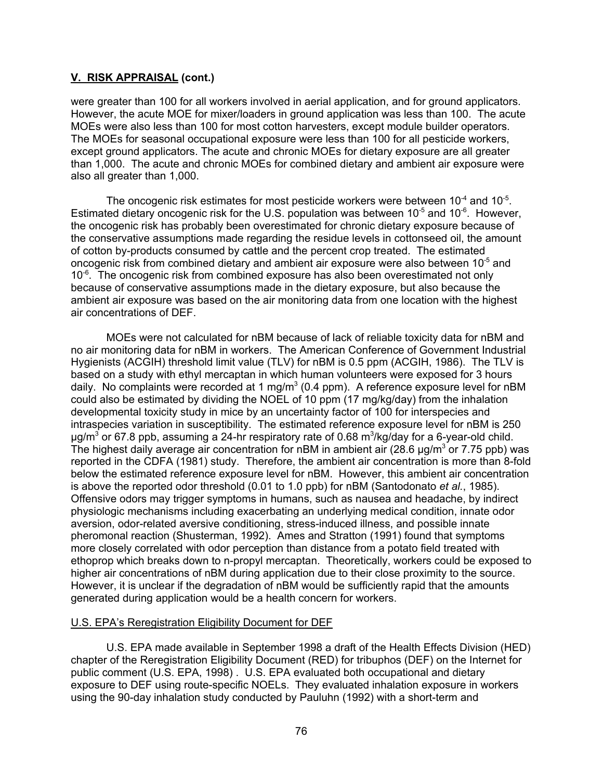were greater than 100 for all workers involved in aerial application, and for ground applicators. However, the acute MOE for mixer/loaders in ground application was less than 100. The acute MOEs were also less than 100 for most cotton harvesters, except module builder operators. The MOEs for seasonal occupational exposure were less than 100 for all pesticide workers, except ground applicators. The acute and chronic MOEs for dietary exposure are all greater than 1,000. The acute and chronic MOEs for combined dietary and ambient air exposure were also all greater than 1,000.

The oncogenic risk estimates for most pesticide workers were between  $10^{-4}$  and  $10^{-5}$ . Estimated dietary oncogenic risk for the U.S. population was between  $10^{-5}$  and  $10^{-6}$ . However, the oncogenic risk has probably been overestimated for chronic dietary exposure because of the conservative assumptions made regarding the residue levels in cottonseed oil, the amount of cotton by-products consumed by cattle and the percent crop treated. The estimated oncogenic risk from combined dietary and ambient air exposure were also between 10<sup>-5</sup> and  $10^{-6}$ . The oncogenic risk from combined exposure has also been overestimated not only because of conservative assumptions made in the dietary exposure, but also because the ambient air exposure was based on the air monitoring data from one location with the highest air concentrations of DEF.

MOEs were not calculated for nBM because of lack of reliable toxicity data for nBM and no air monitoring data for nBM in workers. The American Conference of Government Industrial Hygienists (ACGIH) threshold limit value (TLV) for nBM is 0.5 ppm (ACGIH, 1986). The TLV is based on a study with ethyl mercaptan in which human volunteers were exposed for 3 hours daily. No complaints were recorded at 1 mg/m $^3$  (0.4 ppm). A reference exposure level for nBM could also be estimated by dividing the NOEL of 10 ppm (17 mg/kg/day) from the inhalation developmental toxicity study in mice by an uncertainty factor of 100 for interspecies and intraspecies variation in susceptibility. The estimated reference exposure level for nBM is 250  $\mu$ g/m $^3$  or 67.8 ppb, assuming a 24-hr respiratory rate of 0.68 m $^3$ /kg/day for a 6-year-old child. The highest daily average air concentration for nBM in ambient air (28.6  $\mu$ g/m $^3$  or 7.75 ppb) was reported in the CDFA (1981) study. Therefore, the ambient air concentration is more than 8-fold below the estimated reference exposure level for nBM. However, this ambient air concentration is above the reported odor threshold (0.01 to 1.0 ppb) for nBM (Santodonato *et al.*, 1985). Offensive odors may trigger symptoms in humans, such as nausea and headache, by indirect physiologic mechanisms including exacerbating an underlying medical condition, innate odor aversion, odor-related aversive conditioning, stress-induced illness, and possible innate pheromonal reaction (Shusterman, 1992). Ames and Stratton (1991) found that symptoms more closely correlated with odor perception than distance from a potato field treated with ethoprop which breaks down to n-propyl mercaptan. Theoretically, workers could be exposed to higher air concentrations of nBM during application due to their close proximity to the source. However, it is unclear if the degradation of nBM would be sufficiently rapid that the amounts generated during application would be a health concern for workers.

## U.S. EPA's Reregistration Eligibility Document for DEF

U.S. EPA made available in September 1998 a draft of the Health Effects Division (HED) chapter of the Reregistration Eligibility Document (RED) for tribuphos (DEF) on the Internet for public comment (U.S. EPA, 1998) . U.S. EPA evaluated both occupational and dietary exposure to DEF using route-specific NOELs. They evaluated inhalation exposure in workers using the 90-day inhalation study conducted by Pauluhn (1992) with a short-term and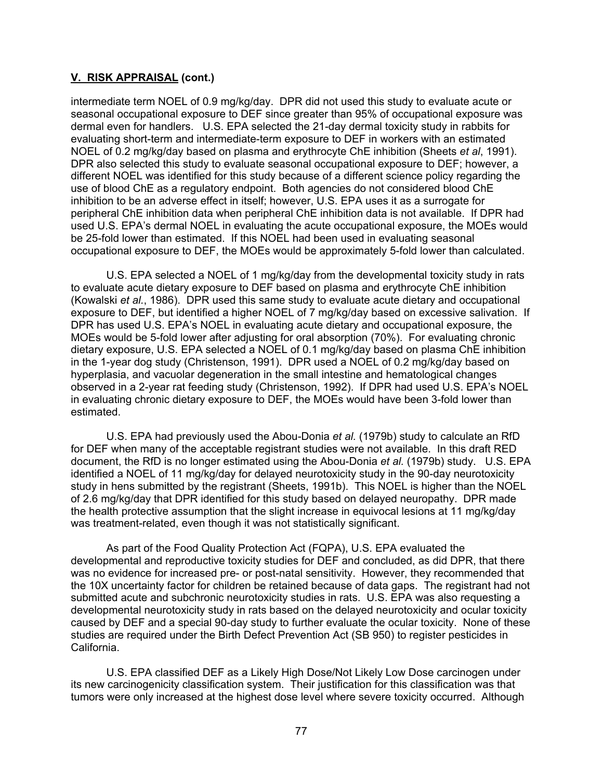intermediate term NOEL of 0.9 mg/kg/day. DPR did not used this study to evaluate acute or seasonal occupational exposure to DEF since greater than 95% of occupational exposure was dermal even for handlers. U.S. EPA selected the 21-day dermal toxicity study in rabbits for evaluating short-term and intermediate-term exposure to DEF in workers with an estimated NOEL of 0.2 mg/kg/day based on plasma and erythrocyte ChE inhibition (Sheets *et al*, 1991). DPR also selected this study to evaluate seasonal occupational exposure to DEF; however, a different NOEL was identified for this study because of a different science policy regarding the use of blood ChE as a regulatory endpoint. Both agencies do not considered blood ChE inhibition to be an adverse effect in itself; however, U.S. EPA uses it as a surrogate for peripheral ChE inhibition data when peripheral ChE inhibition data is not available. If DPR had used U.S. EPA's dermal NOEL in evaluating the acute occupational exposure, the MOEs would be 25-fold lower than estimated. If this NOEL had been used in evaluating seasonal occupational exposure to DEF, the MOEs would be approximately 5-fold lower than calculated.

U.S. EPA selected a NOEL of 1 mg/kg/day from the developmental toxicity study in rats to evaluate acute dietary exposure to DEF based on plasma and erythrocyte ChE inhibition (Kowalski *et al.*, 1986). DPR used this same study to evaluate acute dietary and occupational exposure to DEF, but identified a higher NOEL of 7 mg/kg/day based on excessive salivation. If DPR has used U.S. EPA's NOEL in evaluating acute dietary and occupational exposure, the MOEs would be 5-fold lower after adjusting for oral absorption (70%). For evaluating chronic dietary exposure, U.S. EPA selected a NOEL of 0.1 mg/kg/day based on plasma ChE inhibition in the 1-year dog study (Christenson, 1991). DPR used a NOEL of 0.2 mg/kg/day based on hyperplasia, and vacuolar degeneration in the small intestine and hematological changes observed in a 2-year rat feeding study (Christenson, 1992). If DPR had used U.S. EPA's NOEL in evaluating chronic dietary exposure to DEF, the MOEs would have been 3-fold lower than estimated.

U.S. EPA had previously used the Abou-Donia *et al.* (1979b) study to calculate an RfD for DEF when many of the acceptable registrant studies were not available. In this draft RED document, the RfD is no longer estimated using the Abou-Donia *et al.* (1979b) study. U.S. EPA identified a NOEL of 11 mg/kg/day for delayed neurotoxicity study in the 90-day neurotoxicity study in hens submitted by the registrant (Sheets, 1991b). This NOEL is higher than the NOEL of 2.6 mg/kg/day that DPR identified for this study based on delayed neuropathy. DPR made the health protective assumption that the slight increase in equivocal lesions at 11 mg/kg/day was treatment-related, even though it was not statistically significant.

As part of the Food Quality Protection Act (FQPA), U.S. EPA evaluated the developmental and reproductive toxicity studies for DEF and concluded, as did DPR, that there was no evidence for increased pre- or post-natal sensitivity. However, they recommended that the 10X uncertainty factor for children be retained because of data gaps. The registrant had not submitted acute and subchronic neurotoxicity studies in rats. U.S. EPA was also requesting a developmental neurotoxicity study in rats based on the delayed neurotoxicity and ocular toxicity caused by DEF and a special 90-day study to further evaluate the ocular toxicity. None of these studies are required under the Birth Defect Prevention Act (SB 950) to register pesticides in California.

U.S. EPA classified DEF as a Likely High Dose/Not Likely Low Dose carcinogen under its new carcinogenicity classification system. Their justification for this classification was that tumors were only increased at the highest dose level where severe toxicity occurred. Although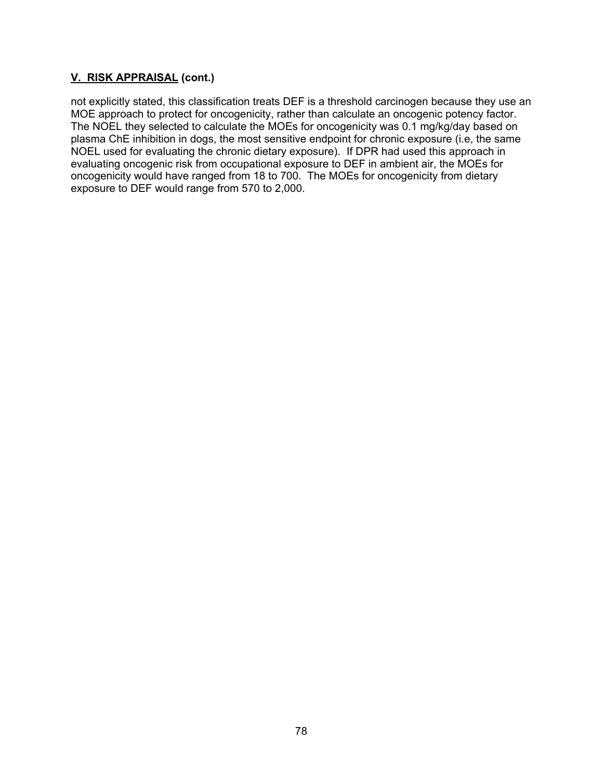not explicitly stated, this classification treats DEF is a threshold carcinogen because they use an MOE approach to protect for oncogenicity, rather than calculate an oncogenic potency factor. The NOEL they selected to calculate the MOEs for oncogenicity was 0.1 mg/kg/day based on plasma ChE inhibition in dogs, the most sensitive endpoint for chronic exposure (i.e, the same NOEL used for evaluating the chronic dietary exposure). If DPR had used this approach in evaluating oncogenic risk from occupational exposure to DEF in ambient air, the MOEs for oncogenicity would have ranged from 18 to 700. The MOEs for oncogenicity from dietary exposure to DEF would range from 570 to 2,000.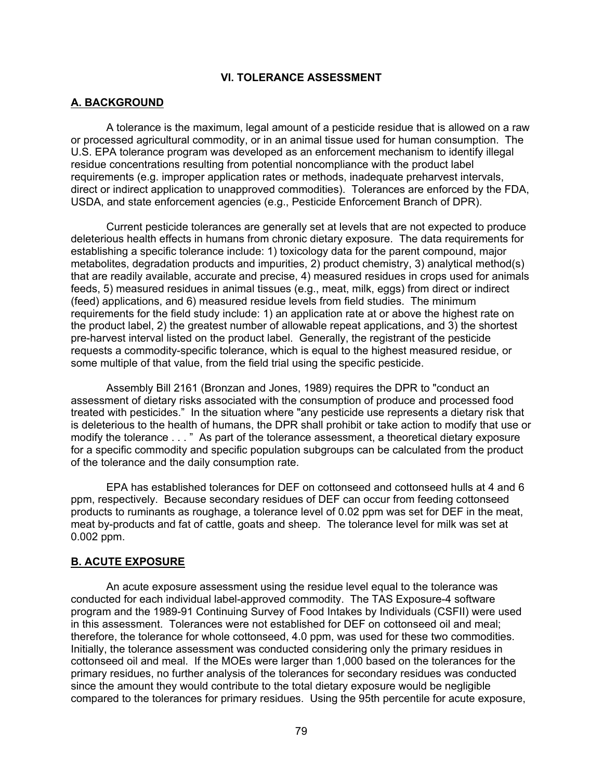### **VI. TOLERANCE ASSESSMENT**

#### **A. BACKGROUND**

A tolerance is the maximum, legal amount of a pesticide residue that is allowed on a raw or processed agricultural commodity, or in an animal tissue used for human consumption. The U.S. EPA tolerance program was developed as an enforcement mechanism to identify illegal residue concentrations resulting from potential noncompliance with the product label requirements (e.g. improper application rates or methods, inadequate preharvest intervals, direct or indirect application to unapproved commodities). Tolerances are enforced by the FDA, USDA, and state enforcement agencies (e.g., Pesticide Enforcement Branch of DPR).

Current pesticide tolerances are generally set at levels that are not expected to produce deleterious health effects in humans from chronic dietary exposure. The data requirements for establishing a specific tolerance include: 1) toxicology data for the parent compound, major metabolites, degradation products and impurities, 2) product chemistry, 3) analytical method(s) that are readily available, accurate and precise, 4) measured residues in crops used for animals feeds, 5) measured residues in animal tissues (e.g., meat, milk, eggs) from direct or indirect (feed) applications, and 6) measured residue levels from field studies. The minimum requirements for the field study include: 1) an application rate at or above the highest rate on the product label, 2) the greatest number of allowable repeat applications, and 3) the shortest pre-harvest interval listed on the product label. Generally, the registrant of the pesticide requests a commodity-specific tolerance, which is equal to the highest measured residue, or some multiple of that value, from the field trial using the specific pesticide.

Assembly Bill 2161 (Bronzan and Jones, 1989) requires the DPR to "conduct an assessment of dietary risks associated with the consumption of produce and processed food treated with pesticides." In the situation where "any pesticide use represents a dietary risk that is deleterious to the health of humans, the DPR shall prohibit or take action to modify that use or modify the tolerance . . . " As part of the tolerance assessment, a theoretical dietary exposure for a specific commodity and specific population subgroups can be calculated from the product of the tolerance and the daily consumption rate.

EPA has established tolerances for DEF on cottonseed and cottonseed hulls at 4 and 6 ppm, respectively. Because secondary residues of DEF can occur from feeding cottonseed products to ruminants as roughage, a tolerance level of 0.02 ppm was set for DEF in the meat, meat by-products and fat of cattle, goats and sheep. The tolerance level for milk was set at 0.002 ppm.

#### **B. ACUTE EXPOSURE**

An acute exposure assessment using the residue level equal to the tolerance was conducted for each individual label-approved commodity. The TAS Exposure-4 software program and the 1989-91 Continuing Survey of Food Intakes by Individuals (CSFII) were used in this assessment. Tolerances were not established for DEF on cottonseed oil and meal; therefore, the tolerance for whole cottonseed, 4.0 ppm, was used for these two commodities. Initially, the tolerance assessment was conducted considering only the primary residues in cottonseed oil and meal. If the MOEs were larger than 1,000 based on the tolerances for the primary residues, no further analysis of the tolerances for secondary residues was conducted since the amount they would contribute to the total dietary exposure would be negligible compared to the tolerances for primary residues. Using the 95th percentile for acute exposure,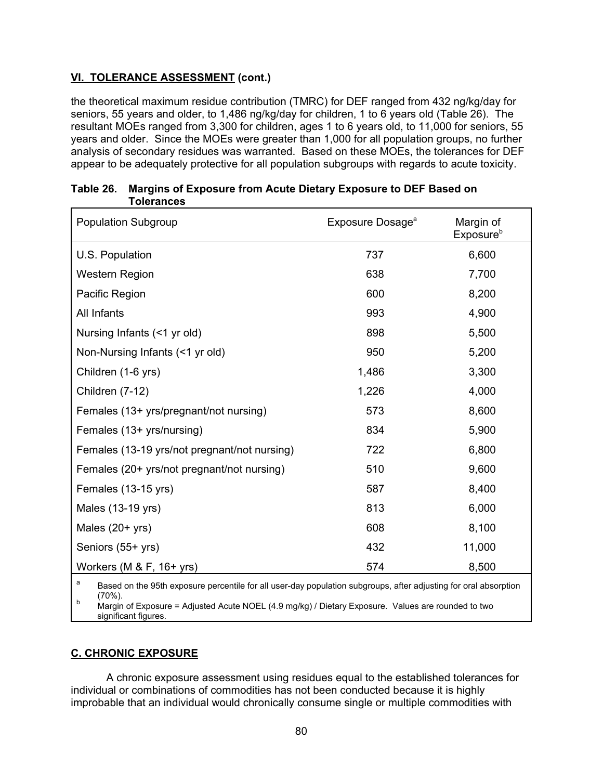# **VI. TOLERANCE ASSESSMENT (cont.)**

the theoretical maximum residue contribution (TMRC) for DEF ranged from 432 ng/kg/day for seniors, 55 years and older, to 1,486 ng/kg/day for children, 1 to 6 years old (Table 26). The resultant MOEs ranged from 3,300 for children, ages 1 to 6 years old, to 11,000 for seniors, 55 years and older. Since the MOEs were greater than 1,000 for all population groups, no further analysis of secondary residues was warranted. Based on these MOEs, the tolerances for DEF appear to be adequately protective for all population subgroups with regards to acute toxicity.

| <b>Population Subgroup</b>                                                                                            | Exposure Dosage <sup>a</sup> | Margin of<br>Exposure <sup>b</sup> |  |  |
|-----------------------------------------------------------------------------------------------------------------------|------------------------------|------------------------------------|--|--|
| U.S. Population                                                                                                       | 737                          | 6,600                              |  |  |
| <b>Western Region</b>                                                                                                 | 638                          | 7,700                              |  |  |
| Pacific Region                                                                                                        | 600                          | 8,200                              |  |  |
| All Infants                                                                                                           | 993                          | 4,900                              |  |  |
| Nursing Infants (<1 yr old)                                                                                           | 898                          | 5,500                              |  |  |
| Non-Nursing Infants (<1 yr old)                                                                                       | 950                          | 5,200                              |  |  |
| Children (1-6 yrs)                                                                                                    | 1,486                        | 3,300                              |  |  |
| Children (7-12)                                                                                                       | 1,226                        | 4,000                              |  |  |
| Females (13+ yrs/pregnant/not nursing)                                                                                | 573                          | 8,600                              |  |  |
| Females (13+ yrs/nursing)                                                                                             | 834                          | 5,900                              |  |  |
| Females (13-19 yrs/not pregnant/not nursing)                                                                          | 722                          | 6,800                              |  |  |
| Females (20+ yrs/not pregnant/not nursing)                                                                            | 510                          | 9,600                              |  |  |
| Females (13-15 yrs)                                                                                                   | 587                          | 8,400                              |  |  |
| Males (13-19 yrs)                                                                                                     | 813                          | 6,000                              |  |  |
| Males (20+ yrs)                                                                                                       | 608                          | 8,100                              |  |  |
| Seniors (55+ yrs)                                                                                                     | 432                          | 11,000                             |  |  |
| Workers (M $&$ F, 16+ yrs)                                                                                            | 574                          | 8,500                              |  |  |
| a<br>Based on the 95th exposure percentile for all user-day population subgroups, after adjusting for oral absorption |                              |                                    |  |  |

| Table 26. Margins of Exposure from Acute Dietary Exposure to DEF Based on |  |
|---------------------------------------------------------------------------|--|
| Tolerances                                                                |  |

<sup>a</sup> Based on the 95th exposure percentile for all user-day population subgroups, after adjusting for oral absorption

<sup>b</sup> (70%).<br><sup>b</sup> Margin of Exposure = Adjusted Acute NOEL (4.9 mg/kg) / Dietary Exposure. Values are rounded to two significant figures.

## **C. CHRONIC EXPOSURE**

A chronic exposure assessment using residues equal to the established tolerances for individual or combinations of commodities has not been conducted because it is highly improbable that an individual would chronically consume single or multiple commodities with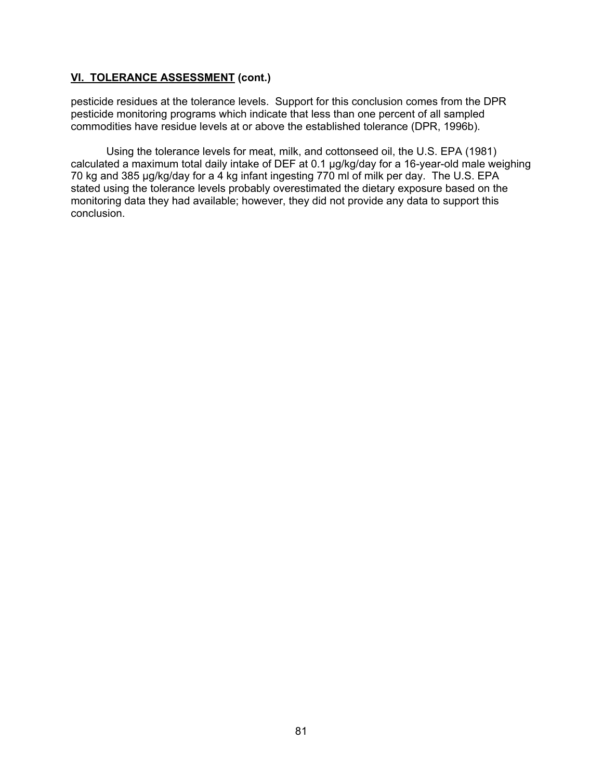## **VI. TOLERANCE ASSESSMENT (cont.)**

pesticide residues at the tolerance levels. Support for this conclusion comes from the DPR pesticide monitoring programs which indicate that less than one percent of all sampled commodities have residue levels at or above the established tolerance (DPR, 1996b).

Using the tolerance levels for meat, milk, and cottonseed oil, the U.S. EPA (1981) calculated a maximum total daily intake of DEF at 0.1 µg/kg/day for a 16-year-old male weighing 70 kg and 385 µg/kg/day for a 4 kg infant ingesting 770 ml of milk per day. The U.S. EPA stated using the tolerance levels probably overestimated the dietary exposure based on the monitoring data they had available; however, they did not provide any data to support this conclusion.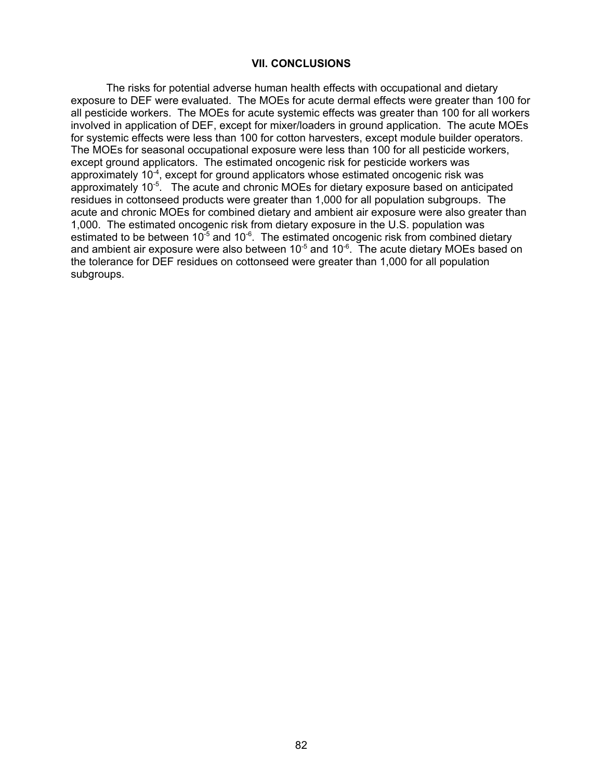#### **VII. CONCLUSIONS**

The risks for potential adverse human health effects with occupational and dietary exposure to DEF were evaluated. The MOEs for acute dermal effects were greater than 100 for all pesticide workers. The MOEs for acute systemic effects was greater than 100 for all workers involved in application of DEF, except for mixer/loaders in ground application. The acute MOEs for systemic effects were less than 100 for cotton harvesters, except module builder operators. The MOEs for seasonal occupational exposure were less than 100 for all pesticide workers, except ground applicators. The estimated oncogenic risk for pesticide workers was approximately  $10^{-4}$ , except for ground applicators whose estimated oncogenic risk was approximately 10-5. The acute and chronic MOEs for dietary exposure based on anticipated residues in cottonseed products were greater than 1,000 for all population subgroups. The acute and chronic MOEs for combined dietary and ambient air exposure were also greater than 1,000. The estimated oncogenic risk from dietary exposure in the U.S. population was estimated to be between  $10^{-5}$  and  $10^{-6}$ . The estimated oncogenic risk from combined dietary and ambient air exposure were also between  $10^{-5}$  and  $10^{-6}$ . The acute dietary MOEs based on the tolerance for DEF residues on cottonseed were greater than 1,000 for all population subgroups.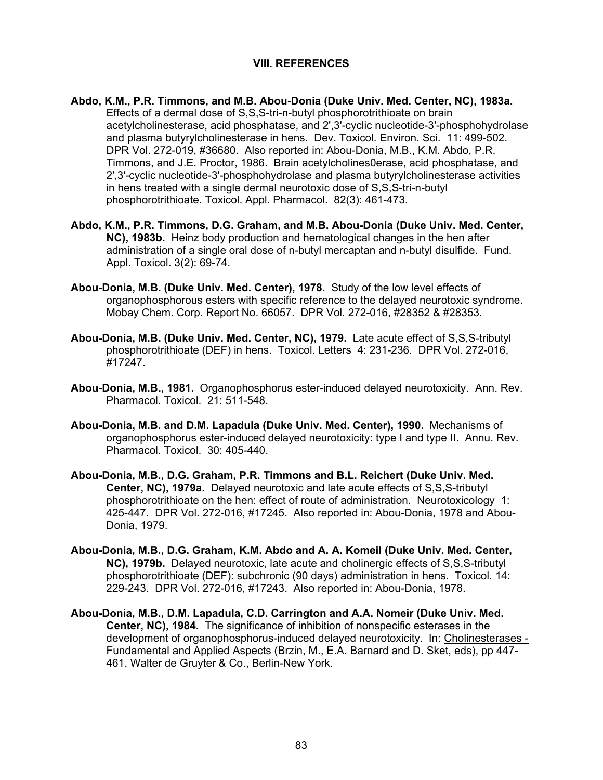### **VIII. REFERENCES**

- **Abdo, K.M., P.R. Timmons, and M.B. Abou-Donia (Duke Univ. Med. Center, NC), 1983a.**  Effects of a dermal dose of S,S,S-tri-n-butyl phosphorotrithioate on brain acetylcholinesterase, acid phosphatase, and 2',3'-cyclic nucleotide-3'-phosphohydrolase and plasma butyrylcholinesterase in hens. Dev. Toxicol. Environ. Sci. 11: 499-502. DPR Vol. 272-019, #36680. Also reported in: Abou-Donia, M.B., K.M. Abdo, P.R. Timmons, and J.E. Proctor, 1986. Brain acetylcholines0erase, acid phosphatase, and 2',3'-cyclic nucleotide-3'-phosphohydrolase and plasma butyrylcholinesterase activities in hens treated with a single dermal neurotoxic dose of S,S,S-tri-n-butyl phosphorotrithioate. Toxicol. Appl. Pharmacol. 82(3): 461-473.
- **Abdo, K.M., P.R. Timmons, D.G. Graham, and M.B. Abou-Donia (Duke Univ. Med. Center, NC), 1983b.** Heinz body production and hematological changes in the hen after administration of a single oral dose of n-butyl mercaptan and n-butyl disulfide. Fund. Appl. Toxicol. 3(2): 69-74.
- **Abou-Donia, M.B. (Duke Univ. Med. Center), 1978.** Study of the low level effects of organophosphorous esters with specific reference to the delayed neurotoxic syndrome. Mobay Chem. Corp. Report No. 66057. DPR Vol. 272-016, #28352 & #28353.
- **Abou-Donia, M.B. (Duke Univ. Med. Center, NC), 1979.** Late acute effect of S,S,S-tributyl phosphorotrithioate (DEF) in hens. Toxicol. Letters 4: 231-236. DPR Vol. 272-016, #17247.
- **Abou-Donia, M.B., 1981.** Organophosphorus ester-induced delayed neurotoxicity. Ann. Rev. Pharmacol. Toxicol. 21: 511-548.
- **Abou-Donia, M.B. and D.M. Lapadula (Duke Univ. Med. Center), 1990.** Mechanisms of organophosphorus ester-induced delayed neurotoxicity: type I and type II. Annu. Rev. Pharmacol. Toxicol. 30: 405-440.
- **Abou-Donia, M.B., D.G. Graham, P.R. Timmons and B.L. Reichert (Duke Univ. Med. Center, NC), 1979a.** Delayed neurotoxic and late acute effects of S,S,S-tributyl phosphorotrithioate on the hen: effect of route of administration. Neurotoxicology 1: 425-447. DPR Vol. 272-016, #17245. Also reported in: Abou-Donia, 1978 and Abou-Donia, 1979.
- **Abou-Donia, M.B., D.G. Graham, K.M. Abdo and A. A. Komeil (Duke Univ. Med. Center, NC), 1979b.** Delayed neurotoxic, late acute and cholinergic effects of S,S,S-tributyl phosphorotrithioate (DEF): subchronic (90 days) administration in hens. Toxicol. 14: 229-243. DPR Vol. 272-016, #17243. Also reported in: Abou-Donia, 1978.
- **Abou-Donia, M.B., D.M. Lapadula, C.D. Carrington and A.A. Nomeir (Duke Univ. Med. Center, NC), 1984.** The significance of inhibition of nonspecific esterases in the development of organophosphorus-induced delayed neurotoxicity. In: Cholinesterases - Fundamental and Applied Aspects (Brzin, M., E.A. Barnard and D. Sket, eds), pp 447- 461. Walter de Gruyter & Co., Berlin-New York.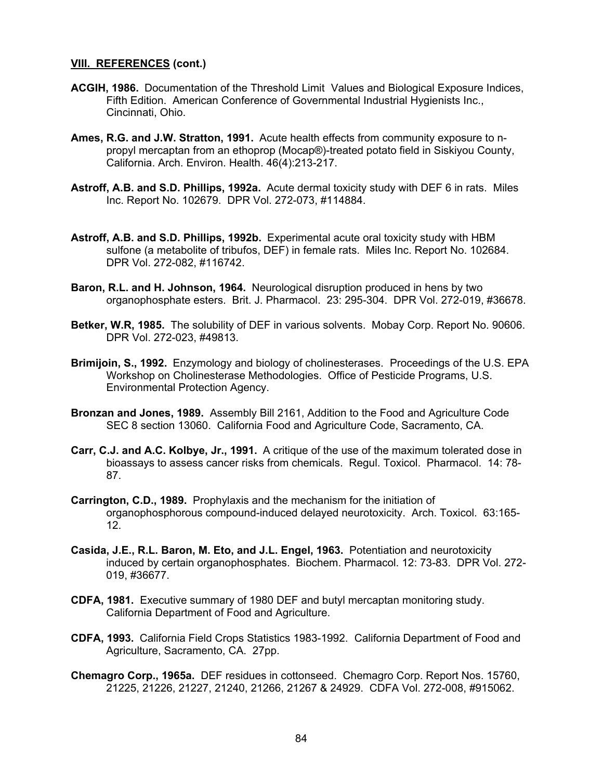- **ACGIH, 1986.** Documentation of the Threshold Limit Values and Biological Exposure Indices, Fifth Edition. American Conference of Governmental Industrial Hygienists Inc., Cincinnati, Ohio.
- **Ames, R.G. and J.W. Stratton, 1991.** Acute health effects from community exposure to npropyl mercaptan from an ethoprop (Mocap®)-treated potato field in Siskiyou County, California. Arch. Environ. Health. 46(4):213-217.
- **Astroff, A.B. and S.D. Phillips, 1992a.** Acute dermal toxicity study with DEF 6 in rats. Miles Inc. Report No. 102679. DPR Vol. 272-073, #114884.
- **Astroff, A.B. and S.D. Phillips, 1992b.** Experimental acute oral toxicity study with HBM sulfone (a metabolite of tribufos, DEF) in female rats. Miles Inc. Report No. 102684. DPR Vol. 272-082, #116742.
- **Baron, R.L. and H. Johnson, 1964.** Neurological disruption produced in hens by two organophosphate esters. Brit. J. Pharmacol. 23: 295-304. DPR Vol. 272-019, #36678.
- **Betker, W.R, 1985.** The solubility of DEF in various solvents. Mobay Corp. Report No. 90606. DPR Vol. 272-023, #49813.
- **Brimijoin, S., 1992.** Enzymology and biology of cholinesterases. Proceedings of the U.S. EPA Workshop on Cholinesterase Methodologies. Office of Pesticide Programs, U.S. Environmental Protection Agency.
- **Bronzan and Jones, 1989.** Assembly Bill 2161, Addition to the Food and Agriculture Code SEC 8 section 13060. California Food and Agriculture Code, Sacramento, CA.
- **Carr, C.J. and A.C. Kolbye, Jr., 1991.** A critique of the use of the maximum tolerated dose in bioassays to assess cancer risks from chemicals. Regul. Toxicol. Pharmacol. 14: 78- 87.
- **Carrington, C.D., 1989.** Prophylaxis and the mechanism for the initiation of organophosphorous compound-induced delayed neurotoxicity. Arch. Toxicol. 63:165- 12.
- **Casida, J.E., R.L. Baron, M. Eto, and J.L. Engel, 1963.** Potentiation and neurotoxicity induced by certain organophosphates. Biochem. Pharmacol. 12: 73-83. DPR Vol. 272- 019, #36677.
- **CDFA, 1981.** Executive summary of 1980 DEF and butyl mercaptan monitoring study. California Department of Food and Agriculture.
- **CDFA, 1993.** California Field Crops Statistics 1983-1992. California Department of Food and Agriculture, Sacramento, CA. 27pp.
- **Chemagro Corp., 1965a.** DEF residues in cottonseed. Chemagro Corp. Report Nos. 15760, 21225, 21226, 21227, 21240, 21266, 21267 & 24929. CDFA Vol. 272-008, #915062.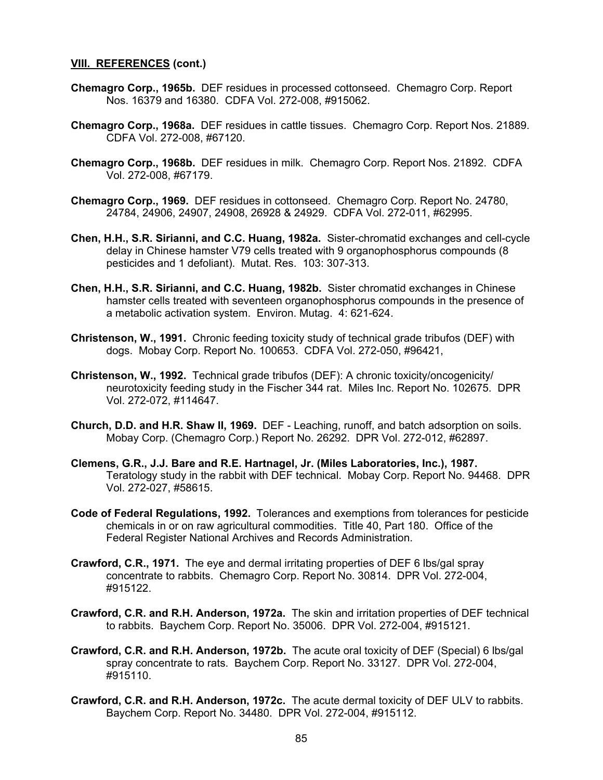- **Chemagro Corp., 1965b.** DEF residues in processed cottonseed. Chemagro Corp. Report Nos. 16379 and 16380. CDFA Vol. 272-008, #915062.
- **Chemagro Corp., 1968a.** DEF residues in cattle tissues. Chemagro Corp. Report Nos. 21889. CDFA Vol. 272-008, #67120.
- **Chemagro Corp., 1968b.** DEF residues in milk. Chemagro Corp. Report Nos. 21892. CDFA Vol. 272-008, #67179.
- **Chemagro Corp., 1969.** DEF residues in cottonseed. Chemagro Corp. Report No. 24780, 24784, 24906, 24907, 24908, 26928 & 24929. CDFA Vol. 272-011, #62995.
- **Chen, H.H., S.R. Sirianni, and C.C. Huang, 1982a.** Sister-chromatid exchanges and cell-cycle delay in Chinese hamster V79 cells treated with 9 organophosphorus compounds (8 pesticides and 1 defoliant). Mutat. Res. 103: 307-313.
- **Chen, H.H., S.R. Sirianni, and C.C. Huang, 1982b.** Sister chromatid exchanges in Chinese hamster cells treated with seventeen organophosphorus compounds in the presence of a metabolic activation system. Environ. Mutag. 4: 621-624.
- **Christenson, W., 1991.** Chronic feeding toxicity study of technical grade tribufos (DEF) with dogs. Mobay Corp. Report No. 100653. CDFA Vol. 272-050, #96421,
- **Christenson, W., 1992.** Technical grade tribufos (DEF): A chronic toxicity/oncogenicity/ neurotoxicity feeding study in the Fischer 344 rat. Miles Inc. Report No. 102675. DPR Vol. 272-072, #114647.
- **Church, D.D. and H.R. Shaw II, 1969.** DEF Leaching, runoff, and batch adsorption on soils. Mobay Corp. (Chemagro Corp.) Report No. 26292. DPR Vol. 272-012, #62897.
- **Clemens, G.R., J.J. Bare and R.E. Hartnagel, Jr. (Miles Laboratories, Inc.), 1987.**  Teratology study in the rabbit with DEF technical. Mobay Corp. Report No. 94468. DPR Vol. 272-027, #58615.
- **Code of Federal Regulations, 1992.** Tolerances and exemptions from tolerances for pesticide chemicals in or on raw agricultural commodities. Title 40, Part 180. Office of the Federal Register National Archives and Records Administration.
- **Crawford, C.R., 1971.** The eye and dermal irritating properties of DEF 6 lbs/gal spray concentrate to rabbits. Chemagro Corp. Report No. 30814. DPR Vol. 272-004, #915122.
- **Crawford, C.R. and R.H. Anderson, 1972a.** The skin and irritation properties of DEF technical to rabbits. Baychem Corp. Report No. 35006. DPR Vol. 272-004, #915121.
- **Crawford, C.R. and R.H. Anderson, 1972b.** The acute oral toxicity of DEF (Special) 6 lbs/gal spray concentrate to rats. Baychem Corp. Report No. 33127. DPR Vol. 272-004, #915110.
- **Crawford, C.R. and R.H. Anderson, 1972c.** The acute dermal toxicity of DEF ULV to rabbits. Baychem Corp. Report No. 34480. DPR Vol. 272-004, #915112.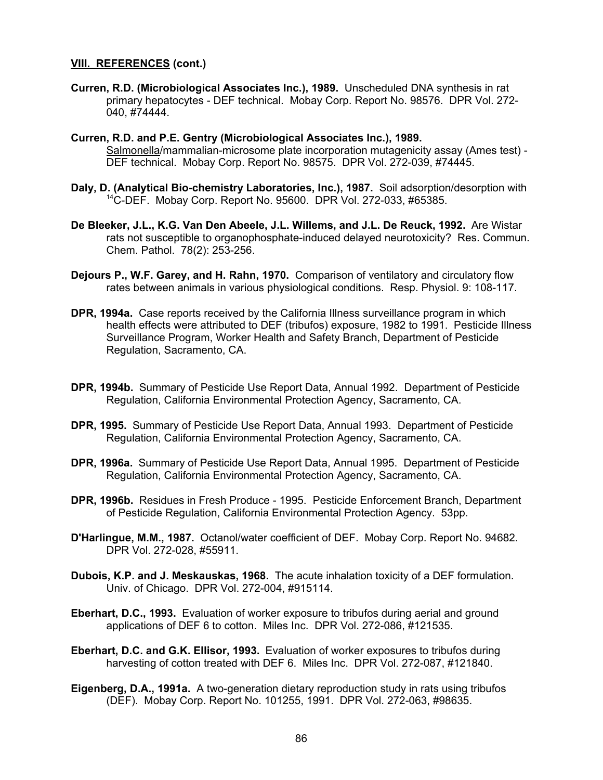**Curren, R.D. (Microbiological Associates Inc.), 1989.** Unscheduled DNA synthesis in rat primary hepatocytes - DEF technical. Mobay Corp. Report No. 98576. DPR Vol. 272- 040, #74444.

**Curren, R.D. and P.E. Gentry (Microbiological Associates Inc.), 1989.**  Salmonella/mammalian-microsome plate incorporation mutagenicity assay (Ames test) - DEF technical. Mobay Corp. Report No. 98575. DPR Vol. 272-039, #74445.

- **Daly, D. (Analytical Bio-chemistry Laboratories, Inc.), 1987.** Soil adsorption/desorption with 14C-DEF. Mobay Corp. Report No. 95600. DPR Vol. 272-033, #65385.
- **De Bleeker, J.L., K.G. Van Den Abeele, J.L. Willems, and J.L. De Reuck, 1992.** Are Wistar rats not susceptible to organophosphate-induced delayed neurotoxicity? Res. Commun. Chem. Pathol. 78(2): 253-256.
- **Dejours P., W.F. Garey, and H. Rahn, 1970.** Comparison of ventilatory and circulatory flow rates between animals in various physiological conditions. Resp. Physiol. 9: 108-117.
- **DPR, 1994a.** Case reports received by the California Illness surveillance program in which health effects were attributed to DEF (tribufos) exposure, 1982 to 1991. Pesticide Illness Surveillance Program, Worker Health and Safety Branch, Department of Pesticide Regulation, Sacramento, CA.
- **DPR, 1994b.** Summary of Pesticide Use Report Data, Annual 1992. Department of Pesticide Regulation, California Environmental Protection Agency, Sacramento, CA.
- **DPR, 1995.** Summary of Pesticide Use Report Data, Annual 1993. Department of Pesticide Regulation, California Environmental Protection Agency, Sacramento, CA.
- **DPR, 1996a.** Summary of Pesticide Use Report Data, Annual 1995. Department of Pesticide Regulation, California Environmental Protection Agency, Sacramento, CA.
- **DPR, 1996b.** Residues in Fresh Produce 1995. Pesticide Enforcement Branch, Department of Pesticide Regulation, California Environmental Protection Agency. 53pp.
- **D'Harlingue, M.M., 1987.** Octanol/water coefficient of DEF. Mobay Corp. Report No. 94682. DPR Vol. 272-028, #55911.
- **Dubois, K.P. and J. Meskauskas, 1968.** The acute inhalation toxicity of a DEF formulation. Univ. of Chicago. DPR Vol. 272-004, #915114.
- **Eberhart, D.C., 1993.** Evaluation of worker exposure to tribufos during aerial and ground applications of DEF 6 to cotton. Miles Inc. DPR Vol. 272-086, #121535.
- **Eberhart, D.C. and G.K. Ellisor, 1993.** Evaluation of worker exposures to tribufos during harvesting of cotton treated with DEF 6. Miles Inc. DPR Vol. 272-087, #121840.
- **Eigenberg, D.A., 1991a.** A two-generation dietary reproduction study in rats using tribufos (DEF). Mobay Corp. Report No. 101255, 1991. DPR Vol. 272-063, #98635.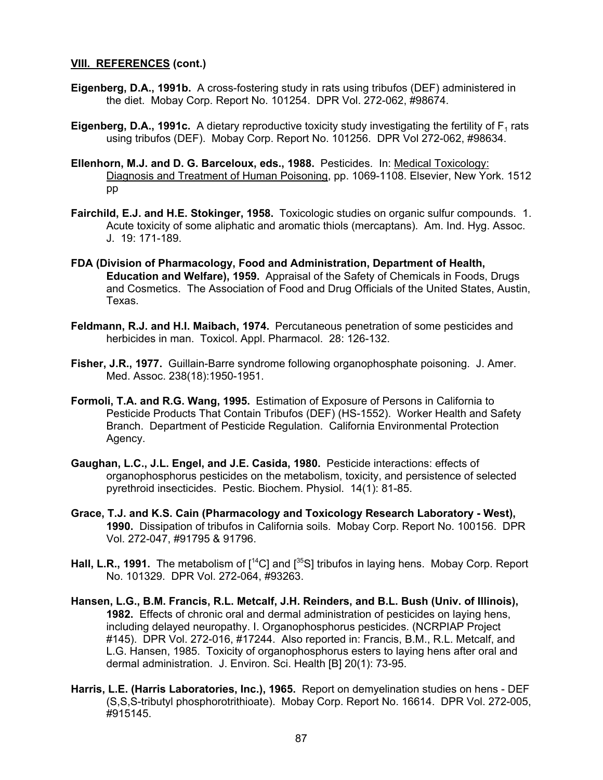- **Eigenberg, D.A., 1991b.** A cross-fostering study in rats using tribufos (DEF) administered in the diet. Mobay Corp. Report No. 101254. DPR Vol. 272-062, #98674.
- **Eigenberg, D.A., 1991c.** A dietary reproductive toxicity study investigating the fertility of F<sub>1</sub> rats using tribufos (DEF). Mobay Corp. Report No. 101256. DPR Vol 272-062, #98634.
- **Ellenhorn, M.J. and D. G. Barceloux, eds., 1988.** Pesticides. In: Medical Toxicology: Diagnosis and Treatment of Human Poisoning, pp. 1069-1108. Elsevier, New York. 1512 pp
- **Fairchild, E.J. and H.E. Stokinger, 1958.** Toxicologic studies on organic sulfur compounds. 1. Acute toxicity of some aliphatic and aromatic thiols (mercaptans). Am. Ind. Hyg. Assoc. J. 19: 171-189.
- **FDA (Division of Pharmacology, Food and Administration, Department of Health, Education and Welfare), 1959.** Appraisal of the Safety of Chemicals in Foods, Drugs and Cosmetics. The Association of Food and Drug Officials of the United States, Austin, Texas.
- **Feldmann, R.J. and H.I. Maibach, 1974.** Percutaneous penetration of some pesticides and herbicides in man. Toxicol. Appl. Pharmacol. 28: 126-132.
- **Fisher, J.R., 1977.** Guillain-Barre syndrome following organophosphate poisoning. J. Amer. Med. Assoc. 238(18):1950-1951.
- **Formoli, T.A. and R.G. Wang, 1995.** Estimation of Exposure of Persons in California to Pesticide Products That Contain Tribufos (DEF) (HS-1552). Worker Health and Safety Branch. Department of Pesticide Regulation. California Environmental Protection Agency.
- **Gaughan, L.C., J.L. Engel, and J.E. Casida, 1980.** Pesticide interactions: effects of organophosphorus pesticides on the metabolism, toxicity, and persistence of selected pyrethroid insecticides. Pestic. Biochem. Physiol. 14(1): 81-85.
- **Grace, T.J. and K.S. Cain (Pharmacology and Toxicology Research Laboratory West), 1990.** Dissipation of tribufos in California soils. Mobay Corp. Report No. 100156. DPR Vol. 272-047, #91795 & 91796.
- Hall, L.R., 1991. The metabolism of [<sup>14</sup>C] and [<sup>35</sup>S] tribufos in laying hens. Mobay Corp. Report No. 101329. DPR Vol. 272-064, #93263.
- **Hansen, L.G., B.M. Francis, R.L. Metcalf, J.H. Reinders, and B.L. Bush (Univ. of Illinois), 1982.** Effects of chronic oral and dermal administration of pesticides on laying hens, including delayed neuropathy. I. Organophosphorus pesticides. (NCRPIAP Project #145). DPR Vol. 272-016, #17244. Also reported in: Francis, B.M., R.L. Metcalf, and L.G. Hansen, 1985. Toxicity of organophosphorus esters to laying hens after oral and dermal administration. J. Environ. Sci. Health [B] 20(1): 73-95.
- **Harris, L.E. (Harris Laboratories, Inc.), 1965.** Report on demyelination studies on hens DEF (S,S,S-tributyl phosphorotrithioate). Mobay Corp. Report No. 16614. DPR Vol. 272-005, #915145.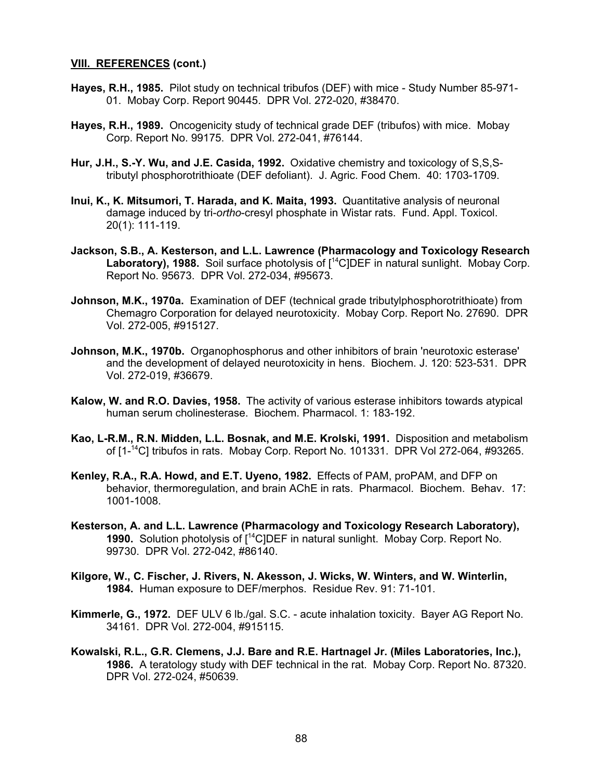- **Hayes, R.H., 1985.** Pilot study on technical tribufos (DEF) with mice Study Number 85-971- 01. Mobay Corp. Report 90445. DPR Vol. 272-020, #38470.
- **Hayes, R.H., 1989.** Oncogenicity study of technical grade DEF (tribufos) with mice. Mobay Corp. Report No. 99175. DPR Vol. 272-041, #76144.
- **Hur, J.H., S.-Y. Wu, and J.E. Casida, 1992.** Oxidative chemistry and toxicology of S,S,Stributyl phosphorotrithioate (DEF defoliant). J. Agric. Food Chem. 40: 1703-1709.
- **Inui, K., K. Mitsumori, T. Harada, and K. Maita, 1993.** Quantitative analysis of neuronal damage induced by tri-*ortho*-cresyl phosphate in Wistar rats. Fund. Appl. Toxicol. 20(1): 111-119.
- **Jackson, S.B., A. Kesterson, and L.L. Lawrence (Pharmacology and Toxicology Research** Laboratory), 1988. Soil surface photolysis of  $1^4$ C]DEF in natural sunlight. Mobay Corp. Report No. 95673. DPR Vol. 272-034, #95673.
- **Johnson, M.K., 1970a.** Examination of DEF (technical grade tributylphosphorotrithioate) from Chemagro Corporation for delayed neurotoxicity. Mobay Corp. Report No. 27690. DPR Vol. 272-005, #915127.
- **Johnson, M.K., 1970b.** Organophosphorus and other inhibitors of brain 'neurotoxic esterase' and the development of delayed neurotoxicity in hens. Biochem. J. 120: 523-531. DPR Vol. 272-019, #36679.
- **Kalow, W. and R.O. Davies, 1958.** The activity of various esterase inhibitors towards atypical human serum cholinesterase. Biochem. Pharmacol. 1: 183-192.
- **Kao, L-R.M., R.N. Midden, L.L. Bosnak, and M.E. Krolski, 1991.** Disposition and metabolism of [1-14C] tribufos in rats. Mobay Corp. Report No. 101331. DPR Vol 272-064, #93265.
- **Kenley, R.A., R.A. Howd, and E.T. Uyeno, 1982.** Effects of PAM, proPAM, and DFP on behavior, thermoregulation, and brain AChE in rats. Pharmacol. Biochem. Behav. 17: 1001-1008.
- **Kesterson, A. and L.L. Lawrence (Pharmacology and Toxicology Research Laboratory), 1990.** Solution photolysis of [14C]DEF in natural sunlight. Mobay Corp. Report No. 99730. DPR Vol. 272-042, #86140.
- **Kilgore, W., C. Fischer, J. Rivers, N. Akesson, J. Wicks, W. Winters, and W. Winterlin, 1984.** Human exposure to DEF/merphos. Residue Rev. 91: 71-101.
- **Kimmerle, G., 1972.** DEF ULV 6 lb./gal. S.C. acute inhalation toxicity. Bayer AG Report No. 34161. DPR Vol. 272-004, #915115.
- **Kowalski, R.L., G.R. Clemens, J.J. Bare and R.E. Hartnagel Jr. (Miles Laboratories, Inc.), 1986.** A teratology study with DEF technical in the rat. Mobay Corp. Report No. 87320. DPR Vol. 272-024, #50639.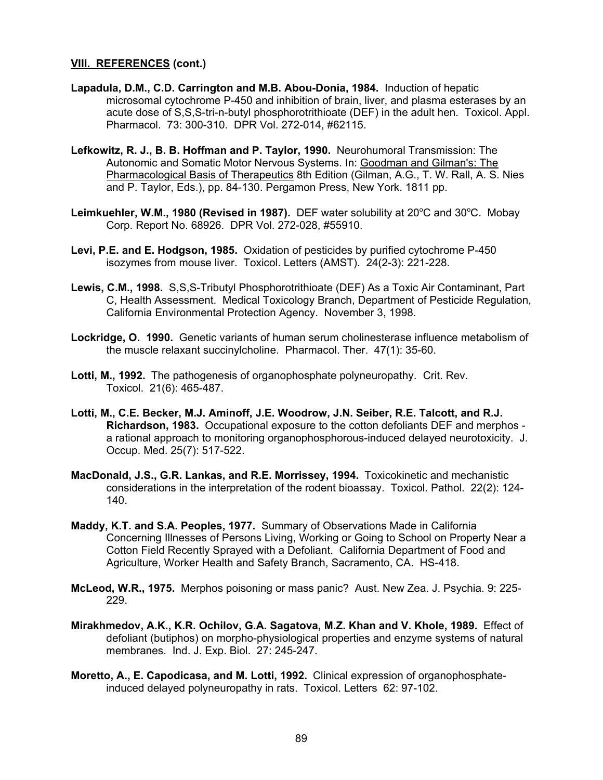- **Lapadula, D.M., C.D. Carrington and M.B. Abou-Donia, 1984.** Induction of hepatic microsomal cytochrome P-450 and inhibition of brain, liver, and plasma esterases by an acute dose of S,S,S-tri-n-butyl phosphorotrithioate (DEF) in the adult hen. Toxicol. Appl. Pharmacol. 73: 300-310. DPR Vol. 272-014, #62115.
- **Lefkowitz, R. J., B. B. Hoffman and P. Taylor, 1990.** Neurohumoral Transmission: The Autonomic and Somatic Motor Nervous Systems. In: Goodman and Gilman's: The Pharmacological Basis of Therapeutics 8th Edition (Gilman, A.G., T. W. Rall, A. S. Nies and P. Taylor, Eds.), pp. 84-130. Pergamon Press, New York. 1811 pp.
- Leimkuehler, W.M., 1980 (Revised in 1987). DEF water solubility at 20°C and 30°C. Mobay Corp. Report No. 68926. DPR Vol. 272-028, #55910.
- **Levi, P.E. and E. Hodgson, 1985.** Oxidation of pesticides by purified cytochrome P-450 isozymes from mouse liver. Toxicol. Letters (AMST). 24(2-3): 221-228.
- **Lewis, C.M., 1998.** S,S,S-Tributyl Phosphorotrithioate (DEF) As a Toxic Air Contaminant, Part C, Health Assessment. Medical Toxicology Branch, Department of Pesticide Regulation, California Environmental Protection Agency. November 3, 1998.
- **Lockridge, O. 1990.** Genetic variants of human serum cholinesterase influence metabolism of the muscle relaxant succinylcholine. Pharmacol. Ther. 47(1): 35-60.
- **Lotti, M., 1992.** The pathogenesis of organophosphate polyneuropathy. Crit. Rev. Toxicol. 21(6): 465-487.
- **Lotti, M., C.E. Becker, M.J. Aminoff, J.E. Woodrow, J.N. Seiber, R.E. Talcott, and R.J. Richardson, 1983.** Occupational exposure to the cotton defoliants DEF and merphos a rational approach to monitoring organophosphorous-induced delayed neurotoxicity. J. Occup. Med. 25(7): 517-522.
- **MacDonald, J.S., G.R. Lankas, and R.E. Morrissey, 1994.** Toxicokinetic and mechanistic considerations in the interpretation of the rodent bioassay. Toxicol. Pathol. 22(2): 124- 140.
- **Maddy, K.T. and S.A. Peoples, 1977.** Summary of Observations Made in California Concerning Illnesses of Persons Living, Working or Going to School on Property Near a Cotton Field Recently Sprayed with a Defoliant. California Department of Food and Agriculture, Worker Health and Safety Branch, Sacramento, CA. HS-418.
- **McLeod, W.R., 1975.** Merphos poisoning or mass panic? Aust. New Zea. J. Psychia. 9: 225- 229.
- **Mirakhmedov, A.K., K.R. Ochilov, G.A. Sagatova, M.Z. Khan and V. Khole, 1989.** Effect of defoliant (butiphos) on morpho-physiological properties and enzyme systems of natural membranes. Ind. J. Exp. Biol. 27: 245-247.
- **Moretto, A., E. Capodicasa, and M. Lotti, 1992.** Clinical expression of organophosphateinduced delayed polyneuropathy in rats. Toxicol. Letters 62: 97-102.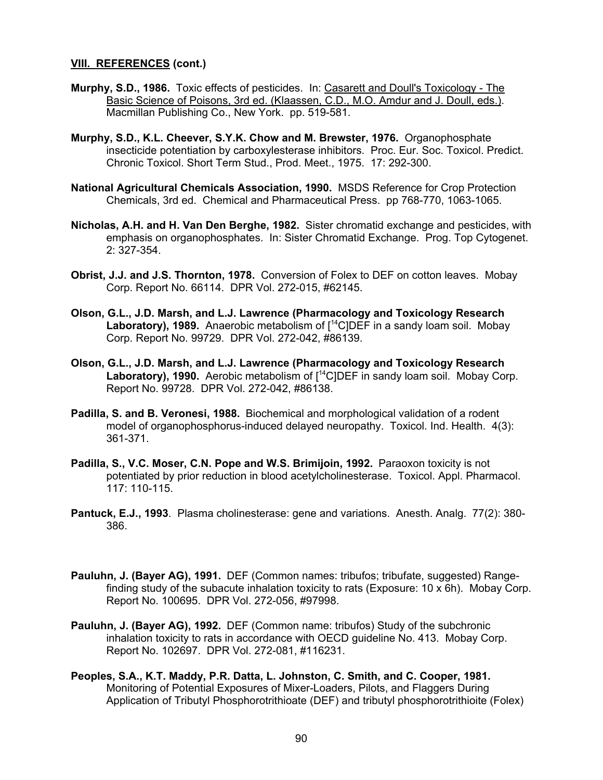- **Murphy, S.D., 1986.** Toxic effects of pesticides. In: Casarett and Doull's Toxicology The Basic Science of Poisons, 3rd ed. (Klaassen, C.D., M.O. Amdur and J. Doull, eds.). Macmillan Publishing Co., New York. pp. 519-581.
- **Murphy, S.D., K.L. Cheever, S.Y.K. Chow and M. Brewster, 1976.** Organophosphate insecticide potentiation by carboxylesterase inhibitors. Proc. Eur. Soc. Toxicol. Predict. Chronic Toxicol. Short Term Stud., Prod. Meet., 1975. 17: 292-300.
- **National Agricultural Chemicals Association, 1990.** MSDS Reference for Crop Protection Chemicals, 3rd ed. Chemical and Pharmaceutical Press. pp 768-770, 1063-1065.
- **Nicholas, A.H. and H. Van Den Berghe, 1982.** Sister chromatid exchange and pesticides, with emphasis on organophosphates. In: Sister Chromatid Exchange. Prog. Top Cytogenet. 2: 327-354.
- **Obrist, J.J. and J.S. Thornton, 1978.** Conversion of Folex to DEF on cotton leaves. Mobay Corp. Report No. 66114. DPR Vol. 272-015, #62145.
- **Olson, G.L., J.D. Marsh, and L.J. Lawrence (Pharmacology and Toxicology Research** Laboratory), 1989. Anaerobic metabolism of  $1^4$ C<sub>I</sub>DEF in a sandy loam soil. Mobay Corp. Report No. 99729. DPR Vol. 272-042, #86139.
- **Olson, G.L., J.D. Marsh, and L.J. Lawrence (Pharmacology and Toxicology Research Laboratory), 1990.** Aerobic metabolism of [14C]DEF in sandy loam soil. Mobay Corp. Report No. 99728. DPR Vol. 272-042, #86138.
- **Padilla, S. and B. Veronesi, 1988.** Biochemical and morphological validation of a rodent model of organophosphorus-induced delayed neuropathy. Toxicol. Ind. Health. 4(3): 361-371.
- **Padilla, S., V.C. Moser, C.N. Pope and W.S. Brimijoin, 1992.** Paraoxon toxicity is not potentiated by prior reduction in blood acetylcholinesterase. Toxicol. Appl. Pharmacol. 117: 110-115.
- **Pantuck, E.J., 1993**. Plasma cholinesterase: gene and variations. Anesth. Analg. 77(2): 380- 386.
- **Pauluhn, J. (Bayer AG), 1991.** DEF (Common names: tribufos; tribufate, suggested) Rangefinding study of the subacute inhalation toxicity to rats (Exposure: 10 x 6h). Mobay Corp. Report No. 100695. DPR Vol. 272-056, #97998.
- **Pauluhn, J. (Bayer AG), 1992.** DEF (Common name: tribufos) Study of the subchronic inhalation toxicity to rats in accordance with OECD guideline No. 413. Mobay Corp. Report No. 102697. DPR Vol. 272-081, #116231.
- **Peoples, S.A., K.T. Maddy, P.R. Datta, L. Johnston, C. Smith, and C. Cooper, 1981.** Monitoring of Potential Exposures of Mixer-Loaders, Pilots, and Flaggers During Application of Tributyl Phosphorotrithioate (DEF) and tributyl phosphorotrithioite (Folex)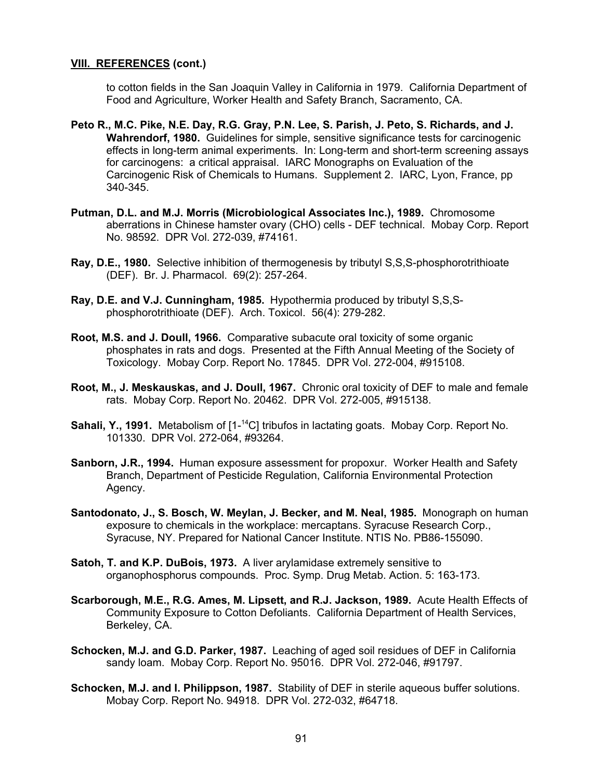to cotton fields in the San Joaquin Valley in California in 1979. California Department of Food and Agriculture, Worker Health and Safety Branch, Sacramento, CA.

- **Peto R., M.C. Pike, N.E. Day, R.G. Gray, P.N. Lee, S. Parish, J. Peto, S. Richards, and J. Wahrendorf, 1980.** Guidelines for simple, sensitive significance tests for carcinogenic effects in long-term animal experiments. In: Long-term and short-term screening assays for carcinogens: a critical appraisal. IARC Monographs on Evaluation of the Carcinogenic Risk of Chemicals to Humans. Supplement 2. IARC, Lyon, France, pp 340-345.
- **Putman, D.L. and M.J. Morris (Microbiological Associates Inc.), 1989.** Chromosome aberrations in Chinese hamster ovary (CHO) cells - DEF technical. Mobay Corp. Report No. 98592. DPR Vol. 272-039, #74161.
- **Ray, D.E., 1980.** Selective inhibition of thermogenesis by tributyl S,S,S-phosphorotrithioate (DEF). Br. J. Pharmacol. 69(2): 257-264.
- **Ray, D.E. and V.J. Cunningham, 1985.** Hypothermia produced by tributyl S,S,Sphosphorotrithioate (DEF). Arch. Toxicol. 56(4): 279-282.
- **Root, M.S. and J. Doull, 1966.** Comparative subacute oral toxicity of some organic phosphates in rats and dogs. Presented at the Fifth Annual Meeting of the Society of Toxicology. Mobay Corp. Report No. 17845. DPR Vol. 272-004, #915108.
- **Root, M., J. Meskauskas, and J. Doull, 1967.** Chronic oral toxicity of DEF to male and female rats. Mobay Corp. Report No. 20462. DPR Vol. 272-005, #915138.
- **Sahali, Y., 1991.** Metabolism of [1-<sup>14</sup>C] tribufos in lactating goats. Mobay Corp. Report No. 101330. DPR Vol. 272-064, #93264.
- **Sanborn, J.R., 1994.** Human exposure assessment for propoxur. Worker Health and Safety Branch, Department of Pesticide Regulation, California Environmental Protection Agency.
- **Santodonato, J., S. Bosch, W. Meylan, J. Becker, and M. Neal, 1985.** Monograph on human exposure to chemicals in the workplace: mercaptans. Syracuse Research Corp., Syracuse, NY. Prepared for National Cancer Institute. NTIS No. PB86-155090.
- **Satoh, T. and K.P. DuBois, 1973.** A liver arylamidase extremely sensitive to organophosphorus compounds. Proc. Symp. Drug Metab. Action. 5: 163-173.
- **Scarborough, M.E., R.G. Ames, M. Lipsett, and R.J. Jackson, 1989.** Acute Health Effects of Community Exposure to Cotton Defoliants. California Department of Health Services, Berkeley, CA.
- **Schocken, M.J. and G.D. Parker, 1987.** Leaching of aged soil residues of DEF in California sandy loam. Mobay Corp. Report No. 95016. DPR Vol. 272-046, #91797.
- **Schocken, M.J. and I. Philippson, 1987.** Stability of DEF in sterile aqueous buffer solutions. Mobay Corp. Report No. 94918. DPR Vol. 272-032, #64718.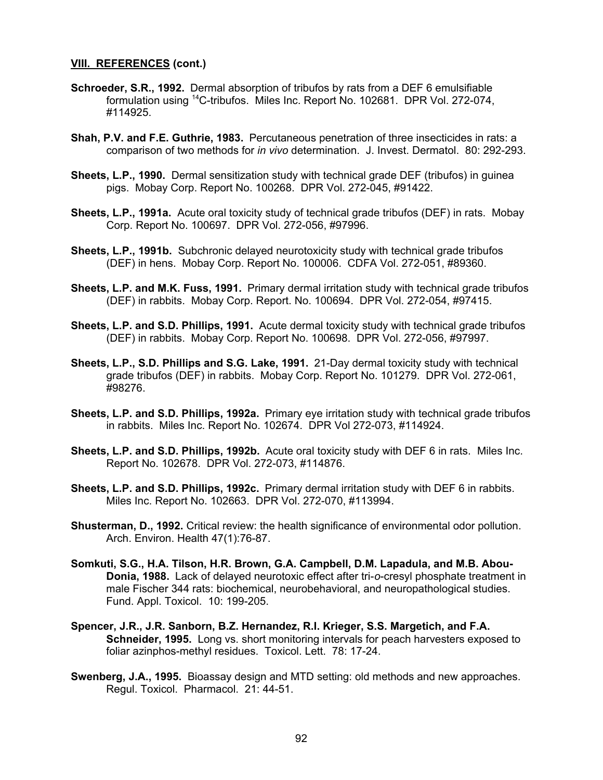- **Schroeder, S.R., 1992.** Dermal absorption of tribufos by rats from a DEF 6 emulsifiable formulation using 14C-tribufos. Miles Inc. Report No. 102681. DPR Vol. 272-074, #114925.
- **Shah, P.V. and F.E. Guthrie, 1983.** Percutaneous penetration of three insecticides in rats: a comparison of two methods for *in vivo* determination. J. Invest. Dermatol. 80: 292-293.
- **Sheets, L.P., 1990.** Dermal sensitization study with technical grade DEF (tribufos) in guinea pigs. Mobay Corp. Report No. 100268. DPR Vol. 272-045, #91422.
- **Sheets, L.P., 1991a.** Acute oral toxicity study of technical grade tribufos (DEF) in rats. Mobay Corp. Report No. 100697. DPR Vol. 272-056, #97996.
- **Sheets, L.P., 1991b.** Subchronic delayed neurotoxicity study with technical grade tribufos (DEF) in hens. Mobay Corp. Report No. 100006. CDFA Vol. 272-051, #89360.
- **Sheets, L.P. and M.K. Fuss, 1991.** Primary dermal irritation study with technical grade tribufos (DEF) in rabbits. Mobay Corp. Report. No. 100694. DPR Vol. 272-054, #97415.
- **Sheets, L.P. and S.D. Phillips, 1991.** Acute dermal toxicity study with technical grade tribufos (DEF) in rabbits. Mobay Corp. Report No. 100698. DPR Vol. 272-056, #97997.
- **Sheets, L.P., S.D. Phillips and S.G. Lake, 1991.** 21-Day dermal toxicity study with technical grade tribufos (DEF) in rabbits. Mobay Corp. Report No. 101279. DPR Vol. 272-061, #98276.
- **Sheets, L.P. and S.D. Phillips, 1992a.** Primary eye irritation study with technical grade tribufos in rabbits. Miles Inc. Report No. 102674. DPR Vol 272-073, #114924.
- **Sheets, L.P. and S.D. Phillips, 1992b.** Acute oral toxicity study with DEF 6 in rats. Miles Inc. Report No. 102678. DPR Vol. 272-073, #114876.
- **Sheets, L.P. and S.D. Phillips, 1992c.** Primary dermal irritation study with DEF 6 in rabbits. Miles Inc. Report No. 102663. DPR Vol. 272-070, #113994.
- **Shusterman, D., 1992.** Critical review: the health significance of environmental odor pollution. Arch. Environ. Health 47(1):76-87.
- **Somkuti, S.G., H.A. Tilson, H.R. Brown, G.A. Campbell, D.M. Lapadula, and M.B. Abou-Donia, 1988.** Lack of delayed neurotoxic effect after tri-*o*-cresyl phosphate treatment in male Fischer 344 rats: biochemical, neurobehavioral, and neuropathological studies. Fund. Appl. Toxicol. 10: 199-205.
- **Spencer, J.R., J.R. Sanborn, B.Z. Hernandez, R.I. Krieger, S.S. Margetich, and F.A. Schneider, 1995.** Long vs. short monitoring intervals for peach harvesters exposed to foliar azinphos-methyl residues. Toxicol. Lett. 78: 17-24.
- **Swenberg, J.A., 1995.** Bioassay design and MTD setting: old methods and new approaches. Regul. Toxicol. Pharmacol. 21: 44-51.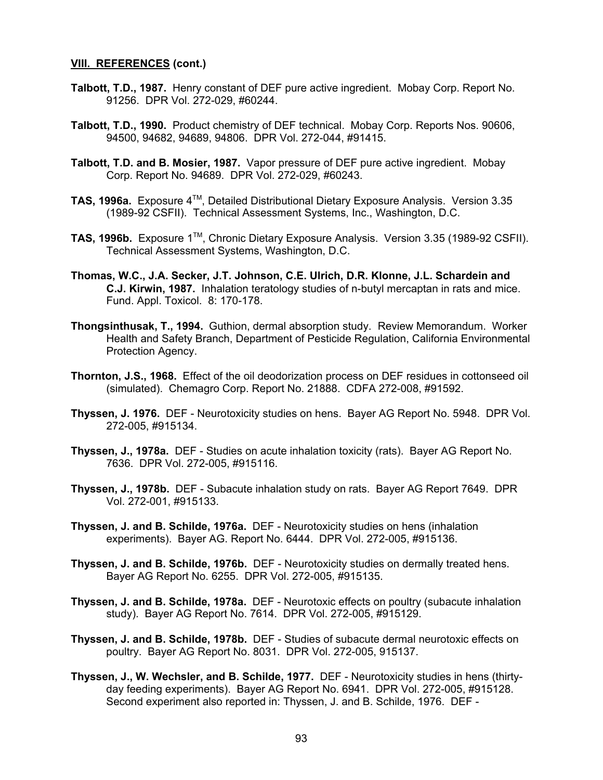- **Talbott, T.D., 1987.** Henry constant of DEF pure active ingredient. Mobay Corp. Report No. 91256. DPR Vol. 272-029, #60244.
- **Talbott, T.D., 1990.** Product chemistry of DEF technical. Mobay Corp. Reports Nos. 90606, 94500, 94682, 94689, 94806. DPR Vol. 272-044, #91415.
- **Talbott, T.D. and B. Mosier, 1987.** Vapor pressure of DEF pure active ingredient. Mobay Corp. Report No. 94689. DPR Vol. 272-029, #60243.
- **TAS, 1996a.** Exposure 4<sup>™</sup>, Detailed Distributional Dietary Exposure Analysis. Version 3.35 (1989-92 CSFII). Technical Assessment Systems, Inc., Washington, D.C.
- **TAS, 1996b.** Exposure 1TM, Chronic Dietary Exposure Analysis. Version 3.35 (1989-92 CSFII). Technical Assessment Systems, Washington, D.C.
- **Thomas, W.C., J.A. Secker, J.T. Johnson, C.E. Ulrich, D.R. Klonne, J.L. Schardein and C.J. Kirwin, 1987.** Inhalation teratology studies of n-butyl mercaptan in rats and mice. Fund. Appl. Toxicol. 8: 170-178.
- **Thongsinthusak, T., 1994.** Guthion, dermal absorption study. Review Memorandum. Worker Health and Safety Branch, Department of Pesticide Regulation, California Environmental Protection Agency.
- **Thornton, J.S., 1968.** Effect of the oil deodorization process on DEF residues in cottonseed oil (simulated). Chemagro Corp. Report No. 21888. CDFA 272-008, #91592.
- **Thyssen, J. 1976.** DEF Neurotoxicity studies on hens. Bayer AG Report No. 5948. DPR Vol. 272-005, #915134.
- **Thyssen, J., 1978a.** DEF Studies on acute inhalation toxicity (rats). Bayer AG Report No. 7636. DPR Vol. 272-005, #915116.
- **Thyssen, J., 1978b.** DEF Subacute inhalation study on rats. Bayer AG Report 7649. DPR Vol. 272-001, #915133.
- **Thyssen, J. and B. Schilde, 1976a.** DEF Neurotoxicity studies on hens (inhalation experiments). Bayer AG. Report No. 6444. DPR Vol. 272-005, #915136.
- **Thyssen, J. and B. Schilde, 1976b.** DEF Neurotoxicity studies on dermally treated hens. Bayer AG Report No. 6255. DPR Vol. 272-005, #915135.
- **Thyssen, J. and B. Schilde, 1978a.** DEF Neurotoxic effects on poultry (subacute inhalation study). Bayer AG Report No. 7614. DPR Vol. 272-005, #915129.
- **Thyssen, J. and B. Schilde, 1978b.** DEF Studies of subacute dermal neurotoxic effects on poultry. Bayer AG Report No. 8031. DPR Vol. 272-005, 915137.
- **Thyssen, J., W. Wechsler, and B. Schilde, 1977.** DEF Neurotoxicity studies in hens (thirtyday feeding experiments). Bayer AG Report No. 6941. DPR Vol. 272-005, #915128. Second experiment also reported in: Thyssen, J. and B. Schilde, 1976. DEF -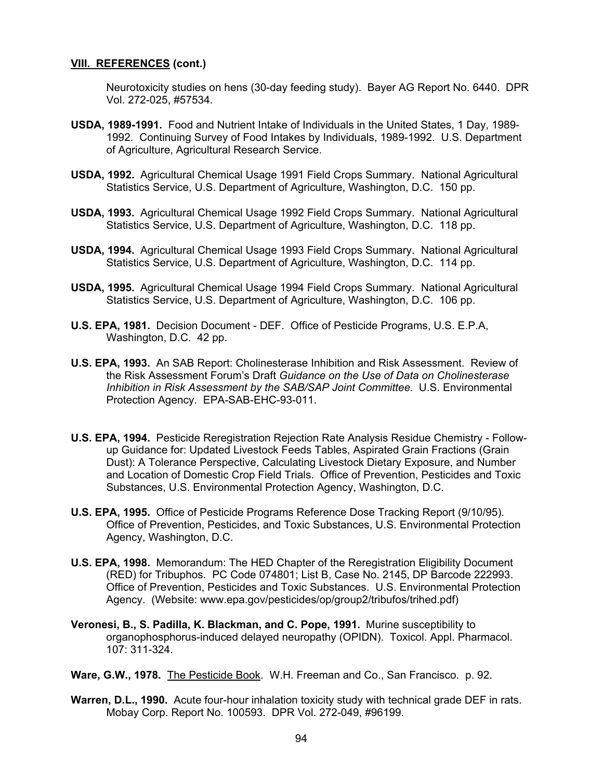Neurotoxicity studies on hens (30-day feeding study). Bayer AG Report No. 6440. DPR Vol. 272-025, #57534.

- **USDA, 1989-1991.** Food and Nutrient Intake of Individuals in the United States, 1 Day, 1989- 1992. Continuing Survey of Food Intakes by Individuals, 1989-1992. U.S. Department of Agriculture, Agricultural Research Service.
- **USDA, 1992.** Agricultural Chemical Usage 1991 Field Crops Summary. National Agricultural Statistics Service, U.S. Department of Agriculture, Washington, D.C. 150 pp.
- **USDA, 1993.** Agricultural Chemical Usage 1992 Field Crops Summary. National Agricultural Statistics Service, U.S. Department of Agriculture, Washington, D.C. 118 pp.
- **USDA, 1994.** Agricultural Chemical Usage 1993 Field Crops Summary. National Agricultural Statistics Service, U.S. Department of Agriculture, Washington, D.C. 114 pp.
- **USDA, 1995.** Agricultural Chemical Usage 1994 Field Crops Summary. National Agricultural Statistics Service, U.S. Department of Agriculture, Washington, D.C. 106 pp.
- **U.S. EPA, 1981.** Decision Document DEF. Office of Pesticide Programs, U.S. E.P.A, Washington, D.C. 42 pp.
- **U.S. EPA, 1993.** An SAB Report: Cholinesterase Inhibition and Risk Assessment. Review of the Risk Assessment Forum's Draft *Guidance on the Use of Data on Cholinesterase Inhibition in Risk Assessment by the SAB/SAP Joint Committee.* U.S. Environmental Protection Agency. EPA-SAB-EHC-93-011.
- **U.S. EPA, 1994.** Pesticide Reregistration Rejection Rate Analysis Residue Chemistry Followup Guidance for: Updated Livestock Feeds Tables, Aspirated Grain Fractions (Grain Dust): A Tolerance Perspective, Calculating Livestock Dietary Exposure, and Number and Location of Domestic Crop Field Trials. Office of Prevention, Pesticides and Toxic Substances, U.S. Environmental Protection Agency, Washington, D.C.
- **U.S. EPA, 1995.** Office of Pesticide Programs Reference Dose Tracking Report (9/10/95). Office of Prevention, Pesticides, and Toxic Substances, U.S. Environmental Protection Agency, Washington, D.C.
- **U.S. EPA, 1998.** Memorandum: The HED Chapter of the Reregistration Eligibility Document (RED) for Tribuphos. PC Code 074801; List B, Case No. 2145, DP Barcode 222993. Office of Prevention, Pesticides and Toxic Substances. U.S. Environmental Protection Agency. (Website:<www.epa.gov/pesticides/op/group2/tribufos/trihed.pdf>)
- **Veronesi, B., S. Padilla, K. Blackman, and C. Pope, 1991.** Murine susceptibility to organophosphorus-induced delayed neuropathy (OPIDN). Toxicol. Appl. Pharmacol. 107: 311-324.
- **Ware, G.W., 1978.** The Pesticide Book. W.H. Freeman and Co., San Francisco. p. 92.
- **Warren, D.L., 1990.** Acute four-hour inhalation toxicity study with technical grade DEF in rats. Mobay Corp. Report No. 100593. DPR Vol. 272-049, #96199.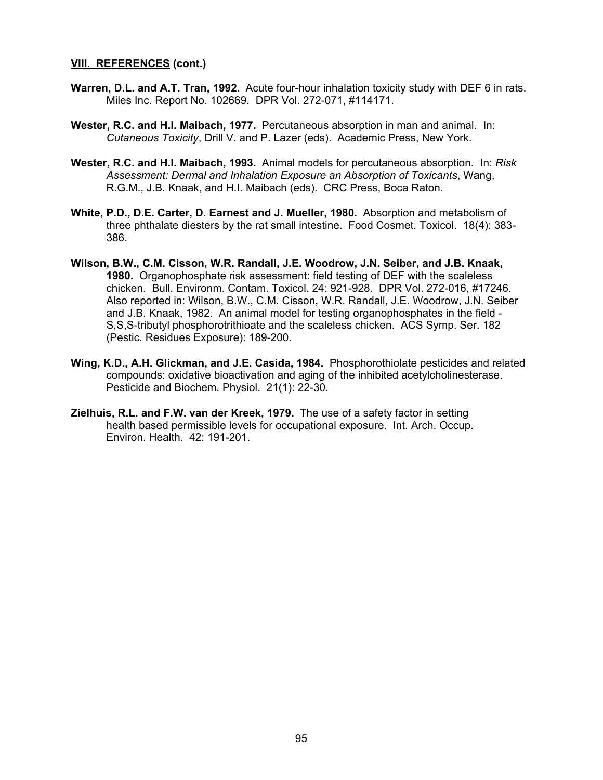- **Warren, D.L. and A.T. Tran, 1992.** Acute four-hour inhalation toxicity study with DEF 6 in rats. Miles Inc. Report No. 102669. DPR Vol. 272-071, #114171.
- **Wester, R.C. and H.I. Maibach, 1977.** Percutaneous absorption in man and animal. In: *Cutaneous Toxicity*, Drill V. and P. Lazer (eds). Academic Press, New York.
- **Wester, R.C. and H.I. Maibach, 1993.** Animal models for percutaneous absorption. In: *Risk Assessment: Dermal and Inhalation Exposure an Absorption of Toxicants*, Wang, R.G.M., J.B. Knaak, and H.I. Maibach (eds). CRC Press, Boca Raton.
- **White, P.D., D.E. Carter, D. Earnest and J. Mueller, 1980.** Absorption and metabolism of three phthalate diesters by the rat small intestine. Food Cosmet. Toxicol. 18(4): 383- 386.
- **Wilson, B.W., C.M. Cisson, W.R. Randall, J.E. Woodrow, J.N. Seiber, and J.B. Knaak, 1980.** Organophosphate risk assessment: field testing of DEF with the scaleless chicken. Bull. Environm. Contam. Toxicol. 24: 921-928. DPR Vol. 272-016, #17246. Also reported in: Wilson, B.W., C.M. Cisson, W.R. Randall, J.E. Woodrow, J.N. Seiber and J.B. Knaak, 1982. An animal model for testing organophosphates in the field - S,S,S-tributyl phosphorotrithioate and the scaleless chicken. ACS Symp. Ser. 182 (Pestic. Residues Exposure): 189-200.
- **Wing, K.D., A.H. Glickman, and J.E. Casida, 1984.** Phosphorothiolate pesticides and related compounds: oxidative bioactivation and aging of the inhibited acetylcholinesterase. Pesticide and Biochem. Physiol. 21(1): 22-30.
- **Zielhuis, R.L. and F.W. van der Kreek, 1979.** The use of a safety factor in setting health based permissible levels for occupational exposure. Int. Arch. Occup. Environ. Health. 42: 191-201.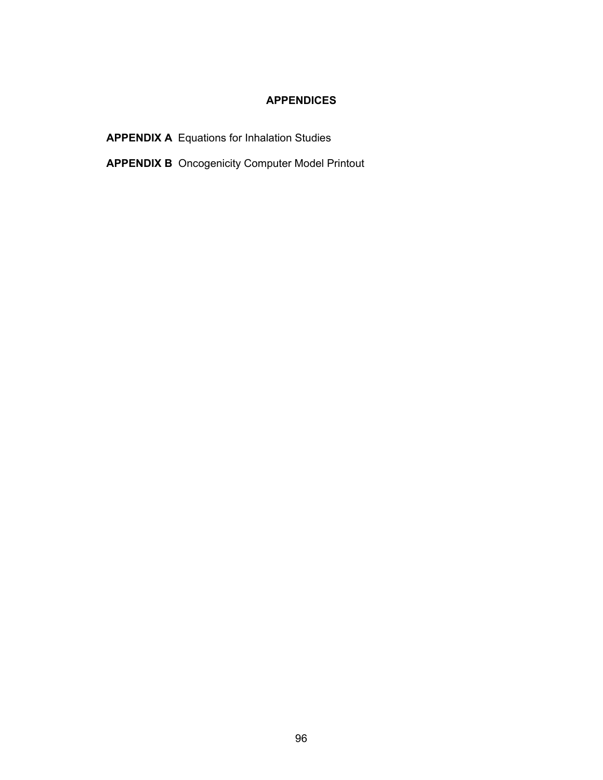# **APPENDICES**

**APPENDIX A** Equations for Inhalation Studies

**APPENDIX B** Oncogenicity Computer Model Printout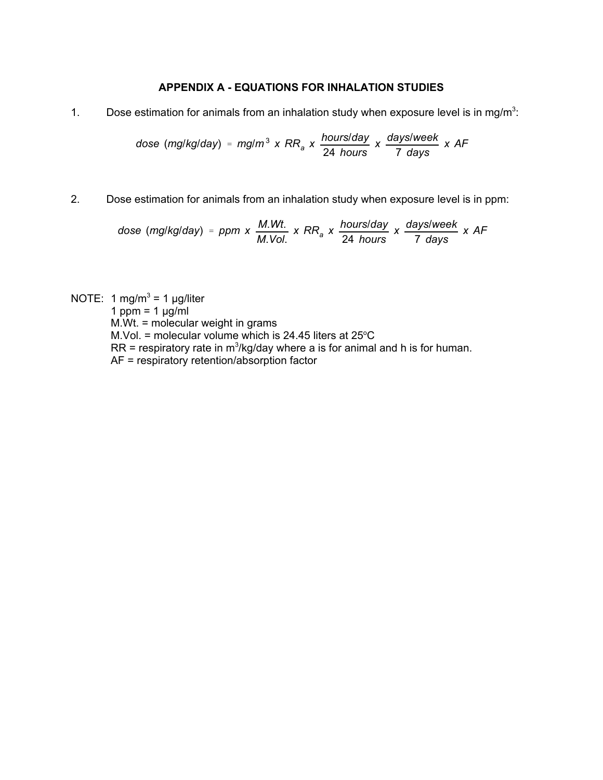# **APPENDIX A - EQUATIONS FOR INHALATION STUDIES**

1. Dose estimation for animals from an inhalation study when exposure level is in mg/m<sup>3</sup>:

dose (mg/kg/day) = mg/m<sup>3</sup> x RR<sub>a</sub> x 
$$
\frac{hours/day}{24 hours}
$$
 x  $\frac{days/week}{7 days}$  x AF

2. Dose estimation for animals from an inhalation study when exposure level is in ppm:

dose (mg/kg/day) = ppm x 
$$
\frac{M.Wt}{M.Vol}
$$
 x RR<sub>a</sub> x  $\frac{hours/day}{24 hours}$  x  $\frac{days/week}{7 days}$  x AF

NOTE: 1 mg/m<sup>3</sup> = 1 µg/liter 1 ppm =  $1 \mu g/ml$ M.Wt. = molecular weight in grams M.Vol. = molecular volume which is 24.45 liters at  $25^{\circ}$ C  $RR$  = respiratory rate in m<sup>3</sup>/kg/day where a is for animal and h is for human. AF = respiratory retention/absorption factor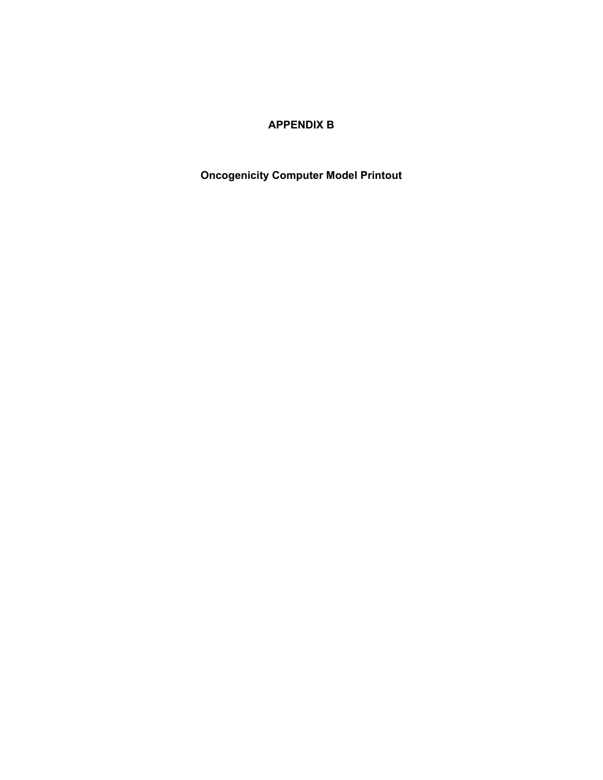# **APPENDIX B**

**Oncogenicity Computer Model Printout**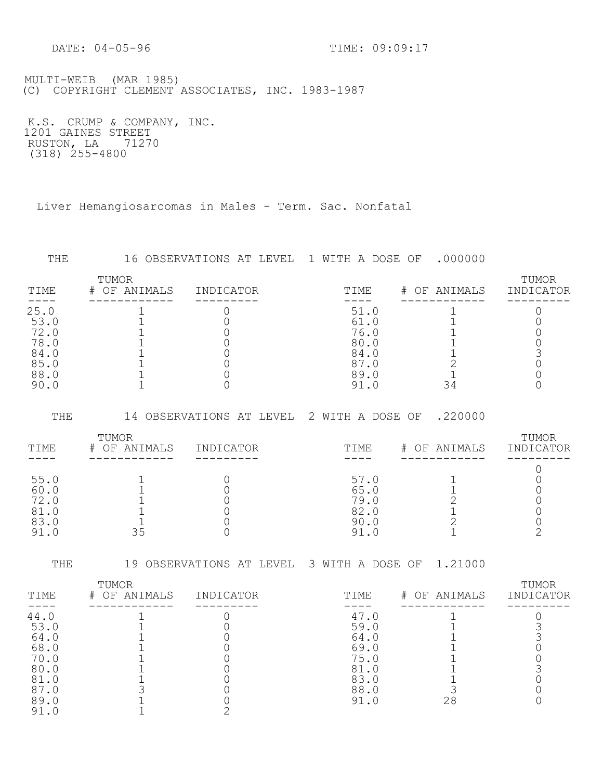DATE: 04-05-96 TIME: 09:09:17

 MULTI-WEIB (MAR 1985) (C) COPYRIGHT CLEMENT ASSOCIATES, INC. 1983-1987

 K.S. CRUMP & COMPANY, INC. 1201 GAINES STREET RUSTON, LA 71270  $(318)$  255-4800

Liver Hemangiosarcomas in Males - Term. Sac. Nonfatal

| THE                                                          |                          | 16 OBSERVATIONS AT LEVEL 1 WITH A DOSE OF |                                              | .000000         |                    |
|--------------------------------------------------------------|--------------------------|-------------------------------------------|----------------------------------------------|-----------------|--------------------|
| TIME                                                         | TUMOR<br>OF ANIMALS<br># | INDICATOR                                 | TIME                                         | OF ANIMALS<br># | TUMOR<br>INDICATOR |
| 25.0<br>53.0<br>72.0<br>78.0<br>84.0<br>85.0<br>88.0<br>90.0 |                          |                                           | 51.0<br>61.0<br>76.0<br>80.0<br>84.0<br>89.0 |                 |                    |

 THE 14 OBSERVATIONS AT LEVEL 2 WITH A DOSE OF .220000 TIME # OF ANIMALS INDICATOR TIME # OF ANIMALS INDICATOR ---- ------------ --------- ---- ------------ --------- <sup>0</sup> TUMOR TUMOR 55.0 1 0 57.0 1 0 60.0 1 0 65.0 1 0 72.0 1 0 79.0 2 0 81.0 1 0 82.0 1 0 83.0 1 0 90.0 2 0 91.0 35 0 91.0 1 2

THE 19 OBSERVATIONS AT LEVEL 3 WITH A DOSE OF 1.21000

| TIME                                                                | TUMOR<br>OF ANIMALS<br># | INDICATOR | TIME                                                                    | # OF ANIMALS | TUMOR<br>INDICATOR |
|---------------------------------------------------------------------|--------------------------|-----------|-------------------------------------------------------------------------|--------------|--------------------|
| 44.0<br>53.0<br>64.0<br>68.0<br>70.0<br>80.0<br>81.0<br>89.0<br>-91 |                          |           | 47.0<br>59.0<br>64.0<br>69.0<br>75.0<br>81<br>83.0<br>88.0<br>91<br>. 0 | 28           |                    |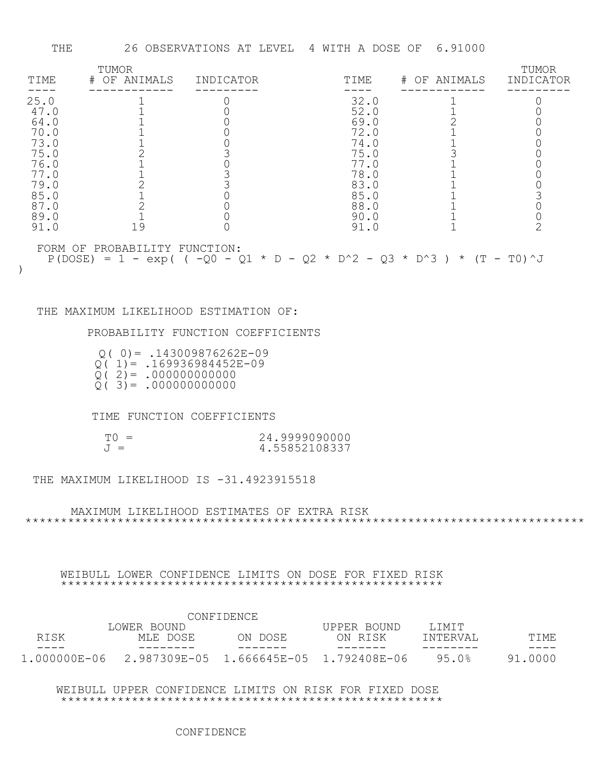| TIME | TUMOR<br># OF ANIMALS         | INDICATOR | TIME                                                                    | # OF ANIMALS | TUMOR<br>INDICATOR |
|------|-------------------------------|-----------|-------------------------------------------------------------------------|--------------|--------------------|
| 25.0 |                               |           | 32.0                                                                    |              |                    |
| 47.0 |                               |           | 52.0                                                                    |              |                    |
| 64.0 |                               |           | 69.0                                                                    |              |                    |
| 70.0 |                               |           | 72.0                                                                    |              |                    |
| 73.0 |                               |           | 74.0                                                                    |              |                    |
| 75.0 |                               |           | 75.0                                                                    |              |                    |
| 76.0 |                               |           | 77.0                                                                    |              |                    |
| 77.0 |                               |           | 78.0                                                                    |              |                    |
| 79.0 |                               |           | 83.0                                                                    |              |                    |
| 85.0 |                               |           | 85.0                                                                    |              |                    |
| 87.0 |                               |           | 88.0                                                                    |              |                    |
| 89.0 |                               |           | 90.0                                                                    |              |                    |
| 91.0 | 19                            |           | 91.0                                                                    |              |                    |
|      | FORM OF PROBABILITY FUNCTION: |           | $P(DOSE) = 1 - exp( (-Q0 - Q1 * D - Q2 * D^2 - Q3 * D^3) * (T - T0)^2)$ |              |                    |

#### THE MAXIMUM LIKELIHOOD ESTIMATION OF:

)

PROBABILITY FUNCTION COEFFICIENTS

| $Q(0) = .143009876262E-09$ |  |
|----------------------------|--|
| $Q(1) = .169936984452E-09$ |  |
| $Q(2) = .000000000000$     |  |
| $Q(3) = .0000000000000$    |  |

TIME FUNCTION COEFFICIENTS

| $T() =$ | 24.9999090000 |
|---------|---------------|
| $J =$   | 4.55852108337 |

THE MAXIMUM LIKELIHOOD IS -31.4923915518

MAXIMUM LIKELIHOOD ESTIMATES OF EXTRA RISK \*\*\*\*\*\*\*\*\*\*\*\*\*\*\*\*\*\*\*\*\*\*\*\*\*\*\*\*\*\*\*\*\*\*\*\*\*\*\*\*\*\*\*\*\*\*\*\*\*\*\*\*\*\*\*\*\*\*\*\*\*\*\*\*\*\*\*\*\*\*\*\*\*\*\*\*\*\*\*

 WEIBULL LOWER CONFIDENCE LIMITS ON DOSE FOR FIXED RISK \*\*\*\*\*\*\*\*\*\*\*\*\*\*\*\*\*\*\*\*\*\*\*\*\*\*\*\*\*\*\*\*\*\*\*\*\*\*\*\*\*\*\*\*\*\*\*\*\*\*\*\*\*\*

|              |             | CONFIDENCE |             |          |         |
|--------------|-------------|------------|-------------|----------|---------|
|              | LOWER BOUND |            | UPPER BOUND | T.TMTT   |         |
| RISK         | MLE DOSE    | ON DOSE    | ON RISK     | TNTERVAL | TTME.   |
| ----         |             |            |             |          | -----   |
| 1,000000E-06 |             |            |             | 95.0%    | 91.0000 |

WEIBULL UPPER CONFIDENCE LIMITS ON RISK FOR FIXED DOSE \*\*\*\*\*\*\*\*\*\*\*\*\*\*\*\*\*\*\*\*\*\*\*\*\*\*\*\*\*\*\*\*\*\*\*\*\*\*\*\*\*\*\*\*\*\*\*\*\*\*\*\*\*\*